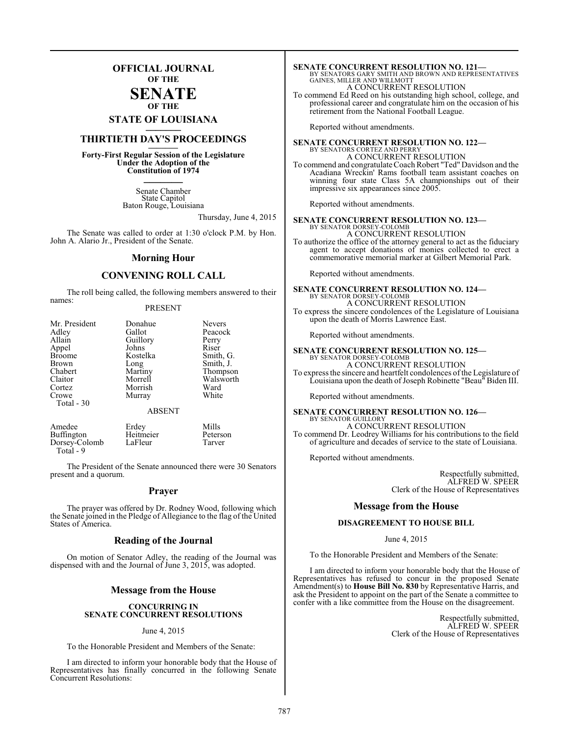## **OFFICIAL JOURNAL OF THE**

#### **SENATE OF THE**

# **STATE OF LOUISIANA \_\_\_\_\_\_\_**

# **THIRTIETH DAY'S PROCEEDINGS \_\_\_\_\_\_\_**

**Forty-First Regular Session of the Legislature Under the Adoption of the Constitution of 1974 \_\_\_\_\_\_\_**

> Senate Chamber State Capitol Baton Rouge, Louisiana

> > Thursday, June 4, 2015

The Senate was called to order at 1:30 o'clock P.M. by Hon. John A. Alario Jr., President of the Senate.

#### **Morning Hour**

#### **CONVENING ROLL CALL**

The roll being called, the following members answered to their names:

#### PRESENT

| Mr. President | Donahue       | Nevers    |
|---------------|---------------|-----------|
| Adley         | Gallot        | Peacock   |
| Allain        | Guillory      | Perry     |
| Appel         | Johns         | Riser     |
| <b>Broome</b> | Kostelka      | Smith, G. |
| Brown         | Long          | Smith, J. |
| Chabert       | Martiny       | Thompson  |
| Claitor       | Morrell       | Walsworth |
| Cortez        | Morrish       | Ward      |
| Crowe         | Murray        | White     |
| Total - 30    |               |           |
|               | <b>ABSENT</b> |           |

| Amedee        | Erdey     | Mills    |
|---------------|-----------|----------|
| Buffington    | Heitmeier | Peterson |
| Dorsey-Colomb | LaFleur   | Tarver   |
| Total - 9     |           |          |

The President of the Senate announced there were 30 Senators present and a quorum.

#### **Prayer**

The prayer was offered by Dr. Rodney Wood, following which the Senate joined in the Pledge of Allegiance to the flag of the United States of America.

#### **Reading of the Journal**

On motion of Senator Adley, the reading of the Journal was dispensed with and the Journal of June 3, 2015, was adopted.

#### **Message from the House**

#### **CONCURRING IN SENATE CONCURRENT RESOLUTIONS**

#### June 4, 2015

To the Honorable President and Members of the Senate:

I am directed to inform your honorable body that the House of Representatives has finally concurred in the following Senate Concurrent Resolutions:

## **SENATE CONCURRENT RESOLUTION NO. 121—**<br>BY SENATORS GARY SMITH AND BROWN AND REPRESENTATIVES<br>GAINES, MILLER AND WILLMOTT A CONCURRENT RESOLUTION

To commend Ed Reed on his outstanding high school, college, and professional career and congratulate him on the occasion of his retirement from the National Football League.

Reported without amendments.

# **SENATE CONCURRENT RESOLUTION NO. 122—** BY SENATORS CORTEZ AND PERRY

A CONCURRENT RESOLUTION To commend and congratulate Coach Robert "Ted" Davidson and the Acadiana Wreckin' Rams football team assistant coaches on winning four state Class 5A championships out of their impressive six appearances since 2005.

Reported without amendments.

# **SENATE CONCURRENT RESOLUTION NO. 123—**<br>BY SENATOR DORSEY-COLOMB<br>A CONCURRENT RESOLUTION

To authorize the office of the attorney general to act as the fiduciary agent to accept donations of monies collected to erect a commemorative memorial marker at Gilbert Memorial Park.

Reported without amendments.

# **SENATE CONCURRENT RESOLUTION NO. 124—** BY SENATOR DORSEY-COLOMB

A CONCURRENT RESOLUTION To express the sincere condolences of the Legislature of Louisiana upon the death of Morris Lawrence East.

Reported without amendments.

# **SENATE CONCURRENT RESOLUTION NO. 125—**<br>BY SENATOR DORSEY-COLOMB<br>A CONCURRENT RESOLUTION

To express the sincere and heartfelt condolences of the Legislature of Louisiana upon the death ofJoseph Robinette "Beau" Biden III.

Reported without amendments.

## **SENATE CONCURRENT RESOLUTION NO. 126—** BY SENATOR GUILLORY A CONCURRENT RESOLUTION

To commend Dr. Leodrey Williams for his contributions to the field of agriculture and decades of service to the state of Louisiana.

Reported without amendments.

Respectfully submitted, ALFRED W. SPEER Clerk of the House of Representatives

#### **Message from the House**

#### **DISAGREEMENT TO HOUSE BILL**

June 4, 2015

To the Honorable President and Members of the Senate:

I am directed to inform your honorable body that the House of Representatives has refused to concur in the proposed Senate Amendment(s) to **House Bill No. 830** by Representative Harris, and ask the President to appoint on the part of the Senate a committee to confer with a like committee from the House on the disagreement.

> Respectfully submitted, ALFRED W. SPEER Clerk of the House of Representatives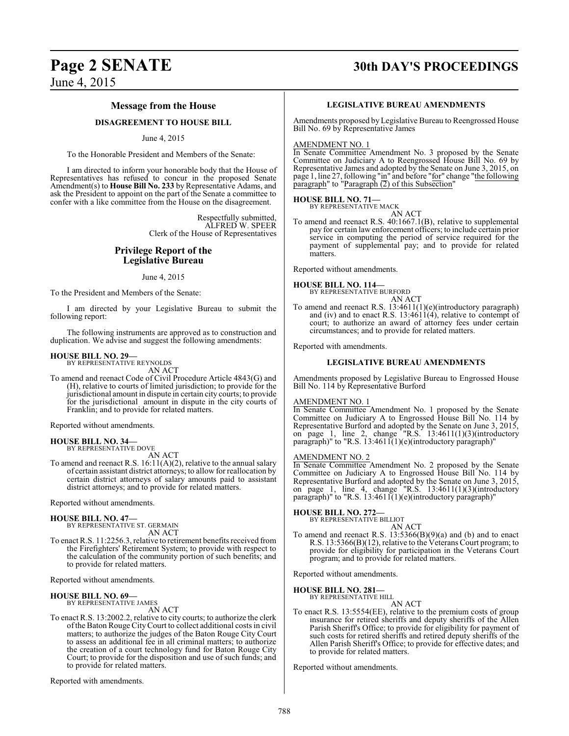# **Page 2 SENATE 30th DAY'S PROCEEDINGS**

June 4, 2015

### **Message from the House**

## **DISAGREEMENT TO HOUSE BILL**

#### June 4, 2015

To the Honorable President and Members of the Senate:

I am directed to inform your honorable body that the House of Representatives has refused to concur in the proposed Senate Amendment(s) to **House Bill No. 233** by Representative Adams, and ask the President to appoint on the part of the Senate a committee to confer with a like committee from the House on the disagreement.

> Respectfully submitted, ALFRED W. SPEER Clerk of the House of Representatives

#### **Privilege Report of the Legislative Bureau**

June 4, 2015

To the President and Members of the Senate:

I am directed by your Legislative Bureau to submit the following report:

The following instruments are approved as to construction and duplication. We advise and suggest the following amendments:

#### **HOUSE BILL NO. 29—** BY REPRESENTATIVE REYNOLDS

AN ACT

To amend and reenact Code of Civil Procedure Article 4843(G) and (H), relative to courts of limited jurisdiction; to provide for the jurisdictional amount in dispute in certain city courts; to provide for the jurisdictional amount in dispute in the city courts of Franklin; and to provide for related matters.

Reported without amendments.

**HOUSE BILL NO. 34—** BY REPRESENTATIVE DOVE

AN ACT

To amend and reenact R.S. 16:11(A)(2), relative to the annual salary of certain assistant district attorneys; to allow for reallocation by certain district attorneys of salary amounts paid to assistant district attorneys; and to provide for related matters.

Reported without amendments.

# **HOUSE BILL NO. 47—** BY REPRESENTATIVE ST. GERMAIN

AN ACT

To enact R.S. 11:2256.3, relative to retirement benefits received from the Firefighters' Retirement System; to provide with respect to the calculation of the community portion of such benefits; and to provide for related matters.

Reported without amendments.

#### **HOUSE BILL NO. 69—**

BY REPRESENTATIVE JAMES AN ACT

To enact R.S. 13:2002.2, relative to city courts; to authorize the clerk ofthe Baton Rouge CityCourt to collect additional costs in civil matters; to authorize the judges of the Baton Rouge City Court to assess an additional fee in all criminal matters; to authorize the creation of a court technology fund for Baton Rouge City Court; to provide for the disposition and use of such funds; and to provide for related matters.

Reported with amendments.

#### **LEGISLATIVE BUREAU AMENDMENTS**

Amendments proposed byLegislative Bureau to Reengrossed House Bill No. 69 by Representative James

#### AMENDMENT NO. 1

In Senate Committee Amendment No. 3 proposed by the Senate Committee on Judiciary A to Reengrossed House Bill No. 69 by Representative James and adopted by the Senate on June 3, 2015, on page 1, line 27, following "in" and before "for" change "the following paragraph" to "Paragraph (2) of this Subsection"

# **HOUSE BILL NO. 71—** BY REPRESENTATIVE MACK

AN ACT

To amend and reenact R.S. 40:1667.1(B), relative to supplemental pay for certain law enforcement officers; to include certain prior service in computing the period of service required for the payment of supplemental pay; and to provide for related matters.

Reported without amendments.

# **HOUSE BILL NO. 114—** BY REPRESENTATIVE BURFORD

AN ACT

To amend and reenact R.S. 13:4611(1)(e)(introductory paragraph) and (iv) and to enact R.S. 13:4611(4), relative to contempt of court; to authorize an award of attorney fees under certain circumstances; and to provide for related matters.

Reported with amendments.

#### **LEGISLATIVE BUREAU AMENDMENTS**

Amendments proposed by Legislative Bureau to Engrossed House Bill No. 114 by Representative Burford

#### AMENDMENT NO. 1

In Senate Committee Amendment No. 1 proposed by the Senate Committee on Judiciary A to Engrossed House Bill No. 114 by Representative Burford and adopted by the Senate on June 3, 2015, on page 1, line 2, change "R.S.  $13:4611(1)(3)$ (introductory paragraph)" to "R.S. 13:4611(1)(e)(introductory paragraph)"

#### AMENDMENT NO. 2

In Senate Committee Amendment No. 2 proposed by the Senate Committee on Judiciary A to Engrossed House Bill No. 114 by Representative Burford and adopted by the Senate on June 3, 2015, on page 1, line 4, change "R.S.  $13:4611(1)(3)$ (introductory paragraph)" to "R.S. 13:4611(1)(e)(introductory paragraph)"

#### **HOUSE BILL NO. 272—**

BY REPRESENTATIVE BILLIOT AN ACT

To amend and reenact R.S. 13:5366(B)(9)(a) and (b) and to enact R.S. 13:5366(B)(12), relative to the Veterans Court program; to provide for eligibility for participation in the Veterans Court program; and to provide for related matters.

Reported without amendments.

#### **HOUSE BILL NO. 281—**

BY REPRESENTATIVE HILL AN ACT

To enact R.S. 13:5554(EE), relative to the premium costs of group insurance for retired sheriffs and deputy sheriffs of the Allen Parish Sheriff's Office; to provide for eligibility for payment of such costs for retired sheriffs and retired deputy sheriffs of the Allen Parish Sheriff's Office; to provide for effective dates; and to provide for related matters.

Reported without amendments.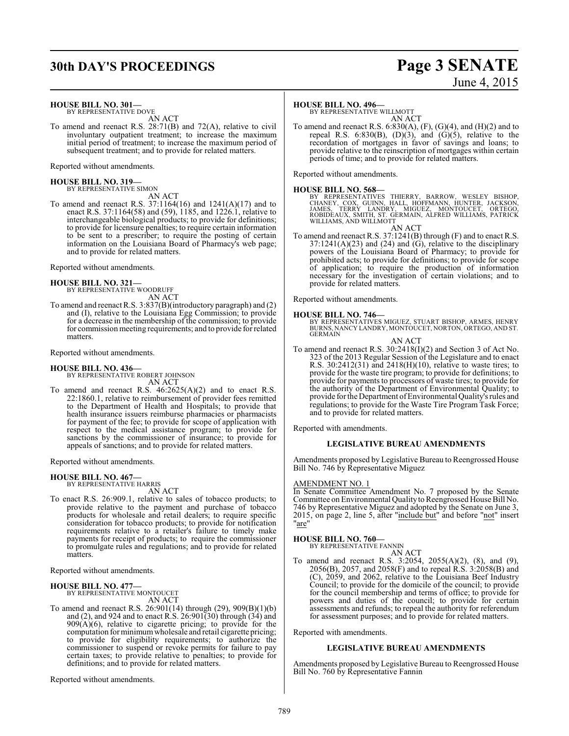# **30th DAY'S PROCEEDINGS Page 3 SENATE**

#### **HOUSE BILL NO. 301—**

BY REPRESENTATIVE DOVE AN ACT

To amend and reenact R.S. 28:71(B) and 72(A), relative to civil involuntary outpatient treatment; to increase the maximum initial period of treatment; to increase the maximum period of subsequent treatment; and to provide for related matters.

Reported without amendments.

**HOUSE BILL NO. 319—** BY REPRESENTATIVE SIMON

AN ACT

To amend and reenact R.S. 37:1164(16) and 1241(A)(17) and to enact R.S. 37:1164(58) and (59), 1185, and 1226.1, relative to interchangeable biological products; to provide for definitions; to provide for licensure penalties; to require certain information to be sent to a prescriber; to require the posting of certain information on the Louisiana Board of Pharmacy's web page; and to provide for related matters.

Reported without amendments.

# **HOUSE BILL NO. 321—** BY REPRESENTATIVE WOODRUFF

AN ACT

To amend and reenact R.S. 3:837(B)(introductory paragraph) and (2) and (I), relative to the Louisiana Egg Commission; to provide for a decrease in the membership of the commission; to provide for commission meeting requirements; and to provide for related matters.

Reported without amendments.

#### **HOUSE BILL NO. 436—**

BY REPRESENTATIVE ROBERT JOHNSON AN ACT

To amend and reenact R.S. 46:2625(A)(2) and to enact R.S. 22:1860.1, relative to reimbursement of provider fees remitted to the Department of Health and Hospitals; to provide that health insurance issuers reimburse pharmacies or pharmacists for payment of the fee; to provide for scope of application with respect to the medical assistance program; to provide for sanctions by the commissioner of insurance; to provide for appeals of sanctions; and to provide for related matters.

Reported without amendments.

#### **HOUSE BILL NO. 467—**

BY REPRESENTATIVE HARRIS

AN ACT

To enact R.S. 26:909.1, relative to sales of tobacco products; to provide relative to the payment and purchase of tobacco products for wholesale and retail dealers; to require specific consideration for tobacco products; to provide for notification requirements relative to a retailer's failure to timely make payments for receipt of products; to require the commissioner to promulgate rules and regulations; and to provide for related matters.

Reported without amendments.

#### **HOUSE BILL NO. 477—**

BY REPRESENTATIVE MONTOUCET AN ACT

To amend and reenact R.S. 26:901(14) through (29), 909(B)(1)(b) and (2), and 924 and to enact R.S. 26:901(30) through (34) and 909(A)(6), relative to cigarette pricing; to provide for the computation for minimumwholesale and retail cigarette pricing; to provide for eligibility requirements; to authorize the commissioner to suspend or revoke permits for failure to pay certain taxes; to provide relative to penalties; to provide for definitions; and to provide for related matters.

Reported without amendments.

#### **HOUSE BILL NO. 496—**

BY REPRESENTATIVE WILLMOTT AN ACT

To amend and reenact R.S.  $6:830(A), (F), (G)(4),$  and  $(H)(2)$  and to repeal R.S. 6:830(B),  $(D)(3)$ , and  $(G)(5)$ , relative to the recordation of mortgages in favor of savings and loans; to provide relative to the reinscription of mortgages within certain periods of time; and to provide for related matters.

Reported without amendments.

**HOUSE BILL NO. 568—**<br>BY REPRESENTATIVES THIERRY, BARROW, WESLEY BISHOP,<br>CHANEY, COX, GUINN, HALL, HOFFMANN, HUNTER, JACKSON,<br>JAMES, TERRY LANDRY, MIGUEZ, MONTOUCET, ORTEGO,<br>ROBIDEAUX, SMITH, ST. GERMAIN, ALFRED WILLIAMS,

#### AN ACT

To amend and reenact R.S. 37:1241(B) through (F) and to enact R.S.  $37:1241(A)(23)$  and  $(24)$  and  $(G)$ , relative to the disciplinary powers of the Louisiana Board of Pharmacy; to provide for prohibited acts; to provide for definitions; to provide for scope of application; to require the production of information necessary for the investigation of certain violations; and to provide for related matters.

Reported without amendments.

**HOUSE BILL NO. 746—** BY REPRESENTATIVES MIGUEZ, STUART BISHOP, ARMES, HENRY BURNS, NANCY LANDRY, MONTOUCET, NORTON, ORTEGO, AND ST. GERMAIN

AN ACT

To amend and reenact R.S. 30:2418(I)(2) and Section 3 of Act No. 323 of the 2013 Regular Session of the Legislature and to enact R.S. 30:2412(31) and 2418(H)(10), relative to waste tires; to provide for the waste tire program; to provide for definitions; to provide for payments to processors of waste tires; to provide for the authority of the Department of Environmental Quality; to provide for the Department ofEnvironmental Quality's rules and regulations; to provide for the Waste Tire Program Task Force; and to provide for related matters.

Reported with amendments.

#### **LEGISLATIVE BUREAU AMENDMENTS**

Amendments proposed by Legislative Bureau to Reengrossed House Bill No. 746 by Representative Miguez

#### AMENDMENT NO. 1

In Senate Committee Amendment No. 7 proposed by the Senate Committee on Environmental Quality to Reengrossed House Bill No. 746 by Representative Miguez and adopted by the Senate on June 3, 2015, on page 2, line 5, after "include but" and before "not" insert "are"

#### **HOUSE BILL NO. 760—**

BY REPRESENTATIVE FANNIN AN ACT

To amend and reenact R.S. 3:2054, 2055(A)(2), (8), and (9), 2056(B), 2057, and 2058(F) and to repeal R.S. 3:2058(B) and (C), 2059, and 2062, relative to the Louisiana Beef Industry Council; to provide for the domicile of the council; to provide for the council membership and terms of office; to provide for powers and duties of the council; to provide for certain assessments and refunds; to repeal the authority for referendum for assessment purposes; and to provide for related matters.

Reported with amendments.

#### **LEGISLATIVE BUREAU AMENDMENTS**

Amendments proposed by Legislative Bureau to Reengrossed House Bill No. 760 by Representative Fannin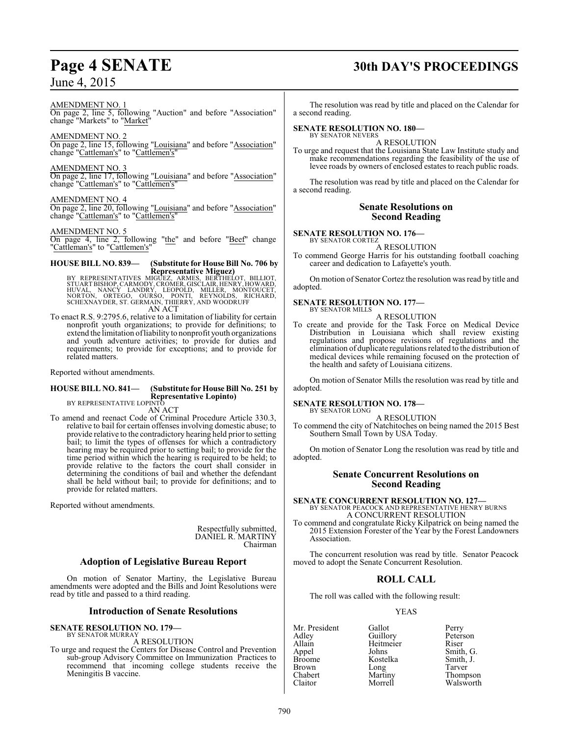#### AMENDMENT NO. 1

On page 2, line 5, following "Auction" and before "Association" change "Markets" to "Market"

#### AMENDMENT NO. 2

On page 2, line 15, following "Louisiana" and before "Association" change "Cattleman's" to "Cattlemen's"

#### AMENDMENT NO. 3

On page 2, line 17, following "Louisiana" and before "Association" change "Cattleman's" to "Cattlemen's"

#### AMENDMENT NO. 4

On page 2, line 20, following "Louisiana" and before "Association" change "Cattleman's" to "Cattlemen's"

#### AMENDMENT NO. 5

On page 4, line 2, following "the" and before "Beef" change "Cattleman's" to "Cattlemen's"

## **HOUSE BILL NO. 839— (Substitute for House Bill No. 706 by**

**Representative Miguez)<br>STUART BISHOP, CARMODY, CROMES, BERTHELOT, BILLIOT,<br>STUART BISHOP, CARMODY, CROMER, GISCLAIR, HENRY, HOWARD,<br>NORTON, ORTEGO, OURSO, PONTI, REYNOLDS, RICHARD,<br>SCHEXNAYDER, ST. GERMAIN, THIERRY, AND W** AN ACT

To enact R.S. 9:2795.6, relative to a limitation of liability for certain nonprofit youth organizations; to provide for definitions; to extend the limitation ofliability to nonprofit youth organizations and youth adventure activities; to provide for duties and requirements; to provide for exceptions; and to provide for related matters.

Reported without amendments.

#### **HOUSE BILL NO. 841— (Substitute for House Bill No. 251 by Representative Lopinto)**

BY REPRESENTATIVE LOPINTO AN ACT

To amend and reenact Code of Criminal Procedure Article 330.3, relative to bail for certain offenses involving domestic abuse; to provide relative to the contradictory hearing held prior to setting bail; to limit the types of offenses for which a contradictory hearing may be required prior to setting bail; to provide for the time period within which the hearing is required to be held; to provide relative to the factors the court shall consider in determining the conditions of bail and whether the defendant shall be held without bail; to provide for definitions; and to provide for related matters.

Reported without amendments.

Respectfully submitted, DANIEL R. MARTINY Chairman

### **Adoption of Legislative Bureau Report**

On motion of Senator Martiny, the Legislative Bureau amendments were adopted and the Bills and Joint Resolutions were read by title and passed to a third reading.

#### **Introduction of Senate Resolutions**

#### **SENATE RESOLUTION NO. 179—** BY SENATOR MURRAY

#### A RESOLUTION

To urge and request the Centers for Disease Control and Prevention sub-group Advisory Committee on Immunization Practices to recommend that incoming college students receive the Meningitis B vaccine.

# **Page 4 SENATE 30th DAY'S PROCEEDINGS**

The resolution was read by title and placed on the Calendar for a second reading.

#### **SENATE RESOLUTION NO. 180—** BY SENATOR NEVERS

A RESOLUTION

To urge and request that the Louisiana State Law Institute study and make recommendations regarding the feasibility of the use of levee roads by owners of enclosed estates to reach public roads.

The resolution was read by title and placed on the Calendar for a second reading.

#### **Senate Resolutions on Second Reading**

#### **SENATE RESOLUTION NO. 176—** BY SENATOR CORTEZ

A RESOLUTION

To commend George Harris for his outstanding football coaching career and dedication to Lafayette's youth.

On motion of Senator Cortez the resolution was read by title and adopted.

#### **SENATE RESOLUTION NO. 177—** BY SENATOR MILLS

A RESOLUTION

To create and provide for the Task Force on Medical Device Distribution in Louisiana which shall review existing regulations and propose revisions of regulations and the elimination of duplicate regulations related to the distribution of medical devices while remaining focused on the protection of the health and safety of Louisiana citizens.

On motion of Senator Mills the resolution was read by title and adopted.

#### **SENATE RESOLUTION NO. 178—**

BY SENATOR LONG A RESOLUTION

To commend the city of Natchitoches on being named the 2015 Best Southern Small Town by USA Today.

On motion of Senator Long the resolution was read by title and adopted.

## **Senate Concurrent Resolutions on Second Reading**

## **SENATE CONCURRENT RESOLUTION NO. 127—** BY SENATOR PEACOCK AND REPRESENTATIVE HENRY BURNS A CONCURRENT RESOLUTION

To commend and congratulate Ricky Kilpatrick on being named the 2015 Extension Forester of the Year by the Forest Landowners Association.

The concurrent resolution was read by title. Senator Peacock moved to adopt the Senate Concurrent Resolution.

## **ROLL CALL**

The roll was called with the following result:

#### YEAS

Mr. President Gallot Perry<br>Adlev Guillory Peters Adley Guillory Peterson Allain Heitmeier<br>
Appel Johns Appel Johns Smith, G. Broome Kostelka Smith, J.<br>Brown Long Tarver Brown Long Tarver<br>
Chabert Martiny Thomp Chabert Martiny Thompson<br>Claitor Morrell Walsworth

Walsworth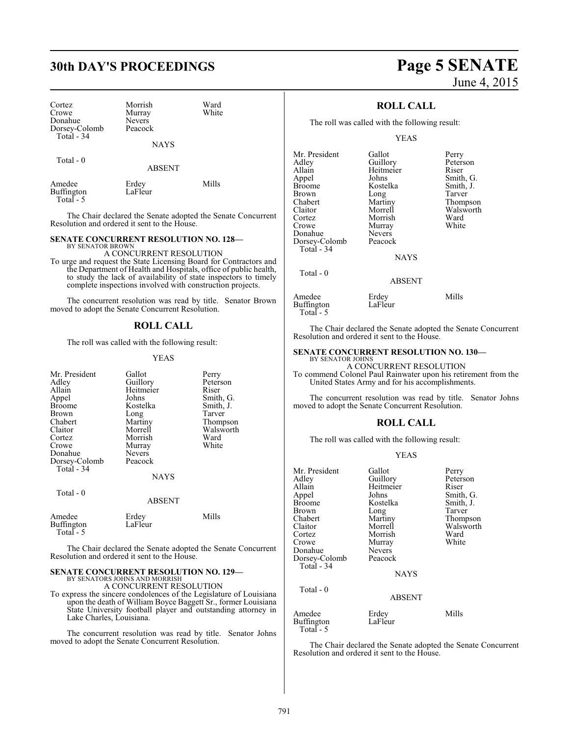# **30th DAY'S PROCEEDINGS Page 5 SENATE**

| Cortez<br>Crowe<br>Donahue<br>Dorsey-Colomb<br>Total - 34 | Morrish<br>Murray<br><b>Nevers</b><br>Peacock<br><b>NAYS</b> | Ward<br>White |
|-----------------------------------------------------------|--------------------------------------------------------------|---------------|
| Total $-0$                                                | <b>ABSENT</b>                                                |               |
| Amedee                                                    | Erdey                                                        | Mills         |

 Total - 5 The Chair declared the Senate adopted the Senate Concurrent Resolution and ordered it sent to the House.

#### **SENATE CONCURRENT RESOLUTION NO. 128—**

BY SENATOR BROWN

Buffington LaFleur

A CONCURRENT RESOLUTION To urge and request the State Licensing Board for Contractors and the Department of Health and Hospitals, office of public health, to study the lack of availability of state inspectors to timely complete inspections involved with construction projects.

The concurrent resolution was read by title. Senator Brown moved to adopt the Senate Concurrent Resolution.

#### **ROLL CALL**

The roll was called with the following result:

#### YEAS

| Mr. President        | Gallot           | Perry     |
|----------------------|------------------|-----------|
| Adley                | Guillory         | Peterson  |
| Allain               | Heitmeier        | Riser     |
|                      |                  |           |
| Appel                | Johns            | Smith, G. |
| <b>Broome</b>        | Kostelka         | Smith, J. |
| Brown                | Long             | Tarver    |
| Chabert              | Martiny          | Thompson  |
| Claitor              | Morrell          | Walsworth |
| Cortez               | Morrish          | Ward      |
| Crowe                | Murray           | White     |
| Donahue              | <b>Nevers</b>    |           |
| Dorsey-Colomb        | Peacock          |           |
| Total - 34           |                  |           |
|                      | <b>NAYS</b>      |           |
| Total - 0            |                  |           |
|                      | <b>ABSENT</b>    |           |
| Amedee<br>Buffington | Erdey<br>LaFleur | Mills     |
| Total - 5            |                  |           |

The Chair declared the Senate adopted the Senate Concurrent Resolution and ordered it sent to the House.

# **SENATE CONCURRENT RESOLUTION NO. 129—** BY SENATORS JOHNS AND MORRISH

A CONCURRENT RESOLUTION

To express the sincere condolences of the Legislature of Louisiana upon the death of William Boyce Baggett Sr., former Louisiana State University football player and outstanding attorney in Lake Charles, Louisiana.

The concurrent resolution was read by title. Senator Johns moved to adopt the Senate Concurrent Resolution.

# June 4, 2015

#### **ROLL CALL**

The roll was called with the following result:

#### YEAS

| Mr. President | Gallot      | Perry     |
|---------------|-------------|-----------|
| Adley         | Guillory    | Peterson  |
| Allain        | Heitmeier   | Riser     |
| Appel         | Johns       | Smith, G. |
| <b>Broome</b> | Kostelka    | Smith, J. |
| Brown         | Long        | Tarver    |
| Chabert       | Martiny     | Thompson  |
| Claitor       | Morrell     | Walsworth |
| Cortez        | Morrish     | Ward      |
| Crowe         | Murray      | White     |
| Donahue       | Nevers      |           |
| Dorsey-Colomb | Peacock     |           |
| Total - 34    |             |           |
|               | <b>NAYS</b> |           |
|               |             |           |

#### ABSENT

| Amedee            | Erdey   | Mills |
|-------------------|---------|-------|
| <b>Buffington</b> | LaFleur |       |
| Total $-5$        |         |       |

Total - 0

LaFleur

The Chair declared the Senate adopted the Senate Concurrent Resolution and ordered it sent to the House.

#### **SENATE CONCURRENT RESOLUTION NO. 130—**

BY SENATOR JOHNS A CONCURRENT RESOLUTION

To commend Colonel Paul Rainwater upon his retirement from the United States Army and for his accomplishments.

The concurrent resolution was read by title. Senator Johns moved to adopt the Senate Concurrent Resolution.

#### **ROLL CALL**

The roll was called with the following result:

#### YEAS

| Mr. President                     | Gallot           | Perry     |
|-----------------------------------|------------------|-----------|
| Adlev                             | Guillory         | Peterson  |
| Allain                            | Heitmeier        | Riser     |
| Appel                             | Johns            | Smith, G. |
| Broome                            | Kostelka         | Smith, J. |
| Brown                             | Long             | Tarver    |
| Chabert                           | Martiny          | Thompson  |
| Claitor                           | Morrell          | Walsworth |
| Cortez                            | Morrish          | Ward      |
| Crowe                             | Murray           | White     |
| Donahue                           | <b>Nevers</b>    |           |
| Dorsey-Colomb                     | Peacock          |           |
| Total - 34                        |                  |           |
|                                   | <b>NAYS</b>      |           |
| Total - 0                         |                  |           |
|                                   | <b>ABSENT</b>    |           |
| Amedee<br>Buffington<br>Total - 5 | Erdey<br>LaFleur | Mills     |
|                                   |                  |           |

The Chair declared the Senate adopted the Senate Concurrent Resolution and ordered it sent to the House.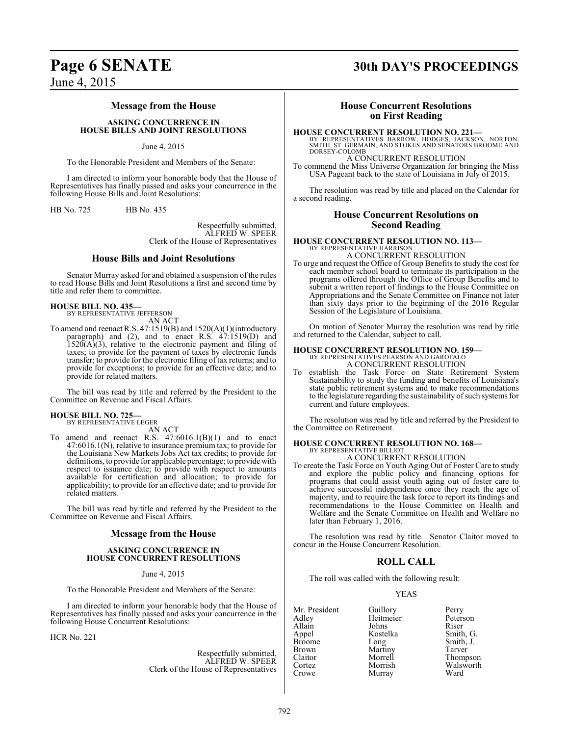#### **Message from the House**

**ASKING CONCURRENCE IN HOUSE BILLS AND JOINT RESOLUTIONS**

#### June 4, 2015

To the Honorable President and Members of the Senate:

I am directed to inform your honorable body that the House of Representatives has finally passed and asks your concurrence in the following House Bills and Joint Resolutions:

HB No. 725 HB No. 435

Respectfully submitted, ALFRED W. SPEER Clerk of the House of Representatives

#### **House Bills and Joint Resolutions**

Senator Murray asked for and obtained a suspension of the rules to read House Bills and Joint Resolutions a first and second time by title and refer them to committee.

#### **HOUSE BILL NO. 435—**

BY REPRESENTATIVE JEFFERSON AN ACT

To amend and reenact R.S. 47:1519(B) and 1520(A)(1)(introductory paragraph) and (2), and to enact R.S.  $47.1519(D)$  and  $1520(A)(3)$ , relative to the electronic payment and filing of taxes; to provide for the payment of taxes by electronic funds transfer; to provide for the electronic filing of tax returns; and to provide for exceptions; to provide for an effective date; and to provide for related matters.

The bill was read by title and referred by the President to the Committee on Revenue and Fiscal Affairs.

#### **HOUSE BILL NO. 725—**

BY REPRESENTATIVE LEGER AN ACT

To amend and reenact R.S. 47:6016.1(B)(1) and to enact 47:6016.1(N), relative to insurance premium tax; to provide for the Louisiana New Markets Jobs Act tax credits; to provide for definitions, to provide for applicable percentage; to provide with respect to issuance date; to provide with respect to amounts available for certification and allocation; to provide for applicability; to provide for an effective date; and to provide for related matters.

The bill was read by title and referred by the President to the Committee on Revenue and Fiscal Affairs.

#### **Message from the House**

#### **ASKING CONCURRENCE IN HOUSE CONCURRENT RESOLUTIONS**

#### June 4, 2015

To the Honorable President and Members of the Senate:

I am directed to inform your honorable body that the House of Representatives has finally passed and asks your concurrence in the following House Concurrent Resolutions:

HCR No. 221

Respectfully submitted, ALFRED W. SPEER Clerk of the House of Representatives

# **Page 6 SENATE 30th DAY'S PROCEEDINGS**

## **House Concurrent Resolutions on First Reading**

**HOUSE CONCURRENT RESOLUTION NO. 221—**<br>BY REPRESENTATIVES BARROW, HODGES, JACKSON, NORTON,<br>SMITH, ST. GERMAIN, AND STOKES AND SENATORS BROOME AND<br>DORSEY-COLOMB

## A CONCURRENT RESOLUTION

To commend the Miss Universe Organization for bringing the Miss USA Pageant back to the state of Louisiana in July of 2015.

The resolution was read by title and placed on the Calendar for a second reading.

#### **House Concurrent Resolutions on Second Reading**

#### **HOUSE CONCURRENT RESOLUTION NO. 113—** BY REPRESENTATIVE HARRISON

A CONCURRENT RESOLUTION

To urge and request the Office of Group Benefits to study the cost for each member school board to terminate its participation in the programs offered through the Office of Group Benefits and to submit a written report of findings to the House Committee on Appropriations and the Senate Committee on Finance not later than sixty days prior to the beginning of the 2016 Regular Session of the Legislature of Louisiana.

On motion of Senator Murray the resolution was read by title and returned to the Calendar, subject to call.

## **HOUSE CONCURRENT RESOLUTION NO. 159—**

BY REPRESENTATIVES PEARSON AND GAROFALO A CONCURRENT RESOLUTION

establish the Task Force on State Retirement System Sustainability to study the funding and benefits of Louisiana's state public retirement systems and to make recommendations to the legislature regarding the sustainability of such systems for current and future employees.

The resolution was read by title and referred by the President to the Committee on Retirement.

#### **HOUSE CONCURRENT RESOLUTION NO. 168—** BY REPRESENTATIVE BILLIO A CONCURRENT RESOLUTION

To create the Task Force on Youth Aging Out of Foster Care to study and explore the public policy and financing options for programs that could assist youth aging out of foster care to achieve successful independence once they reach the age of majority, and to require the task force to report its findings and recommendations to the House Committee on Health and Welfare and the Senate Committee on Health and Welfare no later than February 1, 2016.

The resolution was read by title. Senator Claitor moved to concur in the House Concurrent Resolution.

#### **ROLL CALL**

The roll was called with the following result:

#### YEAS

|           | Perry               |
|-----------|---------------------|
| Heitmeier | Peterson            |
| Johns     | Riser               |
| Kostelka  | Smith, G.           |
| Long      | Smith, J.           |
| Martiny   | Tarver              |
| Morrell   | Thompson            |
|           | Walsworth           |
| Murray    | Ward                |
|           | Guillory<br>Morrish |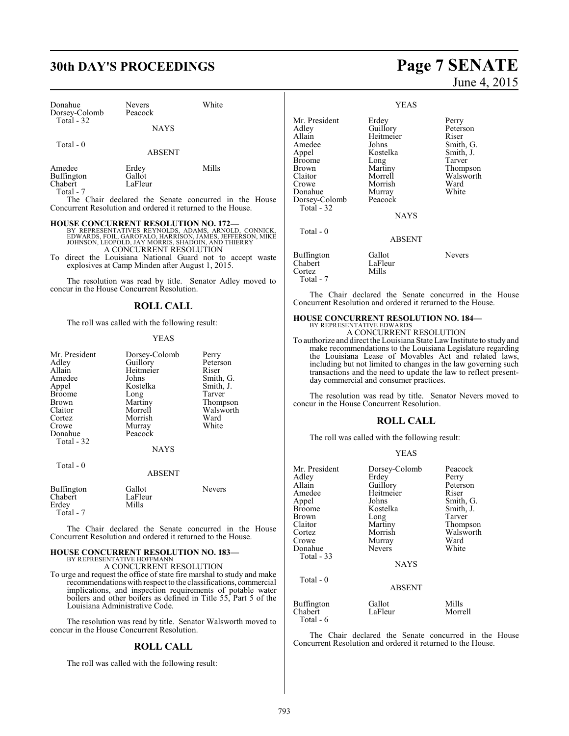# **30th DAY'S PROCEEDINGS Page 7 SENATE**

|             | White                    |
|-------------|--------------------------|
|             |                          |
| <b>NAYS</b> |                          |
|             | <b>Nevers</b><br>Peacock |

Total - 0

ABSENT

| Amedee     | Erdey   | Mills |
|------------|---------|-------|
| Buffington | Gallot  |       |
| Chabert    | LaFleur |       |
| Total - 7  |         |       |

The Chair declared the Senate concurred in the House Concurrent Resolution and ordered it returned to the House.

**HOUSE CONCURRENT RESOLUTION NO. 172—**<br>
BY REPRESENTATIVES REYNOLDS, ADAMS, ARNOLD, CONNICK,<br>
EDWARDS, FOIL, GAROFALO, HARRISON, JAMES, SHADOIN, AND THIERRY<br>
JOHNSON, LEOPOLD, JAY MORRIS, SHADOIN, AND THIERRY A CONCURRENT RESOLUTION

To direct the Louisiana National Guard not to accept waste explosives at Camp Minden after August 1, 2015.

The resolution was read by title. Senator Adley moved to concur in the House Concurrent Resolution.

#### **ROLL CALL**

The roll was called with the following result:

#### YEAS

| Mr. President | Dorsey-Colomb | Perry     |
|---------------|---------------|-----------|
| Adley         | Guillory      | Peterson  |
| Allain        | Heitmeier     | Riser     |
| Amedee        | Johns         | Smith, G. |
| Appel         | Kostelka      | Smith, J. |
| <b>Broome</b> | Long          | Tarver    |
| Brown         | Martiny       | Thompson  |
| Claitor       | Morrell       | Walsworth |
| Cortez        | Morrish       | Ward      |
| Crowe         | Murray        | White     |
| Donahue       | Peacock       |           |
| Total - 32    |               |           |
|               | <b>NAYS</b>   |           |
| Total - 0     |               |           |
|               | ABSENT        |           |

| Buffington | Gallot  | <b>Nevers</b> |
|------------|---------|---------------|
| Chabert    | LaFleur |               |
| Erdev      | Mills   |               |
| Total - 7  |         |               |

The Chair declared the Senate concurred in the House Concurrent Resolution and ordered it returned to the House.

# **HOUSE CONCURRENT RESOLUTION NO. 183—** BY REPRESENTATIVE HOFFMANN

A CONCURRENT RESOLUTION

To urge and request the office of state fire marshal to study and make recommendations with respect to the classifications, commercial implications, and inspection requirements of potable water boilers and other boilers as defined in Title 55, Part 5 of the Louisiana Administrative Code.

The resolution was read by title. Senator Walsworth moved to concur in the House Concurrent Resolution.

### **ROLL CALL**

The roll was called with the following result:

# June 4, 2015

|                                                                                                                                      | <b>YEAS</b>                                                                                                                      |                                                                                                          |
|--------------------------------------------------------------------------------------------------------------------------------------|----------------------------------------------------------------------------------------------------------------------------------|----------------------------------------------------------------------------------------------------------|
| Mr. President<br>Adley<br>Allain<br>Amedee<br>Appel<br>Broome<br>Brown<br>Claitor<br>Crowe<br>Donahue<br>Dorsey-Colomb<br>Total - 32 | Erdey<br>Guillory<br>Heitmeier<br>Johns<br>Kostelka<br>Long<br>Martiny<br>Morrell<br>Morrish<br>Murray<br>Peacock<br><b>NAYS</b> | Perry<br>Peterson<br>Riser<br>Smith, G.<br>Smith, J.<br>Tarver<br>Thompson<br>Walsworth<br>Ward<br>White |
| Total - 0                                                                                                                            | <b>ABSENT</b>                                                                                                                    |                                                                                                          |
| Buffington<br>Chabert<br>Cortez<br>Total - 7                                                                                         | Gallot<br>LaFleur<br>Mills                                                                                                       | Nevers                                                                                                   |

The Chair declared the Senate concurred in the House Concurrent Resolution and ordered it returned to the House.

#### **HOUSE CONCURRENT RESOLUTION NO. 184—** BY REPRESENTATIVE EDWARDS A CONCURRENT RESOLUTION

To authorize and direct the Louisiana State Law Institute to study and make recommendations to the Louisiana Legislature regarding the Louisiana Lease of Movables Act and related laws, including but not limited to changes in the law governing such transactions and the need to update the law to reflect presentday commercial and consumer practices.

The resolution was read by title. Senator Nevers moved to concur in the House Concurrent Resolution.

### **ROLL CALL**

The roll was called with the following result:

#### YEAS

| Mr. President<br>Adley<br>Allain<br>Amedee<br>Appel<br><b>Broome</b><br><b>Brown</b><br>Claitor<br>Cortez<br>Crowe<br>Donahue<br>Total $-33$ | Dorsey-Colomb<br>Erdey<br>Guillory<br>Heitmeier<br>Johns<br>Kostelka<br>Long<br>Martiny<br>Morrish<br>Murray<br><b>Nevers</b><br><b>NAYS</b> | Peacock<br>Perry<br>Peterson<br>Riser<br>Smith, G.<br>Smith, J.<br>Tarver<br>Thompson<br>Walsworth<br>Ward<br>White |
|----------------------------------------------------------------------------------------------------------------------------------------------|----------------------------------------------------------------------------------------------------------------------------------------------|---------------------------------------------------------------------------------------------------------------------|
| Total $-0$                                                                                                                                   | <b>ABSENT</b>                                                                                                                                |                                                                                                                     |
| <b>Buffington</b><br>Chabert                                                                                                                 | Gallot<br>LaFleur                                                                                                                            | Mills<br>Morrell                                                                                                    |

The Chair declared the Senate concurred in the House Concurrent Resolution and ordered it returned to the House.

Total - 6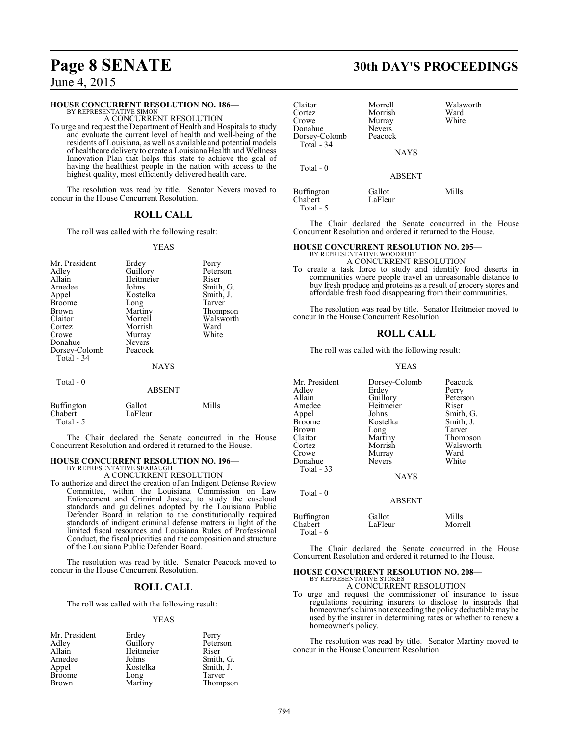### **HOUSE CONCURRENT RESOLUTION NO. 186—**

BY REPRESENTATIVE SIMON A CONCURRENT RESOLUTION

To urge and request the Department of Health and Hospitals to study and evaluate the current level of health and well-being of the residents of Louisiana, as well as available and potential models of healthcare delivery to create a Louisiana Health and Wellness Innovation Plan that helps this state to achieve the goal of having the healthiest people in the nation with access to the highest quality, most efficiently delivered health care.

The resolution was read by title. Senator Nevers moved to concur in the House Concurrent Resolution.

## **ROLL CALL**

The roll was called with the following result:

#### YEAS

| Mr. President<br>Adley<br>Allain<br>Amedee<br>Appel<br><b>Broome</b><br><b>Brown</b><br>Claitor<br>Cortez<br>Crowe<br>Donahue<br>Dorsey-Colomb<br>Total $-34$ | Erdey<br>Guillory<br>Heitmeier<br>Johns<br>Kostelka<br>Long<br>Martiny<br>Morrell<br>Morrish<br>Murray<br><b>Nevers</b><br>Peacock<br><b>NAYS</b> | Perry<br>Peterson<br>Riser<br>Smith, G.<br>Smith, J.<br>Tarver<br>Thompson<br>Walsworth<br>Ward<br>White |
|---------------------------------------------------------------------------------------------------------------------------------------------------------------|---------------------------------------------------------------------------------------------------------------------------------------------------|----------------------------------------------------------------------------------------------------------|
| Total - 0                                                                                                                                                     | <b>ABSENT</b>                                                                                                                                     |                                                                                                          |

| Buffington | Gallot  | Mills |
|------------|---------|-------|
| Chabert    | LaFleur |       |
| Total - 5  |         |       |

The Chair declared the Senate concurred in the House Concurrent Resolution and ordered it returned to the House.

#### **HOUSE CONCURRENT RESOLUTION NO. 196—**

BY REPRESENTATIVE SEABAUGH A CONCURRENT RESOLUTION

To authorize and direct the creation of an Indigent Defense Review Committee, within the Louisiana Commission on Law Enforcement and Criminal Justice, to study the caseload standards and guidelines adopted by the Louisiana Public Defender Board in relation to the constitutionally required standards of indigent criminal defense matters in light of the limited fiscal resources and Louisiana Rules of Professional Conduct, the fiscal priorities and the composition and structure of the Louisiana Public Defender Board.

The resolution was read by title. Senator Peacock moved to concur in the House Concurrent Resolution.

#### **ROLL CALL**

The roll was called with the following result:

#### YEAS

| Erdey     | Perry     |
|-----------|-----------|
| Guillory  | Peterson  |
| Heitmeier | Riser     |
| Johns     | Smith, G. |
| Kostelka  | Smith, J. |
| Long      | Tarver    |
| Martiny   | Thompson  |
|           |           |

# **Page 8 SENATE 30th DAY'S PROCEEDINGS**

| Claitor<br>Cortez<br>Crowe<br>Donahue<br>Dorsey-Colomb<br>Total $-34$ | Morrell<br>Morrish<br>Murray<br><b>Nevers</b><br>Peacock<br><b>NAYS</b> | Walsworth<br>Ward<br>White |
|-----------------------------------------------------------------------|-------------------------------------------------------------------------|----------------------------|
| Total - 0                                                             | <b>ABSENT</b>                                                           |                            |
| Buffington<br>Chabert<br>Total - 5                                    | Gallot<br>LaFleur                                                       | Mills                      |

The Chair declared the Senate concurred in the House Concurrent Resolution and ordered it returned to the House.

#### **HOUSE CONCURRENT RESOLUTION NO. 205—**

# BY REPRESENTATIVE WOODRUFF A CONCURRENT RESOLUTION

To create a task force to study and identify food deserts in communities where people travel an unreasonable distance to buy fresh produce and proteins as a result of grocery stores and affordable fresh food disappearing from their communities.

The resolution was read by title. Senator Heitmeier moved to concur in the House Concurrent Resolution.

#### **ROLL CALL**

The roll was called with the following result:

#### YEAS

| Mr. President<br>Adley<br>Allain<br>Amedee<br>Appel<br><b>Broome</b><br>Brown | Dorsey-Colomb<br>Erdey<br>Guillory<br>Heitmeier<br>Johns<br>Kostelka<br>Long | Peacock<br>Perry<br>Peterson<br>Riser<br>Smith, G.<br>Smith, J.<br>Tarver |
|-------------------------------------------------------------------------------|------------------------------------------------------------------------------|---------------------------------------------------------------------------|
| Claitor                                                                       | Martiny                                                                      | Thompson                                                                  |
| Cortez                                                                        | Morrish                                                                      | Walsworth                                                                 |
| Crowe                                                                         | Murray                                                                       | Ward                                                                      |
| Donahue                                                                       | <b>Nevers</b>                                                                | White                                                                     |
| Total $-33$                                                                   |                                                                              |                                                                           |
|                                                                               | <b>NAYS</b>                                                                  |                                                                           |
| Total - 0                                                                     |                                                                              |                                                                           |
|                                                                               | <b>ABSENT</b>                                                                |                                                                           |
| <b>Buffington</b><br>Chabert<br>Total - 6                                     | Gallot<br>LaFleur                                                            | Mills<br>Morrell                                                          |

The Chair declared the Senate concurred in the House Concurrent Resolution and ordered it returned to the House.

# **HOUSE CONCURRENT RESOLUTION NO. 208—**<br>BY REPRESENTATIVE STOKES<br>A CONCURRENT RESOLUTION

To urge and request the commissioner of insurance to issue regulations requiring insurers to disclose to insureds that homeowner's claims not exceeding the policy deductible may be used by the insurer in determining rates or whether to renew a homeowner's policy.

The resolution was read by title. Senator Martiny moved to concur in the House Concurrent Resolution.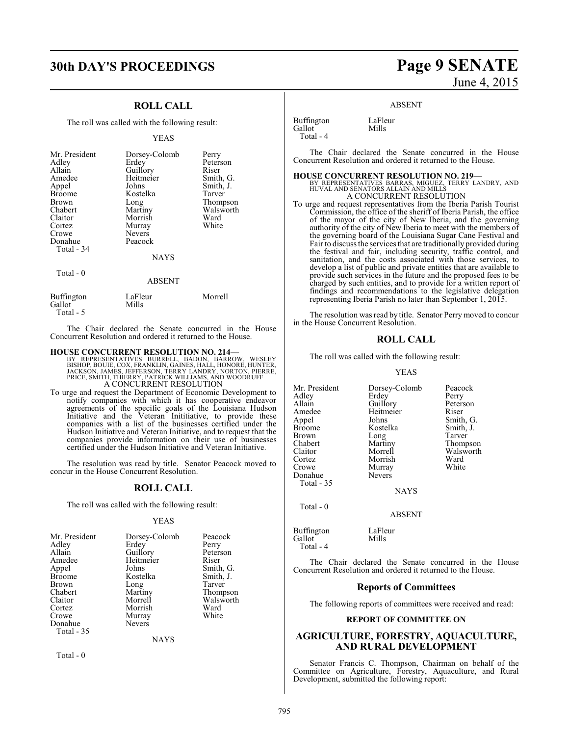# **30th DAY'S PROCEEDINGS Page 9 SENATE**

### **ROLL CALL**

The roll was called with the following result:

#### YEAS

| Mr. President<br>Adley<br>Allain<br>Amedee<br>Appel<br><b>Broome</b><br>Brown<br>Chabert<br>Claitor<br>Cortez<br>Crowe<br>Donahue<br>Total - 34<br>Total - 0 | Dorsey-Colomb<br>Erdey<br>Guillory<br>Heitmeier<br>Johns<br>Kostelka<br>Long<br>Martiny<br>Morrish<br>Murray<br><b>Nevers</b><br>Peacock<br><b>NAYS</b><br><b>ABSENT</b> | Perry<br>Peterson<br>Riser<br>Smith, G.<br>Smith, J.<br>Tarver<br>Thompson<br>Walsworth<br>Ward<br>White |
|--------------------------------------------------------------------------------------------------------------------------------------------------------------|--------------------------------------------------------------------------------------------------------------------------------------------------------------------------|----------------------------------------------------------------------------------------------------------|
|                                                                                                                                                              |                                                                                                                                                                          |                                                                                                          |
| <b>Buffington</b><br>Gallot                                                                                                                                  | LaFleur<br>Mills                                                                                                                                                         | Morrell                                                                                                  |

The Chair declared the Senate concurred in the House Concurrent Resolution and ordered it returned to the House.

#### **HOUSE CONCURRENT RESOLUTION NO. 214—**

BY REPRESENTATIVES BURRELL, BADON, BARROW, WESLEY<br>BISHOP, BOUIE, COX, FRANKLIN, GAINES, HALL, HONORE, HUNTER,<br>JACKSON, JAMES, JEFFERSON, TERRY LANDRY, NORTON, PIERRE,<br>PRICE, SMITH, THIERRY, PATRICK WILLIAMS, AND WOODRUFF<br>A

To urge and request the Department of Economic Development to notify companies with which it has cooperative endeavor agreements of the specific goals of the Louisiana Hudson Initiative and the Veteran Inititiative, to provide these companies with a list of the businesses certified under the Hudson Initiative and Veteran Initiative, and to request that the companies provide information on their use of businesses certified under the Hudson Initiative and Veteran Initiative.

The resolution was read by title. Senator Peacock moved to concur in the House Concurrent Resolution.

#### **ROLL CALL**

The roll was called with the following result:

#### YEAS

| Mr. President     | Dorsey-Colomb | Peacock   |
|-------------------|---------------|-----------|
| Adley             | Erdey         | Perry     |
| Allain            | Guillory      | Peterson  |
| Amedee            | Heitmeier     | Riser     |
| Appel             | Johns         | Smith, G. |
| <b>Broome</b>     | Kostelka      | Smith, J. |
| Brown             | Long          | Tarver    |
| Chabert           | Martiny       | Thompson  |
| Claitor           | Morrell       | Walsworth |
| Cortez            | Morrish       | Ward      |
| Crowe             | Murray        | White     |
| Donahue           | <b>Nevers</b> |           |
| <b>Total - 35</b> |               |           |

NAYS

Total - 0

Gallot Total - 5

# June 4, 2015

#### ABSENT

Buffington LaFleur<br>Gallot Mills Gallot Total - 4

The Chair declared the Senate concurred in the House Concurrent Resolution and ordered it returned to the House.

#### **HOUSE CONCURRENT RESOLUTION NO. 219—**

BY REPRESENTATIVES BARRAS, MIGUEZ, TERRY LANDRY, AND HUVAL AND SENATORS ALLAIN AND MILLS A CONCURRENT RESOLUTION

To urge and request representatives from the Iberia Parish Tourist Commission, the office of the sheriff of Iberia Parish, the office of the mayor of the city of New Iberia, and the governing authority of the city of New Iberia to meet with the members of the governing board of the Louisiana Sugar Cane Festival and Fair to discuss the services that are traditionally provided during the festival and fair, including security, traffic control, and sanitation, and the costs associated with those services, to develop a list of public and private entities that are available to provide such services in the future and the proposed fees to be charged by such entities, and to provide for a written report of findings and recommendations to the legislative delegation representing Iberia Parish no later than September 1, 2015.

The resolution was read by title. Senator Perry moved to concur in the House Concurrent Resolution.

#### **ROLL CALL**

The roll was called with the following result:

#### YEAS

Morrish Ward<br>
Murray White

Mr. President Dorsey-Colomb Peacock<br>Adley Erdey Perry Adley Erdey<br>Allain Guillory Allain Guillory Peterson<br>Amedee Heitmeier Riser Amedee Heitmeier<br>Appel Johns Appel Johns Smith, G.<br>Broome Kostelka Smith, J. Broome Kostelka Smith,<br>Brown Long Tarver Brown Long<br>
Chabert Martiny Chabert Martiny Thompson Claitor Morrell Walsworth Crowe Murray<br>Donahue Nevers Donahue Total - 35

Total - 0

Buffington LaFleur<br>Gallot Mills Gallot Total - 4

The Chair declared the Senate concurred in the House Concurrent Resolution and ordered it returned to the House.

NAYS

ABSENT

#### **Reports of Committees**

The following reports of committees were received and read:

#### **REPORT OF COMMITTEE ON**

#### **AGRICULTURE, FORESTRY, AQUACULTURE, AND RURAL DEVELOPMENT**

Senator Francis C. Thompson, Chairman on behalf of the Committee on Agriculture, Forestry, Aquaculture, and Rural Development, submitted the following report: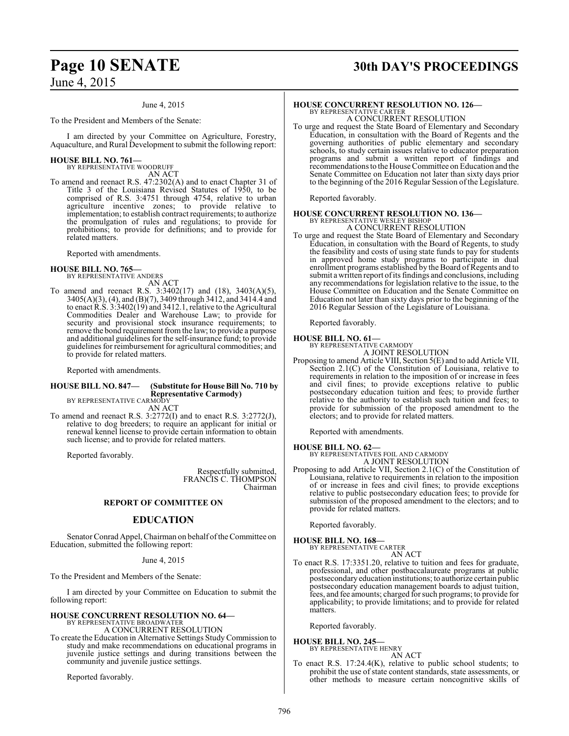#### June 4, 2015

To the President and Members of the Senate:

I am directed by your Committee on Agriculture, Forestry, Aquaculture, and Rural Development to submit the following report:

# **HOUSE BILL NO. 761—** BY REPRESENTATIVE WOODRUFF

AN ACT

To amend and reenact R.S. 47:2302(A) and to enact Chapter 31 of Title 3 of the Louisiana Revised Statutes of 1950, to be comprised of R.S. 3:4751 through 4754, relative to urban agriculture incentive zones; to provide relative to implementation; to establish contract requirements; to authorize the promulgation of rules and regulations; to provide for prohibitions; to provide for definitions; and to provide for related matters.

Reported with amendments.

# **HOUSE BILL NO. 765—** BY REPRESENTATIVE ANDERS

AN ACT

To amend and reenact R.S. 3:3402(17) and (18), 3403(A)(5), 3405(A)(3), (4), and (B)(7), 3409 through 3412, and 3414.4 and to enact R.S. 3:3402(19) and 3412.1, relative to the Agricultural Commodities Dealer and Warehouse Law; to provide for security and provisional stock insurance requirements; to remove the bond requirement fromthe law; to provide a purpose and additional guidelines for the self-insurance fund; to provide guidelines for reimbursement for agricultural commodities; and to provide for related matters.

Reported with amendments.

#### **HOUSE BILL NO. 847— (Substitute for House Bill No. 710 by Representative Carmody)** BY REPRESENTATIVE CARMODY

AN ACT

To amend and reenact R.S. 3:2772(I) and to enact R.S. 3:2772(J), relative to dog breeders; to require an applicant for initial or renewal kennel license to provide certain information to obtain such license; and to provide for related matters.

Reported favorably.

Respectfully submitted, FRANCIS C. THOMPSON Chairman

#### **REPORT OF COMMITTEE ON**

#### **EDUCATION**

Senator Conrad Appel, Chairman on behalf of the Committee on Education, submitted the following report:

#### June 4, 2015

To the President and Members of the Senate:

I am directed by your Committee on Education to submit the following report:

# **HOUSE CONCURRENT RESOLUTION NO. 64—** BY REPRESENTATIVE BROADWATER A CONCURRENT RESOLUTION

To create the Education in Alternative Settings StudyCommission to study and make recommendations on educational programs in juvenile justice settings and during transitions between the community and juvenile justice settings.

Reported favorably.

# **Page 10 SENATE 30th DAY'S PROCEEDINGS**

## **HOUSE CONCURRENT RESOLUTION NO. 126—**

BY REPRESENTATIVE CARTER A CONCURRENT RESOLUTION

To urge and request the State Board of Elementary and Secondary Education, in consultation with the Board of Regents and the governing authorities of public elementary and secondary schools, to study certain issues relative to educator preparation programs and submit a written report of findings and recommendations to the House Committee on Education and the Senate Committee on Education not later than sixty days prior to the beginning of the 2016 Regular Session of the Legislature.

Reported favorably.

# **HOUSE CONCURRENT RESOLUTION NO. 136—** BY REPRESENTATIVE WESLEY BISHOP A CONCURRENT RESOLUTION

- 
- To urge and request the State Board of Elementary and Secondary Education, in consultation with the Board of Regents, to study the feasibility and costs of using state funds to pay for students in approved home study programs to participate in dual enrollment programs established by the Board of Regents and to submit a written report of its findings and conclusions, including any recommendations for legislation relative to the issue, to the House Committee on Education and the Senate Committee on Education not later than sixty days prior to the beginning of the 2016 Regular Session of the Legislature of Louisiana.

Reported favorably.

#### **HOUSE BILL NO. 61—**

BY REPRESENTATIVE CARMODY A JOINT RESOLUTION

Proposing to amend Article VIII, Section 5(E) and to add Article VII, Section 2.1(C) of the Constitution of Louisiana, relative to requirements in relation to the imposition of or increase in fees and civil fines; to provide exceptions relative to public postsecondary education tuition and fees; to provide further relative to the authority to establish such tuition and fees; to provide for submission of the proposed amendment to the electors; and to provide for related matters.

Reported with amendments.

**HOUSE BILL NO. 62—** BY REPRESENTATIVES FOIL AND CARMODY A JOINT RESOLUTION

Proposing to add Article VII, Section 2.1(C) of the Constitution of Louisiana, relative to requirements in relation to the imposition of or increase in fees and civil fines; to provide exceptions relative to public postsecondary education fees; to provide for submission of the proposed amendment to the electors; and to provide for related matters.

Reported favorably.

**HOUSE BILL NO. 168—** BY REPRESENTATIVE CARTER

- AN ACT
- To enact R.S. 17:3351.20, relative to tuition and fees for graduate, professional, and other postbaccalaureate programs at public postsecondaryeducation institutions; to authorize certain public postsecondary education management boards to adjust tuition, fees, and fee amounts; charged for such programs; to provide for applicability; to provide limitations; and to provide for related matters.

Reported favorably.

**HOUSE BILL NO. 245—** BY REPRESENTATIVE HENRY

AN ACT To enact R.S. 17:24.4(K), relative to public school students; to prohibit the use of state content standards, state assessments, or other methods to measure certain noncognitive skills of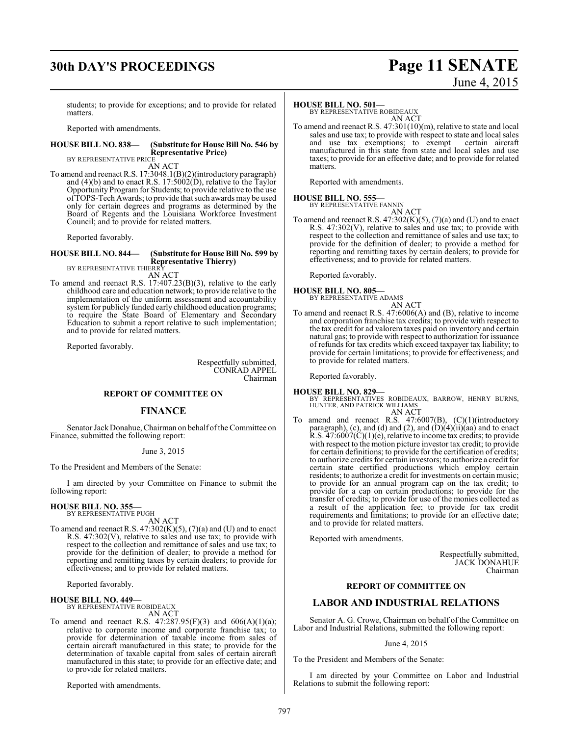# **30th DAY'S PROCEEDINGS Page 11 SENATE**

# June 4, 2015

students; to provide for exceptions; and to provide for related matters.

Reported with amendments.

#### **HOUSE BILL NO. 838— (Substitute for House Bill No. 546 by Representative Price)**

BY REPRESENTATIVE PRICE AN ACT

To amend and reenact R.S. 17:3048.1(B)(2)(introductory paragraph) and (4)(b) and to enact R.S. 17:5002(D), relative to the Taylor Opportunity Program for Students; to provide relative to the use of TOPS-Tech Awards; to provide that such awards may be used only for certain degrees and programs as determined by the Board of Regents and the Louisiana Workforce Investment Council; and to provide for related matters.

Reported favorably.

## **HOUSE BILL NO. 844— (Substitute for House Bill No. 599 by Representative Thierry)**<br>BY REPRESENTATIVE THIERRY

AN ACT

To amend and reenact R.S. 17:407.23(B)(3), relative to the early childhood care and education network; to provide relative to the implementation of the uniform assessment and accountability system for publicly funded early childhood education programs; to require the State Board of Elementary and Secondary Education to submit a report relative to such implementation; and to provide for related matters.

Reported favorably.

Respectfully submitted, CONRAD APPEL Chairman

#### **REPORT OF COMMITTEE ON**

#### **FINANCE**

Senator Jack Donahue, Chairman on behalf of the Committee on Finance, submitted the following report:

#### June 3, 2015

To the President and Members of the Senate:

I am directed by your Committee on Finance to submit the following report:

# **HOUSE BILL NO. 355—** BY REPRESENTATIVE PUGH

AN ACT

To amend and reenact R.S.  $47:302(K)(5)$ ,  $(7)(a)$  and  $(U)$  and to enact R.S. 47:302(V), relative to sales and use tax; to provide with respect to the collection and remittance of sales and use tax; to provide for the definition of dealer; to provide a method for reporting and remitting taxes by certain dealers; to provide for effectiveness; and to provide for related matters.

Reported favorably.

**HOUSE BILL NO. 449—** BY REPRESENTATIVE ROBIDEAUX AN ACT

To amend and reenact R.S.  $47:287.95(F)(3)$  and  $606(A)(1)(a)$ ; relative to corporate income and corporate franchise tax; to provide for determination of taxable income from sales of certain aircraft manufactured in this state; to provide for the determination of taxable capital from sales of certain aircraft manufactured in this state; to provide for an effective date; and to provide for related matters.

Reported with amendments.

#### **HOUSE BILL NO. 501—**

BY REPRESENTATIVE ROBIDEAUX AN ACT

To amend and reenact R.S. 47:301(10)(m), relative to state and local sales and use tax; to provide with respect to state and local sales<br>and use tax exemptions; to exempt certain aircraft and use tax exemptions; to exempt manufactured in this state from state and local sales and use taxes; to provide for an effective date; and to provide for related matters.

Reported with amendments.

## **HOUSE BILL NO. 555—**

BY REPRESENTATIVE FANNIN AN ACT

To amend and reenact R.S.  $47:302(K)(5)$ ,  $(7)(a)$  and (U) and to enact R.S. 47:302(V), relative to sales and use tax; to provide with respect to the collection and remittance of sales and use tax; to provide for the definition of dealer; to provide a method for reporting and remitting taxes by certain dealers; to provide for effectiveness; and to provide for related matters.

Reported favorably.

**HOUSE BILL NO. 805—** BY REPRESENTATIVE ADAMS

AN ACT

To amend and reenact R.S. 47:6006(A) and (B), relative to income and corporation franchise tax credits; to provide with respect to the tax credit for ad valorem taxes paid on inventory and certain natural gas; to provide with respect to authorization for issuance of refunds for tax credits which exceed taxpayer tax liability; to provide for certain limitations; to provide for effectiveness; and to provide for related matters.

Reported favorably.

#### **HOUSE BILL NO. 829—**

BY REPRESENTATIVES ROBIDEAUX, BARROW, HENRY BURNS, HUNTER, AND PATRICK WILLIAMS

- AN ACT
- To amend and reenact R.S. 47:6007(B), (C)(1)(introductory paragraph), (c), and (d) and (2), and  $(D)(4)(ii)(aa)$  and to enact R.S. 47:6007(C)(1)(e), relative to income tax credits; to provide with respect to the motion picture investor tax credit; to provide for certain definitions; to provide for the certification of credits; to authorize credits for certain investors; to authorize a credit for certain state certified productions which employ certain residents; to authorize a credit for investments on certain music; to provide for an annual program cap on the tax credit; to provide for a cap on certain productions; to provide for the transfer of credits; to provide for use of the monies collected as a result of the application fee; to provide for tax credit requirements and limitations; to provide for an effective date; and to provide for related matters.

Reported with amendments.

Respectfully submitted, JACK DONAHUE Chairman

#### **REPORT OF COMMITTEE ON**

### **LABOR AND INDUSTRIAL RELATIONS**

Senator A. G. Crowe, Chairman on behalf of the Committee on Labor and Industrial Relations, submitted the following report:

#### June 4, 2015

To the President and Members of the Senate:

I am directed by your Committee on Labor and Industrial Relations to submit the following report: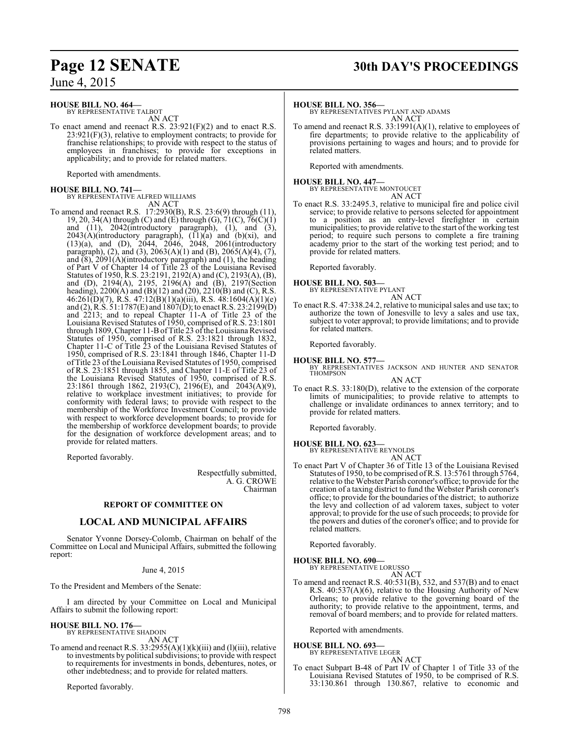#### **HOUSE BILL NO. 464—**

BY REPRESENTATIVE TALBOT AN ACT

To enact amend and reenact R.S. 23:921(F)(2) and to enact R.S.  $23:921(F)(3)$ , relative to employment contracts; to provide for franchise relationships; to provide with respect to the status of employees in franchises; to provide for exceptions in applicability; and to provide for related matters.

Reported with amendments.

# **HOUSE BILL NO. 741—** BY REPRESENTATIVE ALFRED WILLIAMS

AN ACT

To amend and reenact R.S. 17:2930(B), R.S. 23:6(9) through (11), 19, 20, 34(A) through (C) and (E) through (G),  $71(C)$ ,  $76(\dot{C})(1)$ and (11), 2042(introductory paragraph), (1), and (3),  $2043(A)$ (introductory paragraph),  $(11)(a)$  and  $(b)(xi)$ , and (13)(a), and (D), 2044, 2046, 2048, 2061(introductory paragraph), (2), and (3),  $2063(A)(1)$  and (B),  $2065(A)(4)$ , (7), and  $(8)$ ,  $2091(A)$ (introductory paragraph) and  $(1)$ , the heading of Part V of Chapter 14 of Title 23 of the Louisiana Revised Statutes of 1950, R.S. 23:2191, 2192(A) and (C), 2193(A), (B), and (D), 2194(A), 2195, 2196(A) and (B), 2197(Section heading), 2200(A) and (B)(12) and (20), 2210(B) and (C), R.S. 46:261(D)(7), R.S. 47:12(B)(1)(a)(iii), R.S. 48:1604(A)(1)(e) and (2), R.S. 51:1787(E) and 1807(D); to enact R.S. 23:2199(D) and 2213; and to repeal Chapter 11-A of Title 23 of the Louisiana Revised Statutes of 1950, comprised of R.S. 23:1801 through 1809, Chapter 11-B of Title  $23$  of the Louisiana Revised Statutes of 1950, comprised of R.S. 23:1821 through 1832, Chapter 11-C of Title 23 of the Louisiana Revised Statutes of 1950, comprised of R.S. 23:1841 through 1846, Chapter 11-D of Title 23 ofthe Louisiana Revised Statutes of 1950, comprised of R.S. 23:1851 through 1855, and Chapter 11-E of Title 23 of the Louisiana Revised Statutes of 1950, comprised of R.S. 23:1861 through 1862, 2193(C), 2196(E), and 2043(A)(9), relative to workplace investment initiatives; to provide for conformity with federal laws; to provide with respect to the membership of the Workforce Investment Council; to provide with respect to workforce development boards; to provide for the membership of workforce development boards; to provide for the designation of workforce development areas; and to provide for related matters.

Reported favorably.

Respectfully submitted, A. G. CROWE Chairman

## **REPORT OF COMMITTEE ON**

### **LOCAL AND MUNICIPAL AFFAIRS**

Senator Yvonne Dorsey-Colomb, Chairman on behalf of the Committee on Local and Municipal Affairs, submitted the following report:

#### June 4, 2015

To the President and Members of the Senate:

I am directed by your Committee on Local and Municipal Affairs to submit the following report:

## **HOUSE BILL NO. 176—**

BY REPRESENTATIVE SHADOIN AN ACT

To amend and reenact R.S.  $33:2955(A)(1)(k)(iii)$  and (1)(iii), relative to investments by political subdivisions; to provide with respect to requirements for investments in bonds, debentures, notes, or other indebtedness; and to provide for related matters.

Reported favorably.

# **Page 12 SENATE 30th DAY'S PROCEEDINGS**

#### **HOUSE BILL NO. 356—**

BY REPRESENTATIVES PYLANT AND ADAMS AN ACT

To amend and reenact R.S. 33:1991(A)(1), relative to employees of fire departments; to provide relative to the applicability of provisions pertaining to wages and hours; and to provide for related matters.

Reported with amendments.

#### **HOUSE BILL NO. 447—** BY REPRESENTATIVE MONTOUCET AN ACT

To enact R.S. 33:2495.3, relative to municipal fire and police civil service; to provide relative to persons selected for appointment to a position as an entry-level firefighter in certain municipalities; to provide relative to the start of the working test period; to require such persons to complete a fire training academy prior to the start of the working test period; and to provide for related matters.

Reported favorably.

# **HOUSE BILL NO. 503—** BY REPRESENTATIVE PYLANT

AN ACT

To enact R.S. 47:338.24.2, relative to municipal sales and use tax; to authorize the town of Jonesville to levy a sales and use tax, subject to voter approval; to provide limitations; and to provide for related matters.

Reported favorably.

**HOUSE BILL NO. 577—** BY REPRESENTATIVES JACKSON AND HUNTER AND SENATOR THOMPSON

AN ACT

To enact R.S. 33:180(D), relative to the extension of the corporate limits of municipalities; to provide relative to attempts to challenge or invalidate ordinances to annex territory; and to provide for related matters.

Reported favorably.

**HOUSE BILL NO. 623—** BY REPRESENTATIVE REYNOLDS

AN ACT

To enact Part V of Chapter 36 of Title 13 of the Louisiana Revised Statutes of 1950, to be comprised ofR.S. 13:5761 through 5764, relative to the Webster Parish coroner's office; to provide for the creation of a taxing district to fund the Webster Parish coroner's office; to provide for the boundaries of the district; to authorize the levy and collection of ad valorem taxes, subject to voter approval; to provide for the use of such proceeds; to provide for the powers and duties of the coroner's office; and to provide for related matters.

Reported favorably.

# **HOUSE BILL NO. 690—** BY REPRESENTATIVE LORUSSO

AN ACT

To amend and reenact R.S. 40:531(B), 532, and 537(B) and to enact R.S. 40:537(A)(6), relative to the Housing Authority of New Orleans; to provide relative to the governing board of the authority; to provide relative to the appointment, terms, and removal of board members; and to provide for related matters.

Reported with amendments.

#### **HOUSE BILL NO. 693—**

BY REPRESENTATIVE LEGER AN ACT

To enact Subpart B-48 of Part IV of Chapter 1 of Title 33 of the Louisiana Revised Statutes of 1950, to be comprised of R.S. 33:130.861 through 130.867, relative to economic and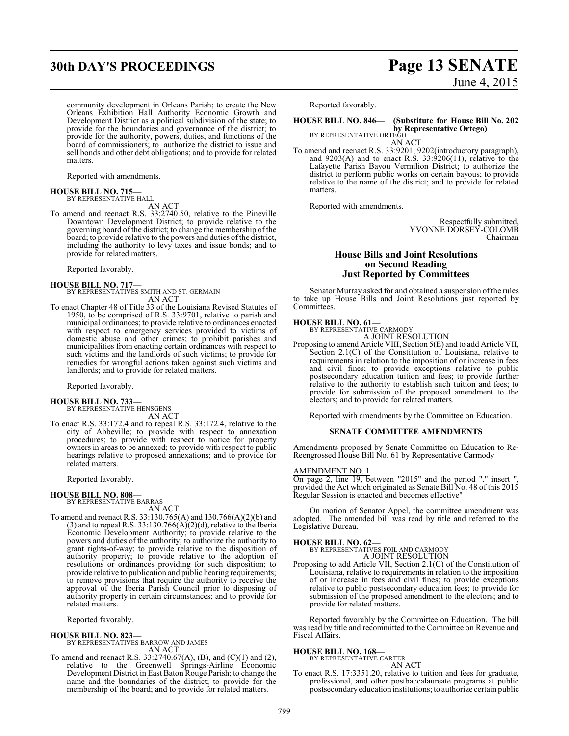# **30th DAY'S PROCEEDINGS Page 13 SENATE**

community development in Orleans Parish; to create the New Orleans Exhibition Hall Authority Economic Growth and Development District as a political subdivision of the state; to provide for the boundaries and governance of the district; to provide for the authority, powers, duties, and functions of the board of commissioners; to authorize the district to issue and sell bonds and other debt obligations; and to provide for related matters.

Reported with amendments.

# **HOUSE BILL NO. 715—** BY REPRESENTATIVE HALL

AN ACT

To amend and reenact R.S. 33:2740.50, relative to the Pineville Downtown Development District; to provide relative to the governing board of the district; to change the membership of the board; to provide relative to the powers and duties of the district, including the authority to levy taxes and issue bonds; and to provide for related matters.

Reported favorably.

# **HOUSE BILL NO. 717—** BY REPRESENTATIVES SMITH AND ST. GERMAIN

AN ACT

To enact Chapter 48 of Title 33 of the Louisiana Revised Statutes of 1950, to be comprised of R.S. 33:9701, relative to parish and municipal ordinances; to provide relative to ordinances enacted with respect to emergency services provided to victims of domestic abuse and other crimes; to prohibit parishes and municipalities from enacting certain ordinances with respect to such victims and the landlords of such victims; to provide for remedies for wrongful actions taken against such victims and landlords; and to provide for related matters.

Reported favorably.

#### **HOUSE BILL NO. 733—**

BY REPRESENTATIVE HENSGENS AN ACT

To enact R.S. 33:172.4 and to repeal R.S. 33:172.4, relative to the city of Abbeville; to provide with respect to annexation procedures; to provide with respect to notice for property owners in areas to be annexed; to provide with respect to public hearings relative to proposed annexations; and to provide for related matters.

Reported favorably.

# **HOUSE BILL NO. 808—** BY REPRESENTATIVE BARRAS

AN ACT

To amend and reenact R.S. 33:130.765(A) and 130.766(A)(2)(b) and  $(3)$  and to repeal R.S. 33:130.766 $(A)(2)(d)$ , relative to the Iberia Economic Development Authority; to provide relative to the powers and duties of the authority; to authorize the authority to grant rights-of-way; to provide relative to the disposition of authority property; to provide relative to the adoption of resolutions or ordinances providing for such disposition; to provide relative to publication and public hearing requirements; to remove provisions that require the authority to receive the approval of the Iberia Parish Council prior to disposing of authority property in certain circumstances; and to provide for related matters.

Reported favorably.

#### **HOUSE BILL NO. 823—**

- BY REPRESENTATIVES BARROW AND JAMES AN ACT
- To amend and reenact R.S. 33:2740.67(A), (B), and (C)(1) and (2), relative to the Greenwell Springs-Airline Economic Development District in East Baton Rouge Parish; to change the name and the boundaries of the district; to provide for the membership of the board; and to provide for related matters.

# June 4, 2015

Reported favorably.

#### **HOUSE BILL NO. 846— (Substitute for House Bill No. 202 by Representative Ortego)** BY REPRESENTATIVE ORTEGO

AN ACT

To amend and reenact R.S. 33:9201, 9202(introductory paragraph), and  $9203(A)$  and to enact R.S.  $33:9206(11)$ , relative to the Lafayette Parish Bayou Vermilion District; to authorize the district to perform public works on certain bayous; to provide relative to the name of the district; and to provide for related matters.

Reported with amendments.

Respectfully submitted, YVONNE DORSEY-COLOMB Chairman

#### **House Bills and Joint Resolutions on Second Reading Just Reported by Committees**

Senator Murray asked for and obtained a suspension of the rules to take up House Bills and Joint Resolutions just reported by Committees.

# **HOUSE BILL NO. 61—** BY REPRESENTATIVE CARMODY

A JOINT RESOLUTION

Proposing to amend Article VIII, Section 5(E) and to add Article VII, Section 2.1(C) of the Constitution of Louisiana, relative to requirements in relation to the imposition of or increase in fees and civil fines; to provide exceptions relative to public postsecondary education tuition and fees; to provide further relative to the authority to establish such tuition and fees; to provide for submission of the proposed amendment to the electors; and to provide for related matters.

Reported with amendments by the Committee on Education.

#### **SENATE COMMITTEE AMENDMENTS**

Amendments proposed by Senate Committee on Education to Re-Reengrossed House Bill No. 61 by Representative Carmody

#### AMENDMENT NO. 1

On page 2, line 19, between "2015" and the period "." insert ", provided the Act which originated as Senate Bill No. 48 of this 2015 Regular Session is enacted and becomes effective"

On motion of Senator Appel, the committee amendment was adopted. The amended bill was read by title and referred to the Legislative Bureau.

#### **HOUSE BILL NO. 62—**

BY REPRESENTATIVES FOIL AND CARMODY A JOINT RESOLUTION

Proposing to add Article VII, Section 2.1(C) of the Constitution of Louisiana, relative to requirements in relation to the imposition of or increase in fees and civil fines; to provide exceptions relative to public postsecondary education fees; to provide for submission of the proposed amendment to the electors; and to provide for related matters.

Reported favorably by the Committee on Education. The bill was read by title and recommitted to the Committee on Revenue and Fiscal Affairs.

#### **HOUSE BILL NO. 168—**

BY REPRESENTATIVE CARTER AN ACT

To enact R.S. 17:3351.20, relative to tuition and fees for graduate, professional, and other postbaccalaureate programs at public postsecondaryeducation institutions; to authorize certain public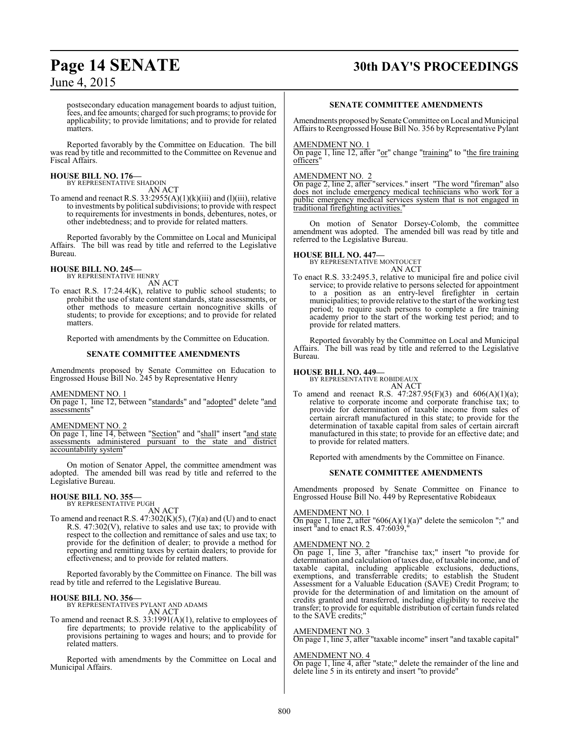# **Page 14 SENATE 30th DAY'S PROCEEDINGS**

June 4, 2015

postsecondary education management boards to adjust tuition, fees, and fee amounts; charged forsuch programs; to provide for applicability; to provide limitations; and to provide for related matters.

Reported favorably by the Committee on Education. The bill was read by title and recommitted to the Committee on Revenue and Fiscal Affairs.

# **HOUSE BILL NO. 176—** BY REPRESENTATIVE SHADOIN

AN ACT

To amend and reenact R.S.  $33:2955(A)(1)(k)(iii)$  and (1)(iii), relative to investments by political subdivisions; to provide with respect to requirements for investments in bonds, debentures, notes, or other indebtedness; and to provide for related matters.

Reported favorably by the Committee on Local and Municipal Affairs. The bill was read by title and referred to the Legislative Bureau.

# **HOUSE BILL NO. 245—** BY REPRESENTATIVE HENRY

AN ACT

To enact R.S. 17:24.4(K), relative to public school students; to prohibit the use of state content standards, state assessments, or other methods to measure certain noncognitive skills of students; to provide for exceptions; and to provide for related matters.

Reported with amendments by the Committee on Education.

#### **SENATE COMMITTEE AMENDMENTS**

Amendments proposed by Senate Committee on Education to Engrossed House Bill No. 245 by Representative Henry

#### AMENDMENT NO. 1

On page 1, line 12, between "standards" and "adopted" delete "and assessments"

#### AMENDMENT NO. 2

On page 1, line 14, between "Section" and "shall" insert "and state assessments administered pursuant to the state and district accountability system'

On motion of Senator Appel, the committee amendment was adopted. The amended bill was read by title and referred to the Legislative Bureau.

# **HOUSE BILL NO. 355—** BY REPRESENTATIVE PUGH

AN ACT

To amend and reenact R.S.  $47:302(K)(5)$ ,  $(7)(a)$  and  $(U)$  and to enact R.S. 47:302(V), relative to sales and use tax; to provide with respect to the collection and remittance of sales and use tax; to provide for the definition of dealer; to provide a method for reporting and remitting taxes by certain dealers; to provide for effectiveness; and to provide for related matters.

Reported favorably by the Committee on Finance. The bill was read by title and referred to the Legislative Bureau.

**HOUSE BILL NO. 356—** BY REPRESENTATIVES PYLANT AND ADAMS AN ACT

To amend and reenact R.S. 33:1991(A)(1), relative to employees of fire departments; to provide relative to the applicability of provisions pertaining to wages and hours; and to provide for related matters.

Reported with amendments by the Committee on Local and Municipal Affairs.

#### **SENATE COMMITTEE AMENDMENTS**

Amendments proposed bySenate Committee on Local and Municipal Affairs to Reengrossed House Bill No. 356 by Representative Pylant

#### AMENDMENT NO. 1

On page 1, line 12, after "or" change "training" to "the fire training officers"

#### AMENDMENT NO. 2

On page 2, line 2, after "services." insert "The word "fireman" also does not include emergency medical technicians who work for a public emergency medical services system that is not engaged in traditional firefighting activities."

On motion of Senator Dorsey-Colomb, the committee amendment was adopted. The amended bill was read by title and referred to the Legislative Bureau.

#### **HOUSE BILL NO. 447—**

BY REPRESENTATIVE MONTOUCET AN ACT

To enact R.S. 33:2495.3, relative to municipal fire and police civil service; to provide relative to persons selected for appointment to a position as an entry-level firefighter in certain municipalities; to provide relative to the start of the working test period; to require such persons to complete a fire training academy prior to the start of the working test period; and to provide for related matters.

Reported favorably by the Committee on Local and Municipal Affairs. The bill was read by title and referred to the Legislative Bureau.

#### **HOUSE BILL NO. 449—**

BY REPRESENTATIVE ROBIDEAUX

AN ACT To amend and reenact R.S. 47:287.95(F)(3) and 606(A)(1)(a); relative to corporate income and corporate franchise tax; to provide for determination of taxable income from sales of certain aircraft manufactured in this state; to provide for the determination of taxable capital from sales of certain aircraft manufactured in this state; to provide for an effective date; and to provide for related matters.

Reported with amendments by the Committee on Finance.

#### **SENATE COMMITTEE AMENDMENTS**

Amendments proposed by Senate Committee on Finance to Engrossed House Bill No. 449 by Representative Robideaux

#### AMENDMENT NO. 1

On page 1, line 2, after "606(A)(1)(a)" delete the semicolon ";" and insert "and to enact R.S. 47:6039,"

#### AMENDMENT NO. 2

On page 1, line 3, after "franchise tax;" insert "to provide for determination and calculation of taxes due, of taxable income, and of taxable capital, including applicable exclusions, deductions, exemptions, and transferrable credits; to establish the Student Assessment for a Valuable Education (SAVE) Credit Program; to provide for the determination of and limitation on the amount of credits granted and transferred, including eligibility to receive the transfer; to provide for equitable distribution of certain funds related to the SAVE credits;"

#### AMENDMENT NO. 3

On page 1, line 3, after "taxable income" insert "and taxable capital"

#### AMENDMENT NO. 4

On page 1, line 4, after "state;" delete the remainder of the line and delete line 5 in its entirety and insert "to provide"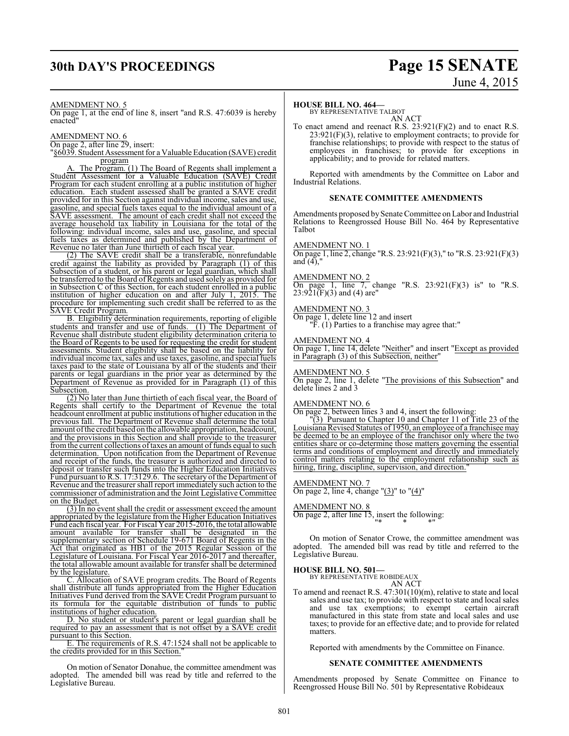# **30th DAY'S PROCEEDINGS Page 15 SENATE**

# June 4, 2015

#### AMENDMENT NO. 5

On page 1, at the end of line 8, insert "and R.S. 47:6039 is hereby enacted"

#### AMENDMENT NO. 6

On page 2, after line 29, insert:

"§6039. Student Assessment for a Valuable Education (SAVE) credit program

A. The Program. (1) The Board of Regents shall implement a Student Assessment for a Valuable Education (SAVE) Credit Program for each student enrolling at a public institution of higher education. Each student assessed shall be granted a SAVE credit provided for in this Section against individual income, sales and use, gasoline, and special fuels taxes equal to the individual amount of a SAVE assessment. The amount of each credit shall not exceed the average household tax liability in Louisiana for the total of the following: individual income, sales and use, gasoline, and special fuels taxes as determined and published by the Department of Revenue no later than June thirtieth of each fiscal year.

(2) The SAVE credit shall be a transferable, nonrefundable credit against the liability as provided by Paragraph (1) of this Subsection of a student, or his parent or legal guardian, which shall be transferred to the Board of Regents and used solely as provided for in Subsection C of this Section, for each student enrolled in a public institution of higher education on and after July 1, 2015. The procedure for implementing such credit shall be referred to as the SAVE Credit Program.

B. Eligibility determination requirements, reporting of eligible students and transfer and use of funds. (1) The Department of Revenue shall distribute student eligibility determination criteria to the Board of Regents to be used for requesting the credit for student assessments. Student eligibility shall be based on the liability for individual income tax, sales and use taxes, gasoline, and special fuels taxes paid to the state of Louisiana by all of the students and their parents or legal guardians in the prior year as determined by the Department of Revenue as provided for in Paragraph (1) of this Subsection.

(2) No later than June thirtieth of each fiscal year, the Board of Regents shall certify to the Department of Revenue the total headcount enrollment at public institutions of higher education in the previous fall. The Department of Revenue shall determine the total amount ofthe credit based on the allowable appropriation, headcount, and the provisions in this Section and shall provide to the treasurer from the current collections of taxes an amount of funds equal to such determination. Upon notification from the Department of Revenue and receipt of the funds, the treasurer is authorized and directed to deposit or transfer such funds into the Higher Education Initiatives Fund pursuant to R.S. 17:3129.6. The secretary of the Department of Revenue and the treasurer shall report immediately such action to the commissioner of administration and the Joint Legislative Committee on the Budget.

(3) In no event shall the credit or assessment exceed the amount appropriated by the legislature from the Higher Education Initiatives Fund each fiscal year. For Fiscal Year 2015-2016, the total allowable amount available for transfer shall be designated in the supplementary section of Schedule 19-671 Board of Regents in the Act that originated as HB1 of the 2015 Regular Session of the Legislature of Louisiana. For Fiscal Year 2016-2017 and thereafter, the total allowable amount available for transfer shall be determined by the legislature.

C. Allocation of SAVE program credits. The Board of Regents shall distribute all funds appropriated from the Higher Education Initiatives Fund derived from the SAVE Credit Program pursuant to its formula for the equitable distribution of funds to public institutions of higher education.

D. No student or student's parent or legal guardian shall be required to pay an assessment that is not offset by a SAVE credit pursuant to this Section.

E. The requirements of R.S. 47:1524 shall not be applicable to the credits provided for in this Section."

On motion of Senator Donahue, the committee amendment was adopted. The amended bill was read by title and referred to the Legislative Bureau.

#### **HOUSE BILL NO. 464—**

BY REPRESENTATIVE TALBOT AN ACT

To enact amend and reenact R.S. 23:921(F)(2) and to enact R.S.  $23:921(F)(3)$ , relative to employment contracts; to provide for franchise relationships; to provide with respect to the status of employees in franchises; to provide for exceptions in applicability; and to provide for related matters.

Reported with amendments by the Committee on Labor and Industrial Relations.

#### **SENATE COMMITTEE AMENDMENTS**

Amendments proposed by Senate Committee on Labor and Industrial Relations to Reengrossed House Bill No. 464 by Representative Talbot

#### AMENDMENT NO. 1

On page 1, line 2, change "R.S. 23:921(F)(3)," to "R.S. 23:921(F)(3) and  $(4)$ .

#### AMENDMENT NO. 2

On page 1, line  $\overline{7}$ , change "R.S. 23:921(F)(3) is" to "R.S.  $23:921(F)(3)$  and (4) are"

#### AMENDMENT NO. 3

On page 1, delete line 12 and insert

"F. (1) Parties to a franchise may agree that:"

#### AMENDMENT NO. 4

On page 1, line 14, delete "Neither" and insert "Except as provided in Paragraph (3) of this Subsection, neither"

#### AMENDMENT NO. 5

On page 2, line 1, delete "The provisions of this Subsection" and delete lines 2 and 3

#### AMENDMENT NO. 6

On page 2, between lines 3 and 4, insert the following:

"(3) Pursuant to Chapter 10 and Chapter 11 of Title 23 of the Louisiana Revised Statutes of 1950, an employee of a franchisee may be deemed to be an employee of the franchisor only where the two entities share or co-determine those matters governing the essential terms and conditions of employment and directly and immediately control matters relating to the employment relationship such as hiring, firing, discipline, supervision, and direction.

#### AMENDMENT NO. 7

On page 2, line 4, change " $(3)$ " to " $(4)$ "

#### AMENDMENT NO. 8

On page 2, after line 15, insert the following: "\* \* \*"

On motion of Senator Crowe, the committee amendment was adopted. The amended bill was read by title and referred to the Legislative Bureau.

**HOUSE BILL NO. 501—** BY REPRESENTATIVE ROBIDEAUX

AN ACT To amend and reenact R.S. 47:301(10)(m), relative to state and local sales and use tax; to provide with respect to state and local sales and use tax exemptions; to exempt certain aircraft manufactured in this state from state and local sales and use taxes; to provide for an effective date; and to provide for related matters.

Reported with amendments by the Committee on Finance.

#### **SENATE COMMITTEE AMENDMENTS**

Amendments proposed by Senate Committee on Finance to Reengrossed House Bill No. 501 by Representative Robideaux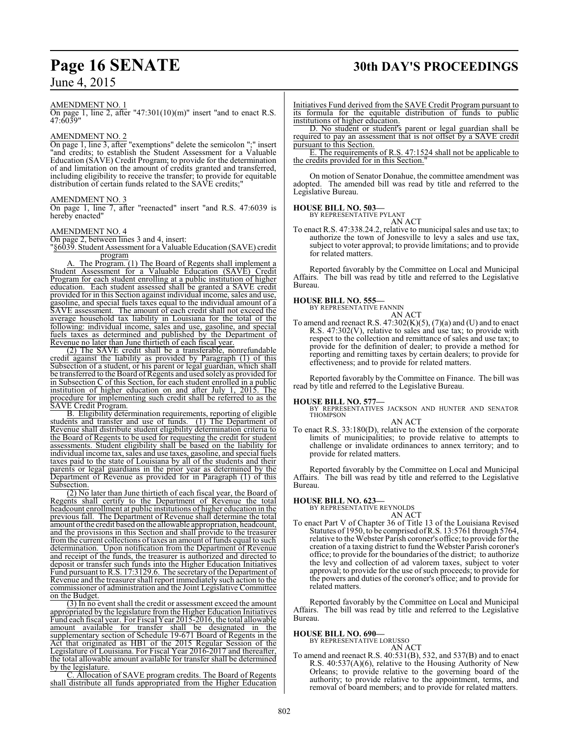# **Page 16 SENATE 30th DAY'S PROCEEDINGS**

#### AMENDMENT NO. 1

On page 1, line 2, after "47:301 $(10)(m)$ " insert "and to enact R.S. 47:6039"

#### AMENDMENT NO. 2

On page 1, line 3, after "exemptions" delete the semicolon ";" insert "and credits; to establish the Student Assessment for a Valuable Education (SAVE) Credit Program; to provide for the determination of and limitation on the amount of credits granted and transferred, including eligibility to receive the transfer; to provide for equitable distribution of certain funds related to the SAVE credits;"

#### AMENDMENT NO. 3

On page 1, line 7, after "reenacted" insert "and R.S. 47:6039 is hereby enacted"

#### AMENDMENT NO. 4

On page 2, between lines 3 and 4, insert:

"§6039. Student Assessment for a Valuable Education (SAVE) credit program

The Program. (1) The Board of Regents shall implement a Student Assessment for a Valuable Education (SAVE) Credit Program for each student enrolling at a public institution of higher education. Each student assessed shall be granted a SAVE credit provided for in this Section against individual income, sales and use, gasoline, and special fuels taxes equal to the individual amount of a SAVE assessment. The amount of each credit shall not exceed the average household tax liability in Louisiana for the total of the following: individual income, sales and use, gasoline, and special fuels taxes as determined and published by the Department of Revenue no later than June thirtieth of each fiscal year.

(2) The SAVE credit shall be a transferable, nonrefundable credit against the liability as provided by Paragraph (1) of this Subsection of a student, or his parent or legal guardian, which shall be transferred to the Board of Regents and used solely as provided for in Subsection C of this Section, for each student enrolled in a public institution of higher education on and after July 1, 2015. The procedure for implementing such credit shall be referred to as the SAVE Credit Program.

B. Eligibility determination requirements, reporting of eligible students and transfer and use of funds. (1) The Department of Revenue shall distribute student eligibility determination criteria to the Board of Regents to be used for requesting the credit for student assessments. Student eligibility shall be based on the liability for individual income tax, sales and use taxes, gasoline, and special fuels taxes paid to the state of Louisiana by all of the students and their parents or legal guardians in the prior year as determined by the Department of Revenue as provided for in Paragraph (1) of this Subsection.

(2) No later than June thirtieth of each fiscal year, the Board of Regents shall certify to the Department of Revenue the total headcount enrollment at public institutions of higher education in the previous fall. The Department of Revenue shall determine the total amount ofthe credit based on the allowable appropriation, headcount, and the provisions in this Section and shall provide to the treasurer from the current collections of taxes an amount of funds equal to such determination. Upon notification from the Department of Revenue and receipt of the funds, the treasurer is authorized and directed to deposit or transfer such funds into the Higher Education Initiatives Fund pursuant to R.S. 17:3129.6. The secretary of the Department of Revenue and the treasurer shall report immediately such action to the commissioner of administration and the Joint Legislative Committee on the Budget.

(3) In no event shall the credit or assessment exceed the amount appropriated by the legislature from the Higher Education Initiatives Fund each fiscal year. For Fiscal Year 2015-2016, the total allowable amount available for transfer shall be designated in the supplementary section of Schedule 19-671 Board of Regents in the Act that originated as HB1 of the 2015 Regular Session of the Legislature of Louisiana. For Fiscal Year 2016-2017 and thereafter, the total allowable amount available for transfer shall be determined by the legislature.

C. Allocation of SAVE program credits. The Board of Regents shall distribute all funds appropriated from the Higher Education Initiatives Fund derived from the SAVE Credit Program pursuant to its formula for the equitable distribution of funds to public institutions of higher education.

D. No student or student's parent or legal guardian shall be required to pay an assessment that is not offset by a SAVE credit pursuant to this Section.

E. The requirements of R.S. 47:1524 shall not be applicable to the credits provided for in this Section."

On motion of Senator Donahue, the committee amendment was adopted. The amended bill was read by title and referred to the Legislative Bureau.

#### **HOUSE BILL NO. 503—** BY REPRESENT

AN ACT

To enact R.S. 47:338.24.2, relative to municipal sales and use tax; to authorize the town of Jonesville to levy a sales and use tax, subject to voter approval; to provide limitations; and to provide for related matters.

Reported favorably by the Committee on Local and Municipal Affairs. The bill was read by title and referred to the Legislative Bureau.

#### **HOUSE BILL NO. 555—**

BY REPRESENTATIVE FANNIN AN ACT

To amend and reenact R.S.  $47:302(K)(5)$ ,  $(7)(a)$  and (U) and to enact R.S. 47:302(V), relative to sales and use tax; to provide with respect to the collection and remittance of sales and use tax; to provide for the definition of dealer; to provide a method for reporting and remitting taxes by certain dealers; to provide for effectiveness; and to provide for related matters.

Reported favorably by the Committee on Finance. The bill was read by title and referred to the Legislative Bureau.

#### **HOUSE BILL NO. 577—**

BY REPRESENTATIVES JACKSON AND HUNTER AND SENATOR THOMPSON AN ACT

To enact R.S. 33:180(D), relative to the extension of the corporate limits of municipalities; to provide relative to attempts to challenge or invalidate ordinances to annex territory; and to provide for related matters.

Reported favorably by the Committee on Local and Municipal Affairs. The bill was read by title and referred to the Legislative Bureau.

# **HOUSE BILL NO. 623—** BY REPRESENTATIVE REYNOLDS

AN ACT

To enact Part V of Chapter 36 of Title 13 of the Louisiana Revised Statutes of 1950, to be comprised ofR.S. 13:5761 through 5764, relative to the Webster Parish coroner's office; to provide for the creation of a taxing district to fund the Webster Parish coroner's office; to provide for the boundaries of the district; to authorize the levy and collection of ad valorem taxes, subject to voter approval; to provide for the use of such proceeds; to provide for the powers and duties of the coroner's office; and to provide for related matters.

Reported favorably by the Committee on Local and Municipal Affairs. The bill was read by title and referred to the Legislative Bureau.

**HOUSE BILL NO. 690—** BY REPRESENTATIVE LORUSSO

AN ACT

To amend and reenact R.S. 40:531(B), 532, and 537(B) and to enact R.S. 40:537(A)(6), relative to the Housing Authority of New Orleans; to provide relative to the governing board of the authority; to provide relative to the appointment, terms, and removal of board members; and to provide for related matters.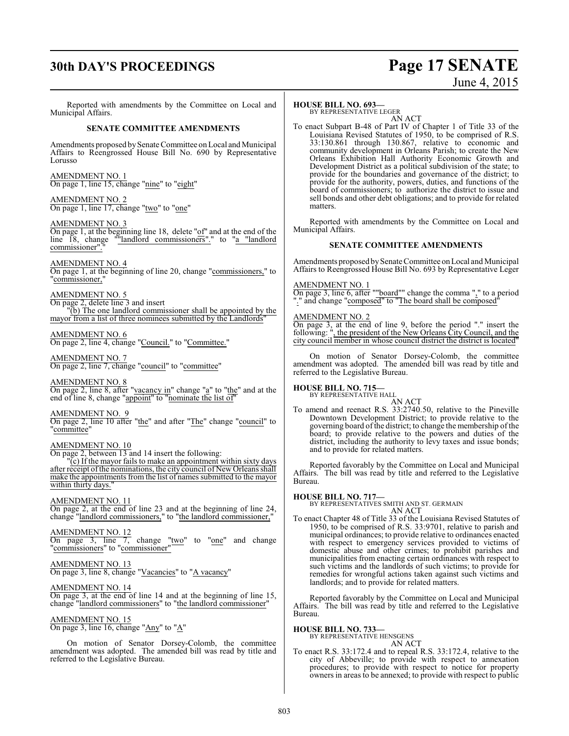# **30th DAY'S PROCEEDINGS Page 17 SENATE**

# June 4, 2015

Reported with amendments by the Committee on Local and Municipal Affairs.

#### **SENATE COMMITTEE AMENDMENTS**

Amendments proposed by Senate Committee on Local and Municipal Affairs to Reengrossed House Bill No. 690 by Representative Lorusso

#### AMENDMENT NO. 1

On page 1, line 15, change "nine" to "eight"

#### AMENDMENT NO. 2

On page 1, line 17, change "two" to "one"

#### AMENDMENT NO. 3

On page 1, at the beginning line 18, delete "of" and at the end of the line 18, change ""landlord commissioners"." to "a "landlord commissioner".

#### AMENDMENT NO. 4

On page 1, at the beginning of line 20, change "commissioners," to "commissioner,"

#### AMENDMENT NO. 5

On page 2, delete line 3 and insert

"(b) The one landlord commissioner shall be appointed by the mayor from a list of three nominees submitted by the Landlords"

## AMENDMENT NO. 6

On page 2, line 4, change "Council." to "Committee."

#### AMENDMENT NO. 7

On page 2, line 7, change "council" to "committee"

#### AMENDMENT NO. 8

On page 2, line 8, after "vacancy in" change "a" to "the" and at the end of line 8, change "appoint" to "nominate the list of"

#### AMENDMENT NO. 9

On page 2, line 10 after "the" and after "The" change "council" to "committee"

#### AMENDMENT NO. 10

On page 2, between 13 and 14 insert the following:

"(c) If the mayor fails to make an appointment within sixty days after receipt of the nominations, the city council of New Orleans shall make the appointments from the list of names submitted to the mayor within thirty days.

#### AMENDMENT NO. 11

On page 2, at the end of line 23 and at the beginning of line 24, change "landlord commissioners," to "the landlord commissioner,"

#### AMENDMENT NO. 12

On page 3, line 7, change "two" to "one" and change "commissioners" to "commissioner"

#### AMENDMENT NO. 13

On page 3, line 8, change "Vacancies" to "A vacancy"

#### AMENDMENT NO. 14

On page 3, at the end of line 14 and at the beginning of line 15, change "landlord commissioners" to "the landlord commissioner"

#### AMENDMENT NO. 15

On page 3, line 16, change "Any" to "A"

On motion of Senator Dorsey-Colomb, the committee amendment was adopted. The amended bill was read by title and referred to the Legislative Bureau.

#### **HOUSE BILL NO. 693—**

BY REPRESENTATIVE LEGER AN ACT

To enact Subpart B-48 of Part IV of Chapter 1 of Title 33 of the Louisiana Revised Statutes of 1950, to be comprised of R.S. 33:130.861 through 130.867, relative to economic and community development in Orleans Parish; to create the New Orleans Exhibition Hall Authority Economic Growth and Development District as a political subdivision of the state; to provide for the boundaries and governance of the district; to provide for the authority, powers, duties, and functions of the board of commissioners; to authorize the district to issue and sell bonds and other debt obligations; and to provide for related matters.

Reported with amendments by the Committee on Local and Municipal Affairs.

#### **SENATE COMMITTEE AMENDMENTS**

Amendments proposed by Senate Committee on Local and Municipal Affairs to Reengrossed House Bill No. 693 by Representative Leger

#### AMENDMENT NO. 1

On page 3, line 6, after ""board"" change the comma "," to a period "." and change "composed" to "The board shall be composed"

#### AMENDMENT NO. 2

On page 3, at the end of line 9, before the period "." insert the following: ", the president of the New Orleans City Council, and the city council member in whose council district the district is located"

On motion of Senator Dorsey-Colomb, the committee amendment was adopted. The amended bill was read by title and referred to the Legislative Bureau.

# **HOUSE BILL NO. 715—** BY REPRESENTATIVE HALL

AN ACT To amend and reenact R.S. 33:2740.50, relative to the Pineville Downtown Development District; to provide relative to the governing board ofthe district; to change the membership of the board; to provide relative to the powers and duties of the district, including the authority to levy taxes and issue bonds; and to provide for related matters.

Reported favorably by the Committee on Local and Municipal Affairs. The bill was read by title and referred to the Legislative Bureau.

**HOUSE BILL NO. 717—** BY REPRESENTATIVES SMITH AND ST. GERMAIN AN ACT

To enact Chapter 48 of Title 33 of the Louisiana Revised Statutes of 1950, to be comprised of R.S. 33:9701, relative to parish and municipal ordinances; to provide relative to ordinances enacted with respect to emergency services provided to victims of domestic abuse and other crimes; to prohibit parishes and municipalities from enacting certain ordinances with respect to such victims and the landlords of such victims; to provide for remedies for wrongful actions taken against such victims and landlords; and to provide for related matters.

Reported favorably by the Committee on Local and Municipal Affairs. The bill was read by title and referred to the Legislative Bureau.

#### **HOUSE BILL NO. 733—**

BY REPRESENTATIVE HENSGENS AN ACT

To enact R.S. 33:172.4 and to repeal R.S. 33:172.4, relative to the city of Abbeville; to provide with respect to annexation procedures; to provide with respect to notice for property owners in areas to be annexed; to provide with respect to public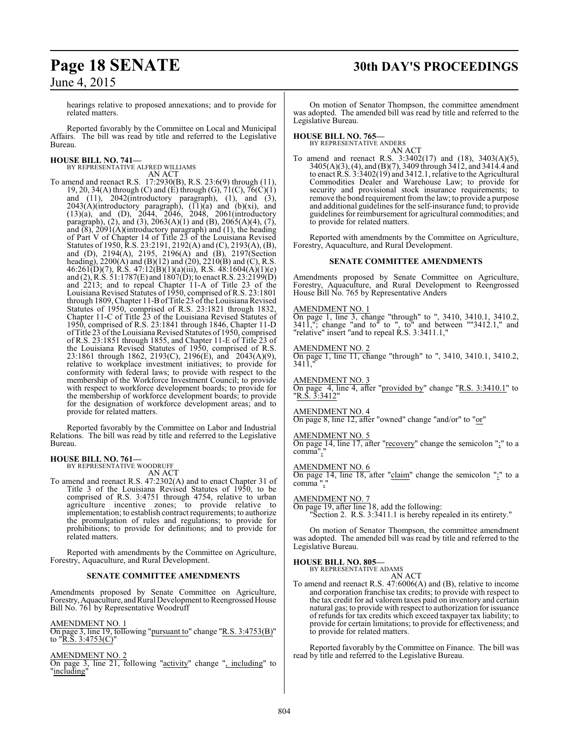# **Page 18 SENATE 30th DAY'S PROCEEDINGS**

June 4, 2015

hearings relative to proposed annexations; and to provide for related matters.

Reported favorably by the Committee on Local and Municipal Affairs. The bill was read by title and referred to the Legislative Bureau.

#### **HOUSE BILL NO. 741—**

BY REPRESENTATIVE ALFRED WILLIAMS AN ACT

To amend and reenact R.S. 17:2930(B), R.S. 23:6(9) through (11), 19, 20, 34(A) through (C) and (E) through (G),  $71(C)$ ,  $76(C)(1)$ and  $(11)$ ,  $2042$ (introductory paragraph),  $(1)$ , and  $(3)$ ,  $2043(A)$ (introductory paragraph),  $(11)(a)$  and  $(b)(xi)$ , and (13)(a), and (D), 2044, 2046, 2048, 2061(introductory paragraph), (2), and (3), 2063(A)(1) and (B), 2065(A)(4), (7), and  $(8)$ , 2091(A)(introductory paragraph) and (1), the heading of Part V of Chapter 14 of Title 23 of the Louisiana Revised Statutes of 1950, R.S. 23:2191, 2192(A) and (C), 2193(A), (B), and (D), 2194(A), 2195, 2196(A) and (B), 2197(Section heading), 2200(A) and (B)(12) and (20), 2210(B) and (C), R.S. 46:261(D)(7), R.S. 47:12(B)(1)(a)(iii), R.S. 48:1604(A)(1)(e) and (2), R.S.  $51:1787(E)$  and  $1807(D)$ ; to enact R.S. 23:2199(D) and 2213; and to repeal Chapter 11-A of Title 23 of the Louisiana Revised Statutes of 1950, comprised of R.S. 23:1801 through 1809, Chapter 11-B of Title 23 of the Louisiana Revised Statutes of 1950, comprised of R.S. 23:1821 through 1832, Chapter 11-C of Title 23 of the Louisiana Revised Statutes of 1950, comprised of R.S. 23:1841 through 1846, Chapter 11-D of Title 23 ofthe Louisiana Revised Statutes of 1950, comprised of R.S. 23:1851 through 1855, and Chapter 11-E of Title 23 of the Louisiana Revised Statutes of 1950, comprised of R.S. 23:1861 through 1862, 2193(C), 2196(E), and 2043(A)(9), relative to workplace investment initiatives; to provide for conformity with federal laws; to provide with respect to the membership of the Workforce Investment Council; to provide with respect to workforce development boards; to provide for the membership of workforce development boards; to provide for the designation of workforce development areas; and to provide for related matters.

Reported favorably by the Committee on Labor and Industrial Relations. The bill was read by title and referred to the Legislative Bureau.

# **HOUSE BILL NO. 761—** BY REPRESENTATIVE WOODRUFF

AN ACT

To amend and reenact R.S. 47:2302(A) and to enact Chapter 31 of Title 3 of the Louisiana Revised Statutes of 1950, to be comprised of R.S. 3:4751 through 4754, relative to urban agriculture incentive zones; to provide relative to implementation; to establish contract requirements; to authorize the promulgation of rules and regulations; to provide for prohibitions; to provide for definitions; and to provide for related matters.

Reported with amendments by the Committee on Agriculture, Forestry, Aquaculture, and Rural Development.

#### **SENATE COMMITTEE AMENDMENTS**

Amendments proposed by Senate Committee on Agriculture, Forestry, Aquaculture, and Rural Development to Reengrossed House Bill No. 761 by Representative Woodruff

#### AMENDMENT NO. 1

On page 3, line 19, following "pursuant to" change "R.S. 3:4753(B)" to "<u>R.S. 3:4753(C)</u>"

#### AMENDMENT NO. 2

On page 3, line 21, following "activity" change ", including" to "including"

On motion of Senator Thompson, the committee amendment was adopted. The amended bill was read by title and referred to the Legislative Bureau.

#### **HOUSE BILL NO. 765—**

BY REPRESENTATIVE ANDERS AN ACT

To amend and reenact R.S. 3:3402(17) and (18), 3403(A)(5), 3405(A)(3), (4), and (B)(7), 3409 through 3412, and 3414.4 and to enact R.S. 3:3402(19) and 3412.1, relative to the Agricultural Commodities Dealer and Warehouse Law; to provide for security and provisional stock insurance requirements; to remove the bond requirement fromthe law; to provide a purpose and additional guidelines for the self-insurance fund; to provide guidelines for reimbursement for agricultural commodities; and to provide for related matters.

Reported with amendments by the Committee on Agriculture, Forestry, Aquaculture, and Rural Development.

#### **SENATE COMMITTEE AMENDMENTS**

Amendments proposed by Senate Committee on Agriculture, Forestry, Aquaculture, and Rural Development to Reengrossed House Bill No. 765 by Representative Anders

#### AMENDMENT NO. 1

On page 1, line 3, change "through" to ", 3410, 3410.1, 3410.2, 3411,"; change "and to" to ", to" and between ""3412.1," and "relative" insert "and to repeal R.S. 3:3411.1,"

#### AMENDMENT NO. 2

On page 1, line 11, change "through" to ", 3410, 3410.1, 3410.2, 3411,"

AMENDMENT NO. 3

On page 4, line 4, after "provided by" change "R.S. 3:3410.1" to "<u>R.S. 3:3412</u>"

AMENDMENT NO. 4

On page 8, line 12, after "owned" change "and/or" to "or"

#### AMENDMENT NO. 5

On page 14, line 17, after "recovery" change the semicolon ";" to a comma","

#### AMENDMENT NO. 6

On page 14, line 18, after "claim" change the semicolon ";" to a comma ","

#### AMENDMENT NO. 7

On page 19, after line 18, add the following:

"Section 2. R.S. 3:3411.1 is hereby repealed in its entirety."

On motion of Senator Thompson, the committee amendment was adopted. The amended bill was read by title and referred to the Legislative Bureau.

# **HOUSE BILL NO. 805—** BY REPRESENTATIVE ADAMS

AN ACT

To amend and reenact R.S. 47:6006(A) and (B), relative to income and corporation franchise tax credits; to provide with respect to the tax credit for ad valorem taxes paid on inventory and certain natural gas; to provide with respect to authorization for issuance of refunds for tax credits which exceed taxpayer tax liability; to provide for certain limitations; to provide for effectiveness; and to provide for related matters.

Reported favorably by the Committee on Finance. The bill was read by title and referred to the Legislative Bureau.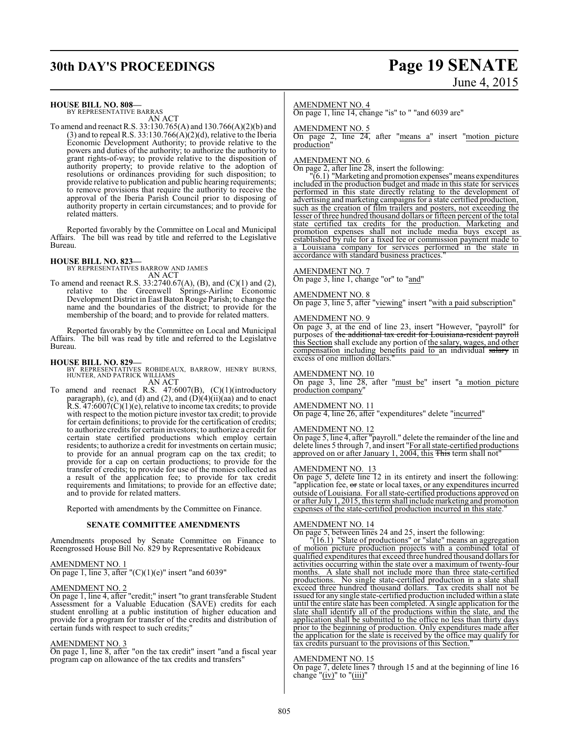# **30th DAY'S PROCEEDINGS Page 19 SENATE**

# June 4, 2015

#### **HOUSE BILL NO. 808—**

BY REPRESENTATIVE BARRAS AN ACT

To amend and reenact R.S. 33:130.765(A) and 130.766(A)(2)(b) and (3) and to repeal R.S. 33:130.766( $\widehat{A}$ )(2)(d), relative to the Iberia Economic Development Authority; to provide relative to the powers and duties of the authority; to authorize the authority to grant rights-of-way; to provide relative to the disposition of authority property; to provide relative to the adoption of resolutions or ordinances providing for such disposition; to provide relative to publication and public hearing requirements; to remove provisions that require the authority to receive the approval of the Iberia Parish Council prior to disposing of authority property in certain circumstances; and to provide for related matters.

Reported favorably by the Committee on Local and Municipal Affairs. The bill was read by title and referred to the Legislative Bureau.

**HOUSE BILL NO. 823—** BY REPRESENTATIVES BARROW AND JAMES AN ACT

To amend and reenact R.S. 33:2740.67(A), (B), and (C)(1) and (2), relative to the Greenwell Springs-Airline Economic Development District in East Baton Rouge Parish; to change the name and the boundaries of the district; to provide for the membership of the board; and to provide for related matters.

Reported favorably by the Committee on Local and Municipal Affairs. The bill was read by title and referred to the Legislative Bureau.

**HOUSE BILL NO. 829—** BY REPRESENTATIVES ROBIDEAUX, BARROW, HENRY BURNS, HUNTER, AND PATRICK WILLIAMS AN ACT

To amend and reenact R.S. 47:6007(B), (C)(1)(introductory paragraph), (c), and (d) and (2), and  $(D)(4)(ii)(aa)$  and to enact R.S.  $47:6007(C)(1)(e)$ , relative to income tax credits; to provide with respect to the motion picture investor tax credit; to provide for certain definitions; to provide for the certification of credits; to authorize credits for certain investors; to authorize a credit for certain state certified productions which employ certain residents; to authorize a credit for investments on certain music; to provide for an annual program cap on the tax credit; to provide for a cap on certain productions; to provide for the transfer of credits; to provide for use of the monies collected as a result of the application fee; to provide for tax credit requirements and limitations; to provide for an effective date; and to provide for related matters.

Reported with amendments by the Committee on Finance.

#### **SENATE COMMITTEE AMENDMENTS**

Amendments proposed by Senate Committee on Finance to Reengrossed House Bill No. 829 by Representative Robideaux

#### AMENDMENT NO. 1

On page 1, line 3, after " $(C)(1)(e)$ " insert "and 6039"

#### AMENDMENT NO. 2

On page 1, line 4, after "credit;" insert "to grant transferable Student Assessment for a Valuable Education (SAVE) credits for each student enrolling at a public institution of higher education and provide for a program for transfer of the credits and distribution of certain funds with respect to such credits;"

#### AMENDMENT NO. 3

On page 1, line 8, after "on the tax credit" insert "and a fiscal year program cap on allowance of the tax credits and transfers"

#### AMENDMENT NO. 4

On page 1, line 14, change "is" to " "and 6039 are"

#### AMENDMENT NO. 5

On page 2, line 24, after "means a" insert "motion picture production"

#### AMENDMENT NO. 6

On page 2, after line 28, insert the following:

"(6.1) "Marketing and promotion expenses"means expenditures included in the production budget and made in this state for services performed in this state directly relating to the development of advertising and marketing campaigns for a state certified production, such as the creation of film trailers and posters, not exceeding the lesser of three hundred thousand dollars or fifteen percent of the total state certified tax credits for the production. Marketing and promotion expenses shall not include media buys except as established by rule for a fixed fee or commission payment made to a Louisiana company for services performed in the state in accordance with standard business practices.

#### AMENDMENT NO. 7

On page 3, line 1, change "or" to "and"

#### AMENDMENT NO. 8

On page 3, line 5, after "viewing" insert "with a paid subscription"

#### AMENDMENT NO. 9

On page 3, at the end of line 23, insert "However, "payroll" for purposes of the additional tax credit for Louisiana-resident payroll this Section shall exclude any portion of the salary, wages, and other compensation including benefits paid to an individual salary in excess of one million dollars.

#### AMENDMENT NO. 10

On page 3, line 28, after "must be" insert "a motion picture production company"

#### AMENDMENT NO. 11

On page 4, line 26, after "expenditures" delete "incurred"

#### AMENDMENT NO. 12

On page 5, line 4, after "payroll." delete the remainder of the line and delete lines 5 through 7, and insert "For all state-certified productions approved on or after January 1, 2004, this This term shall not"

#### AMENDMENT NO. 13

On page 5, delete line 12 in its entirety and insert the following: "application fee, or state or local taxes, or any expenditures incurred outside of Louisiana. For all state-certified productions approved on or after July 1, 2015, this termshall include marketing and promotion expenses of the state-certified production incurred in this state.

#### AMENDMENT NO. 14

On page 5, between lines 24 and 25, insert the following:

"(16.1) "Slate of productions" or "slate" means an aggregation of motion picture production projects with a combined total of qualified expenditures that exceed three hundred thousand dollars for activities occurring within the state over a maximum of twenty-four months. A slate shall not include more than three state-certified productions. No single state-certified production in a slate shall exceed three hundred thousand dollars. Tax credits shall not be issued for any single state-certified production included within a slate until the entire slate has been completed. A single application for the slate shall identify all of the productions within the slate, and the application shall be submitted to the office no less than thirty days prior to the beginning of production. Only expenditures made after the application for the slate is received by the office may qualify for tax credits pursuant to the provisions of this Section.

#### AMENDMENT NO. 15

On page 7, delete lines 7 through 15 and at the beginning of line 16 change " $(iv)$ " to " $(iii)$ "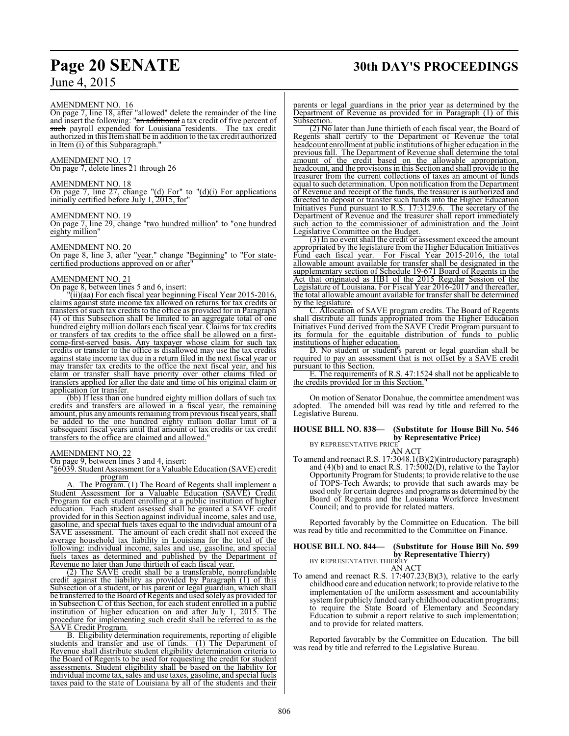# **Page 20 SENATE 30th DAY'S PROCEEDINGS**

June 4, 2015

#### AMENDMENT NO. 16

On page 7, line 18, after "allowed" delete the remainder of the line and insert the following: "an additional a tax credit of five percent of such payroll expended for Louisiana residents. The tax credit authorized in this Itemshall be in addition to the tax credit authorized in Item (i) of this Subparagraph."

#### AMENDMENT NO. 17

On page 7, delete lines 21 through 26

#### AMENDMENT NO. 18

On page 7, line 27, change " $(d)$  For" to " $(d)(i)$  For applications initially certified before July 1, 2015, for"

#### AMENDMENT NO. 19

On page 7, line 29, change "two hundred million" to "one hundred eighty million"

#### AMENDMENT NO. 20

On page 8, line 3, after "year." change "Beginning" to "For statecertified productions approved on or after"

#### AMENDMENT NO. 21

On page 8, between lines 5 and 6, insert:

"(ii)(aa) For each fiscal year beginning Fiscal Year 2015-2016, claims against state income tax allowed on returns for tax credits or transfers of such tax credits to the office as provided for in Paragraph (4) of this Subsection shall be limited to an aggregate total of one hundred eighty million dollars each fiscal year. Claims for tax credits or transfers of tax credits to the office shall be allowed on a firstcome-first-served basis. Any taxpayer whose claim for such tax credits or transfer to the office is disallowed may use the tax credits against state income tax due in a return filed in the next fiscal year or may transfer tax credits to the office the next fiscal year, and his claim or transfer shall have priority over other claims filed or transfers applied for after the date and time of his original claim or application for transfer.

(bb) If less than one hundred eighty million dollars of such tax credits and transfers are allowed in a fiscal year, the remaining amount, plus any amounts remaining fromprevious fiscal years, shall be added to the one hundred eighty million dollar limit of a subsequent fiscal years until that amount of tax credits or tax credit transfers to the office are claimed and allowed.

#### AMENDMENT NO. 22

On page 9, between lines 3 and 4, insert:

"§6039. Student Assessment for a Valuable Education (SAVE) credit program

A. The Program. (1) The Board of Regents shall implement a Student Assessment for a Valuable Education (SAVE) Credit Program for each student enrolling at a public institution of higher education. Each student assessed shall be granted a SAVE credit provided for in this Section against individual income, sales and use, gasoline, and special fuels taxes equal to the individual amount of a SAVE assessment. The amount of each credit shall not exceed the average household tax liability in Louisiana for the total of the following: individual income, sales and use, gasoline, and special fuels taxes as determined and published by the Department of Revenue no later than June thirtieth of each fiscal year.

(2) The SAVE credit shall be a transferable, nonrefundable credit against the liability as provided by Paragraph (1) of this Subsection of a student, or his parent or legal guardian, which shall be transferred to the Board of Regents and used solely as provided for in Subsection C of this Section, for each student enrolled in a public institution of higher education on and after July 1, 2015. The procedure for implementing such credit shall be referred to as the SAVE Credit Program.

B. Eligibility determination requirements, reporting of eligible students and transfer and use of funds. (1) The Department of Revenue shall distribute student eligibility determination criteria to the Board of Regents to be used for requesting the credit for student assessments. Student eligibility shall be based on the liability for individual income tax, sales and use taxes, gasoline, and special fuels taxes paid to the state of Louisiana by all of the students and their

parents or legal guardians in the prior year as determined by the Department of Revenue as provided for in Paragraph (1) of this Subsection.

(2) No later than June thirtieth of each fiscal year, the Board of Regents shall certify to the Department of Revenue the total headcount enrollment at public institutions of higher education in the previous fall. The Department of Revenue shall determine the total amount of the credit based on the allowable appropriation, headcount, and the provisions in this Section and shall provide to the treasurer from the current collections of taxes an amount of funds equal to such determination. Upon notification from the Department of Revenue and receipt of the funds, the treasurer is authorized and directed to deposit or transfer such funds into the Higher Education Initiatives Fund pursuant to R.S. 17:3129.6. The secretary of the Department of Revenue and the treasurer shall report immediately such action to the commissioner of administration and the Joint Legislative Committee on the Budget.

(3) In no event shall the credit or assessment exceed the amount appropriated by the legislature from the Higher Education Initiatives Fund each fiscal year. For Fiscal Year 2015-2016, the total allowable amount available for transfer shall be designated in the supplementary section of Schedule 19-671 Board of Regents in the Act that originated as HB1 of the 2015 Regular Session of the Legislature of Louisiana. For Fiscal Year 2016-2017 and thereafter, the total allowable amount available for transfer shall be determined by the legislature.

C. Allocation of SAVE program credits. The Board of Regents shall distribute all funds appropriated from the Higher Education Initiatives Fund derived from the SAVE Credit Program pursuant to its formula for the equitable distribution of funds to public institutions of higher education.

D. No student or student's parent or legal guardian shall be required to pay an assessment that is not offset by a SAVE credit pursuant to this Section.

E. The requirements of R.S. 47:1524 shall not be applicable to the credits provided for in this Section.

On motion of Senator Donahue, the committee amendment was adopted. The amended bill was read by title and referred to the Legislative Bureau.

#### **HOUSE BILL NO. 838— (Substitute for House Bill No. 546 by Representative Price)** BY REPRESENTATIVE PRICE

AN ACT

To amend and reenact R.S. 17:3048.1(B)(2)(introductory paragraph) and (4)(b) and to enact R.S. 17:5002(D), relative to the Taylor Opportunity Program for Students; to provide relative to the use of TOPS-Tech Awards; to provide that such awards may be used only for certain degrees and programs as determined by the Board of Regents and the Louisiana Workforce Investment Council; and to provide for related matters.

Reported favorably by the Committee on Education. The bill was read by title and recommitted to the Committee on Finance.

#### **HOUSE BILL NO. 844— (Substitute for House Bill No. 599 by Representative Thierry)** BY REPRESENTATIVE THIERRY

AN ACT To amend and reenact R.S. 17:407.23(B)(3), relative to the early childhood care and education network; to provide relative to the implementation of the uniform assessment and accountability system for publicly funded early childhood education programs; to require the State Board of Elementary and Secondary Education to submit a report relative to such implementation; and to provide for related matters.

Reported favorably by the Committee on Education. The bill was read by title and referred to the Legislative Bureau.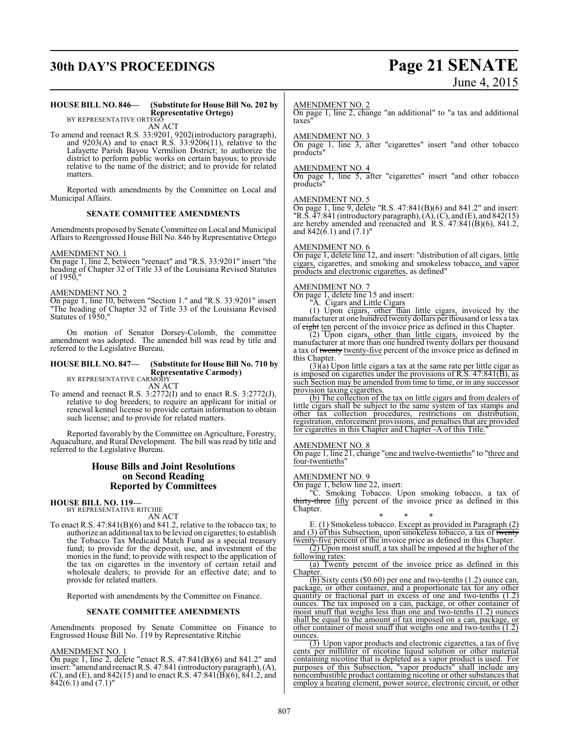# **30th DAY'S PROCEEDINGS Page 21 SENATE**

# June 4, 2015

#### **HOUSE BILL NO. 846— (Substitute for House Bill No. 202 by Representative Ortego)**

BY REPRESENTATIVE ORTEGO AN ACT

To amend and reenact R.S. 33:9201, 9202(introductory paragraph), and 9203(A) and to enact R.S. 33:9206(11), relative to the Lafayette Parish Bayou Vermilion District; to authorize the district to perform public works on certain bayous; to provide relative to the name of the district; and to provide for related matters.

Reported with amendments by the Committee on Local and Municipal Affairs.

#### **SENATE COMMITTEE AMENDMENTS**

Amendments proposed bySenate Committee on Local and Municipal Affairs to Reengrossed House Bill No. 846 by Representative Ortego

#### AMENDMENT NO. 1

On page 1, line 2, between "reenact" and "R.S. 33:9201" insert "the heading of Chapter 32 of Title 33 of the Louisiana Revised Statutes of 1950,"

#### AMENDMENT NO. 2

On page 1, line 10, between "Section 1." and "R.S. 33:9201" insert "The heading of Chapter 32 of Title 33 of the Louisiana Revised Statutes of 1950,"

On motion of Senator Dorsey-Colomb, the committee amendment was adopted. The amended bill was read by title and referred to the Legislative Bureau.

#### **HOUSE BILL NO. 847— (Substitute for House Bill No. 710 by Representative Carmody)** BY REPRESENTATIVE CARMODY

AN ACT

To amend and reenact R.S. 3:2772(I) and to enact R.S. 3:2772(J), relative to dog breeders; to require an applicant for initial or renewal kennel license to provide certain information to obtain such license; and to provide for related matters.

Reported favorably by the Committee on Agriculture, Forestry, Aquaculture, and Rural Development. The bill was read by title and referred to the Legislative Bureau.

#### **House Bills and Joint Resolutions on Second Reading Reported by Committees**

**HOUSE BILL NO. 119—**

BY REPRESENTATIVE RITCHIE AN ACT

To enact R.S. 47:841(B)(6) and 841.2, relative to the tobacco tax; to authorize an additional tax to be levied on cigarettes; to establish the Tobacco Tax Medicaid Match Fund as a special treasury fund; to provide for the deposit, use, and investment of the monies in the fund; to provide with respect to the application of the tax on cigarettes in the inventory of certain retail and wholesale dealers; to provide for an effective date; and to provide for related matters.

Reported with amendments by the Committee on Finance.

#### **SENATE COMMITTEE AMENDMENTS**

Amendments proposed by Senate Committee on Finance to Engrossed House Bill No. 119 by Representative Ritchie

#### AMENDMENT NO. 1

On page 1, line 2, delete "enact R.S. 47:841(B)(6) and 841.2" and insert: "amend and reenact R.S. 47:841 (introductory paragraph), (A), (C), and (E), and  $842(15)$  and to enact R.S.  $47:841(B)(6)$ ,  $841.2$ , and  $\&42(6.1)$  and  $(7.1)$ "

#### AMENDMENT NO. 2

On page 1, line 2, change "an additional" to "a tax and additional taxes"

#### AMENDMENT NO. 3

On page 1, line 3, after "cigarettes" insert "and other tobacco products"

#### AMENDMENT NO. 4

On page 1, line 5, after "cigarettes" insert "and other tobacco products"

#### AMENDMENT NO. 5

On page 1, line 9, delete "R.S.  $47:841(B)(6)$  and  $841.2$ " and insert: "R.S.  $\overline{47:841}$  (introductory paragraph),  $(A)$ ,  $(C)$ , and  $(E)$ , and  $842(15)$ are hereby amended and reenacted and  $R.S. 47:841(B)(6), 841.2,$ and 842(6.1) and (7.1)"

#### AMENDMENT NO. 6

On page 1, delete line 12, and insert: "distribution of all cigars, little cigars, cigarettes, and smoking and smokeless tobacco, and vapor products and electronic cigarettes, as defined"

#### AMENDMENT NO. 7

On page 1, delete line 15 and insert:

"A. Cigars and Little Cigars

(1) Upon cigars, other than little cigars, invoiced by the manufacturer at one hundred twenty dollars per thousand or less a tax of eight ten percent of the invoice price as defined in this Chapter.

 $(2)$  Upon cigars, other than little cigars, invoiced by the manufacturer at more than one hundred twenty dollars per thousand a tax of twenty twenty-five percent of the invoice price as defined in this Chapter.

 $(3)(a)$  Upon little cigars a tax at the same rate per little cigar as is imposed on cigarettes under the provisions of R.S. 47:841(B), as such Section may be amended from time to time, or in any successor provision taxing cigarettes.

(b) The collection of the tax on little cigars and from dealers of little cigars shall be subject to the same system of tax stamps and other tax collection procedures, restrictions on distribution, registration, enforcement provisions, and penalties that are provided for cigarettes in this Chapter and Chapter -A of this Title."

#### AMENDMENT NO. 8

On page 1, line 21, change "one and twelve-twentieths" to "three and four-twentieths"

#### AMENDMENT NO. 9

On page 1, below line 22, insert:

"C. Smoking Tobacco. Upon smoking tobacco, a tax of thirty-three fifty percent of the invoice price as defined in this Chapter.

\* \* \* E. (1) Smokeless tobacco. Except as provided in Paragraph (2) and (3) of this Subsection, upon smokeless tobacco, a tax of twenty twenty-five percent of the invoice price as defined in this Chapter.

(2) Upon moist snuff, a tax shall be imposed at the higher of the following rates:

(a) Twenty percent of the invoice price as defined in this Chapter

(b) Sixty cents (\$0.60) per one and two-tenths (1.2) ounce can, package, or other container, and a proportionate tax for any other quantity or fractional part in excess of one and two-tenths (1.2) ounces. The tax imposed on a can, package, or other container of moist snuff that weighs less than one and two-tenths (1.2) ounces shall be equal to the amount of tax imposed on a can, package, or other container of moist snuff that weighs one and two-tenths (1.2) ounces.

 $\overline{(3)}$  Upon vapor products and electronic cigarettes, a tax of five cents per milliliter of nicotine liquid solution or other material containing nicotine that is depleted as a vapor product is used. For purposes of this Subsection, "vapor products" shall include any noncombustible product containing nicotine or other substances that employ a heating element, power source, electronic circuit, or other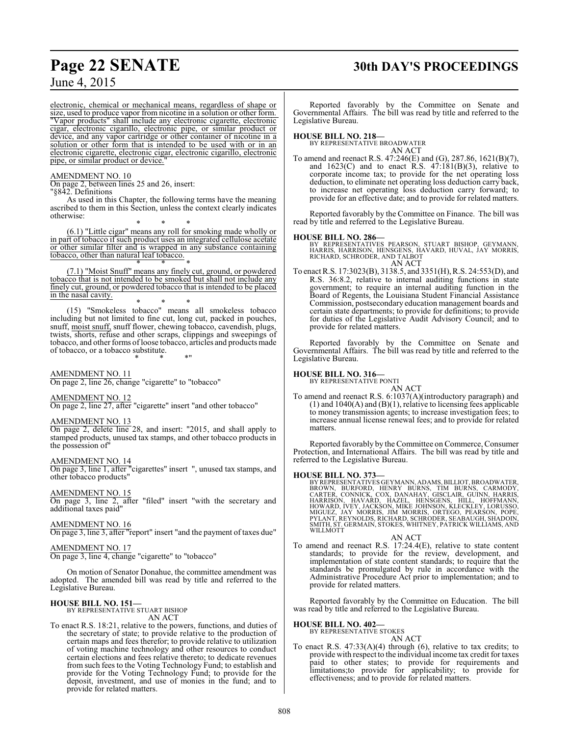# **Page 22 SENATE 30th DAY'S PROCEEDINGS**

electronic, chemical or mechanical means, regardless of shape or size, used to produce vapor from nicotine in a solution or other form. "Vapor products" shall include any electronic cigarette, electronic cigar, electronic cigarillo, electronic pipe, or similar product or device, and any vapor cartridge or other container of nicotine in a solution or other form that is intended to be used with or in an electronic cigarette, electronic cigar, electronic cigarillo, electronic

#### AMENDMENT NO. 10

pipe, or similar product or device.

On page 2, between lines 25 and 26, insert:

"§842. Definitions

As used in this Chapter, the following terms have the meaning ascribed to them in this Section, unless the context clearly indicates otherwise:

\* \* \*

(6.1) "Little cigar" means any roll for smoking made wholly or in part of tobacco if such product uses an integrated cellulose acetate or other similar filter and is wrapped in any substance containing tobacco, other than natural leaf tobacco. \* \* \*

(7.1) "Moist Snuff" means any finely cut, ground, or powdered tobacco that is not intended to be smoked but shall not include any finely cut, ground, or powdered tobacco that is intended to be placed in the nasal cavity.

\* \* \* (15) "Smokeless tobacco" means all smokeless tobacco including but not limited to fine cut, long cut, packed in pouches, snuff, moist snuff, snuff flower, chewing tobacco, cavendish, plugs, twists, shorts, refuse and other scraps, clippings and sweepings of tobacco, and other forms of loose tobacco, articles and products made of tobacco, or a tobacco substitute.

\* \* \*"

AMENDMENT NO. 11

On page 2, line 26, change "cigarette" to "tobacco"

#### AMENDMENT NO. 12

On page 2, line 27, after "cigarette" insert "and other tobacco"

#### AMENDMENT NO. 13

On page 2, delete line 28, and insert: "2015, and shall apply to stamped products, unused tax stamps, and other tobacco products in the possession of"

#### AMENDMENT NO. 14

On page 3, line 1, after "cigarettes" insert ", unused tax stamps, and other tobacco products"

## AMENDMENT NO. 15

On page 3, line 2, after "filed" insert "with the secretary and additional taxes paid"

#### AMENDMENT NO. 16

On page 3, line 3, after "report" insert "and the payment of taxes due"

#### AMENDMENT NO. 17

On page 3, line 4, change "cigarette" to "tobacco"

On motion of Senator Donahue, the committee amendment was adopted. The amended bill was read by title and referred to the Legislative Bureau.

#### **HOUSE BILL NO. 151—**

BY REPRESENTATIVE STUART BISHOP AN ACT

To enact R.S. 18:21, relative to the powers, functions, and duties of the secretary of state; to provide relative to the production of certain maps and fees therefor; to provide relative to utilization of voting machine technology and other resources to conduct certain elections and fees relative thereto; to dedicate revenues from such fees to the Voting Technology Fund; to establish and provide for the Voting Technology Fund; to provide for the deposit, investment, and use of monies in the fund; and to provide for related matters.

Reported favorably by the Committee on Senate and Governmental Affairs. The bill was read by title and referred to the Legislative Bureau.

**HOUSE BILL NO. 218—** BY REPRESENTATIVE BROADWATER AN ACT

To amend and reenact R.S. 47:246(E) and (G), 287.86, 1621(B)(7), and  $1623(C)$  and to enact R.S.  $47:181(B)(3)$ , relative to corporate income tax; to provide for the net operating loss deduction, to eliminate net operating loss deduction carry back, to increase net operating loss deduction carry forward; to provide for an effective date; and to provide for related matters.

Reported favorably by the Committee on Finance. The bill was read by title and referred to the Legislative Bureau.

**HOUSE BILL NO. 286—**<br>BY REPRESENTATIVES PEARSON, STUART BISHOP, GEYMANN,<br>HARRIS, HARRISON, HENSGENS, HAVARD, HUVAL, JAY MORRIS,<br>RICHARD, SCHRODER, AND TALBOT<br>AN ACT

To enact R.S. 17:3023(B), 3138.5, and 3351(H), R.S. 24:553(D), and R.S. 36:8.2, relative to internal auditing functions in state government; to require an internal auditing function in the Board of Regents, the Louisiana Student Financial Assistance Commission, postsecondary education management boards and certain state departments; to provide for definitions; to provide for duties of the Legislative Audit Advisory Council; and to provide for related matters.

Reported favorably by the Committee on Senate and Governmental Affairs. The bill was read by title and referred to the Legislative Bureau.

#### **HOUSE BILL NO. 316—**

BY REPRESENTATIVE PONTI

AN ACT To amend and reenact R.S. 6:1037(A)(introductory paragraph) and  $(1)$  and  $1040(A)$  and  $(B)(1)$ , relative to licensing fees applicable to money transmission agents; to increase investigation fees; to increase annual license renewal fees; and to provide for related matters.

Reported favorably by the Committee on Commerce, Consumer Protection, and International Affairs. The bill was read by title and referred to the Legislative Bureau.

HOUSE BILL NO. 373—<br>BY REPRESENTATIVES GEYMANN, ADAMS, BILLIOT, BROADWATER,<br>BROWN, BURFORD, HENRY BURNS, TIM BURNS, CARMODY,<br>CARTER, CONNICK, COX, DANAHAY, GISCLAIR, GUINN, HARRIS,<br>HARRISON, HAVARD, HAZEL, HENSGENS, HILL,

#### AN ACT

To amend and reenact R.S. 17:24.4(E), relative to state content standards; to provide for the review, development, and implementation of state content standards; to require that the standards be promulgated by rule in accordance with the Administrative Procedure Act prior to implementation; and to provide for related matters.

Reported favorably by the Committee on Education. The bill was read by title and referred to the Legislative Bureau.

# **HOUSE BILL NO. 402—** BY REPRESENTATIVE STOKES

AN ACT

To enact R.S. 47:33(A)(4) through (6), relative to tax credits; to provide with respect to the individual income tax credit for taxes paid to other states; to provide for requirements and limitations;to provide for applicability; to provide for effectiveness; and to provide for related matters.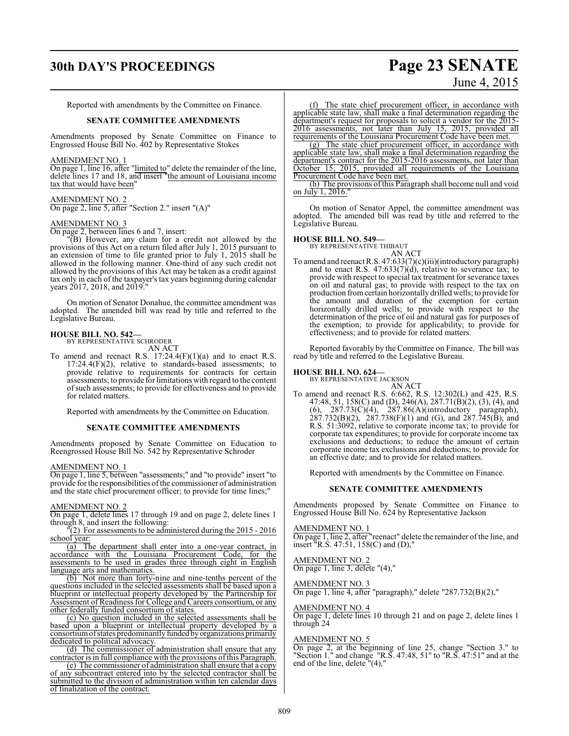# **30th DAY'S PROCEEDINGS Page 23 SENATE**

# June 4, 2015

Reported with amendments by the Committee on Finance.

#### **SENATE COMMITTEE AMENDMENTS**

Amendments proposed by Senate Committee on Finance to Engrossed House Bill No. 402 by Representative Stokes

#### AMENDMENT NO. 1

On page 1, line 16, after "limited to" delete the remainder of the line, delete lines 17 and 18, and insert "the amount of Louisiana income tax that would have been"

#### AMENDMENT NO. 2

On page 2, line 5, after "Section 2." insert "(A)"

#### AMENDMENT NO. 3

On page 2, between lines 6 and 7, insert:

"(B) However, any claim for a credit not allowed by the provisions of this Act on a return filed after July 1, 2015 pursuant to an extension of time to file granted prior to July 1, 2015 shall be allowed in the following manner. One-third of any such credit not allowed by the provisions of this Act may be taken as a credit against tax only in each of the taxpayer's tax years beginning during calendar years 2017, 2018, and 2019."

On motion of Senator Donahue, the committee amendment was adopted. The amended bill was read by title and referred to the Legislative Bureau.

# **HOUSE BILL NO. 542—** BY REPRESENTATIVE SCHRODER

AN ACT

To amend and reenact R.S.  $17:24.4(F)(1)(a)$  and to enact R.S.  $17:24.4(F)(2)$ , relative to standards-based assessments; to provide relative to requirements for contracts for certain assessments; to provide for limitations with regard to the content ofsuch assessments; to provide for effectiveness and to provide for related matters.

Reported with amendments by the Committee on Education.

#### **SENATE COMMITTEE AMENDMENTS**

Amendments proposed by Senate Committee on Education to Reengrossed House Bill No. 542 by Representative Schroder

## AMENDMENT NO. 1

On page 1, line 5, between "assessments;" and "to provide" insert "to provide for the responsibilities of the commissioner of administration and the state chief procurement officer; to provide for time lines;

#### AMENDMENT NO. 2

On page 1, delete lines 17 through 19 and on page 2, delete lines 1 through 8, and insert the following:

 $\sqrt{2}$  For assessments to be administered during the 2015 - 2016 school year:

(a) The department shall enter into a one-year contract, in accordance with the Louisiana Procurement Code, for the assessments to be used in grades three through eight in English language arts and mathematics.

(b) Not more than forty-nine and nine-tenths percent of the questions included in the selected assessments shall be based upon a blueprint or intellectual property developed by the Partnership for Assessment of Readiness for College and Careers consortium, or any other federally funded consortium of states.

(c) No question included in the selected assessments shall be based upon a blueprint or intellectual property developed by a consortium of states predominantly funded by organizations primarily dedicated to political advocacy.

(d) The commissioner of administration shall ensure that any contractor is in full compliance with the provisions ofthis Paragraph.

(e) The commissioner of administration shall ensure that a copy of any subcontract entered into by the selected contractor shall be submitted to the division of administration within ten calendar days of finalization of the contract.

(f) The state chief procurement officer, in accordance with applicable state law, shall make a final determination regarding the department's request for proposals to solicit a vendor for the 2015- 2016 assessments, not later than July 15, 2015, provided all requirements of the Louisiana Procurement Code have been met.

(g) The state chief procurement officer, in accordance with applicable state law, shall make a final determination regarding the department's contract for the 2015-2016 assessments, not later than October 15, 2015, provided all requirements of the Louisiana Procurement Code have been met.

(h) The provisions of this Paragraph shall become null and void on July 1, 2016."

On motion of Senator Appel, the committee amendment was adopted. The amended bill was read by title and referred to the Legislative Bureau.

# **HOUSE BILL NO. 549—** BY REPRESENTATIVE THIBAUT

AN ACT

To amend and reenact R.S. 47:633(7)(c)(iii)(introductory paragraph) and to enact R.S.  $47:633(7)(d)$ , relative to severance tax; to provide with respect to special tax treatment for severance taxes on oil and natural gas; to provide with respect to the tax on production fromcertain horizontally drilled wells; to provide for the amount and duration of the exemption for certain horizontally drilled wells; to provide with respect to the determination of the price of oil and natural gas for purposes of the exemption; to provide for applicability; to provide for effectiveness; and to provide for related matters.

Reported favorably by the Committee on Finance. The bill was read by title and referred to the Legislative Bureau.

# **HOUSE BILL NO. 624—** BY REPRESENTATIVE JACKSON

AN ACT To amend and reenact R.S. 6:662, R.S. 12:302(L) and 425, R.S. 47:48, 51, 158(C) and (D), 246(A), 287.71(B)(2), (3), (4), and  $(6)$ , 287.73 $(\dot{C})(4)$ , 287.86 $(\dot{A})(\text{introducing paragraph})$ ,  $287.732(B)(2)$ ,  $287.738(F)(1)$  and (G), and  $287.745(B)$ , and R.S. 51:3092, relative to corporate income tax; to provide for corporate tax expenditures; to provide for corporate income tax exclusions and deductions; to reduce the amount of certain corporate income tax exclusions and deductions; to provide for an effective date; and to provide for related matters.

Reported with amendments by the Committee on Finance.

#### **SENATE COMMITTEE AMENDMENTS**

Amendments proposed by Senate Committee on Finance to Engrossed House Bill No. 624 by Representative Jackson

#### AMENDMENT NO. 1

On page 1, line 2, after "reenact" delete the remainder of the line, and insert "R.S. 47:51, 158(C) and (D),"

#### AMENDMENT NO. 2

On page 1, line 3, delete "(4),"

#### AMENDMENT NO. 3

On page 1, line 4, after "paragraph)," delete "287.732(B)(2),"

#### AMENDMENT NO. 4

On page 1, delete lines 10 through 21 and on page 2, delete lines 1 through 24

#### AMENDMENT NO. 5

On page 2, at the beginning of line 25, change "Section 3." to "Section 1." and change "R.S. 47:48, 51" to "R.S. 47:51" and at the end of the line, delete "(4),"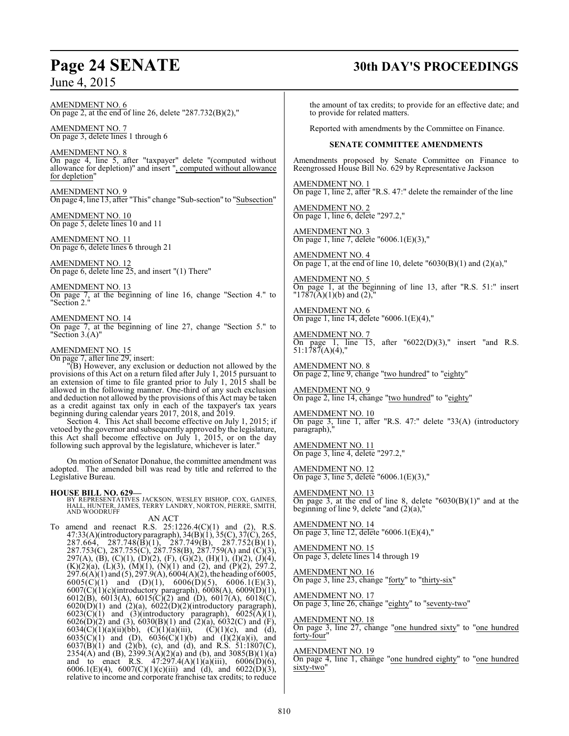AMENDMENT NO. 6 On page 2, at the end of line 26, delete "287.732(B)(2),"

AMENDMENT NO. 7 On page 3, delete lines 1 through 6

AMENDMENT NO. 8 On page 4, line 5, after "taxpayer" delete "(computed without allowance for depletion)" and insert ", computed without allowance for depletion"

AMENDMENT NO. 9 On page 4, line 13, after "This" change "Sub-section" to "Subsection"

AMENDMENT NO. 10 On page 5, delete lines 10 and 11

AMENDMENT NO. 11 On page 6, delete lines 6 through 21

AMENDMENT NO. 12 On page 6, delete line 25, and insert "(1) There"

AMENDMENT NO. 13 On page 7, at the beginning of line 16, change "Section 4." to "Section 2."

AMENDMENT NO. 14 On page 7, at the beginning of line 27, change "Section 5." to "Section 3.(A)"

## AMENDMENT NO. 15

On page 7, after line 29, insert:

"(B) However, any exclusion or deduction not allowed by the provisions of this Act on a return filed after July 1, 2015 pursuant to an extension of time to file granted prior to July 1, 2015 shall be allowed in the following manner. One-third of any such exclusion and deduction not allowed by the provisions of this Act may be taken as a credit against tax only in each of the taxpayer's tax years beginning during calendar years 2017, 2018, and 2019.

Section 4. This Act shall become effective on July 1, 2015; if vetoed by the governor and subsequently approved by the legislature, this Act shall become effective on July 1, 2015, or on the day following such approval by the legislature, whichever is later."

On motion of Senator Donahue, the committee amendment was adopted. The amended bill was read by title and referred to the Legislative Bureau.

#### **HOUSE BILL NO. 629—**

BY REPRESENTATIVES JACKSON, WESLEY BISHOP, COX, GAINES,<br>HALL, HUNTER, JAMES, TERRY LANDRY, NORTON, PIERRE, SMITH,<br>AND WOODRUFF

AN ACT

To amend and reenact R.S.  $25:1226.4(C)(1)$  and  $(2)$ , R.S. 47:33(A)(introductory paragraph), 34(B)(1), 35(C), 37(C), 265,  $287.664, 287.748(\overline{B})(1), 287.749(\overline{B}), 287.752(\overline{B})(1),$ 287.753(C), 287.755(C), 287.758(B), 287.759(A) and (C)(3), 297(A), (B), (C)(1), (D)(2), (F), (G)(2), (H)(1), (I)(2), (J)(4),  $(K)(2)(a)$ ,  $(L)(3)$ ,  $(M)(1)$ ,  $(N)(1)$  and  $(2)$ , and  $(P)(2)$ , 297.2,  $297.6(A)(1)$  and  $(5)$ ,  $297.9(A)$ ,  $6004(A)(2)$ , the heading of 6005,  $6005(C)(1)$  and  $(D)(1)$ ,  $6006(D)(5)$ ,  $6006.1(E)(3)$ , 6007(C)(1)(c)(introductory paragraph), 6008(A), 6009(D)(1), 6012(B), 6013(A), 6015(C)(2) and (D), 6017(A), 6018(C),  $6020(D)(1)$  and  $(2)(a)$ ,  $6022(D)(2)(introductory$  paragraph),  $6023(\text{C})(1)$  and  $(3)(\text{introducing paragraph}), 6025(\text{A})(1),$  $6026(D)(2)$  and (3),  $6030(B)(1)$  and  $(2)(a)$ ,  $6032(C)$  and  $(F)$ , 6034(C)(1)(a)(ii)(bb), (C)(1)(a)(iii), (C)(1)(c), and (d), 6035(C)(1) and (D),  $6036(C)(1)(b)$  and  $(1)(2)(a)(i)$ , and  $6037(B)(1)$  and  $(2)(b)$ , (c), and (d), and R.S. 51:1807(C), 2354(A) and (B), 2399.3(A)(2)(a) and (b), and 3085(B)(1)(a) and to enact R.S.  $47:297.4(A)(1)(a)(iii)$ ,  $6006(D)(6)$ , 6006.1(E)(4), 6007(C)(1)(c)(iii) and (d), and 6022(D)(3), relative to income and corporate franchise tax credits; to reduce

# **Page 24 SENATE 30th DAY'S PROCEEDINGS**

the amount of tax credits; to provide for an effective date; and to provide for related matters.

Reported with amendments by the Committee on Finance.

#### **SENATE COMMITTEE AMENDMENTS**

Amendments proposed by Senate Committee on Finance to Reengrossed House Bill No. 629 by Representative Jackson

AMENDMENT NO. 1 On page 1, line 2, after "R.S. 47:" delete the remainder of the line

AMENDMENT NO. 2 On page 1, line 6, delete "297.2,"

AMENDMENT NO. 3 On page 1, line 7, delete "6006.1(E)(3),"

AMENDMENT NO. 4 On page 1, at the end of line 10, delete  $\text{``}6030\text{(B)}(1)$  and  $\text{(2)}\text{(a)},\text{''}$ 

AMENDMENT NO. 5 On page 1, at the beginning of line 13, after "R.S. 51:" insert  $"1787(A)(1)(b)$  and  $(2)$ ,"

AMENDMENT NO. 6 On page 1, line 14, delete "6006.1(E)(4),"

AMENDMENT NO. 7 On page 1, line 15, after  $0.22(D)(3)$ ," insert "and R.S. 51:1787(A)(4),"

AMENDMENT NO. 8 On page 2, line 9, change "two hundred" to "eighty"

AMENDMENT NO. 9 On page 2, line 14, change "two hundred" to "eighty"

AMENDMENT NO. 10 On page 3, line 1, after "R.S. 47:" delete "33(A) (introductory paragraph),"

AMENDMENT NO. 11 On page 3, line 4, delete "297.2,"

AMENDMENT NO. 12 On page 3, line 5, delete "6006.1(E)(3),"

AMENDMENT NO. 13 On page 3, at the end of line 8, delete  $"6030(B)(1)"$  and at the beginning of line 9, delete "and  $(2)(a)$ ,"

AMENDMENT NO. 14 On page 3, line 12, delete "6006.1(E)(4),"

AMENDMENT NO. 15 On page 3, delete lines 14 through 19

AMENDMENT NO. 16 On page 3, line 23, change "forty" to "thirty-six"

AMENDMENT NO. 17 On page 3, line 26, change "eighty" to "seventy-two"

AMENDMENT NO. 18 On page 3, line 27, change "one hundred sixty" to "one hundred forty-four"

AMENDMENT NO. 19

On page 4, line 1, change "one hundred eighty" to "one hundred sixty-two"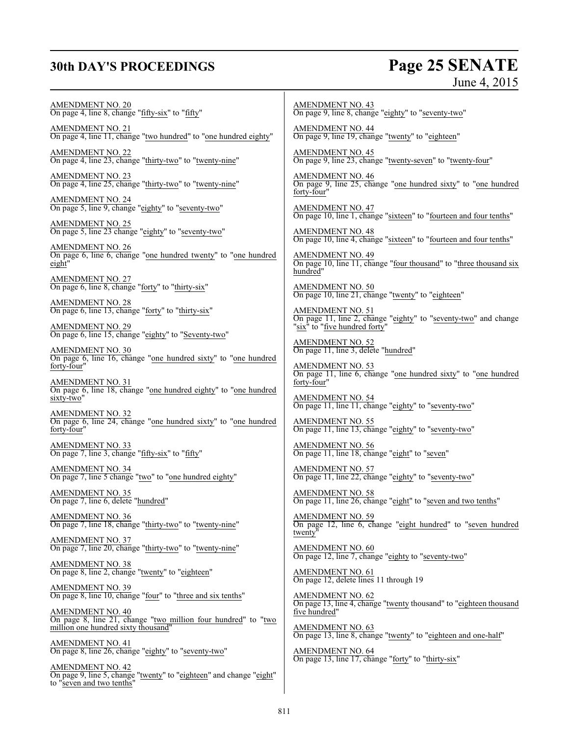# **30th DAY'S PROCEEDINGS Page 25 SENATE**

# June 4, 2015

AMENDMENT NO. 20 On page 4, line 8, change "fifty-six" to "fifty"

AMENDMENT NO. 21 On page 4, line 11, change "two hundred" to "one hundred eighty"

AMENDMENT NO. 22 On page 4, line 23, change "thirty-two" to "twenty-nine"

AMENDMENT NO. 23 On page 4, line 25, change "thirty-two" to "twenty-nine"

AMENDMENT NO. 24 On page 5, line 9, change "eighty" to "seventy-two"

AMENDMENT NO. 25 On page 5, line 23 change "eighty" to "seventy-two"

AMENDMENT NO. 26 On page 6, line 6, change "one hundred twenty" to "one hundred eight"

AMENDMENT NO. 27 On page 6, line 8, change "forty" to "thirty-six"

AMENDMENT NO. 28 On page 6, line 13, change "forty" to "thirty-six"

AMENDMENT NO. 29 On page 6, line 15, change "eighty" to "Seventy-two"

AMENDMENT NO. 30 On page 6, line 16, change "one hundred sixty" to "one hundred forty-four"

AMENDMENT NO. 31 On page 6, line 18, change "one hundred eighty" to "one hundred sixty-two"

AMENDMENT NO. 32 On page 6, line 24, change "one hundred sixty" to "one hundred forty-four"

AMENDMENT NO. 33 On page 7, line 3, change "fifty-six" to "fifty"

AMENDMENT NO. 34 On page 7, line 5 change "two" to "one hundred eighty"

AMENDMENT NO. 35 On page 7, line 6, delete "hundred"

AMENDMENT NO. 36 On page 7, line 18, change "thirty-two" to "twenty-nine"

AMENDMENT NO. 37 On page 7, line 20, change "thirty-two" to "twenty-nine"

AMENDMENT NO. 38 On page 8, line 2, change "twenty" to "eighteen"

AMENDMENT NO. 39 On page 8, line 10, change "four" to "three and six tenths"

AMENDMENT NO. 40 On page 8, line 21, change "two million four hundred" to "two million one hundred sixty thousand"

AMENDMENT NO. 41 On page 8, line 26, change "eighty" to "seventy-two"

AMENDMENT NO. 42 On page 9, line 5, change "twenty" to "eighteen" and change "eight" to "seven and two tenths"

AMENDMENT NO. 43 On page 9, line 8, change "eighty" to "seventy-two"

AMENDMENT NO. 44 On page 9, line 19, change "twenty" to "eighteen"

AMENDMENT NO. 45 On page 9, line 23, change "twenty-seven" to "twenty-four"

AMENDMENT NO. 46 On page 9, line 25, change "one hundred sixty" to "one hundred forty-four"

AMENDMENT NO. 47 On page 10, line 1, change "sixteen" to "fourteen and four tenths"

AMENDMENT NO. 48 On page 10, line 4, change "sixteen" to "fourteen and four tenths"

AMENDMENT NO. 49 On page 10, line 11, change "four thousand" to "three thousand six hundred"

AMENDMENT NO. 50 On page 10, line 21, change "twenty" to "eighteen"

AMENDMENT NO. 51 On page 11, line 2, change "eighty" to "seventy-two" and change "six<sup>"</sup> to "five hundred forty"

AMENDMENT NO. 52 On page 11, line 3, delete "hundred"

AMENDMENT NO. 53 On page 11, line 6, change "one hundred sixty" to "one hundred forty-four"

AMENDMENT NO. 54 On page 11, line 11, change "eighty" to "seventy-two"

AMENDMENT NO. 55 On page 11, line 13, change "eighty" to "seventy-two"

AMENDMENT NO. 56 On page 11, line 18, change "eight" to "seven"

AMENDMENT NO. 57 On page 11, line 22, change "eighty" to "seventy-two"

AMENDMENT NO. 58 On page 11, line 26, change "eight" to "seven and two tenths"

AMENDMENT NO. 59 On page 12, line 6, change "eight hundred" to "seven hundred twenty"

AMENDMENT NO. 60 On page 12, line 7, change "eighty to "seventy-two"

AMENDMENT NO. 61 On page 12, delete lines 11 through 19

AMENDMENT NO. 62 On page 13, line 4, change "twenty thousand" to "eighteen thousand five hundred"

AMENDMENT NO. 63 On page 13, line 8, change "twenty" to "eighteen and one-half"

AMENDMENT NO. 64 On page 13, line 17, change "forty" to "thirty-six"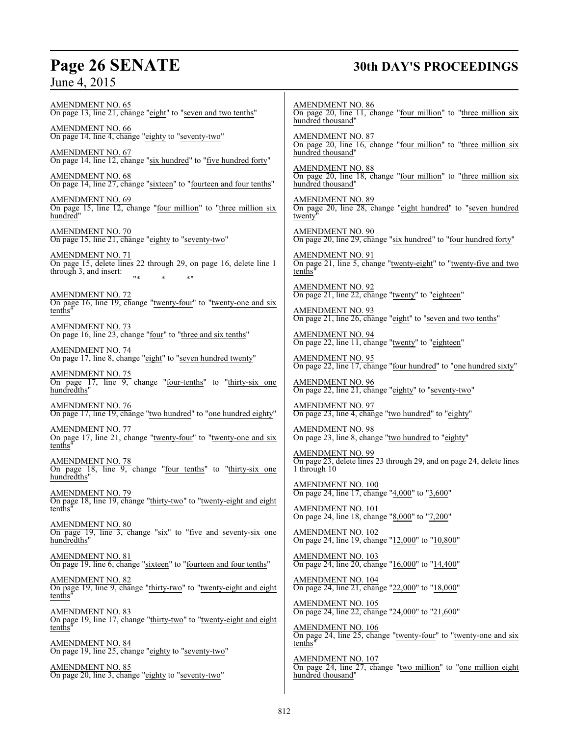# **Page 26 SENATE 30th DAY'S PROCEEDINGS**

AMENDMENT NO. 65 On page 13, line 21, change "eight" to "seven and two tenths" AMENDMENT NO. 66 On page 14, line 4, change "eighty to "seventy-two" AMENDMENT NO. 67 On page 14, line 12, change "six hundred" to "five hundred forty" AMENDMENT NO. 68 On page 14, line 27, change "sixteen" to "fourteen and four tenths" AMENDMENT NO. 69 On page 15, line 12, change "four million" to "three million six hundred" AMENDMENT NO. 70 On page 15, line 21, change "eighty to "seventy-two" AMENDMENT NO. 71 On page 15, delete lines 22 through 29, on page 16, delete line 1 through 3, and insert: "\* \* \*" AMENDMENT NO. 72 On page 16, line 19, change "twenty-four" to "twenty-one and six tenths" AMENDMENT NO. 73 On page 16, line 23, change "four" to "three and six tenths" AMENDMENT NO. 74 On page 17, line 8, change "eight" to "seven hundred twenty" AMENDMENT NO. 75 On page 17, line 9, change "four-tenths" to "thirty-six one hundredths" AMENDMENT NO. 76 On page 17, line 19, change "two hundred" to "one hundred eighty" AMENDMENT NO. 77 On page 17, line 21, change "twenty-four" to "twenty-one and six tenths" AMENDMENT NO. 78 On page 18, line 9, change "four tenths" to "thirty-six one hundredths" AMENDMENT NO. 79 On page 18, line 19, change "thirty-two" to "twenty-eight and eight tenths" AMENDMENT NO. 80 On page 19, line 3, change "six" to "five and seventy-six one hundredths" AMENDMENT NO. 81 On page 19, line 6, change "sixteen" to "fourteen and four tenths" AMENDMENT NO. 82 On page 19, line 9, change "thirty-two" to "twenty-eight and eight tenths" AMENDMENT NO. 83 On page 19, line 17, change "thirty-two" to "twenty-eight and eight tenths" AMENDMENT NO. 84 On page 19, line 25, change "eighty to "seventy-two" AMENDMENT NO. 85 On page 20, line 3, change "eighty to "seventy-two" AMENDMENT NO. 86 On page 20, line 11, change "four million" to "three million six hundred thousand" AMENDMENT NO. 87 On page 20, line 16, change "four million" to "three million six hundred thousand" AMENDMENT NO. 88 On page 20, line 18, change "four million" to "three million six hundred thousand" AMENDMENT NO. 89 On page 20, line 28, change "eight hundred" to "seven hundred twenty AMENDMENT NO. 90 On page 20, line 29, change "six hundred" to "four hundred forty" AMENDMENT NO. 91 On page 21, line 5, change "twenty-eight" to "twenty-five and two tenths" AMENDMENT NO. 92 On page 21, line 22, change "twenty" to "eighteen" AMENDMENT NO. 93 On page 21, line 26, change "eight" to "seven and two tenths" AMENDMENT NO. 94 On page 22, line 11, change "twenty" to "eighteen" AMENDMENT NO. 95 On page 22, line 17, change "four hundred" to "one hundred sixty" AMENDMENT NO. 96 On page 22, line 21, change "eighty" to "seventy-two" AMENDMENT NO. 97 On page 23, line 4, change "two hundred" to "eighty" AMENDMENT NO. 98 On page 23, line 8, change "two hundred to "eighty" AMENDMENT NO. 99 On page 23, delete lines 23 through 29, and on page 24, delete lines 1 through 10 AMENDMENT NO. 100 On page 24, line 17, change "4,000" to "3,600" AMENDMENT NO. 101 On page 24, line 18, change "8,000" to "7,200" AMENDMENT NO. 102 On page 24, line 19, change "12,000" to "10,800" AMENDMENT NO. 103 On page 24, line 20, change "16,000" to "14,400" AMENDMENT NO. 104 On page 24, line 21, change "22,000" to "18,000" AMENDMENT NO. 105 On page 24, line 22, change "24,000" to "21,600" AMENDMENT NO. 106 On page 24, line 25, change "twenty-four" to "twenty-one and six tenths" AMENDMENT NO. 107 On page 24, line 27, change "two million" to "one million eight hundred thousand"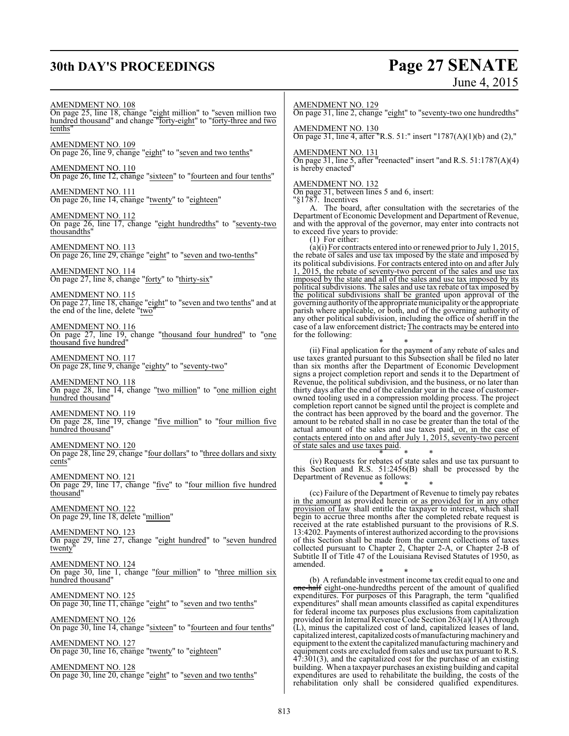# **30th DAY'S PROCEEDINGS Page 27 SENATE**

# June 4, 2015

AMENDMENT NO. 108

On page 25, line 18, change "eight million" to "seven million two hundred thousand" and change "forty-eight" to "forty-three and two tenths"

AMENDMENT NO. 109 On page 26, line 9, change "eight" to "seven and two tenths"

AMENDMENT NO. 110 On page 26, line 12, change "sixteen" to "fourteen and four tenths"

AMENDMENT NO. 111 On page 26, line 14, change "twenty" to "eighteen"

AMENDMENT NO. 112 On page 26, line 17, change "eight hundredths" to "seventy-two thousandths"

AMENDMENT NO. 113 On page 26, line 29, change "eight" to "seven and two-tenths"

AMENDMENT NO. 114 On page 27, line 8, change "forty" to "thirty-six"

AMENDMENT NO. 115 On page 27, line 18, change "eight" to "seven and two tenths" and at the end of the line, delete  $"\text{two}"$ 

AMENDMENT NO. 116 On page 27, line 19, change "thousand four hundred" to "one thousand five hundred"

AMENDMENT NO. 117 On page 28, line 9, change "eighty" to "seventy-two"

AMENDMENT NO. 118 On page 28, line 14, change "two million" to "one million eight hundred thousand'

AMENDMENT NO. 119 On page 28, line 19, change "five million" to "four million five hundred thousand"

AMENDMENT NO. 120 On page 28, line 29, change "four dollars" to "three dollars and sixty cents"

AMENDMENT NO. 121 On page 29, line 17, change "five" to "four million five hundred thousand"

AMENDMENT NO. 122 On page 29, line 18, delete "million"

AMENDMENT NO. 123 On page 29, line 27, change "eight hundred" to "seven hundred twenty

AMENDMENT NO. 124 On page 30, line 1, change "four million" to "three million six hundred thousand"

AMENDMENT NO. 125 On page 30, line 11, change "eight" to "seven and two tenths"

AMENDMENT NO. 126 On page 30, line 14, change "sixteen" to "fourteen and four tenths"

AMENDMENT NO. 127 On page 30, line 16, change "twenty" to "eighteen"

AMENDMENT NO. 128 On page 30, line 20, change "eight" to "seven and two tenths"

#### AMENDMENT NO. 129

On page 31, line 2, change "eight" to "seventy-two one hundredths"

#### AMENDMENT NO. 130

On page 31, line 4, after "R.S. 51:" insert "1787(A)(1)(b) and (2),"

#### AMENDMENT NO. 131

On page 31, line 5, after "reenacted" insert "and R.S. 51:1787(A)(4) is hereby enacted"

#### AMENDMENT NO. 132

On page 31, between lines 5 and 6, insert:

"§1787. Incentives

A. The board, after consultation with the secretaries of the Department of Economic Development and Department of Revenue, and with the approval of the governor, may enter into contracts not to exceed five years to provide:

(1) For either:

(a)(i) For contracts entered into or renewed prior to July 1, 2015, the rebate of sales and use tax imposed by the state and imposed by its political subdivisions. For contracts entered into on and after July 1, 2015, the rebate of seventy-two percent of the sales and use tax imposed by the state and all of the sales and use tax imposed by its political subdivisions. The sales and use tax rebate of tax imposed by the political subdivisions shall be granted upon approval of the governing authorityofthe appropriate municipality orthe appropriate parish where applicable, or both, and of the governing authority of any other political subdivision, including the office of sheriff in the case of a law enforcement district, The contracts may be entered into for the following:

\* \* \* (ii) Final application for the payment of any rebate of sales and use taxes granted pursuant to this Subsection shall be filed no later than six months after the Department of Economic Development signs a project completion report and sends it to the Department of Revenue, the political subdivision, and the business, or no later than thirty days after the end of the calendar year in the case of customerowned tooling used in a compression molding process. The project completion report cannot be signed until the project is complete and the contract has been approved by the board and the governor. The amount to be rebated shall in no case be greater than the total of the actual amount of the sales and use taxes paid, or, in the case of contacts entered into on and after July 1, 2015, seventy-two percent of state sales and use taxes paid.

\* \* \* (iv) Requests for rebates of state sales and use tax pursuant to this Section and R.S. 51:2456(B) shall be processed by the Department of Revenue as follows:

\* \* \* (cc) Failure of the Department of Revenue to timely pay rebates in the amount as provided herein or as provided for in any other provision of law shall entitle the taxpayer to interest, which shall begin to accrue three months after the completed rebate request is received at the rate established pursuant to the provisions of R.S. 13:4202. Payments ofinterest authorized according to the provisions of this Section shall be made from the current collections of taxes collected pursuant to Chapter 2, Chapter 2-A, or Chapter 2-B of Subtitle II of Title 47 of the Louisiana Revised Statutes of 1950, as amended.

\* \* \* (b) A refundable investment income tax credit equal to one and one-half eight-one-hundredths percent of the amount of qualified expenditures. For purposes of this Paragraph, the term "qualified expenditures" shall mean amounts classified as capital expenditures for federal income tax purposes plus exclusions from capitalization provided for in Internal Revenue Code Section 263(a)(1)(A) through (L), minus the capitalized cost of land, capitalized leases of land, capitalized interest, capitalized costs of manufacturing machinery and equipment to the extent the capitalized manufacturing machinery and equipment costs are excluded fromsales and use tax pursuant to R.S.  $47:301(3)$ , and the capitalized cost for the purchase of an existing building. When a taxpayer purchases an existing building and capital expenditures are used to rehabilitate the building, the costs of the rehabilitation only shall be considered qualified expenditures.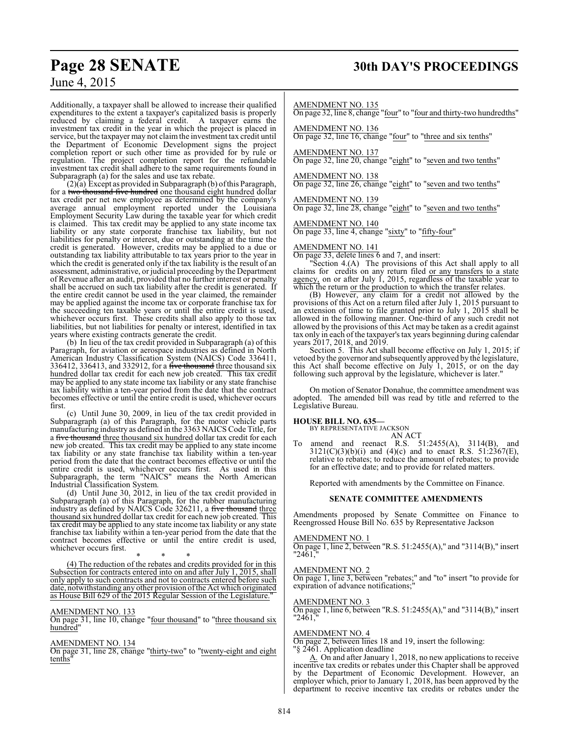# **Page 28 SENATE 30th DAY'S PROCEEDINGS**

## June 4, 2015

Additionally, a taxpayer shall be allowed to increase their qualified expenditures to the extent a taxpayer's capitalized basis is properly reduced by claiming a federal credit. A taxpayer earns the investment tax credit in the year in which the project is placed in service, but the taxpayer may not claimthe investment tax credit until the Department of Economic Development signs the project completion report or such other time as provided for by rule or regulation. The project completion report for the refundable investment tax credit shall adhere to the same requirements found in Subparagraph (a) for the sales and use tax rebate.

(2)(a) Except as provided in Subparagraph (b) ofthis Paragraph, for a two thousand five hundred one thousand eight hundred dollar tax credit per net new employee as determined by the company's average annual employment reported under the Louisiana Employment Security Law during the taxable year for which credit is claimed. This tax credit may be applied to any state income tax liability or any state corporate franchise tax liability, but not liabilities for penalty or interest, due or outstanding at the time the credit is generated. However, credits may be applied to a due or outstanding tax liability attributable to tax years prior to the year in which the credit is generated only if the tax liability is the result of an assessment, administrative, or judicial proceeding by the Department of Revenue after an audit, provided that no further interest or penalty shall be accrued on such tax liability after the credit is generated. If the entire credit cannot be used in the year claimed, the remainder may be applied against the income tax or corporate franchise tax for the succeeding ten taxable years or until the entire credit is used, whichever occurs first. These credits shall also apply to those tax liabilities, but not liabilities for penalty or interest, identified in tax years where existing contracts generate the credit.

(b) In lieu of the tax credit provided in Subparagraph (a) of this Paragraph, for aviation or aerospace industries as defined in North American Industry Classification System (NAICS) Code 336411, 336412, 336413, and 332912, for a five thousand three thousand six hundred dollar tax credit for each new job created. This tax credit may be applied to any state income tax liability or any state franchise tax liability within a ten-year period from the date that the contract becomes effective or until the entire credit is used, whichever occurs first.

(c) Until June 30, 2009, in lieu of the tax credit provided in Subparagraph (a) of this Paragraph, for the motor vehicle parts manufacturing industry as defined in the 3363 NAICS Code Title, for a five thousand three thousand six hundred dollar tax credit for each new job created. This tax credit may be applied to any state income tax liability or any state franchise tax liability within a ten-year period from the date that the contract becomes effective or until the entire credit is used, whichever occurs first. As used in this Subparagraph, the term "NAICS" means the North American Industrial Classification System.

(d) Until June 30, 2012, in lieu of the tax credit provided in Subparagraph (a) of this Paragraph, for the rubber manufacturing industry as defined by NAICS Code 326211, a five thousand three thousand six hundred dollar tax credit for each new job created. This tax credit may be applied to any state income tax liability or any state franchise tax liability within a ten-year period from the date that the contract becomes effective or until the entire credit is used, whichever occurs first.

\* \* \* (4) The reduction of the rebates and credits provided for in this Subsection for contracts entered into on and after July 1, 2015, shall only apply to such contracts and not to contracts entered before such date, notwithstanding any other provision ofthe Act which originated as House Bill 629 of the 2015 Regular Session of the Legislature."

#### AMENDMENT NO. 133

On page 31, line 10, change "four thousand" to "three thousand six hundred"

#### AMENDMENT NO. 134

On page 31, line 28, change "thirty-two" to "twenty-eight and eight tenths"

#### AMENDMENT NO. 135

On page 32, line 8, change "four" to "four and thirty-two hundredths"

#### AMENDMENT NO. 136

On page 32, line 16, change "four" to "three and six tenths"

#### AMENDMENT NO. 137

On page 32, line 20, change "eight" to "seven and two tenths"

#### AMENDMENT NO. 138

On page 32, line 26, change "eight" to "seven and two tenths"

AMENDMENT NO. 139 On page 32, line 28, change "eight" to "seven and two tenths"

AMENDMENT NO. 140 On page 33, line 4, change "sixty" to "fifty-four"

#### AMENDMENT NO. 141

On page 33, delete lines 6 and 7, and insert:

"Section 4.(A) The provisions of this Act shall apply to all claims for credits on any return filed or any transfers to a state agency, on or after July 1, 2015, regardless of the taxable year to which the return or the production to which the transfer relates.

(B) However, any claim for a credit not allowed by the provisions of this Act on a return filed after July 1, 2015 pursuant to an extension of time to file granted prior to July 1, 2015 shall be allowed in the following manner. One-third of any such credit not allowed by the provisions of this Act may be taken as a credit against tax only in each of the taxpayer's tax years beginning during calendar years 2017, 2018, and 2019.

Section 5. This Act shall become effective on July 1, 2015; if vetoed by the governor and subsequently approved by the legislature, this Act shall become effective on July 1, 2015, or on the day following such approval by the legislature, whichever is later."

On motion of Senator Donahue, the committee amendment was adopted. The amended bill was read by title and referred to the Legislative Bureau.

#### **HOUSE BILL NO. 635—**

BY REPRESENTATIVE JACKSON AN ACT

amend and reenact R.S.  $51:2455(A)$ ,  $3114(B)$ , and  $3121(C)(3)(b)(i)$  and  $(4)(c)$  and to enact R.S.  $51:2367(E)$ , relative to rebates; to reduce the amount of rebates; to provide for an effective date; and to provide for related matters.

Reported with amendments by the Committee on Finance.

#### **SENATE COMMITTEE AMENDMENTS**

Amendments proposed by Senate Committee on Finance to Reengrossed House Bill No. 635 by Representative Jackson

#### AMENDMENT NO. 1

On page 1, line 2, between "R.S. 51:2455(A)," and "3114(B)," insert "2461.

#### AMENDMENT NO. 2

On page 1, line 3, between "rebates;" and "to" insert "to provide for expiration of advance notifications;"

#### AMENDMENT NO. 3

On page 1, line 6, between "R.S. 51:2455(A)," and "3114(B)," insert "2461,

#### AMENDMENT NO. 4

On page 2, between lines 18 and 19, insert the following: "§ 2461. Application deadline

A. On and after January 1, 2018, no new applications to receive incentive tax credits or rebates under this Chapter shall be approved by the Department of Economic Development. However, an employer which, prior to January 1, 2018, has been approved by the department to receive incentive tax credits or rebates under the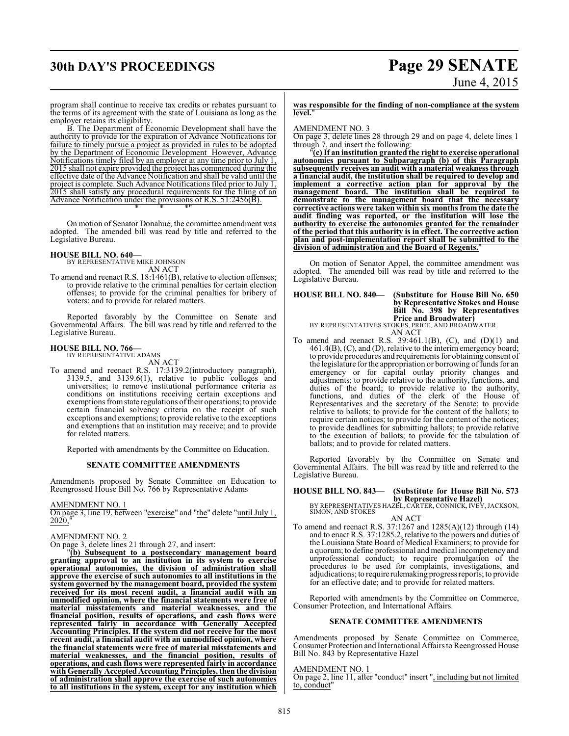# **30th DAY'S PROCEEDINGS Page 29 SENATE** June 4, 2015

program shall continue to receive tax credits or rebates pursuant to the terms of its agreement with the state of Louisiana as long as the employer retains its eligibility.

B. The Department of Economic Development shall have the authority to provide for the expiration of Advance Notifications for failure to timely pursue a project as provided in rules to be adopted by the Department of Economic Development However, Advance Notifications timely filed by an employer at any time prior to July 1, 2015 shall not expire provided the project has commenced during the effective date of the Advance Notification and shall be valid until the project is complete. Such Advance Notifications filed prior to July 1, 2015 shall satisfy any procedural requirements for the filing of an Advance Notification under the provisions of R.S. 51:2456(B). \* \* \*"

On motion of Senator Donahue, the committee amendment was adopted. The amended bill was read by title and referred to the Legislative Bureau.

#### **HOUSE BILL NO. 640—**

BY REPRESENTATIVE MIKE JOHNSON AN ACT

To amend and reenact R.S. 18:1461(B), relative to election offenses; to provide relative to the criminal penalties for certain election offenses; to provide for the criminal penalties for bribery of voters; and to provide for related matters.

Reported favorably by the Committee on Senate and Governmental Affairs. The bill was read by title and referred to the Legislative Bureau.

# **HOUSE BILL NO. 766—** BY REPRESENTATIVE ADAMS

AN ACT

To amend and reenact R.S. 17:3139.2(introductory paragraph), 3139.5, and 3139.6(1), relative to public colleges and universities; to remove institutional performance criteria as conditions on institutions receiving certain exceptions and exemptions from state regulations of their operations; to provide certain financial solvency criteria on the receipt of such exceptions and exemptions; to provide relative to the exceptions and exemptions that an institution may receive; and to provide for related matters.

Reported with amendments by the Committee on Education.

#### **SENATE COMMITTEE AMENDMENTS**

Amendments proposed by Senate Committee on Education to Reengrossed House Bill No. 766 by Representative Adams

AMENDMENT NO. 1

On page 3, line 19, between "exercise" and "the" delete "until July 1, 2020,

#### AMENDMENT NO. 2

On page 3, delete lines 21 through 27, and insert:

"**(b) Subsequent to a postsecondary management board granting approval to an institution in its system to exercise operational autonomies, the division of administration shall approve the exercise of such autonomies to all institutions in the system governed by the management board, provided the system received for its most recent audit, a financial audit with an unmodified opinion, where the financial statements were free of material misstatements and material weaknesses, and the financial position, results of operations, and cash flows were represented fairly in accordance with Generally Accepted Accounting Principles. If the system did not receive for the most recent audit, a financial audit with an unmodified opinion, where the financial statements were free of material misstatements and material weaknesses, and the financial position, results of operations, and cash flows were represented fairly in accordance with Generally Accepted Accounting Principles, then the division of administration shall approve the exercise of such autonomies to all institutions in the system, except for any institution which**

#### **was responsible for the finding of non-compliance at the system level.**"

#### AMENDMENT NO. 3

On page 3, delete lines 28 through 29 and on page 4, delete lines 1 through 7, and insert the following:

"**(c) If an institution granted the right to exercise operational autonomies pursuant to Subparagraph (b) of this Paragraph subsequently receives an audit with a material weakness through a financial audit, the institution shall be required to develop and implement a corrective action plan for approval by the management board. The institution shall be required to demonstrate to the management board that the necessary corrective actions were taken within six months from the date the audit finding was reported, or the institution will lose the authority to exercise the autonomies granted for the remainder of the period that this authority is in effect. The corrective action plan and post-implementation report shall be submitted to the division of administration and the Board of Regents.**"

On motion of Senator Appel, the committee amendment was adopted. The amended bill was read by title and referred to the Legislative Bureau.

#### **HOUSE BILL NO. 840— (Substitute for House Bill No. 650 by Representative Stokes and House Bill No. 398 by Representatives Price and Broadwater)** BY REPRESENTATIVES STOKES, PRICE, AND BROADWATER

AN ACT

To amend and reenact R.S. 39:461.1(B), (C), and (D)(1) and 461.4(B), (C), and (D), relative to the interim emergency board; to provide procedures and requirements for obtaining consent of the legislature for the appropriation or borrowing of funds for an emergency or for capital outlay priority changes and adjustments; to provide relative to the authority, functions, and duties of the board; to provide relative to the authority, functions, and duties of the clerk of the House of Representatives and the secretary of the Senate; to provide relative to ballots; to provide for the content of the ballots; to require certain notices; to provide for the content of the notices; to provide deadlines for submitting ballots; to provide relative to the execution of ballots; to provide for the tabulation of ballots; and to provide for related matters.

Reported favorably by the Committee on Senate and Governmental Affairs. The bill was read by title and referred to the Legislative Bureau.

# **HOUSE BILL NO. 843— (Substitute for House Bill No. 573**

**by Representative Hazel)**<br>BY REPRESENTATIVES HAZEL, CARTER, CONNICK, IVEY, JACKSON,<br>SIMON, AND STOKES AN ACT

To amend and reenact R.S. 37:1267 and 1285(A)(12) through (14) and to enact R.S. 37:1285.2, relative to the powers and duties of the Louisiana State Board of Medical Examiners; to provide for a quorum; to define professional and medical incompetency and unprofessional conduct; to require promulgation of the procedures to be used for complaints, investigations, and adjudications; to require rulemaking progress reports; to provide for an effective date; and to provide for related matters.

Reported with amendments by the Committee on Commerce, Consumer Protection, and International Affairs.

#### **SENATE COMMITTEE AMENDMENTS**

Amendments proposed by Senate Committee on Commerce, Consumer Protection and International Affairs to Reengrossed House Bill No. 843 by Representative Hazel

#### AMENDMENT NO. 1

On page 2, line 11, after "conduct" insert ", including but not limited to, conduct"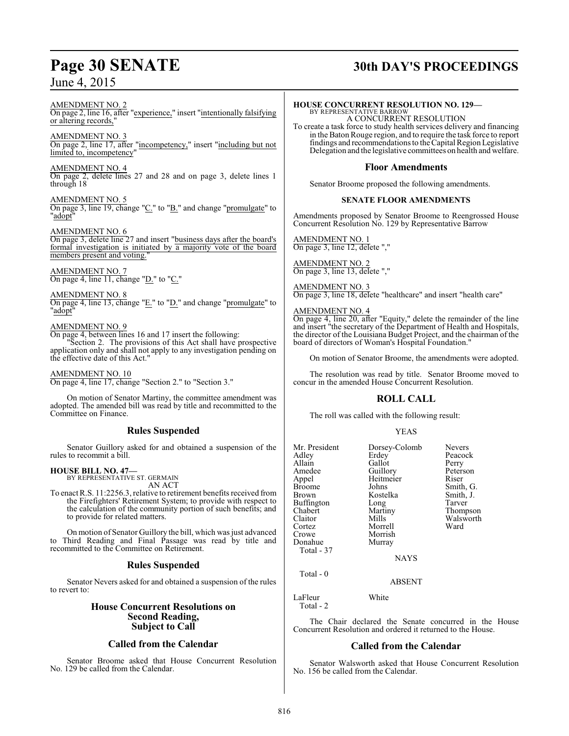# **Page 30 SENATE 30th DAY'S PROCEEDINGS**

AMENDMENT NO. 2 On page 2, line 16, after "experience," insert "intentionally falsifying or altering records,"

AMENDMENT NO. 3 On page 2, line 17, after "incompetency," insert "including but not limited to, incompetency"

AMENDMENT NO. 4 On page 2, delete lines 27 and 28 and on page 3, delete lines 1 through 18

AMENDMENT NO. 5

On page 3, line 19, change "C." to "B." and change "promulgate" to "adopt"

#### AMENDMENT NO. 6

On page 3, delete line 27 and insert "business days after the board's formal investigation is initiated by a majority vote of the board members present and voting."

AMENDMENT NO. 7 On page 4, line 11, change "D." to "C."

AMENDMENT NO. 8

On page 4, line  $13$ , change " $E$ ." to " $D$ ." and change "promulgate" to "adopt"

#### AMENDMENT NO. 9

On page 4, between lines 16 and 17 insert the following:

"Section 2. The provisions of this Act shall have prospective application only and shall not apply to any investigation pending on the effective date of this Act."

AMENDMENT NO. 10

On page 4, line 17, change "Section 2." to "Section 3."

On motion of Senator Martiny, the committee amendment was adopted. The amended bill was read by title and recommitted to the Committee on Finance.

### **Rules Suspended**

Senator Guillory asked for and obtained a suspension of the rules to recommit a bill.

#### **HOUSE BILL NO. 47—**

BY REPRESENTATIVE ST. GERMAIN AN ACT

To enact R.S. 11:2256.3, relative to retirement benefits received from the Firefighters' Retirement System; to provide with respect to the calculation of the community portion of such benefits; and to provide for related matters.

On motion of Senator Guillory the bill, which was just advanced to Third Reading and Final Passage was read by title and recommitted to the Committee on Retirement.

### **Rules Suspended**

Senator Nevers asked for and obtained a suspension of the rules to revert to:

## **House Concurrent Resolutions on Second Reading, Subject to Call**

### **Called from the Calendar**

Senator Broome asked that House Concurrent Resolution No. 129 be called from the Calendar.

## **HOUSE CONCURRENT RESOLUTION NO. 129—**

BY REPRESENTATIVE BARROW A CONCURRENT RESOLUTION

To create a task force to study health services delivery and financing in the Baton Rouge region, and to require the task force to report findings and recommendations to theCapital Region Legislative Delegation and the legislative committees on health and welfare.

### **Floor Amendments**

Senator Broome proposed the following amendments.

#### **SENATE FLOOR AMENDMENTS**

Amendments proposed by Senator Broome to Reengrossed House Concurrent Resolution No. 129 by Representative Barrow

AMENDMENT NO. 1 On page 3, line 12, delete ","

AMENDMENT NO. 2 On page 3, line 13, delete ","

AMENDMENT NO. 3 On page 3, line 18, delete "healthcare" and insert "health care"

AMENDMENT NO. 4

On page 4, line 20, after "Equity," delete the remainder of the line and insert "the secretary of the Department of Health and Hospitals, the director of the Louisiana Budget Project, and the chairman of the board of directors of Woman's Hospital Foundation.

On motion of Senator Broome, the amendments were adopted.

The resolution was read by title. Senator Broome moved to concur in the amended House Concurrent Resolution.

## **ROLL CALL**

The roll was called with the following result:

#### YEAS

| Mr. President<br>Adlev<br>Allain<br>Amedee<br>Appel<br>Broome<br>Brown<br>Buffington<br>Chabert<br>Claitor<br>Cortez<br>Crowe<br>Donahue<br>Total - 37 | Dorsey-Colomb<br>Erdey<br>Gallot<br>Guillory<br>Heitmeier<br>Johns<br>Kostelka<br>Long<br>Martiny<br>Mills<br>Morrell<br>Morrish<br>Murray<br><b>NAYS</b> | <b>Nevers</b><br>Peacock<br>Perry<br>Peterson<br>Riser<br>Smith, G.<br>Smith, J.<br>Tarver<br>Thompson<br>Walsworth<br>Ward |
|--------------------------------------------------------------------------------------------------------------------------------------------------------|-----------------------------------------------------------------------------------------------------------------------------------------------------------|-----------------------------------------------------------------------------------------------------------------------------|
| Total - 0                                                                                                                                              |                                                                                                                                                           |                                                                                                                             |

ABSENT

LaFleur White Total - 2

The Chair declared the Senate concurred in the House Concurrent Resolution and ordered it returned to the House.

### **Called from the Calendar**

Senator Walsworth asked that House Concurrent Resolution No. 156 be called from the Calendar.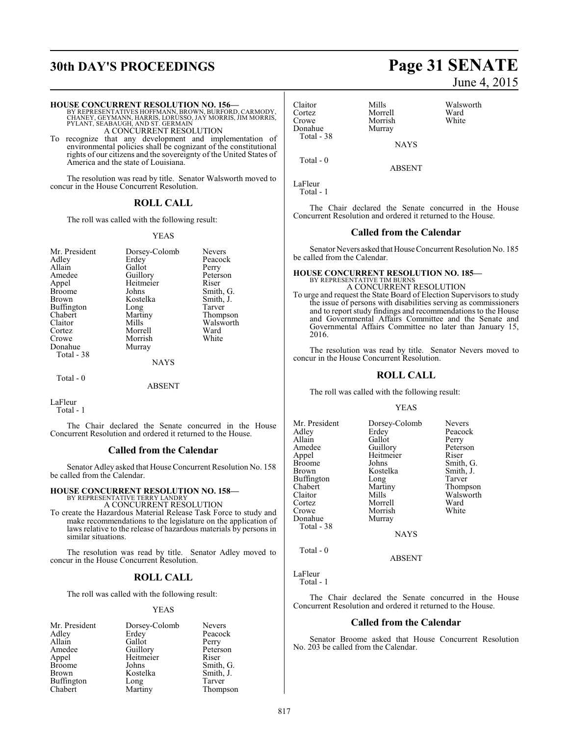# **30th DAY'S PROCEEDINGS Page 31 SENATE**

#### **HOUSE CONCURRENT RESOLUTION NO. 156—**

BY REPRESENTATIVES HOFFMANN, BROWN, BURFORD, CARMODY,<br>CHANEY, GEYMANN, HARRIS, LORUSSO, JAY MORRIS, JIM MORRIS,<br>PYLANT, SEABAUGH, AND ST. GERMAIN A CONCURRENT RESOLUTION

To recognize that any development and implementation of environmental policies shall be cognizant of the constitutional

rights of our citizens and the sovereignty of the United States of America and the state of Louisiana.

The resolution was read by title. Senator Walsworth moved to concur in the House Concurrent Resolution.

#### **ROLL CALL**

The roll was called with the following result:

#### YEAS

| Mr. President | Dorsey-Colomb | <b>Nevers</b> |
|---------------|---------------|---------------|
| Adley         | Erdey         | Peacock       |
| Allain        | Gallot        | Perry         |
| Amedee        | Guillory      | Peterson      |
| Appel         | Heitmeier     | Riser         |
| Broome        | Johns         | Smith, G.     |
| <b>Brown</b>  | Kostelka      | Smith, J.     |
| Buffington    | Long          | Tarver        |
| Chabert       | Martiny       | Thompson      |
| Claitor       | Mills         | Walsworth     |
| Cortez        | Morrell       | Ward          |
| Crowe         | Morrish       | White         |
| Donahue       | Murray        |               |
| Total - 38    |               |               |
|               | <b>NAYS</b>   |               |

Total - 0

ABSENT

LaFleur Total - 1

The Chair declared the Senate concurred in the House Concurrent Resolution and ordered it returned to the House.

#### **Called from the Calendar**

Senator Adley asked that House Concurrent Resolution No. 158 be called from the Calendar.

#### **HOUSE CONCURRENT RESOLUTION NO. 158—**

BY REPRESENTATIVE TERRY LANDRY A CONCURRENT RESOLUTION

To create the Hazardous Material Release Task Force to study and make recommendations to the legislature on the application of laws relative to the release of hazardous materials by persons in similar situations.

The resolution was read by title. Senator Adley moved to concur in the House Concurrent Resolution.

## **ROLL CALL**

The roll was called with the following result:

#### YEAS

| Mr. President | Dorsey-Colomb   | <b>Nevers</b> |
|---------------|-----------------|---------------|
| Adley         | Erdey           | Peacock       |
| Allain        | Gallot          | Perry         |
| Amedee        | Guillory        | Peterson      |
| Appel         | Heitmeier       | Riser         |
| <b>Broome</b> | Johns           | Smith, G.     |
| <b>Brown</b>  | Kostelka        | Smith, J.     |
| Buffington    |                 | Tarver        |
| Chabert       | Long<br>Martiny | Thompson      |

June 4, 2015

| Claitor    | Mills       | Walsworth |
|------------|-------------|-----------|
| Cortez     | Morrell     | Ward      |
| Crowe      | Morrish     | White     |
| Donahue    | Murray      |           |
| Total - 38 |             |           |
|            | <b>NAYS</b> |           |

Total - 0

ABSENT

LaFleur Total - 1

The Chair declared the Senate concurred in the House Concurrent Resolution and ordered it returned to the House.

#### **Called from the Calendar**

Senator Nevers asked that House Concurrent Resolution No. 185 be called from the Calendar.

# **HOUSE CONCURRENT RESOLUTION NO. 185—** BY REPRESENTATIVE TIM BURNS

A CONCURRENT RESOLUTION To urge and request the State Board of Election Supervisors to study the issue of persons with disabilities serving as commissioners and to report study findings and recommendations to the House and Governmental Affairs Committee and the Senate and Governmental Affairs Committee no later than January 15, 2016.

The resolution was read by title. Senator Nevers moved to concur in the House Concurrent Resolution.

#### **ROLL CALL**

The roll was called with the following result:

#### YEAS

| Mr. President | Dorsey-Colomb | <b>Nevers</b> |
|---------------|---------------|---------------|
| Adlev         | Erdey         | Peacock       |
| Allain        | Gallot        | Perry         |
| Amedee        | Guillory      | Peterson      |
| Appel         | Heitmeier     | Riser         |
| Broome        | Johns         | Smith, G.     |
| Brown         | Kostelka      | Smith, J.     |
| Buffington    | Long          | Tarver        |
| Chabert       | Martiny       | Thompson      |
| Claitor       | Mills         | Walsworth     |
| Cortez        | Morrell       | Ward          |
| Crowe         | Morrish       | White         |
| Donahue       | Murray        |               |
| Total - 38    |               |               |
|               | NAVC          |               |

NAYS

ABSENT

LaFleur

Total - 0

Total - 1

The Chair declared the Senate concurred in the House Concurrent Resolution and ordered it returned to the House.

#### **Called from the Calendar**

Senator Broome asked that House Concurrent Resolution No. 203 be called from the Calendar.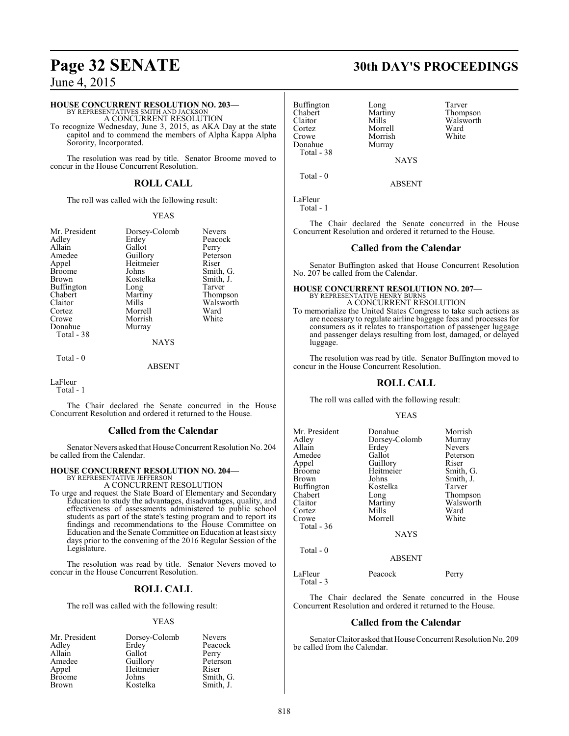#### **HOUSE CONCURRENT RESOLUTION NO. 203—**

BY REPRESENTATIVES SMITH AND JACKSON A CONCURRENT RESOLUTION

To recognize Wednesday, June 3, 2015, as AKA Day at the state capitol and to commend the members of Alpha Kappa Alpha Sorority, Incorporated.

The resolution was read by title. Senator Broome moved to concur in the House Concurrent Resolution.

## **ROLL CALL**

The roll was called with the following result:

Mr. President Dorsey-Colomb Nevers<br>Adley Erdey Peacoc Adley Erdey Peacock<br>Allain Gallot Perry Allain Gallot<br>Amedee Guillory Amedee Guillory Peterson<br>
Appel Heitmeier Riser Appel Heitmeier<br>Broome Johns Broome Johns Smith, G.<br>Brown Kostelka Smith, J. Buffington Long<br>Chabert Martiny Chabert Martiny Thompson<br>Claitor Mills Walsworth Claitor Mills Walsworth<br>
Cortez Morrell Ward Cortez Morrell Ward Donahue Total - 38

YEAS Kostelka Smith,<br>Long Tarver Morrish<br>Murray

Total - 0

NAYS

ABSENT

#### LaFleur

Total - 1

The Chair declared the Senate concurred in the House Concurrent Resolution and ordered it returned to the House.

### **Called from the Calendar**

Senator Nevers asked that House Concurrent Resolution No. 204 be called from the Calendar.

#### **HOUSE CONCURRENT RESOLUTION NO. 204—** BY REPRESENTATIVE JEFFERSON

A CONCURRENT RESOLUTION

To urge and request the State Board of Elementary and Secondary Education to study the advantages, disadvantages, quality, and effectiveness of assessments administered to public school students as part of the state's testing program and to report its findings and recommendations to the House Committee on Education and the Senate Committee on Education at least sixty days prior to the convening of the 2016 Regular Session of the Legislature.

The resolution was read by title. Senator Nevers moved to concur in the House Concurrent Resolution.

## **ROLL CALL**

The roll was called with the following result:

#### YEAS

| Mr. President | Dorsey-Colomb | <b>Nevers</b> |
|---------------|---------------|---------------|
| Adley         | Erdey         | Peacock       |
| Allain        | Gallot        | Perry         |
| Amedee        | Guillory      | Peterson      |
| Appel         | Heitmeier     | Riser         |
| <b>Broome</b> | Johns         | Smith, G.     |
| <b>Brown</b>  | Kostelka      | Smith, J.     |

# **Page 32 SENATE 30th DAY'S PROCEEDINGS**

Buffington Long Tarver<br>
Chabert Martiny Thomp Chabert Martiny Thompson<br>Claitor Mills Walsworth Claitor Mills Walsworth<br>
Cortez Morrell Ward Cortez Morrell Ward Morrish<br>Murray Donahue Total - 38

Total - 0

LaFleur

Total - 1

The Chair declared the Senate concurred in the House Concurrent Resolution and ordered it returned to the House.

**NAYS** 

ABSENT

#### **Called from the Calendar**

Senator Buffington asked that House Concurrent Resolution No. 207 be called from the Calendar.

#### **HOUSE CONCURRENT RESOLUTION NO. 207—** BY REPRESENTATIVE HENRY BURNS

A CONCURRENT RESOLUTION To memorialize the United States Congress to take such actions as are necessary to regulate airline baggage fees and processes for consumers as it relates to transportation of passenger luggage and passenger delays resulting from lost, damaged, or delayed luggage.

The resolution was read by title. Senator Buffington moved to concur in the House Concurrent Resolution.

## **ROLL CALL**

The roll was called with the following result:

#### YEAS

| Mr. President<br>Adley<br>Allain<br>Amedee<br>Appel<br><b>Broome</b><br>Brown<br><b>Buffington</b><br>Chabert<br>Claitor<br>Cortez<br>Crowe<br>Total - 36 | Donahue<br>Dorsey-Colomb<br>Erdey<br>Gallot<br>Guillory<br>Heitmeier<br>Johns<br>Kostelka<br>Long<br>Martiny<br>Mills<br>Morrell<br><b>NAYS</b> | Morrish<br>Murray<br><b>Nevers</b><br>Peterson<br>Riser<br>Smith, G.<br>Smith, J.<br>Tarver<br>Thompson<br>Walsworth<br>Ward<br>White |
|-----------------------------------------------------------------------------------------------------------------------------------------------------------|-------------------------------------------------------------------------------------------------------------------------------------------------|---------------------------------------------------------------------------------------------------------------------------------------|
| Total $-0$                                                                                                                                                | <b>ABSENT</b>                                                                                                                                   |                                                                                                                                       |
| LaFleur                                                                                                                                                   | Peacock                                                                                                                                         | Perry                                                                                                                                 |

The Chair declared the Senate concurred in the House Concurrent Resolution and ordered it returned to the House.

#### **Called from the Calendar**

Senator Claitor asked that House Concurrent Resolution No. 209 be called from the Calendar.

Total - 3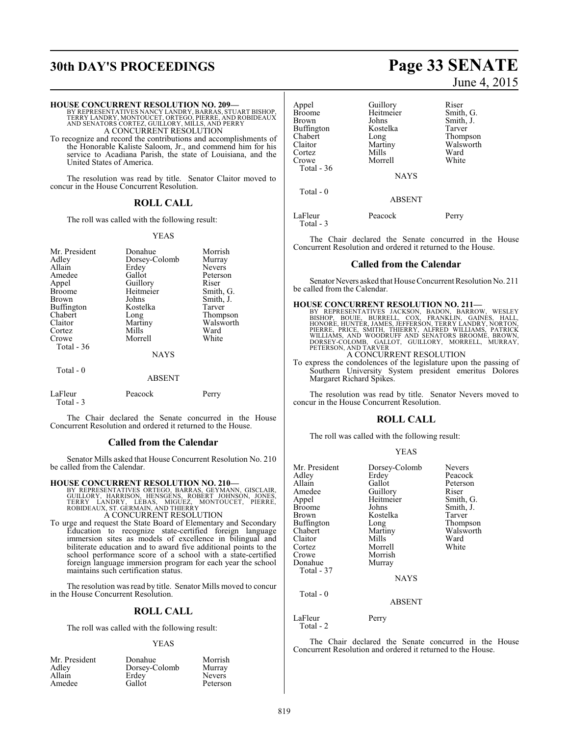# **30th DAY'S PROCEEDINGS Page 33 SENATE**

# **HOUSE CONCURRENT RESOLUTION NO. 209—** BY REPRESENTATIVES NANCY LANDRY, BARRAS, STUART BISHOP,<br>TERRY LANDRY, MONTOUCET, ORTEGO, PIERRE, AND ROBIDEAUX<br>AND SENATORS CORTEZ, GUILLORY, MILLS, AND PERRY<br>A CONCURRENT RESOLUTION

To recognize and record the contributions and accomplishments of the Honorable Kaliste Saloom, Jr., and commend him for his service to Acadiana Parish, the state of Louisiana, and the United States of America.

The resolution was read by title. Senator Claitor moved to concur in the House Concurrent Resolution.

#### **ROLL CALL**

The roll was called with the following result:

#### YEAS

| Mr. President<br>Adley<br>Allain<br>Amedee<br>Appel<br><b>Broome</b><br>Brown<br><b>Buffington</b><br>Chabert<br>Claitor<br>Cortez | Donahue<br>Dorsey-Colomb<br>Erdey<br>Gallot<br>Guillory<br>Heitmeier<br>Johns<br>Kostelka<br>Long<br>Martiny<br>Mills | Morrish<br>Murray<br><b>Nevers</b><br>Peterson<br>Riser<br>Smith, G.<br>Smith, J.<br>Tarver<br>Thompson<br>Walsworth<br>Ward |
|------------------------------------------------------------------------------------------------------------------------------------|-----------------------------------------------------------------------------------------------------------------------|------------------------------------------------------------------------------------------------------------------------------|
| Crowe<br>Total - 36                                                                                                                | Morrell<br><b>NAYS</b>                                                                                                | White                                                                                                                        |
| Total - 0                                                                                                                          | <b>ABSENT</b>                                                                                                         |                                                                                                                              |
| LaFleur<br>Total - 3                                                                                                               | Peacock                                                                                                               | Perry                                                                                                                        |

The Chair declared the Senate concurred in the House Concurrent Resolution and ordered it returned to the House.

#### **Called from the Calendar**

Senator Mills asked that House Concurrent Resolution No. 210 be called from the Calendar.

- **HOUSE CONCURRENT RESOLUTION NO. 210—**<br>BY REPRESENTATIVES ORTEGO, BARRAS, GEYMANN, GISCLAIR,<br>GUILLORY, HARRISON, HENSGENS, ROBERT JOHNSON, JONES,<br>TERRY LANDRY, LEBAS, MIGUEZ, MONTOUCET, PIERRE,<br>ROBIDEAUX, ST. GERMAIN, AND A CONCURRENT RESOLUTION
- To urge and request the State Board of Elementary and Secondary Education to recognize state-certified foreign language immersion sites as models of excellence in bilingual and biliterate education and to award five additional points to the school performance score of a school with a state-certified foreign language immersion program for each year the school maintains such certification status.

The resolution was read by title. Senator Mills moved to concur in the House Concurrent Resolution.

### **ROLL CALL**

The roll was called with the following result:

#### YEAS

| Mr. President | Donahue       | Morrish       |
|---------------|---------------|---------------|
| Adley         | Dorsey-Colomb | Murray        |
| Allain        | Erdey         | <b>Nevers</b> |
| Amedee        | Gallot        | Peterson      |

# June 4, 2015

| Appel<br><b>Broome</b><br>Brown<br>Buffington<br>Chabert<br>Claitor<br>Cortez | Guillory<br>Heitmeier<br>Johns<br>Kostelka<br>Long<br>Martiny<br>Mills | Riser<br>Smith, G.<br>Smith, J.<br>Tarver<br>Thompson<br>Walsworth<br>Ward |
|-------------------------------------------------------------------------------|------------------------------------------------------------------------|----------------------------------------------------------------------------|
| Crowe<br>Total - 36                                                           | Morrell<br><b>NAYS</b>                                                 | White                                                                      |
| Total - 0                                                                     | <b>ABSENT</b>                                                          |                                                                            |
| LaFleur                                                                       | Peacock                                                                | Perry                                                                      |

Total - 3

The Chair declared the Senate concurred in the House Concurrent Resolution and ordered it returned to the House.

#### **Called from the Calendar**

Senator Nevers asked that House Concurrent Resolution No. 211 be called from the Calendar.

**HOUSE CONCURRENT RESOLUTION NO. 211—**<br>BY REPRESENTATIVES JACKSON, BADON, BARROW, WESLEY<br>BISHOP, BOUIE, BURRELL, COX, FRANKLIN, GAINES, HALL,<br>HONORE, HUNTER, JAMES, JEFFERSON, TERRY LANDRY, NORTON,<br>PIERRE, PRICE, SMITH, TH

A CONCURRENT RESOLUTION

To express the condolences of the legislature upon the passing of Southern University System president emeritus Dolores Margaret Richard Spikes.

The resolution was read by title. Senator Nevers moved to concur in the House Concurrent Resolution.

### **ROLL CALL**

The roll was called with the following result:

| Mr. President | Dorsey-Colomb | <b>Nevers</b> |
|---------------|---------------|---------------|
| Adley         | Erdey         | Peacock       |
| Allain        | Gallot        | Peterson      |
| Amedee        | Guillory      | Riser         |
| Appel         | Heitmeier     | Smith, G.     |
| <b>Broome</b> | Johns         | Smith, J.     |
| <b>Brown</b>  | Kostelka      | Tarver        |
| Buffington    | Long          | Thompson      |
| Chabert       | Martiny       | Walsworth     |
| Claitor       | Mills         | Ward          |
| Cortez        | Morrell       | White         |
| Crowe         | Morrish       |               |
| Donahue       | Murray        |               |
| Total - 37    |               |               |
|               | <b>NAYS</b>   |               |
| Total $-0$    |               |               |
|               | ABSENT        |               |

LaFleur Perry

Total - 2

The Chair declared the Senate concurred in the House Concurrent Resolution and ordered it returned to the House.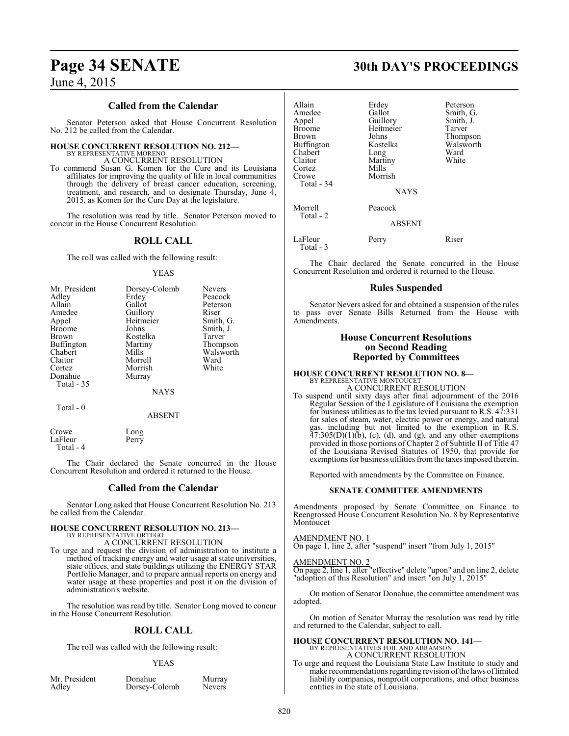#### **Called from the Calendar**

Senator Peterson asked that House Concurrent Resolution No. 212 be called from the Calendar.

# **HOUSE CONCURRENT RESOLUTION NO. 212—**

BY REPRESENTATIVE MORENO A CONCURRENT RESOLUTION

To commend Susan G. Komen for the Cure and its Louisiana affiliates for improving the quality of life in local communities through the delivery of breast cancer education, screening, treatment, and research, and to designate Thursday, June 4, 2015, as Komen for the Cure Day at the legislature.

The resolution was read by title. Senator Peterson moved to concur in the House Concurrent Resolution.

## **ROLL CALL**

The roll was called with the following result:

#### YEAS

| Mr. President     | Dorsey-Colomb | <b>Nevers</b> |
|-------------------|---------------|---------------|
| Adley             | Erdey         | Peacock       |
| Allain            | Gallot        | Peterson      |
| Amedee            | Guillory      | Riser         |
| Appel             | Heitmeier     | Smith, G.     |
| <b>Broome</b>     | Johns         | Smith, J.     |
| Brown             | Kostelka      | Tarver        |
| <b>Buffington</b> | Martiny       | Thompson      |
| Chabert           | Mills         | Walsworth     |
| Claitor           | Morrell       | Ward          |
| Cortez            | Morrish       | White         |
| Donahue           | Murray        |               |
| Total - 35        |               |               |
|                   | NAYS          |               |

Total - 0

ABSENT

| Crowe     | Long  |
|-----------|-------|
| LaFleur   | Perry |
| Total - 4 |       |

The Chair declared the Senate concurred in the House Concurrent Resolution and ordered it returned to the House.

### **Called from the Calendar**

Senator Long asked that House Concurrent Resolution No. 213 be called from the Calendar.

# **HOUSE CONCURRENT RESOLUTION NO. 213—** BY REPRESENTATIVE ORTEGO

A CONCURRENT RESOLUTION

To urge and request the division of administration to institute a method of tracking energy and water usage at state universities, state offices, and state buildings utilizing the ENERGY STAR Portfolio Manager, and to prepare annual reports on energy and water usage at these properties and post it on the division of administration's website.

The resolution was read by title. Senator Long moved to concur in the House Concurrent Resolution.

## **ROLL CALL**

The roll was called with the following result:

#### YEAS

Mr. President Donahue Murray<br>Adley Dorsey-Colomb Nevers Dorsey-Colomb

# **Page 34 SENATE 30th DAY'S PROCEEDINGS**

| Allain<br>Amedee<br>Appel<br><b>Broome</b><br><b>Brown</b><br><b>Buffington</b><br>Chabert<br>Claitor<br>Cortez<br>Crowe<br>Total - 34 | Erdey<br>Gallot<br>Guillory<br>Heitmeier<br>Johns<br>Kostelka<br>Long<br>Martiny<br>Mills<br>Morrish<br><b>NAYS</b> | Peterson<br>Smith, G.<br>Smith, J.<br>Tarver<br>Thompson<br>Walsworth<br>Ward<br>White |
|----------------------------------------------------------------------------------------------------------------------------------------|---------------------------------------------------------------------------------------------------------------------|----------------------------------------------------------------------------------------|
| Morrell<br>Total - 2                                                                                                                   | Peacock<br><b>ABSENT</b>                                                                                            |                                                                                        |
| LaFleur<br>Total - 3                                                                                                                   | Perry                                                                                                               | Riser                                                                                  |

The Chair declared the Senate concurred in the House Concurrent Resolution and ordered it returned to the House.

#### **Rules Suspended**

Senator Nevers asked for and obtained a suspension of the rules to pass over Senate Bills Returned from the House with Amendments.

#### **House Concurrent Resolutions on Second Reading Reported by Committees**

## **HOUSE CONCURRENT RESOLUTION NO. 8—** BY REPRESENTATIVE MONTOUCET A CONCURRENT RESOLUTION

To suspend until sixty days after final adjournment of the 2016 Regular Session of the Legislature of Louisiana the exemption for business utilities as to the tax levied pursuant to R.S. 47:331 for sales of steam, water, electric power or energy, and natural gas, including but not limited to the exemption in R.S.  $47:305(D)(1)(b)$ , (c), (d), and (g), and any other exemptions provided in those portions of Chapter 2 of Subtitle II of Title 47 of the Louisiana Revised Statutes of 1950, that provide for exemptions for business utilities fromthe taxes imposed therein.

Reported with amendments by the Committee on Finance.

#### **SENATE COMMITTEE AMENDMENTS**

Amendments proposed by Senate Committee on Finance to Reengrossed House Concurrent Resolution No. 8 by Representative Montoucet

#### AMENDMENT NO. 1

On page 1, line 2, after "suspend" insert "from July 1, 2015"

#### AMENDMENT NO. 2

On page 2, line 1, after "effective" delete "upon" and on line 2, delete "adoption of this Resolution" and insert "on July 1, 2015"

On motion of Senator Donahue, the committee amendment was adopted.

On motion of Senator Murray the resolution was read by title and returned to the Calendar, subject to call.

# **HOUSE CONCURRENT RESOLUTION NO. 141—** BY REPRESENTATIVES FOIL AND ABRAMSON A CONCURRENT RESOLUTION

To urge and request the Louisiana State Law Institute to study and make recommendations regarding revision of the laws of limited liability companies, nonprofit corporations, and other business entities in the state of Louisiana.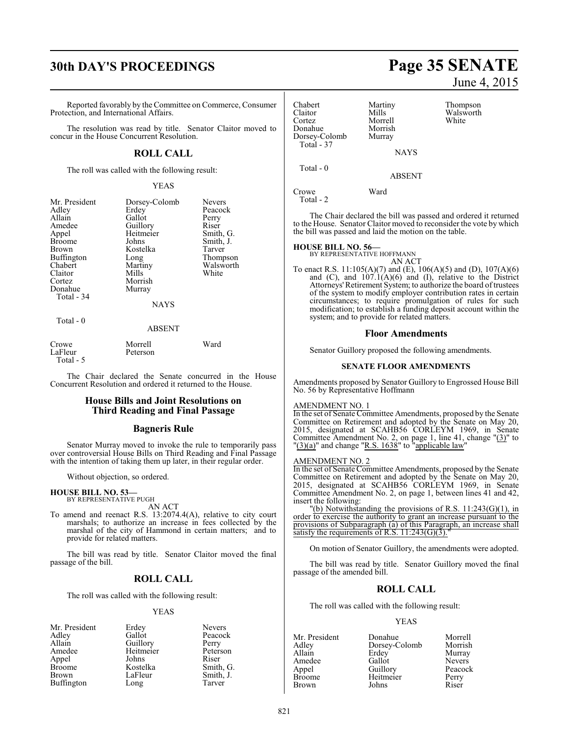# **30th DAY'S PROCEEDINGS Page 35 SENATE**

Reported favorably by theCommittee on Commerce, Consumer Protection, and International Affairs.

The resolution was read by title. Senator Claitor moved to concur in the House Concurrent Resolution.

## **ROLL CALL**

The roll was called with the following result:

#### YEAS

| Mr. President | Dorsey-Colomb | <b>Nevers</b> |
|---------------|---------------|---------------|
| Adley         | Erdey         | Peacock       |
| Allain        | Gallot        | Perry         |
| Amedee        | Guillory      | Riser         |
| Appel         | Heitmeier     | Smith, G.     |
| <b>Broome</b> | Johns         | Smith, J.     |
| Brown         | Kostelka      | Tarver        |
| Buffington    | Long          | Thompson      |
| Chabert       | Martiny       | Walsworth     |
| Claitor       | Mills         | White         |
| Cortez        | Morrish       |               |
| Donahue       | Murray        |               |
| Total - 34    |               |               |
|               | <b>NAYS</b>   |               |
| Total $-0$    |               |               |
|               | ABSENT        |               |

| Crowe      | Morrell  | Ward |
|------------|----------|------|
| LaFleur    | Peterson |      |
| Total $-5$ |          |      |

The Chair declared the Senate concurred in the House Concurrent Resolution and ordered it returned to the House.

#### **House Bills and Joint Resolutions on Third Reading and Final Passage**

#### **Bagneris Rule**

Senator Murray moved to invoke the rule to temporarily pass over controversial House Bills on Third Reading and Final Passage with the intention of taking them up later, in their regular order.

Without objection, so ordered.

#### **HOUSE BILL NO. 53—** BY REPRESENTATIVE PUGH

AN ACT

To amend and reenact R.S. 13:2074.4(A), relative to city court marshals; to authorize an increase in fees collected by the marshal of the city of Hammond in certain matters; and to provide for related matters.

The bill was read by title. Senator Claitor moved the final passage of the bill.

#### **ROLL CALL**

The roll was called with the following result:

#### YEAS

| Mr. President | Erdey     | <b>Nevers</b> |
|---------------|-----------|---------------|
| Adley         | Gallot    | Peacock       |
| Allain        | Guillory  | Perry         |
| Amedee        | Heitmeier | Peterson      |
| Appel         | Johns     | Riser         |
| Broome        | Kostelka  | Smith, G.     |
| Brown         | LaFleur   | Smith, J.     |
| Buffington    | Long      | Tarver        |
|               |           |               |

# June 4, 2015

| Chabert<br>Claitor<br>Cortez<br>Donahue<br>Dorsey-Colomb<br>Total - 37 | Martiny<br>Mills<br>Morrell<br>Morrish<br>Murray | Thompson<br>Walsworth<br>White |
|------------------------------------------------------------------------|--------------------------------------------------|--------------------------------|
|                                                                        | <b>NAYS</b>                                      |                                |
| Total $-0$                                                             | <b>ABSENT</b>                                    |                                |
| Crowe<br>Total - 2                                                     | Ward                                             |                                |

The Chair declared the bill was passed and ordered it returned to the House. Senator Claitor moved to reconsider the vote by which the bill was passed and laid the motion on the table.

#### **HOUSE BILL NO. 56—**

BY REPRESENTATIVE HOFFMANN

AN ACT To enact R.S. 11:105(A)(7) and (E), 106(A)(5) and (D), 107(A)(6) and  $(C)$ , and  $107.1(A)(6)$  and  $(I)$ , relative to the District Attorneys' Retirement System; to authorize the board of trustees of the system to modify employer contribution rates in certain circumstances; to require promulgation of rules for such modification; to establish a funding deposit account within the system; and to provide for related matters.

#### **Floor Amendments**

Senator Guillory proposed the following amendments.

#### **SENATE FLOOR AMENDMENTS**

Amendments proposed by Senator Guillory to Engrossed House Bill No. 56 by Representative Hoffmann

#### AMENDMENT NO. 1

In the set of Senate Committee Amendments, proposed by the Senate Committee on Retirement and adopted by the Senate on May 20, 2015, designated at SCAHB56 CORLEYM 1969, in Senate Committee Amendment No. 2, on page 1, line 41, change  $"(\underline{3})"$  to  $\frac{1}{2}$ (a)" and change "R.S. 1638" to "applicable law"

#### AMENDMENT NO. 2

In the set of Senate Committee Amendments, proposed by the Senate Committee on Retirement and adopted by the Senate on May 20, 2015, designated at SCAHB56 CORLEYM 1969, in Senate Committee Amendment No. 2, on page 1, between lines 41 and 42, insert the following:

"(b) Notwithstanding the provisions of R.S. 11:243(G)(1), in order to exercise the authority to grant an increase pursuant to the provisions of Subparagraph (a) of this Paragraph, an increase shall satisfy the requirements of  $R.S.$  11:243(G)(3).

On motion of Senator Guillory, the amendments were adopted.

The bill was read by title. Senator Guillory moved the final passage of the amended bill.

#### **ROLL CALL**

The roll was called with the following result:

#### YEAS

| Mr. President | Donahue       | Morrell       |
|---------------|---------------|---------------|
| Adley         | Dorsey-Colomb | Morrish       |
| Allain        | Erdey         | Murray        |
| Amedee        | Gallot        | <b>Nevers</b> |
| Appel         | Guillory      | Peacock       |
| Broome        | Heitmeier     | Perry         |
| Brown         | Johns         | Riser         |
|               |               |               |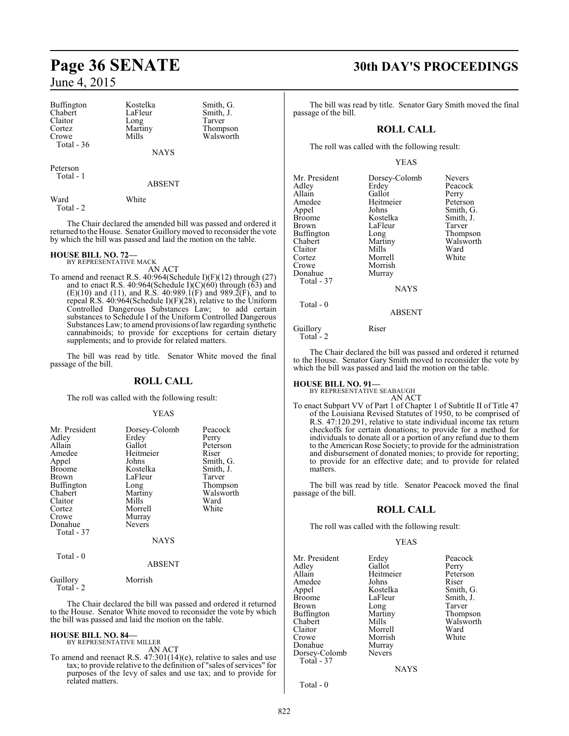Buffington Kostelka Smith, G.<br>
Chabert LaFleur Smith, J. Chabert LaFleur Smith, J.<br>Claitor Long Tarver Claitor Long<br>Cortez Martiny Cortez Martiny Thompson<br>Crowe Mills Walsworth Total - 36

NAYS

Walsworth

Peterson Total - 1

ABSENT

Ward White Total - 2

The Chair declared the amended bill was passed and ordered it returned to the House. Senator Guillorymoved to reconsider the vote by which the bill was passed and laid the motion on the table.

**HOUSE BILL NO. 72—** BY REPRESENTATIVE MACK

AN ACT

To amend and reenact R.S. 40:964(Schedule I)(F)(12) through (27) and to enact R.S. 40:964(Schedule I) $(C)(60)$  through  $(63)$  and  $(E)(10)$  and  $(11)$ , and R.S.  $40:989.1(F)$  and  $989.2(F)$ , and to repeal R.S. 40:964(Schedule I)(F)(28), relative to the Uniform Controlled Dangerous Substances Law; to add certain substances to Schedule I of the Uniform Controlled Dangerous Substances Law; to amend provisions of law regarding synthetic cannabinoids; to provide for exceptions for certain dietary supplements; and to provide for related matters.

The bill was read by title. Senator White moved the final passage of the bill.

### **ROLL CALL**

The roll was called with the following result:

#### YEAS

| Mr. President<br>Adley<br>Allain<br>Amedee<br>Appel<br><b>Broome</b><br><b>Brown</b><br>Buffington<br>Chabert<br>Claitor<br>Cortez<br>Crowe<br>Donahue<br>Total - 37 | Dorsey-Colomb<br>Erdey<br>Gallot<br>Heitmeier<br>Johns<br>Kostelka<br>LaFleur<br>Long<br>Martiny<br>Mills<br>Morrell<br>Murray<br><b>Nevers</b> | Peacock<br>Perry<br>Peterson<br>Riser<br>Smith, G.<br>Smith, J.<br>Tarver<br>Thompson<br>Walsworth<br>Ward<br>White |
|----------------------------------------------------------------------------------------------------------------------------------------------------------------------|-------------------------------------------------------------------------------------------------------------------------------------------------|---------------------------------------------------------------------------------------------------------------------|
|                                                                                                                                                                      | <b>NAYS</b>                                                                                                                                     |                                                                                                                     |
| Total - 0                                                                                                                                                            | ARSENT                                                                                                                                          |                                                                                                                     |

## ABSENT

Guillory Morrish

Total - 2

The Chair declared the bill was passed and ordered it returned to the House. Senator White moved to reconsider the vote by which the bill was passed and laid the motion on the table.

#### **HOUSE BILL NO. 84—** BY REPRESENTATIVE MILLER

AN ACT

To amend and reenact R.S. 47:301(14)(e), relative to sales and use tax; to provide relative to the definition of "sales of services" for purposes of the levy of sales and use tax; and to provide for related matters.

# **Page 36 SENATE 30th DAY'S PROCEEDINGS**

The bill was read by title. Senator Gary Smith moved the final passage of the bill.

## **ROLL CALL**

The roll was called with the following result:

#### YEAS

| Mr. President<br>Adley<br>Allain<br>Amedee<br>Appel<br>Broome<br>Brown<br>Buffington<br>Chabert<br>Claitor<br>Cortez<br>Crowe<br>Donahue<br>Total - 37 | Dorsey-Colomb<br>Erdey<br>Gallot<br>Heitmeier<br>Johns<br>Kostelka<br>LaFleur<br>Long<br>Martiny<br>Mills<br>Morrell<br>Morrish<br>Murray | Nevers<br>Peacock<br>Perry<br>Peterson<br>Smith, G.<br>Smith, J.<br>Tarver<br>Thompson<br>Walsworth<br>Ward<br>White |
|--------------------------------------------------------------------------------------------------------------------------------------------------------|-------------------------------------------------------------------------------------------------------------------------------------------|----------------------------------------------------------------------------------------------------------------------|
|                                                                                                                                                        | <b>NAYS</b>                                                                                                                               |                                                                                                                      |
| Total - 0                                                                                                                                              | <b>ABSENT</b>                                                                                                                             |                                                                                                                      |
| Guillorv                                                                                                                                               | Riser                                                                                                                                     |                                                                                                                      |

Total - 2

The Chair declared the bill was passed and ordered it returned to the House. Senator Gary Smith moved to reconsider the vote by which the bill was passed and laid the motion on the table.

# **HOUSE BILL NO. 91—** BY REPRESENTATIVE SEABAUGH

AN ACT

To enact Subpart VV of Part 1 of Chapter 1 of Subtitle II of Title 47 of the Louisiana Revised Statutes of 1950, to be comprised of R.S. 47:120.291, relative to state individual income tax return checkoffs for certain donations; to provide for a method for individuals to donate all or a portion of any refund due to them to the American Rose Society; to provide for the administration and disbursement of donated monies; to provide for reporting; to provide for an effective date; and to provide for related matters.

The bill was read by title. Senator Peacock moved the final passage of the bill.

### **ROLL CALL**

The roll was called with the following result:

#### YEAS

Mr. President Erdey Peacock<br>Adley Gallot Perry Adley Gallot Perry Amedee Johns<br>Appel Kostelka Appel Kostelka Smith, G. Brown Long Carver<br>
Buffington Martiny Thompson Buffington Martington<br>Chabert Mills Chabert Mills Walsworth<br>Claitor Morrell Ward Claitor Morrell Ward<br>Crowe Morrish White Morrish<br>Murray Donahue Murray<br>Dorsey-Colomb Nevers Dorsey-Colomb Total - 37

Heitmeier Peters<br>Johns Riser LaFleur Smith, J.<br>Long Tarver

**NAYS** 

Total - 0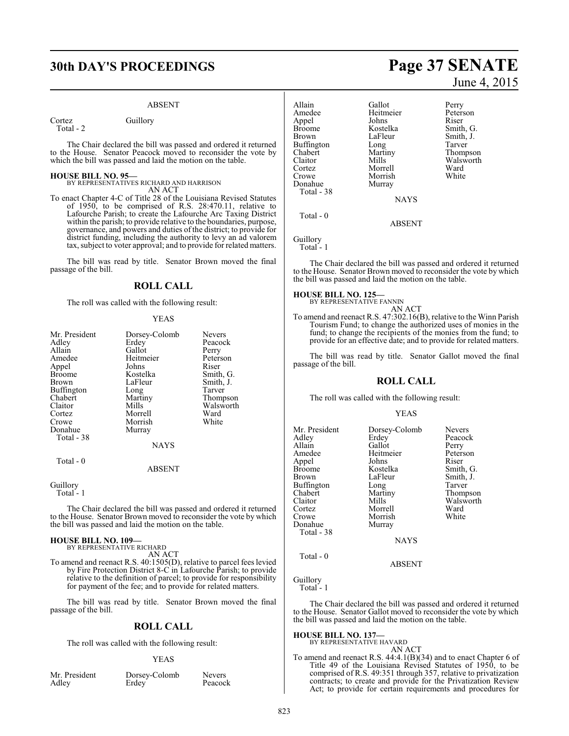# **30th DAY'S PROCEEDINGS Page 37 SENATE**

#### ABSENT

Cortez Guillory Total - 2

The Chair declared the bill was passed and ordered it returned to the House. Senator Peacock moved to reconsider the vote by which the bill was passed and laid the motion on the table.

#### **HOUSE BILL NO. 95—**

BY REPRESENTATIVES RICHARD AND HARRISON

AN ACT To enact Chapter 4-C of Title 28 of the Louisiana Revised Statutes of 1950, to be comprised of R.S. 28:470.11, relative to Lafourche Parish; to create the Lafourche Arc Taxing District within the parish; to provide relative to the boundaries, purpose, governance, and powers and duties of the district; to provide for district funding, including the authority to levy an ad valorem tax, subject to voter approval; and to provide for related matters.

The bill was read by title. Senator Brown moved the final passage of the bill.

#### **ROLL CALL**

The roll was called with the following result:

#### YEAS

| Mr. President     | Dorsey-Colomb | <b>Nevers</b> |
|-------------------|---------------|---------------|
| Adley             | Erdey         | Peacock       |
| Allain            | Gallot        | Perry         |
| Amedee            | Heitmeier     | Peterson      |
| Appel             | Johns         | Riser         |
| <b>Broome</b>     | Kostelka      | Smith, G.     |
| Brown             | LaFleur       | Smith, J.     |
| <b>Buffington</b> | Long          | Tarver        |
| Chabert           | Martiny       | Thompson      |
| Claitor           | Mills         | Walsworth     |
| Cortez            | Morrell       | Ward          |
| Crowe             | Morrish       | White         |
| Donahue           | Murray        |               |
| Total - 38        |               |               |
|                   | <b>NAYS</b>   |               |
| Total - 0         |               |               |
|                   | ABSENT        |               |

## Guillory

Total<sup>-1</sup>

The Chair declared the bill was passed and ordered it returned to the House. Senator Brown moved to reconsider the vote by which the bill was passed and laid the motion on the table.

#### **HOUSE BILL NO. 109—**

BY REPRESENTATIVE RICHARD AN ACT

To amend and reenact R.S. 40:1505(D), relative to parcel fees levied by Fire Protection District 8-C in Lafourche Parish; to provide relative to the definition of parcel; to provide for responsibility for payment of the fee; and to provide for related matters.

The bill was read by title. Senator Brown moved the final passage of the bill.

#### **ROLL CALL**

The roll was called with the following result:

#### YEAS

|       | Mr. Presiden |  |
|-------|--------------|--|
| Adley |              |  |

nt Dorsey-Colomb Nevers<br>Erdev Peacock Erdey<sup>'</sup>

June 4, 2015

Allain Gallot Perry Amedee Heitmeier Peterson<br>Appel Johns Riser Appel Johns<br>Broome Kostelka Broome Kostelka Smith, G.<br>Brown LaFleur Smith, J. Buffington Long<br>Chabert Martiny Claitor Mills Walsworth<br>
Cortez Morrell Ward Cortez Morrell Ward Morrish<br>Murray Donahue Total - 38

LaFleur Smith, J.<br>Long Tarver

Martiny Thompson<br>Mills Walsworth

NAYS

ABSENT

Guillory

Total - 0

Total - 1

The Chair declared the bill was passed and ordered it returned to the House. Senator Brown moved to reconsider the vote by which the bill was passed and laid the motion on the table.

#### **HOUSE BILL NO. 125—**

BY REPRESENTATIVE FANNIN AN ACT

To amend and reenact R.S. 47:302.16(B), relative to the Winn Parish Tourism Fund; to change the authorized uses of monies in the fund; to change the recipients of the monies from the fund; to provide for an effective date; and to provide for related matters.

The bill was read by title. Senator Gallot moved the final passage of the bill.

#### **ROLL CALL**

The roll was called with the following result:

#### YEAS

| Mr. President<br>Adley | Dorsey-Colomb<br>Erdey | <b>Nevers</b><br>Peacock |
|------------------------|------------------------|--------------------------|
| Allain                 | Gallot                 | Perry                    |
| Amedee                 | Heitmeier              | Peterson                 |
| Appel                  | Johns                  | Riser                    |
| Broome                 | Kostelka               | Smith, G.                |
| Brown                  | LaFleur                | Smith, J.                |
| Buffington             | Long                   | Tarver                   |
| Chabert                | Martiny                | Thompson                 |
| Claitor                | Mills                  | Walsworth                |
| Cortez                 | Morrell                | Ward                     |
| Crowe                  | Morrish                | White                    |
| Donahue                | Murray                 |                          |
| Total - 38             |                        |                          |
|                        | <b>NAYS</b>            |                          |
|                        |                        |                          |

ABSENT

### Guillory

Total - 0

Total - 1

The Chair declared the bill was passed and ordered it returned to the House. Senator Gallot moved to reconsider the vote by which the bill was passed and laid the motion on the table.

#### **HOUSE BILL NO. 137—**

BY REPRESENTATIVE HAVARD AN ACT

To amend and reenact R.S. 44:4.1(B)(34) and to enact Chapter 6 of Title 49 of the Louisiana Revised Statutes of 1950, to be comprised of R.S. 49:351 through 357, relative to privatization contracts; to create and provide for the Privatization Review Act; to provide for certain requirements and procedures for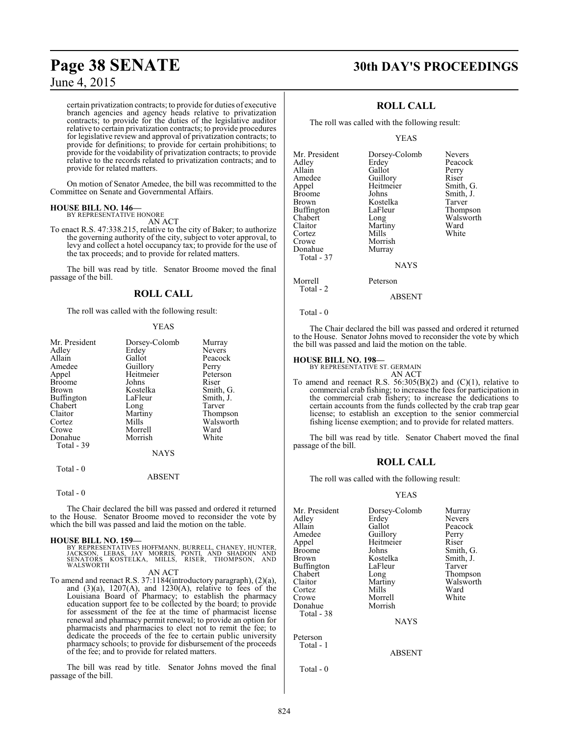certain privatization contracts; to provide for duties of executive branch agencies and agency heads relative to privatization contracts; to provide for the duties of the legislative auditor relative to certain privatization contracts; to provide procedures for legislative review and approval of privatization contracts; to provide for definitions; to provide for certain prohibitions; to provide for the voidability of privatization contracts; to provide relative to the records related to privatization contracts; and to provide for related matters.

On motion of Senator Amedee, the bill was recommitted to the Committee on Senate and Governmental Affairs.

#### **HOUSE BILL NO. 146—** BY REPRESENTATIVE HONORE

AN ACT

To enact R.S. 47:338.215, relative to the city of Baker; to authorize the governing authority of the city, subject to voter approval, to levy and collect a hotel occupancy tax; to provide for the use of the tax proceeds; and to provide for related matters.

The bill was read by title. Senator Broome moved the final passage of the bill.

## **ROLL CALL**

The roll was called with the following result:

#### YEAS

| Mr. President | Dorsey-Colomb | Murray    |
|---------------|---------------|-----------|
| Adlev         | Erdey         | Nevers    |
| Allain        | Gallot        | Peacock   |
| Amedee        | Guillory      | Perry     |
| Appel         | Heitmeier     | Peterson  |
| <b>Broome</b> | Johns         | Riser     |
| Brown         | Kostelka      | Smith, G. |
| Buffington    | LaFleur       | Smith, J. |
| Chabert       | Long          | Tarver    |
| Claitor       | Martiny       | Thompson  |
| Cortez        | Mills         | Walsworth |
| Crowe         | Morrell       | Ward      |
| Donahue       | Morrish       | White     |
| Total - 39    |               |           |
|               | <b>NAYS</b>   |           |
|               |               |           |

Total - 0

ABSENT

#### Total - 0

The Chair declared the bill was passed and ordered it returned to the House. Senator Broome moved to reconsider the vote by which the bill was passed and laid the motion on the table.

#### **HOUSE BILL NO. 159—**

BY REPRESENTATIVES HOFFMANN, BURRELL, CHANEY, HUNTER, JACKSON, LEBAS, JAY MORRIS, PONTI, AND SHADOIN AND SENATORS KOSTELKA, MILLS, RISER, THOMPSON, AND WALSWORTH

AN ACT

To amend and reenact R.S. 37:1184(introductory paragraph), (2)(a), and  $(3)(a)$ ,  $1207(A)$ , and  $1230(A)$ , relative to fees of the Louisiana Board of Pharmacy; to establish the pharmacy education support fee to be collected by the board; to provide for assessment of the fee at the time of pharmacist license renewal and pharmacy permit renewal; to provide an option for pharmacists and pharmacies to elect not to remit the fee; to dedicate the proceeds of the fee to certain public university pharmacy schools; to provide for disbursement of the proceeds of the fee; and to provide for related matters.

The bill was read by title. Senator Johns moved the final passage of the bill.

# **Page 38 SENATE 30th DAY'S PROCEEDINGS**

## **ROLL CALL**

The roll was called with the following result:

#### YEAS

| Mr. President        | Dorsey-Colomb | <b>Nevers</b> |
|----------------------|---------------|---------------|
| Adley                | Erdey         | Peacock       |
| Allain               | Gallot        | Perry         |
| Amedee               | Guillory      | Riser         |
| Appel                | Heitmeier     | Smith, G.     |
| <b>Broome</b>        | Johns         | Smith, J.     |
| Brown                | Kostelka      | Tarver        |
| Buffington           | LaFleur       | Thompson      |
| Chabert              | Long          | Walsworth     |
| Claitor              | Martiny       | Ward          |
| Cortez               | Mills         | White         |
| Crowe                | Morrish       |               |
| Donahue              | Murray        |               |
| Total - 37           |               |               |
|                      | <b>NAYS</b>   |               |
| Morrell<br>Total - 2 | Peterson      |               |

ABSENT

#### Total - 0

The Chair declared the bill was passed and ordered it returned to the House. Senator Johns moved to reconsider the vote by which the bill was passed and laid the motion on the table.

#### **HOUSE BILL NO. 198—**

BY REPRESENTATIVE ST. GERMAIN

- AN ACT To amend and reenact R.S.  $56:305(B)(2)$  and  $(C)(1)$ , relative to
- commercial crab fishing; to increase the fees for participation in the commercial crab fishery; to increase the dedications to certain accounts from the funds collected by the crab trap gear license; to establish an exception to the senior commercial fishing license exemption; and to provide for related matters.

The bill was read by title. Senator Chabert moved the final passage of the bill.

### **ROLL CALL**

The roll was called with the following result:

#### YEAS

ABSENT

| Mr. President<br>Adlev<br>Allain<br>Amedee<br>Appel<br>Broome<br>Brown<br>Buffington<br>Chabert<br>Claitor<br>Cortez<br>Crowe<br>Donahue | Dorsey-Colomb<br>Erdey<br>Gallot<br>Guillory<br>Heitmeier<br>Johns<br>Kostelka<br>LaFleur<br>Long<br>Martiny<br>Mills<br>Morrell<br>Morrish | Murray<br><b>Nevers</b><br>Peacock<br>Perry<br>Riser<br>Smith, G.<br>Smith, J.<br>Tarver<br>Thompson<br>Walsworth<br>Ward<br>White |
|------------------------------------------------------------------------------------------------------------------------------------------|---------------------------------------------------------------------------------------------------------------------------------------------|------------------------------------------------------------------------------------------------------------------------------------|
|                                                                                                                                          |                                                                                                                                             |                                                                                                                                    |
| Total - 38                                                                                                                               | <b>NAYS</b>                                                                                                                                 |                                                                                                                                    |

Peterson Total - 1

Total - 0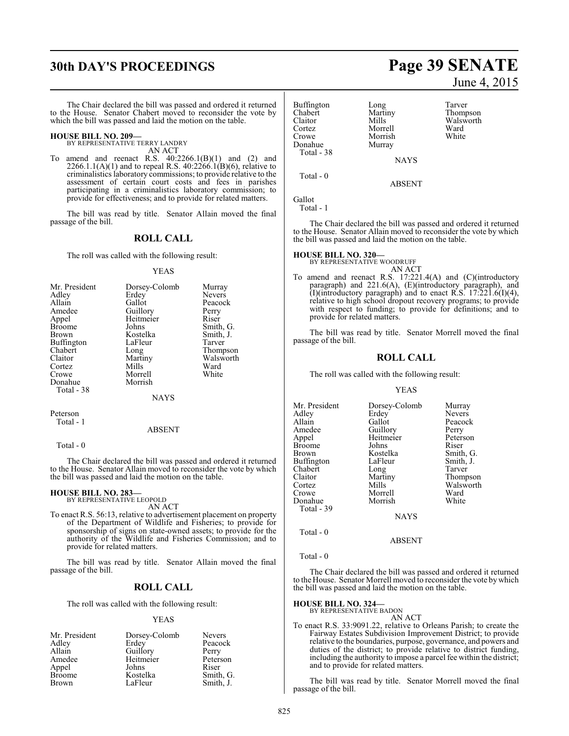# **30th DAY'S PROCEEDINGS Page 39 SENATE**

The Chair declared the bill was passed and ordered it returned to the House. Senator Chabert moved to reconsider the vote by which the bill was passed and laid the motion on the table.

#### **HOUSE BILL NO. 209—** BY REPRESENTATIVE TERRY LANDRY

AN ACT

To amend and reenact R.S.  $40:2266.1(B)(1)$  and  $(2)$  and  $2266.1.1(A)(1)$  and to repeal R.S.  $40:2266.1(B)(6)$ , relative to criminalistics laboratory commissions; to provide relative to the assessment of certain court costs and fees in parishes participating in a criminalistics laboratory commission; to provide for effectiveness; and to provide for related matters.

The bill was read by title. Senator Allain moved the final passage of the bill.

#### **ROLL CALL**

The roll was called with the following result:

#### YEAS

| Mr. President | Dorsey-Colomb | Murray        |
|---------------|---------------|---------------|
| Adley         | Erdey         | <b>Nevers</b> |
| Allain        | Gallot        | Peacock       |
| Amedee        | Guillory      | Perry         |
| Appel         | Heitmeier     | Riser         |
| <b>Broome</b> | Johns         | Smith, G.     |
| <b>Brown</b>  | Kostelka      | Smith, J.     |
| Buffington    | LaFleur       | Tarver        |
| Chabert       | Long          | Thompson      |
| Claitor       | Martiny       | Walsworth     |
| Cortez        | Mills         | Ward          |
| Crowe         | Morrell       | White         |
| Donahue       | Morrish       |               |
| Total - 38    |               |               |
|               | NAYS          |               |

Peterson Total - 1

#### ABSENT

Total - 0

The Chair declared the bill was passed and ordered it returned to the House. Senator Allain moved to reconsider the vote by which the bill was passed and laid the motion on the table.

#### **HOUSE BILL NO. 283**

BY REPRESENTATIVE LEOPOLD AN ACT

To enact R.S. 56:13, relative to advertisement placement on property of the Department of Wildlife and Fisheries; to provide for sponsorship of signs on state-owned assets; to provide for the authority of the Wildlife and Fisheries Commission; and to provide for related matters.

The bill was read by title. Senator Allain moved the final passage of the bill.

## **ROLL CALL**

The roll was called with the following result:

#### YEAS

|           | <b>Nevers</b> |
|-----------|---------------|
| Erdey     | Peacock       |
| Guillory  | Perry         |
| Heitmeier | Peterson      |
| Johns     | Riser         |
| Kostelka  | Smith, G.     |
| LaFleur   | Smith, J.     |
|           | Dorsey-Colomb |

# June 4, 2015

| <b>Buffington</b><br>Chabert<br>Claitor<br>Cortez<br>Crowe<br>Donahue<br>Total - 38 | Long<br>Martiny<br>Mills<br>Morrell<br>Morrish<br>Murray | Tarver<br>Thompson<br>Walsworth<br>Ward<br>White |
|-------------------------------------------------------------------------------------|----------------------------------------------------------|--------------------------------------------------|
|                                                                                     | <b>NAYS</b>                                              |                                                  |
| Total $-0$                                                                          | <b>ABSENT</b>                                            |                                                  |
| Gallot                                                                              |                                                          |                                                  |

Total - 1

The Chair declared the bill was passed and ordered it returned to the House. Senator Allain moved to reconsider the vote by which the bill was passed and laid the motion on the table.

#### **HOUSE BILL NO. 320—**

BY REPRESENTATIVE WOODRUFF AN ACT

To amend and reenact R.S. 17:221.4(A) and (C)(introductory paragraph) and 221.6(A), (E)(introductory paragraph), and (I)(introductory paragraph) and to enact R.S.  $17:221.6(1)(4)$ , relative to high school dropout recovery programs; to provide with respect to funding; to provide for definitions; and to provide for related matters.

The bill was read by title. Senator Morrell moved the final passage of the bill.

#### **ROLL CALL**

The roll was called with the following result:

#### YEAS

| Dorsey-Colomb | Murray        |
|---------------|---------------|
| Erdey         | <b>Nevers</b> |
| Gallot        | Peacock       |
|               | Perry         |
| Heitmeier     | Peterson      |
| Johns         | Riser         |
| Kostelka      | Smith, G.     |
| LaFleur       | Smith, J.     |
| Long          | Tarver        |
| Martiny       | Thompson      |
| Mills         | Walsworth     |
| Morrell       | Ward          |
| Morrish       | White         |
|               |               |
| <b>NAYS</b>   |               |
|               | Guillory      |

Total - 0

ABSENT

Total - 0

The Chair declared the bill was passed and ordered it returned to the House. Senator Morrell moved to reconsider the vote bywhich the bill was passed and laid the motion on the table.

# **HOUSE BILL NO. 324—** BY REPRESENTATIVE BADON

## AN ACT

To enact R.S. 33:9091.22, relative to Orleans Parish; to create the Fairway Estates Subdivision Improvement District; to provide relative to the boundaries, purpose, governance, and powers and duties of the district; to provide relative to district funding, including the authority to impose a parcel fee within the district; and to provide for related matters.

The bill was read by title. Senator Morrell moved the final passage of the bill.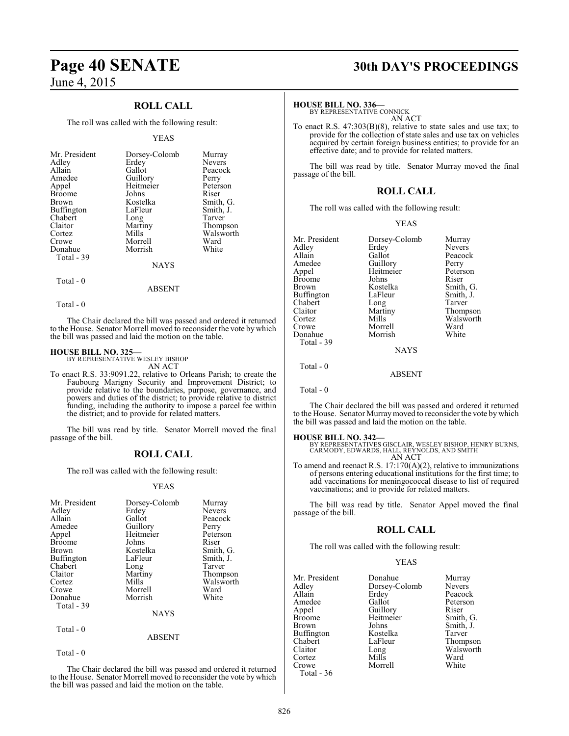## **ROLL CALL**

The roll was called with the following result:

#### YEAS

| Mr. President | Dorsey-Colomb | Murray        |
|---------------|---------------|---------------|
| Adley         | Erdey         | <b>Nevers</b> |
| Allain        | Gallot        | Peacock       |
| Amedee        | Guillory      | Perry         |
| Appel         | Heitmeier     | Peterson      |
| <b>Broome</b> | Johns         | Riser         |
| Brown         | Kostelka      | Smith, G.     |
| Buffington    | LaFleur       | Smith, J.     |
| Chabert       | Long          | Tarver        |
| Claitor       | Martiny       | Thompson      |
| Cortez        | Mills         | Walsworth     |
| Crowe         | Morrell       | Ward          |
| Donahue       | Morrish       | White         |
| Total - 39    |               |               |
|               | NAYS          |               |

Total - 0

ABSENT

Total - 0

The Chair declared the bill was passed and ordered it returned to the House. Senator Morrell moved to reconsider the vote by which the bill was passed and laid the motion on the table.

#### **HOUSE BILL NO. 325—**

BY REPRESENTATIVE WESLEY BISHOP AN ACT

To enact R.S. 33:9091.22, relative to Orleans Parish; to create the Faubourg Marigny Security and Improvement District; to provide relative to the boundaries, purpose, governance, and powers and duties of the district; to provide relative to district funding, including the authority to impose a parcel fee within the district; and to provide for related matters.

The bill was read by title. Senator Morrell moved the final passage of the bill.

### **ROLL CALL**

The roll was called with the following result:

#### YEAS

| Mr. President<br>Adley<br>Allain<br>Amedee<br>Appel<br><b>Broome</b><br><b>Brown</b><br>Buffington<br>Chabert<br>Claitor<br>Cortez<br>Crowe<br>Donahue | Dorsey-Colomb<br>Erdey<br>Gallot<br>Guillory<br>Heitmeier<br>Johns<br>Kostelka<br>LaFleur<br>Long<br>Martiny<br>Mills<br>Morrell<br>Morrish | Murray<br><b>Nevers</b><br>Peacock<br>Perry<br>Peterson<br>Riser<br>Smith, G.<br>Smith, J.<br>Tarver<br>Thompson<br>Walsworth<br>Ward<br>White |
|--------------------------------------------------------------------------------------------------------------------------------------------------------|---------------------------------------------------------------------------------------------------------------------------------------------|------------------------------------------------------------------------------------------------------------------------------------------------|
| Total - 39                                                                                                                                             | <b>NAYS</b>                                                                                                                                 |                                                                                                                                                |
| Total - 0                                                                                                                                              | ABSENT                                                                                                                                      |                                                                                                                                                |

Total - 0

The Chair declared the bill was passed and ordered it returned to the House. Senator Morrell moved to reconsider the vote by which the bill was passed and laid the motion on the table.

# **Page 40 SENATE 30th DAY'S PROCEEDINGS**

**HOUSE BILL NO. 336—**

BY REPRESENTATIVE CONNICK AN ACT

To enact R.S. 47:303(B)(8), relative to state sales and use tax; to provide for the collection of state sales and use tax on vehicles acquired by certain foreign business entities; to provide for an effective date; and to provide for related matters.

The bill was read by title. Senator Murray moved the final passage of the bill.

#### **ROLL CALL**

The roll was called with the following result:

#### YEAS

| Mr. President<br>Adley<br>Allain<br>Amedee<br>Appel<br>Broome<br>Brown<br>Buffington<br>Chabert<br>Claitor<br>Cortez<br>Crowe<br>Donahue | Dorsey-Colomb<br>Erdey<br>Gallot<br>Guillory<br>Heitmeier<br>Johns<br>Kostelka<br>LaFleur<br>Long<br>Martiny<br>Mills<br>Morrell<br>Morrish | Murray<br><b>Nevers</b><br>Peacock<br>Perry<br>Peterson<br>Riser<br>Smith, G.<br>Smith, J.<br>Tarver<br>Thompson<br>Walsworth<br>Ward<br>White |
|------------------------------------------------------------------------------------------------------------------------------------------|---------------------------------------------------------------------------------------------------------------------------------------------|------------------------------------------------------------------------------------------------------------------------------------------------|
| Total - 39                                                                                                                               |                                                                                                                                             |                                                                                                                                                |
|                                                                                                                                          | <b>NAYS</b>                                                                                                                                 |                                                                                                                                                |
| Total - 0                                                                                                                                | <b>ABSENT</b>                                                                                                                               |                                                                                                                                                |

Total - 0

The Chair declared the bill was passed and ordered it returned to the House. Senator Murraymoved to reconsider the vote by which the bill was passed and laid the motion on the table.

**HOUSE BILL NO. 342—** BY REPRESENTATIVES GISCLAIR, WESLEY BISHOP, HENRY BURNS, CARMODY, EDWARDS, HALL, REYNOLDS, AND SMITH AN ACT

To amend and reenact R.S. 17:170(A)(2), relative to immunizations of persons entering educational institutions for the first time; to add vaccinations for meningococcal disease to list of required vaccinations; and to provide for related matters.

The bill was read by title. Senator Appel moved the final passage of the bill.

#### **ROLL CALL**

The roll was called with the following result:

#### YEAS

| Mr. President | Donahue       | Murra  |
|---------------|---------------|--------|
| Adley         | Dorsey-Colomb | Nevers |
| Allain        | Erdey         | Peacod |
| Amedee        | Gallot        | Peters |
| Appel         | Guillory      | Riser  |
| Broome        | Heitmeier     | Smith, |
| Brown         | Johns         | Smith, |
| Buffington    | Kostelka      | Tarver |
| Chabert       | LaFleur       | Thomp  |
| Claitor       | Long          | Walsw  |
| Cortez        | Mills         | Ward   |
| Crowe         | Morrell       | White  |
| Total - 36    |               |        |
|               |               |        |

nahue Murray<br>
sey-Colomb Nevers ey Peacock<br>lot Peterson lot Peterson<br>
llory Riser tmeier Smith, G. ns Smith, J.<br>stelka Tarver Thompson lg Walsworth<br>Is Ward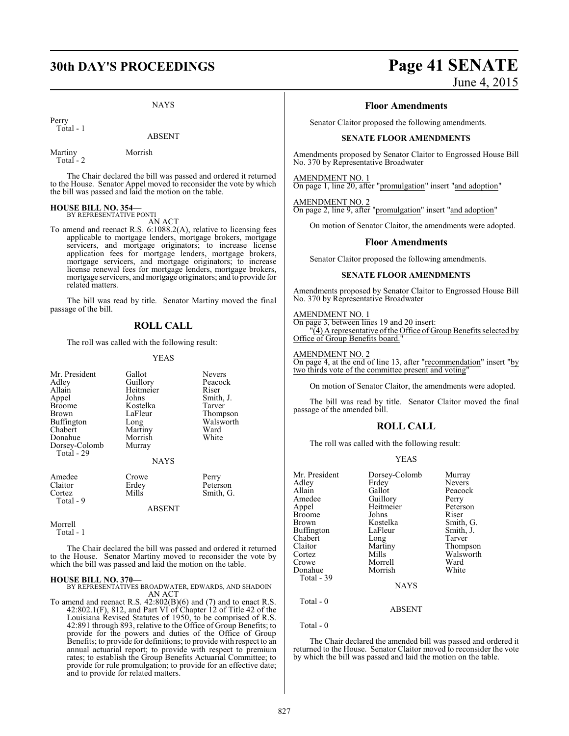NAYS

Perry Total - 1

ABSENT

Martiny Morrish Total - 2

The Chair declared the bill was passed and ordered it returned to the House. Senator Appel moved to reconsider the vote by which the bill was passed and laid the motion on the table.

# **HOUSE BILL NO. 354—** BY REPRESENTATIVE PONTI

AN ACT

To amend and reenact R.S. 6:1088.2(A), relative to licensing fees applicable to mortgage lenders, mortgage brokers, mortgage servicers, and mortgage originators; to increase license application fees for mortgage lenders, mortgage brokers, mortgage servicers, and mortgage originators; to increase license renewal fees for mortgage lenders, mortgage brokers, mortgage servicers, and mortgage originators; and to provide for related matters.

The bill was read by title. Senator Martiny moved the final passage of the bill.

#### **ROLL CALL**

The roll was called with the following result:

#### YEAS

| Mr. President<br>Adley<br>Allain<br>Appel<br><b>Broome</b><br><b>Brown</b><br><b>Buffington</b><br>Chabert<br>Donahue<br>Dorsey-Colomb<br>Total - 29 | Gallot<br>Guillory<br>Heitmeier<br>Johns<br>Kostelka<br>LaFleur<br>Long<br>Martiny<br>Morrish<br>Murray<br><b>NAYS</b> | <b>Nevers</b><br>Peacock<br>Riser<br>Smith, J.<br>Tarver<br>Thompson<br>Walsworth<br>Ward<br>White |
|------------------------------------------------------------------------------------------------------------------------------------------------------|------------------------------------------------------------------------------------------------------------------------|----------------------------------------------------------------------------------------------------|
| Amedee<br>Claitor<br>Cortez<br>Total - 9                                                                                                             | Crowe<br>Erdey<br>Mills<br><b>ABSENT</b>                                                                               | Perry<br>Peterson<br>Smith, G.                                                                     |

Morrell Total - 1

The Chair declared the bill was passed and ordered it returned to the House. Senator Martiny moved to reconsider the vote by which the bill was passed and laid the motion on the table.

**HOUSE BILL NO. 370—** BY REPRESENTATIVES BROADWATER, EDWARDS, AND SHADOIN AN ACT

To amend and reenact R.S. 42:802(B)(6) and (7) and to enact R.S. 42:802.1(F), 812, and Part VI of Chapter 12 of Title 42 of the Louisiana Revised Statutes of 1950, to be comprised of R.S. 42:891 through 893, relative to the Office of Group Benefits; to provide for the powers and duties of the Office of Group Benefits; to provide for definitions; to provide with respect to an annual actuarial report; to provide with respect to premium rates; to establish the Group Benefits Actuarial Committee; to provide for rule promulgation; to provide for an effective date; and to provide for related matters.

# **30th DAY'S PROCEEDINGS Page 41 SENATE**

June 4, 2015

#### **Floor Amendments**

Senator Claitor proposed the following amendments.

#### **SENATE FLOOR AMENDMENTS**

Amendments proposed by Senator Claitor to Engrossed House Bill No. 370 by Representative Broadwater

AMENDMENT NO. 1

On page 1, line 20, after "promulgation" insert "and adoption"

AMENDMENT NO. 2 On page 2, line 9, after "promulgation" insert "and adoption"

On motion of Senator Claitor, the amendments were adopted.

#### **Floor Amendments**

Senator Claitor proposed the following amendments.

#### **SENATE FLOOR AMENDMENTS**

Amendments proposed by Senator Claitor to Engrossed House Bill No. 370 by Representative Broadwater

#### AMENDMENT NO. 1

On page 3, between lines 19 and 20 insert:  $\mathcal{A}(\mathcal{A})$  A representative of the Office of Group Benefits selected by Office of Group Benefits board."

#### AMENDMENT NO. 2

On page 4, at the end of line 13, after "recommendation" insert "by two thirds vote of the committee present and voting

On motion of Senator Claitor, the amendments were adopted.

The bill was read by title. Senator Claitor moved the final passage of the amended bill.

#### **ROLL CALL**

The roll was called with the following result:

#### YEAS

|             | Murray                             |
|-------------|------------------------------------|
|             | <b>Nevers</b>                      |
| Gallot      | Peacock                            |
|             | Perry                              |
| Heitmeier   | Peterson                           |
| Johns       | Riser                              |
| Kostelka    | Smith, G.                          |
| LaFleur     | Smith, J.                          |
| Long        | Tarver                             |
| Martiny     | Thompson                           |
| Mills       | Walsworth                          |
| Morrell     | Ward                               |
| Morrish     | White                              |
|             |                                    |
| <b>NAYS</b> |                                    |
|             |                                    |
| ABSENT      |                                    |
|             | Dorsey-Colomb<br>Erdey<br>Guillory |

Total - 0

The Chair declared the amended bill was passed and ordered it returned to the House. Senator Claitor moved to reconsider the vote by which the bill was passed and laid the motion on the table.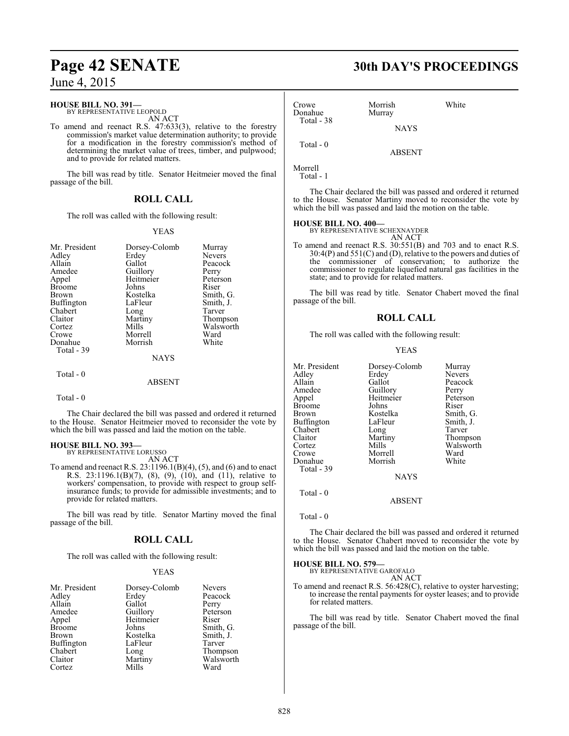#### **HOUSE BILL NO. 391—**

BY REPRESENTATIVE LEOPOLD AN ACT

To amend and reenact R.S. 47:633(3), relative to the forestry commission's market value determination authority; to provide for a modification in the forestry commission's method of determining the market value of trees, timber, and pulpwood; and to provide for related matters.

The bill was read by title. Senator Heitmeier moved the final passage of the bill.

## **ROLL CALL**

The roll was called with the following result:

#### YEAS

| Mr. President     | Dorsey-Colomb | Murray        |
|-------------------|---------------|---------------|
| Adley             | Erdey         | <b>Nevers</b> |
| Allain            | Gallot        | Peacock       |
| Amedee            | Guillory      | Perry         |
| Appel             | Heitmeier     | Peterson      |
| <b>Broome</b>     | Johns         | Riser         |
| Brown             | Kostelka      | Smith, G.     |
| <b>Buffington</b> | LaFleur       | Smith, J.     |
| Chabert           | Long          | Tarver        |
| Claitor           | Martiny       | Thompson      |
| Cortez            | Mills         | Walsworth     |
| Crowe             | Morrell       | Ward          |
| Donahue           | Morrish       | White         |
| Total - 39        |               |               |
|                   | <b>NAYS</b>   |               |
| Total - 0         |               |               |
|                   | ABSENT        |               |

Total - 0

The Chair declared the bill was passed and ordered it returned to the House. Senator Heitmeier moved to reconsider the vote by which the bill was passed and laid the motion on the table.

# **HOUSE BILL NO. 393—** BY REPRESENTATIVE LORUSSO

AN ACT

To amend and reenact R.S.  $23:1196.1(B)(4)$ , (5), and (6) and to enact R.S. 23:1196.1(B)(7), (8), (9), (10), and (11), relative to workers' compensation, to provide with respect to group selfinsurance funds; to provide for admissible investments; and to provide for related matters.

The bill was read by title. Senator Martiny moved the final passage of the bill.

#### **ROLL CALL**

The roll was called with the following result:

#### YEAS

| Mr. President | Dorsey-Colomb | <b>Nevers</b> |
|---------------|---------------|---------------|
| Adley         | Erdey         | Peacock       |
| Allain        | Gallot        | Perry         |
| Amedee        | Guillory      | Peterson      |
| Appel         | Heitmeier     | Riser         |
| <b>Broome</b> | Johns         | Smith, G.     |
| <b>Brown</b>  | Kostelka      | Smith, J.     |
| Buffington    | LaFleur       | Tarver        |
| Chabert       | Long          | Thompson      |
| Claitor       | Martiny       | Walsworth     |
| Cortez        | Mills         | Ward          |

# **Page 42 SENATE 30th DAY'S PROCEEDINGS**

| Crowe<br>Donahue<br>Total - 38 | Morrish<br>Murray | White |  |
|--------------------------------|-------------------|-------|--|
|                                | <b>NAYS</b>       |       |  |
| Total $-0$                     | <b>ABSENT</b>     |       |  |
| Morrell                        |                   |       |  |

Total - 1

The Chair declared the bill was passed and ordered it returned to the House. Senator Martiny moved to reconsider the vote by which the bill was passed and laid the motion on the table.

**HOUSE BILL NO. 400—** BY REPRESENTATIVE SCHEXNAYDER AN ACT

To amend and reenact R.S. 30:551(B) and 703 and to enact R.S. 30:4(P) and 551(C) and (D), relative to the powers and duties of the commissioner of conservation; to authorize the commissioner to regulate liquefied natural gas facilities in the state; and to provide for related matters.

The bill was read by title. Senator Chabert moved the final passage of the bill.

#### **ROLL CALL**

The roll was called with the following result:

#### YEAS

| Mr. President     | Dorsey-Colomb | Murray        |
|-------------------|---------------|---------------|
| Adley             | Erdey         | <b>Nevers</b> |
| Allain            | Gallot        | Peacock       |
| Amedee            | Guillory      | Perry         |
| Appel             | Heitmeier     | Peterson      |
| <b>Broome</b>     | Johns         | Riser         |
| Brown             | Kostelka      | Smith, G.     |
| <b>Buffington</b> | LaFleur       | Smith, J.     |
| Chabert           | Long          | Tarver        |
| Claitor           | Martiny       | Thompson      |
| Cortez            | Mills         | Walsworth     |
| Crowe             | Morrell       | Ward          |
| Donahue           | Morrish       | White         |
| Total - 39        |               |               |
|                   | <b>NAYS</b>   |               |

Total - 0

Total - 0

The Chair declared the bill was passed and ordered it returned to the House. Senator Chabert moved to reconsider the vote by which the bill was passed and laid the motion on the table.

ABSENT

#### **HOUSE BILL NO. 579—**

BY REPRESENTATIVE GAROFALO AN ACT

To amend and reenact R.S. 56:428(C), relative to oyster harvesting; to increase the rental payments for oyster leases; and to provide for related matters.

The bill was read by title. Senator Chabert moved the final passage of the bill.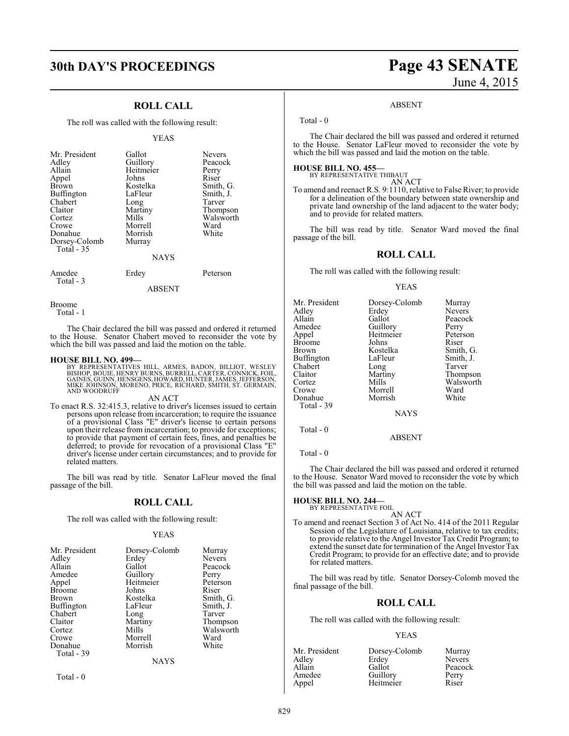### **ROLL CALL**

The roll was called with the following result:

#### YEAS

| Mr. President<br>Adley<br>Allain<br>Appel<br><b>Brown</b><br>Buffington<br>Chabert<br>Claitor<br>Cortez<br>Crowe<br>Donahue<br>Dorsey-Colomb<br>Total - 35 | Gallot<br>Guillory<br>Heitmeier<br>Johns<br>Kostelka<br>LaFleur<br>Long<br>Martiny<br>Mills<br>Morrell<br>Morrish<br>Murray | <b>Nevers</b><br>Peacock<br>Perry<br>Riser<br>Smith, G.<br>Smith, J.<br>Tarver<br>Thompson<br>Walsworth<br>Ward<br>White |
|------------------------------------------------------------------------------------------------------------------------------------------------------------|-----------------------------------------------------------------------------------------------------------------------------|--------------------------------------------------------------------------------------------------------------------------|
|                                                                                                                                                            | <b>NAYS</b>                                                                                                                 |                                                                                                                          |

Amedee Erdey Peterson Total - 3

ABSENT

Broome

Total - 1

The Chair declared the bill was passed and ordered it returned to the House. Senator Chabert moved to reconsider the vote by which the bill was passed and laid the motion on the table.

#### **HOUSE BILL NO. 499—**

BY REPRESENTATIVES HILL, ARMES, BADON, BILLIOT, WESLEY<br>BISHOP,BOUIE,HENRY BURNS,BURRELL,CARTER,CONNICK,FOIL,<br>GAINES,GUINN,HENSGENS,HOWARD,HUNTER,JAMES,JEFFERSON,<br>MIKE JOHNSON,MORENO,PRICE,RICHARD,SMITH, ST. GERMAIN,<br>AND WO

AN ACT

To enact R.S. 32:415.3, relative to driver's licenses issued to certain persons upon release from incarceration; to require the issuance of a provisional Class "E" driver's license to certain persons upon their release from incarceration; to provide for exceptions; to provide that payment of certain fees, fines, and penalties be deferred; to provide for revocation of a provisional Class "E" driver's license under certain circumstances; and to provide for related matters.

The bill was read by title. Senator LaFleur moved the final passage of the bill.

#### **ROLL CALL**

The roll was called with the following result:

#### YEAS

| Mr. President | Dorsey-Colomb | Murray        |
|---------------|---------------|---------------|
| Adley         | Erdey         | <b>Nevers</b> |
| Allain        | Gallot        | Peacock       |
| Amedee        | Guillory      | Perry         |
| Appel         | Heitmeier     | Peterson      |
| <b>Broome</b> | Johns         | Riser         |
| Brown         | Kostelka      | Smith, G.     |
| Buffington    | LaFleur       | Smith, J.     |
| Chabert       | Long          | Tarver        |
| Claitor       | Martiny       | Thompson      |
| Cortez        | Mills         | Walsworth     |
| Crowe         | Morrell       | Ward          |
| Donahue       | Morrish       | White         |
| Total - 39    |               |               |
|               | NAYS          |               |

Total - 0

# **30th DAY'S PROCEEDINGS Page 43 SENATE** June 4, 2015

#### ABSENT

Total - 0

The Chair declared the bill was passed and ordered it returned to the House. Senator LaFleur moved to reconsider the vote by which the bill was passed and laid the motion on the table.

**HOUSE BILL NO. 455—** BY REPRESENTATIVE THIBAUT AN ACT

To amend and reenact R.S. 9:1110, relative to False River; to provide for a delineation of the boundary between state ownership and private land ownership of the land adjacent to the water body; and to provide for related matters.

The bill was read by title. Senator Ward moved the final passage of the bill.

#### **ROLL CALL**

The roll was called with the following result:

#### YEAS

| Mr. President | Dorsey-Colomb | Murray        |
|---------------|---------------|---------------|
| Adlev         | Erdey         | <b>Nevers</b> |
| Allain        | Gallot        | Peacock       |
| Amedee        | Guillory      | Perry         |
| Appel         | Heitmeier     | Peterson      |
| Broome        | Johns         | Riser         |
| Brown         | Kostelka      | Smith, G.     |
| Buffington    | LaFleur       | Smith, J.     |
| Chabert       | Long          | Tarver        |
| Claitor       | Martiny       | Thompson      |
| Cortez        | Mills         | Walsworth     |
| Crowe         | Morrell       | Ward          |
| Donahue       | Morrish       | White         |
| Total - 39    |               |               |
|               | <b>NAYS</b>   |               |
| Total - 0     |               |               |

ABSENT

Total - 0

The Chair declared the bill was passed and ordered it returned to the House. Senator Ward moved to reconsider the vote by which the bill was passed and laid the motion on the table.

# **HOUSE BILL NO. 244—** BY REPRESENTATIVE FOIL

AN ACT

To amend and reenact Section 3 of Act No. 414 of the 2011 Regular Session of the Legislature of Louisiana, relative to tax credits; to provide relative to the Angel Investor Tax Credit Program; to extend the sunset date for termination of the Angel Investor Tax Credit Program; to provide for an effective date; and to provide for related matters.

The bill was read by title. Senator Dorsey-Colomb moved the final passage of the bill.

#### **ROLL CALL**

The roll was called with the following result:

#### YEAS

| Mr. President | Dorsey-Colomb | Murray        |
|---------------|---------------|---------------|
| Adley         | Erdey         | <b>Nevers</b> |
| Allain        | Gallot        | Peacock       |
| Amedee        | Guillory      | Perry         |
| Appel         | Heitmeier     | Riser         |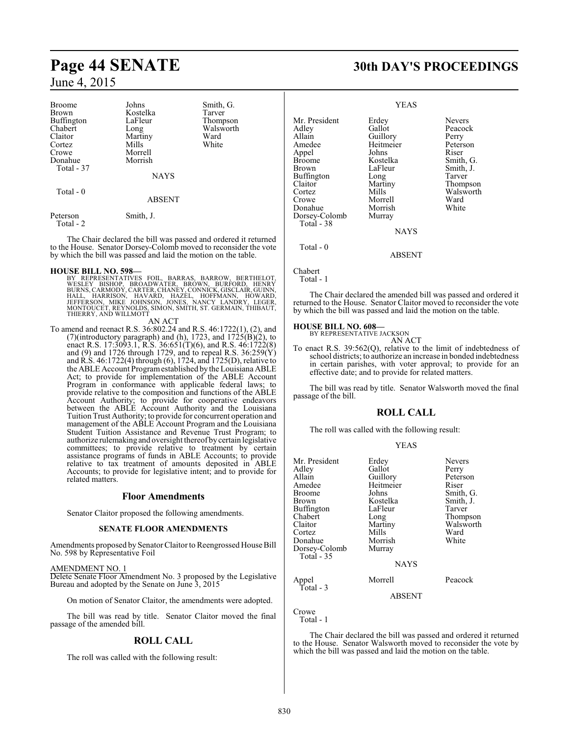| <b>Broome</b> | Johns         | Smith, G. |
|---------------|---------------|-----------|
| <b>Brown</b>  | Kostelka      | Tarver    |
| Buffington    | LaFleur       | Thompson  |
| Chabert       | Long          | Walsworth |
| Claitor       | Martiny       | Ward      |
| Cortez        | Mills         | White     |
| Crowe         | Morrell       |           |
| Donahue       | Morrish       |           |
| Total - 37    |               |           |
|               | <b>NAYS</b>   |           |
|               |               |           |
| Total $-0$    |               |           |
|               | <b>ABSENT</b> |           |
| Peterson      | Smith, J.     |           |

Total - 2

The Chair declared the bill was passed and ordered it returned to the House. Senator Dorsey-Colomb moved to reconsider the vote by which the bill was passed and laid the motion on the table.

**HOUSE BILL NO. 598—** BY REPRESENTATIVES FOIL, BARRAS, BARROW, BERTHELOT, WESLEY BISHOP, BROADWATER, BROWN, BURFORD, HENRY<br>BURNS,CARMODY,CARTER,CHANEY,CONNICK,GISCLAIR,GUINN,<br>HALL, HARRISON, HAVARD, HAZEL, HOFFMANN, HOWARD,<br>JEFFERSON, MIKE JOHNSON, JONES, NANCY LANDRY, LEGER,<br>MONTOUCET,REYNOLDS,

#### AN ACT

To amend and reenact R.S. 36:802.24 and R.S. 46:1722(1), (2), and (7)(introductory paragraph) and (h), 1723, and  $1725(B)(2)$ , to enact R.S. 17:3093.1, R.S. 36:651(T)(6), and R.S. 46:1722(8) and  $(9)$  and 1726 through 1729, and to repeal R.S. 36:259 $(Y)$ and R.S. 46:1722(4) through (6), 1724, and 1725(D), relative to the ABLE Account Program established by the Louisiana ABLE Act; to provide for implementation of the ABLE Account Program in conformance with applicable federal laws; to provide relative to the composition and functions of the ABLE Account Authority; to provide for cooperative endeavors between the ABLE Account Authority and the Louisiana Tuition Trust Authority; to provide for concurrent operation and management of the ABLE Account Program and the Louisiana Student Tuition Assistance and Revenue Trust Program; to authorize rulemaking and oversight thereof by certain legislative committees; to provide relative to treatment by certain assistance programs of funds in ABLE Accounts; to provide relative to tax treatment of amounts deposited in ABLE Accounts; to provide for legislative intent; and to provide for related matters.

#### **Floor Amendments**

Senator Claitor proposed the following amendments.

#### **SENATE FLOOR AMENDMENTS**

Amendments proposed by SenatorClaitor to Reengrossed House Bill No. 598 by Representative Foil

#### AMENDMENT NO. 1

Delete Senate Floor Amendment No. 3 proposed by the Legislative Bureau and adopted by the Senate on June 3, 2015

On motion of Senator Claitor, the amendments were adopted.

The bill was read by title. Senator Claitor moved the final passage of the amended bill.

#### **ROLL CALL**

The roll was called with the following result:

# **Page 44 SENATE 30th DAY'S PROCEEDINGS**

#### YEAS

Mr. President Erdey Nevers<br>Adley Gallot Peacoc Adley Gallot Peacock<br>Allain Guillory Perry Allain Guillory Perry<br>
Amedee Heitmeier Peterson Heitmeier Peters<br>Johns Riser Appel Johns<br>Broome Kostelka Broome Kostelka Smith, G. Buffington Long<br>Claitor Martiny Claitor Martiny Thompson<br>Cortez Mills Walsworth Cortez Mills Walsworth<br>Crowe Morrell Ward Morrell Ward<br>
Morrish White Donahue Morrish<br>Dorsey-Colomb Murray Dorsey-Colomb

LaFleur Smith, J.<br>Long Tarver

**NAYS** 

#### ABSENT

Chabert

```
 Total - 1
```
Total - 38

Total - 0

The Chair declared the amended bill was passed and ordered it returned to the House. Senator Claitor moved to reconsider the vote by which the bill was passed and laid the motion on the table.

#### **HOUSE BILL NO. 608—**

BY REPRESENTATIVE JACKSON

AN ACT To enact R.S. 39:562(Q), relative to the limit of indebtedness of school districts; to authorize an increase in bonded indebtedness in certain parishes, with voter approval; to provide for an effective date; and to provide for related matters.

The bill was read by title. Senator Walsworth moved the final passage of the bill.

### **ROLL CALL**

The roll was called with the following result:

|--|--|

| Mr. President<br>Adlev<br>Allain<br>Amedee<br>Broome<br>Brown<br>Buffington<br>Chabert<br>Claitor<br>Cortez<br>Donahue<br>Dorsey-Colomb | Erdey<br>Gallot<br>Guillory<br>Heitmeier<br>Johns<br>Kostelka<br>LaFleur<br>Long<br>Martiny<br>Mills<br>Morrish<br>Murray | <b>Nevers</b><br>Perry<br>Peterson<br>Riser<br>Smith, G.<br>Smith, J.<br>Tarver<br>Thompson<br>Walsworth<br>Ward<br>White |
|-----------------------------------------------------------------------------------------------------------------------------------------|---------------------------------------------------------------------------------------------------------------------------|---------------------------------------------------------------------------------------------------------------------------|
| Total - 35                                                                                                                              | <b>NAYS</b>                                                                                                               |                                                                                                                           |
| Appel<br>Total - 3                                                                                                                      | Morrell                                                                                                                   | Peacock                                                                                                                   |

ABSENT

Crowe Total - 1

The Chair declared the bill was passed and ordered it returned to the House. Senator Walsworth moved to reconsider the vote by which the bill was passed and laid the motion on the table.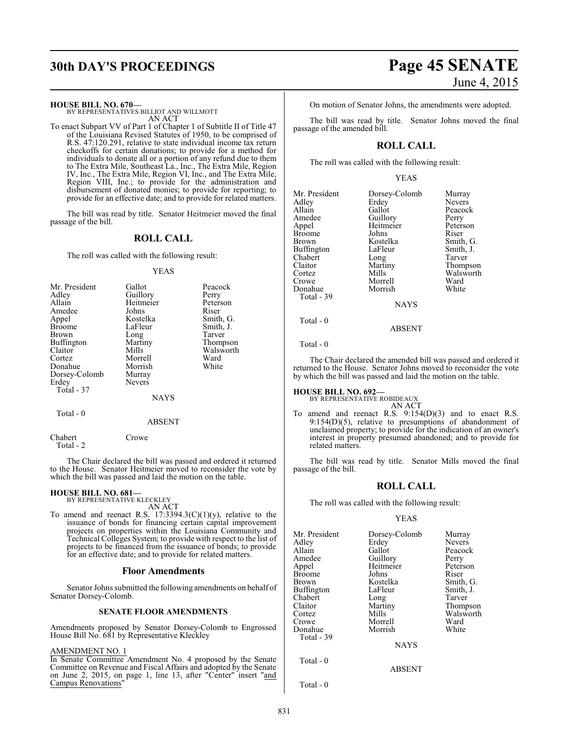#### **HOUSE BILL NO. 670—**

BY REPRESENTATIVES BILLIOT AND WILLMOTT AN ACT

To enact Subpart VV of Part 1 of Chapter 1 of Subtitle II of Title 47 of the Louisiana Revised Statutes of 1950, to be comprised of R.S. 47:120.291, relative to state individual income tax return checkoffs for certain donations; to provide for a method for individuals to donate all or a portion of any refund due to them to The Extra Mile, Southeast La., Inc., The Extra Mile, Region IV, Inc., The Extra Mile, Region VI, Inc., and The Extra Mile, Region VIII, Inc.; to provide for the administration and disbursement of donated monies; to provide for reporting; to provide for an effective date; and to provide for related matters.

The bill was read by title. Senator Heitmeier moved the final passage of the bill.

#### **ROLL CALL**

The roll was called with the following result:

#### YEAS

| Mr. President | Gallot        | Peacock   |
|---------------|---------------|-----------|
| Adley         | Guillory      | Perry     |
| Allain        | Heitmeier     | Peterson  |
| Amedee        | Johns         | Riser     |
| Appel         | Kostelka      | Smith, G. |
| <b>Broome</b> | LaFleur       | Smith, J. |
| <b>Brown</b>  | Long          | Tarver    |
| Buffington    | Martiny       | Thompson  |
| Claitor       | Mills         | Walsworth |
| Cortez        | Morrell       | Ward      |
| Donahue       | Morrish       | White     |
| Dorsey-Colomb | Murray        |           |
| Erdey         | <b>Nevers</b> |           |
| Total - 37    |               |           |
|               | NAYS          |           |

#### Total - 0

#### ABSENT

Chabert Crowe Total - 2

The Chair declared the bill was passed and ordered it returned to the House. Senator Heitmeier moved to reconsider the vote by which the bill was passed and laid the motion on the table.

#### **HOUSE BILL NO. 681—**

BY REPRESENTATIVE KLECKLEY AN ACT

To amend and reenact R.S.  $17:3394.3(C)(1)(y)$ , relative to the issuance of bonds for financing certain capital improvement projects on properties within the Louisiana Community and Technical Colleges System; to provide with respect to the list of projects to be financed from the issuance of bonds; to provide for an effective date; and to provide for related matters.

#### **Floor Amendments**

Senator Johns submitted the following amendments on behalf of Senator Dorsey-Colomb.

#### **SENATE FLOOR AMENDMENTS**

Amendments proposed by Senator Dorsey-Colomb to Engrossed House Bill No. 681 by Representative Kleckley

#### AMENDMENT NO. 1

In Senate Committee Amendment No. 4 proposed by the Senate Committee on Revenue and Fiscal Affairs and adopted by the Senate on June 2, 2015, on page 1, line 13, after "Center" insert "and Campus Renovations"

On motion of Senator Johns, the amendments were adopted.

The bill was read by title. Senator Johns moved the final passage of the amended bill.

### **ROLL CALL**

The roll was called with the following result:

#### YEAS

| Mr. President | Dorsey-Colomb | Murray        |
|---------------|---------------|---------------|
| Adley         | Erdey         | <b>Nevers</b> |
| Allain        | Gallot        | Peacock       |
| Amedee        | Guillory      | Perry         |
| Appel         | Heitmeier     | Peterson      |
| <b>Broome</b> | Johns         | Riser         |
| <b>Brown</b>  | Kostelka      | Smith, G.     |
| Buffington    | LaFleur       | Smith, J.     |
| Chabert       | Long          | Tarver        |
| Claitor       | Martiny       | Thompson      |
| Cortez        | Mills         | Walsworth     |
| Crowe         | Morrell       | Ward          |
| Donahue       | Morrish       | White         |
| Total - 39    |               |               |
|               | NAYS          |               |

Total - 0

Total - 0

The Chair declared the amended bill was passed and ordered it returned to the House. Senator Johns moved to reconsider the vote by which the bill was passed and laid the motion on the table.

ABSENT

#### **HOUSE BILL NO. 692—** BY REPRESENTATIVE ROBIDEAUX

AN ACT

To amend and reenact R.S. 9:154(D)(3) and to enact R.S. 9:154(D)(5), relative to presumptions of abandonment of unclaimed property; to provide for the indication of an owner's interest in property presumed abandoned; and to provide for related matters.

The bill was read by title. Senator Mills moved the final passage of the bill.

#### **ROLL CALL**

The roll was called with the following result:

#### YEAS

| Mr. President | Dorsey-Colomb | Murray        |
|---------------|---------------|---------------|
| Adlev         | Erdey         | <b>Nevers</b> |
| Allain        | Gallot        | Peacock       |
| Amedee        | Guillory      | Perry         |
| Appel         | Heitmeier     | Peterson      |
| Broome        | Johns         | Riser         |
| Brown         | Kostelka      | Smith, G.     |
| Buffington    | LaFleur       | Smith, J.     |
| Chabert       | Long          | Tarver        |
| Claitor       | Martiny       | Thompson      |
| Cortez        | Mills         | Walsworth     |
| Crowe         | Morrell       | Ward          |
| Donahue       | Morrish       | White         |
| Total - 39    |               |               |
|               | <b>NAYS</b>   |               |
| Total - 0     |               |               |
|               | <b>ABSENT</b> |               |

Total - 0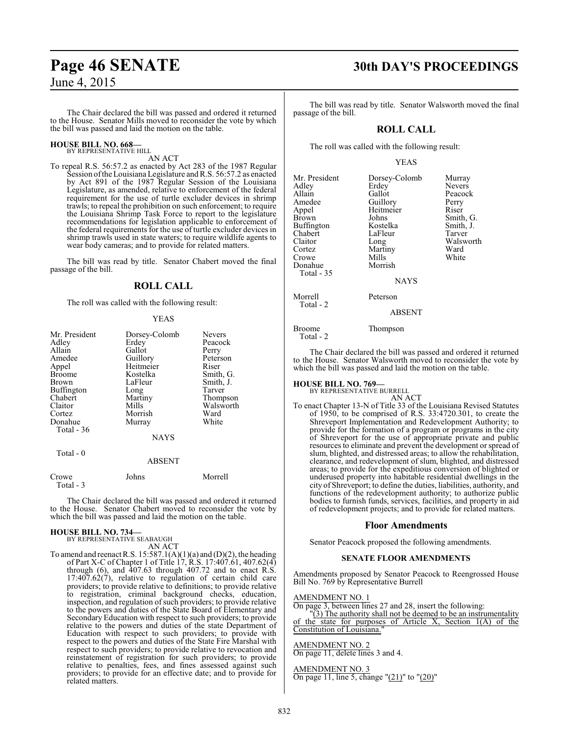## The Chair declared the bill was passed and ordered it returned to the House. Senator Mills moved to reconsider the vote by which

#### **HOUSE BILL NO. 668—** BY REPRESENTATIVE HILL

## AN ACT

the bill was passed and laid the motion on the table.

To repeal R.S. 56:57.2 as enacted by Act 283 of the 1987 Regular Session oftheLouisiana Legislature andR.S. 56:57.2 as enacted by Act 891 of the 1987 Regular Session of the Louisiana Legislature, as amended, relative to enforcement of the federal requirement for the use of turtle excluder devices in shrimp trawls; to repeal the prohibition on such enforcement; to require the Louisiana Shrimp Task Force to report to the legislature recommendations for legislation applicable to enforcement of the federal requirements for the use of turtle excluder devices in shrimp trawls used in state waters; to require wildlife agents to wear body cameras; and to provide for related matters.

The bill was read by title. Senator Chabert moved the final passage of the bill.

#### **ROLL CALL**

The roll was called with the following result:

#### YEAS

| Mr. President      | Dorsey-Colomb | <b>Nevers</b> |
|--------------------|---------------|---------------|
| Adley              | Erdey         | Peacock       |
| Allain             | Gallot        |               |
|                    |               | Perry         |
| Amedee             | Guillory      | Peterson      |
| Appel              | Heitmeier     | Riser         |
| <b>Broome</b>      | Kostelka      | Smith, G.     |
| Brown              | LaFleur       | Smith, J.     |
| Buffington         | Long          | Tarver        |
| Chabert            | Martiny       | Thompson      |
| Claitor            | Mills         | Walsworth     |
| Cortez             | Morrish       | Ward          |
| Donahue            | Murray        | White         |
| Total $-36$        |               |               |
|                    | <b>NAYS</b>   |               |
| Total - 0          |               |               |
|                    | <b>ABSENT</b> |               |
| Crowe<br>Total - 3 | Johns         | Morrell       |

The Chair declared the bill was passed and ordered it returned to the House. Senator Chabert moved to reconsider the vote by which the bill was passed and laid the motion on the table.

#### **HOUSE BILL NO. 734—**

BY REPRESENTATIVE SEABAUGH AN ACT

To amend and reenact R.S.  $15:587.1(A)(1)(a)$  and  $(D)(2)$ , the heading of Part X-C of Chapter 1 of Title 17, R.S. 17:407.61, 407.62(4) through  $(6)$ , and  $\overline{407.63}$  through  $407.72$  and to enact R.S. 17:407.62(7), relative to regulation of certain child care providers; to provide relative to definitions; to provide relative to registration, criminal background checks, education, inspection, and regulation of such providers; to provide relative to the powers and duties of the State Board of Elementary and Secondary Education with respect to such providers; to provide relative to the powers and duties of the state Department of Education with respect to such providers; to provide with respect to the powers and duties of the State Fire Marshal with respect to such providers; to provide relative to revocation and reinstatement of registration for such providers; to provide relative to penalties, fees, and fines assessed against such providers; to provide for an effective date; and to provide for related matters.

# **Page 46 SENATE 30th DAY'S PROCEEDINGS**

The bill was read by title. Senator Walsworth moved the final passage of the bill.

#### **ROLL CALL**

The roll was called with the following result:

#### YEAS

| Mr. President<br>Adley<br>Allain<br>Amedee<br>Appel<br><b>Brown</b><br>Buffington<br>Chabert<br>Claitor<br>Cortez<br>Crowe<br>Donahue<br>Total - 35 | Dorsey-Colomb<br>Erdey<br>Gallot<br>Guillory<br>Heitmeier<br>Johns<br>Kostelka<br>LaFleur<br>Long<br>Martiny<br>Mills<br>Morrish<br><b>NAYS</b> | Murray<br><b>Nevers</b><br>Peacock<br>Perry<br>Riser<br>Smith, G.<br>Smith, J.<br>Tarver<br>Walsworth<br>Ward<br>White |
|-----------------------------------------------------------------------------------------------------------------------------------------------------|-------------------------------------------------------------------------------------------------------------------------------------------------|------------------------------------------------------------------------------------------------------------------------|
| Morrell<br>Total - 2                                                                                                                                | Peterson                                                                                                                                        |                                                                                                                        |
|                                                                                                                                                     | <b>ABSENT</b>                                                                                                                                   |                                                                                                                        |
| Broome                                                                                                                                              | Thompson                                                                                                                                        |                                                                                                                        |

Total - 2

The Chair declared the bill was passed and ordered it returned to the House. Senator Walsworth moved to reconsider the vote by which the bill was passed and laid the motion on the table.

# **HOUSE BILL NO. 769—** BY REPRESENTATIVE BURRELL

AN ACT To enact Chapter 13-N of Title 33 of the Louisiana Revised Statutes of 1950, to be comprised of R.S. 33:4720.301, to create the Shreveport Implementation and Redevelopment Authority; to provide for the formation of a program or programs in the city of Shreveport for the use of appropriate private and public resources to eliminate and prevent the development or spread of slum, blighted, and distressed areas; to allow the rehabilitation, clearance, and redevelopment of slum, blighted, and distressed areas; to provide for the expeditious conversion of blighted or underused property into habitable residential dwellings in the city of Shreveport; to define the duties, liabilities, authority, and functions of the redevelopment authority; to authorize public bodies to furnish funds, services, facilities, and property in aid of redevelopment projects; and to provide for related matters.

#### **Floor Amendments**

Senator Peacock proposed the following amendments.

#### **SENATE FLOOR AMENDMENTS**

Amendments proposed by Senator Peacock to Reengrossed House Bill No. 769 by Representative Burrell

#### AMENDMENT NO. 1

On page 3, between lines 27 and 28, insert the following:

"(3) The authority shall not be deemed to be an instrumentality of the state for purposes of Article X, Section 1(A) of the Constitution of Louisiana.

#### AMENDMENT NO. 2

On page 11, delete lines 3 and 4.

#### AMENDMENT NO. 3

On page 11, line 5, change "(21)" to "(20)"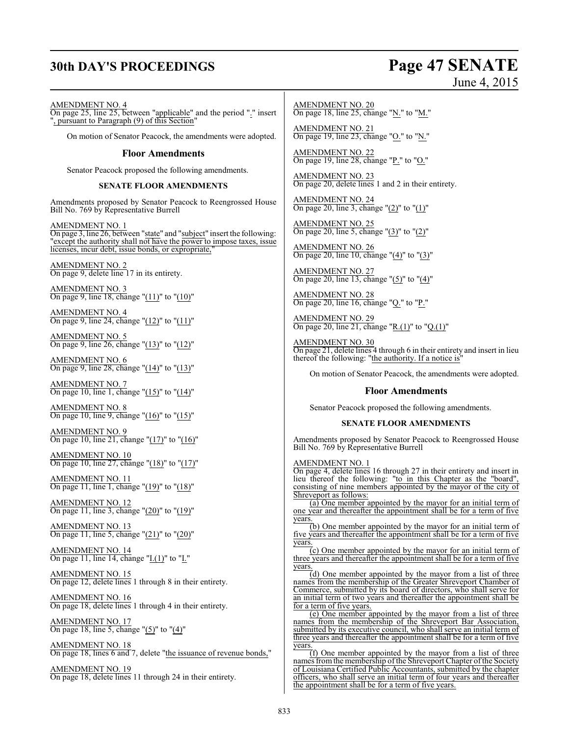# **30th DAY'S PROCEEDINGS Page 47 SENATE**

## June 4, 2015

#### AMENDMENT NO. 4

On page 25, line 25, between "applicable" and the period "." insert ", pursuant to Paragraph (9) of this Section"

On motion of Senator Peacock, the amendments were adopted.

#### **Floor Amendments**

Senator Peacock proposed the following amendments.

#### **SENATE FLOOR AMENDMENTS**

Amendments proposed by Senator Peacock to Reengrossed House Bill No. 769 by Representative Burrell

AMENDMENT NO. 1 On page 3, line 26, between "state" and "subject" insert the following: except the authority shall not have the power to impose taxes, issue licenses, incur debt, issue bonds, or expropriate,

AMENDMENT NO. 2 On page 9, delete line 17 in its entirety.

AMENDMENT NO. 3 On page 9, line 18, change "(11)" to "(10)"

AMENDMENT NO. 4 On page 9, line 24, change "(12)" to "(11)"

AMENDMENT NO. 5 On page 9, line 26, change "(13)" to "(12)"

AMENDMENT NO. 6 On page 9, line 28, change "(14)" to "(13)"

AMENDMENT NO. 7 On page 10, line 1, change "(15)" to "(14)"

AMENDMENT NO. 8 On page 10, line 9, change "(16)" to "(15)"

AMENDMENT NO. 9 On page 10, line 21, change "(17)" to "(16)"

AMENDMENT NO. 10 On page 10, line 27, change "(18)" to "(17)"

AMENDMENT NO. 11 On page 11, line 1, change " $(19)$ " to " $(18)$ "

AMENDMENT NO. 12 On page 11, line 3, change " $(20)$ " to " $(19)$ "

AMENDMENT NO. 13 On page 11, line 5, change "(21)" to "(20)"

AMENDMENT NO. 14 On page 11, line 14, change " $I.(1)$ " to " $I.'$ "

AMENDMENT NO. 15 On page 12, delete lines 1 through 8 in their entirety.

AMENDMENT NO. 16 On page 18, delete lines 1 through 4 in their entirety.

AMENDMENT NO. 17 On page 18, line 5, change " $(5)$ " to " $(4)$ "

AMENDMENT NO. 18 On page 18, lines 6 and 7, delete "the issuance of revenue bonds,"

AMENDMENT NO. 19 On page 18, delete lines 11 through 24 in their entirety.

AMENDMENT NO. 20 On page 18, line 25, change "N." to "M."

AMENDMENT NO. 21 On page 19, line 23, change "O." to "N."

AMENDMENT NO. 22 On page 19, line 28, change "P." to "O."

AMENDMENT NO. 23 On page 20, delete lines 1 and 2 in their entirety.

AMENDMENT NO. 24 On page 20, line 3, change "(2)" to "(1)"

AMENDMENT NO. 25 On page 20, line 5, change "(3)" to "(2)"

AMENDMENT NO. 26 On page 20, line 10, change "(4)" to "(3)"

AMENDMENT NO. 27 On page 20, line 13, change "(5)" to "(4)"

AMENDMENT NO. 28 On page 20, line 16, change "Q." to "P."

AMENDMENT NO. 29 On page 20, line 21, change "R.(1)" to "Q.(1)"

AMENDMENT NO. 30 On page 21, delete lines 4 through 6 in their entirety and insert in lieu thereof the following: "the authority. If a notice is"

On motion of Senator Peacock, the amendments were adopted.

#### **Floor Amendments**

Senator Peacock proposed the following amendments.

#### **SENATE FLOOR AMENDMENTS**

Amendments proposed by Senator Peacock to Reengrossed House Bill No. 769 by Representative Burrell

#### AMENDMENT NO. 1

On page 4, delete lines 16 through 27 in their entirety and insert in lieu thereof the following: "to in this Chapter as the "board", consisting of nine members appointed by the mayor of the city of Shreveport as follows:

(a) One member appointed by the mayor for an initial term of one year and thereafter the appointment shall be for a term of five years.

(b) One member appointed by the mayor for an initial term of five years and thereafter the appointment shall be for a term of five years.

 $\overline{c}$ ) One member appointed by the mayor for an initial term of three years and thereafter the appointment shall be for a term of five years.

 $(d)$  One member appointed by the mayor from a list of three names from the membership of the Greater Shreveport Chamber of Commerce, submitted by its board of directors, who shall serve for an initial term of two years and thereafter the appointment for a term of five years.

(e) One member appointed by the mayor from a list of three names from the membership of the Shreveport Bar Association, submitted by its executive council, who shall serve an initial term of three years and thereafter the appointment shall be for a term of five years

(f) One member appointed by the mayor from a list of three names from the membership of the Shreveport Chapter of the Society of Louisiana Certified Public Accountants, submitted by the chapter officers, who shall serve an initial term of four years and thereafter the appointment shall be for a term of five years.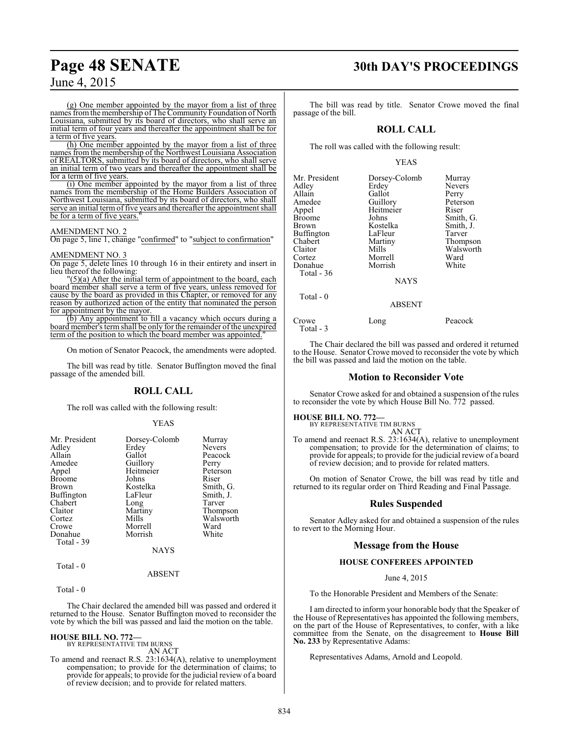(g) One member appointed by the mayor from a list of three names fromthe membership of The Community Foundation of North Louisiana, submitted by its board of directors, who shall serve an initial term of four years and thereafter the appointment shall be for a term of five years.

(h) One member appointed by the mayor from a list of three names from the membership of the Northwest Louisiana Association of REALTORS, submitted by its board of directors, who shall serve an initial term of two years and thereafter the appointment shall be for a term of five years.

(i) One member appointed by the mayor from a list of three names from the membership of the Home Builders Association of Northwest Louisiana, submitted by its board of directors, who shall serve an initial term of five years and thereafter the appointment shall be for a term of five years.

#### AMENDMENT NO. 2

On page 5, line 1, change "confirmed" to "subject to confirmation"

#### AMENDMENT NO. 3

On page 5, delete lines 10 through 16 in their entirety and insert in lieu thereof the following:

"(5)(a) After the initial term of appointment to the board, each board member shall serve a term of five years, unless removed for cause by the board as provided in this Chapter, or removed for any reason by authorized action of the entity that nominated the person for appointment by the mayor.

(b) Any appointment to fill a vacancy which occurs during a board member's term shall be only for the remainder of the unexpired term of the position to which the board member was appointed.

On motion of Senator Peacock, the amendments were adopted.

The bill was read by title. Senator Buffington moved the final passage of the amended bill.

#### **ROLL CALL**

The roll was called with the following result:

#### YEAS

| Mr. President<br>Adley<br>Allain<br>Amedee<br>Appel<br><b>Broome</b><br><b>Brown</b><br><b>Buffington</b><br>Chabert<br>Claitor | Dorsey-Colomb<br>Erdey<br>Gallot<br>Guillory<br>Heitmeier<br>Johns<br>Kostelka<br>LaFleur<br>Long<br>Martiny | Murray<br><b>Nevers</b><br>Peacock<br>Perry<br>Peterson<br>Riser<br>Smith, G.<br>Smith, J.<br>Tarver<br>Thompson |
|---------------------------------------------------------------------------------------------------------------------------------|--------------------------------------------------------------------------------------------------------------|------------------------------------------------------------------------------------------------------------------|
|                                                                                                                                 |                                                                                                              |                                                                                                                  |
|                                                                                                                                 |                                                                                                              |                                                                                                                  |
|                                                                                                                                 |                                                                                                              |                                                                                                                  |
| Cortez                                                                                                                          | Mills                                                                                                        | Walsworth                                                                                                        |
| Crowe                                                                                                                           | Morrell                                                                                                      | Ward                                                                                                             |
| Donahue                                                                                                                         | Morrish                                                                                                      | White                                                                                                            |
| Total - 39                                                                                                                      |                                                                                                              |                                                                                                                  |
|                                                                                                                                 | <b>NAYS</b>                                                                                                  |                                                                                                                  |

### ABSENT

Total - 0

Total - 0

The Chair declared the amended bill was passed and ordered it returned to the House. Senator Buffington moved to reconsider the vote by which the bill was passed and laid the motion on the table.

**HOUSE BILL NO. 772—** BY REPRESENTATIVE TIM BURNS

AN ACT

To amend and reenact R.S. 23:1634(A), relative to unemployment compensation; to provide for the determination of claims; to provide for appeals; to provide for the judicial review of a board of review decision; and to provide for related matters.

# **Page 48 SENATE 30th DAY'S PROCEEDINGS**

The bill was read by title. Senator Crowe moved the final passage of the bill.

#### **ROLL CALL**

The roll was called with the following result:

#### YEAS

| Mr. President      | Dorsey-Colomb | Murray        |
|--------------------|---------------|---------------|
| Adley              | Erdey         | <b>Nevers</b> |
| Allain             | Gallot        | Perry         |
| Amedee             | Guillory      | Peterson      |
| Appel              | Heitmeier     | Riser         |
| Broome             | Johns         | Smith, G.     |
| Brown              | Kostelka      | Smith, J.     |
| Buffington         | LaFleur       | Tarver        |
| Chabert            | Martiny       | Thompson      |
| Claitor            | Mills         | Walsworth     |
| Cortez             | Morrell       | Ward          |
| Donahue            | Morrish       | White         |
| Total - 36         |               |               |
|                    | <b>NAYS</b>   |               |
| Total - 0          |               |               |
|                    | <b>ABSENT</b> |               |
| Crowe<br>Total - 3 | Long          | Peacock       |

The Chair declared the bill was passed and ordered it returned to the House. Senator Crowe moved to reconsider the vote by which the bill was passed and laid the motion on the table.

#### **Motion to Reconsider Vote**

Senator Crowe asked for and obtained a suspension of the rules to reconsider the vote by which House Bill No. 772 passed.

**HOUSE BILL NO. 772—** BY REPRESENTATIVE TIM BURNS

AN ACT

To amend and reenact R.S. 23:1634(A), relative to unemployment compensation; to provide for the determination of claims; to provide for appeals; to provide for the judicial review of a board of review decision; and to provide for related matters.

On motion of Senator Crowe, the bill was read by title and returned to its regular order on Third Reading and Final Passage.

#### **Rules Suspended**

Senator Adley asked for and obtained a suspension of the rules to revert to the Morning Hour.

#### **Message from the House**

#### **HOUSE CONFEREES APPOINTED**

#### June 4, 2015

To the Honorable President and Members of the Senate:

I am directed to inform your honorable body that the Speaker of the House of Representatives has appointed the following members, on the part of the House of Representatives, to confer, with a like committee from the Senate, on the disagreement to **House Bill No. 233** by Representative Adams:

Representatives Adams, Arnold and Leopold.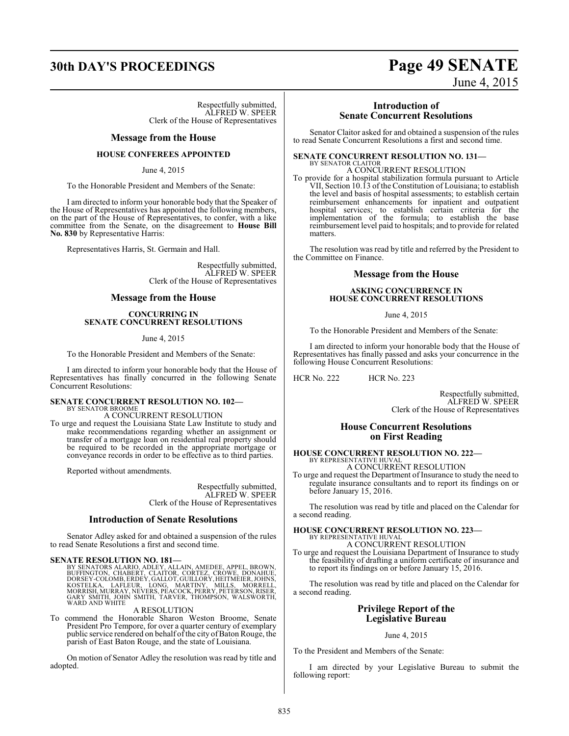# **30th DAY'S PROCEEDINGS Page 49 SENATE**

Respectfully submitted, ALFRED W. SPEER Clerk of the House of Representatives

#### **Message from the House**

#### **HOUSE CONFEREES APPOINTED**

June 4, 2015

To the Honorable President and Members of the Senate:

I am directed to inform your honorable body that the Speaker of the House of Representatives has appointed the following members, on the part of the House of Representatives, to confer, with a like committee from the Senate, on the disagreement to **House Bill No. 830** by Representative Harris:

Representatives Harris, St. Germain and Hall.

Respectfully submitted, ALFRED W. SPEER Clerk of the House of Representatives

#### **Message from the House**

#### **CONCURRING IN SENATE CONCURRENT RESOLUTIONS**

June 4, 2015

To the Honorable President and Members of the Senate:

I am directed to inform your honorable body that the House of Representatives has finally concurred in the following Senate Concurrent Resolutions:

#### **SENATE CONCURRENT RESOLUTION NO. 102—** BY SENATOR BROOME

A CONCURRENT RESOLUTION

To urge and request the Louisiana State Law Institute to study and make recommendations regarding whether an assignment or transfer of a mortgage loan on residential real property should be required to be recorded in the appropriate mortgage or conveyance records in order to be effective as to third parties.

Reported without amendments.

Respectfully submitted, ALFRED W. SPEER Clerk of the House of Representatives

#### **Introduction of Senate Resolutions**

Senator Adley asked for and obtained a suspension of the rules to read Senate Resolutions a first and second time.

SENATE RESOLUTION NO. 181—<br>BY SENATORS ALARIO, ADLEY, ALLAIN, AMEDEE, APPEL, BROWN,<br>BUFFINGTON, CHABERT, CLAITOR, CORTEZ, CRÓWE, DONAHUE,<br>DORSEY-COLOMB, ERDEY, GALLOT, GUILLORY, HEITMÉIER, JOHNS,<br>KOSTELKA, LAFLEUR, LONG, M WARD AND WHITE

#### A RESOLUTION

To commend the Honorable Sharon Weston Broome, Senate President Pro Tempore, for over a quarter century of exemplary public service rendered on behalf of the city of Baton Rouge, the parish of East Baton Rouge, and the state of Louisiana.

On motion of Senator Adley the resolution was read by title and adopted.

# **Introduction of**

June 4, 2015

**Senate Concurrent Resolutions**

Senator Claitor asked for and obtained a suspension of the rules to read Senate Concurrent Resolutions a first and second time.

#### **SENATE CONCURRENT RESOLUTION NO. 131—**

BY SENATOR CLAITOR A CONCURRENT RESOLUTION

To provide for a hospital stabilization formula pursuant to Article VII, Section 10.13 of the Constitution of Louisiana; to establish the level and basis of hospital assessments; to establish certain reimbursement enhancements for inpatient and outpatient hospital services; to establish certain criteria for the implementation of the formula; to establish the base reimbursement level paid to hospitals; and to provide for related matters.

The resolution was read by title and referred by the President to the Committee on Finance.

#### **Message from the House**

#### **ASKING CONCURRENCE IN HOUSE CONCURRENT RESOLUTIONS**

June 4, 2015

To the Honorable President and Members of the Senate:

I am directed to inform your honorable body that the House of Representatives has finally passed and asks your concurrence in the following House Concurrent Resolutions:

HCR No. 222 HCR No. 223

Respectfully submitted, ALFRED W. SPEER Clerk of the House of Representatives

#### **House Concurrent Resolutions on First Reading**

#### **HOUSE CONCURRENT RESOLUTION NO. 222—** BY REPRESENTATIVE HUVAL A CONCURRENT RESOLUTION

To urge and request the Department of Insurance to study the need to regulate insurance consultants and to report its findings on or before January 15, 2016.

The resolution was read by title and placed on the Calendar for a second reading.

## **HOUSE CONCURRENT RESOLUTION NO. 223—** BY REPRESENTATIVE HUVAL A CONCURRENT RESOLUTION

To urge and request the Louisiana Department of Insurance to study the feasibility of drafting a uniform certificate of insurance and to report its findings on or before January 15, 2016.

The resolution was read by title and placed on the Calendar for a second reading.

## **Privilege Report of the Legislative Bureau**

#### June 4, 2015

To the President and Members of the Senate:

I am directed by your Legislative Bureau to submit the following report: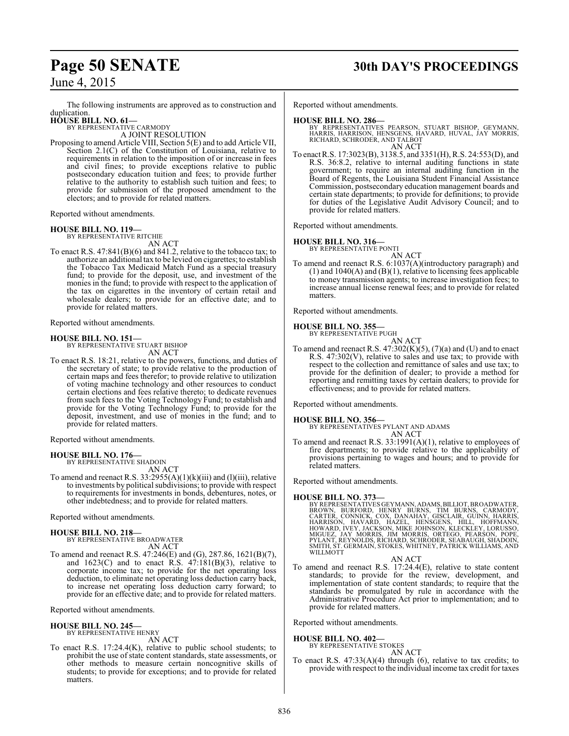# **Page 50 SENATE 30th DAY'S PROCEEDINGS**

June 4, 2015

The following instruments are approved as to construction and duplication.

**HOUSE BILL NO. 61—**

BY REPRESENTATIVE CARMODY A JOINT RESOLUTION

Proposing to amend Article VIII, Section 5(E) and to add Article VII, Section 2.1(C) of the Constitution of Louisiana, relative to requirements in relation to the imposition of or increase in fees and civil fines; to provide exceptions relative to public postsecondary education tuition and fees; to provide further relative to the authority to establish such tuition and fees; to provide for submission of the proposed amendment to the electors; and to provide for related matters.

Reported without amendments.

#### **HOUSE BILL NO. 119—**

BY REPRESENTATIVE RITCHIE AN ACT

To enact R.S. 47:841(B)(6) and 841.2, relative to the tobacco tax; to authorize an additional tax to be levied on cigarettes; to establish the Tobacco Tax Medicaid Match Fund as a special treasury fund; to provide for the deposit, use, and investment of the monies in the fund; to provide with respect to the application of the tax on cigarettes in the inventory of certain retail and wholesale dealers; to provide for an effective date; and to provide for related matters.

Reported without amendments.

#### **HOUSE BILL NO. 151—**

BY REPRESENTATIVE STUART BISHOP AN ACT

To enact R.S. 18:21, relative to the powers, functions, and duties of the secretary of state; to provide relative to the production of certain maps and fees therefor; to provide relative to utilization of voting machine technology and other resources to conduct certain elections and fees relative thereto; to dedicate revenues from such fees to the Voting Technology Fund; to establish and provide for the Voting Technology Fund; to provide for the deposit, investment, and use of monies in the fund; and to provide for related matters.

Reported without amendments.

#### **HOUSE BILL NO. 176—**

BY REPRESENTATIVE SHADOIN AN ACT

To amend and reenact R.S.  $33:2955(A)(1)(k)(iii)$  and (1)(iii), relative to investments by political subdivisions; to provide with respect to requirements for investments in bonds, debentures, notes, or other indebtedness; and to provide for related matters.

Reported without amendments.

## **HOUSE BILL NO. 218—**

BY REPRESENTATIVE BROADWATER AN ACT

To amend and reenact R.S. 47:246(E) and (G), 287.86, 1621(B)(7), and  $1623(C)$  and to enact R.S.  $47:181(B)(3)$ , relative to corporate income tax; to provide for the net operating loss deduction, to eliminate net operating loss deduction carry back, to increase net operating loss deduction carry forward; to provide for an effective date; and to provide for related matters.

Reported without amendments.

#### **HOUSE BILL NO. 245—** BY REPRESENTATIVE HENRY

AN ACT

To enact R.S. 17:24.4(K), relative to public school students; to prohibit the use of state content standards, state assessments, or other methods to measure certain noncognitive skills of students; to provide for exceptions; and to provide for related matters.

Reported without amendments.

#### **HOUSE BILL NO. 286—**

- BY REPRESENTATIVES PEARSON, STUART BISHOP, GEYMANN,<br>HARRIS, HARRISON, HENSGENS, HAVARD, HUVAL, JAY MORRIS,<br>RICHARD, SCHRODER, AND TALBOT AN ACT
- To enact R.S. 17:3023(B), 3138.5, and 3351(H), R.S. 24:553(D), and R.S. 36:8.2, relative to internal auditing functions in state government; to require an internal auditing function in the Board of Regents, the Louisiana Student Financial Assistance Commission, postsecondary education management boards and certain state departments; to provide for definitions; to provide for duties of the Legislative Audit Advisory Council; and to provide for related matters.

Reported without amendments.

#### **HOUSE BILL NO. 316—**

BY REPRESENTATIVE PONTI

AN ACT To amend and reenact R.S. 6:1037(A)(introductory paragraph) and (1) and 1040(A) and (B)(1), relative to licensing fees applicable to money transmission agents; to increase investigation fees; to increase annual license renewal fees; and to provide for related matters.

Reported without amendments.

# **HOUSE BILL NO. 355—** BY REPRESENTATIVE PUGH

AN ACT To amend and reenact R.S.  $47:302(K)(5)$ ,  $(7)(a)$  and  $(U)$  and to enact R.S. 47:302(V), relative to sales and use tax; to provide with respect to the collection and remittance of sales and use tax; to provide for the definition of dealer; to provide a method for reporting and remitting taxes by certain dealers; to provide for effectiveness; and to provide for related matters.

Reported without amendments.

#### **HOUSE BILL NO. 356—**

BY REPRESENTATIVES PYLANT AND ADAMS AN ACT

To amend and reenact R.S. 33:1991(A)(1), relative to employees of fire departments; to provide relative to the applicability of provisions pertaining to wages and hours; and to provide for related matters.

Reported without amendments.

HOUSE BILL NO. 373—<br>BY REPRESENTATIVES GEYMANN, ADAMS, BILLIOT, BROADWATER,<br>BROWN, BURFORD, HENRY BURNS, TIM BURNS, CARMODY,<br>CARTER, CONNICK, COX, DANAHAY, GISCLAIR, GUINN, HARRIS,<br>HARRISON, HAVARD, HAZEL, HENSGENS, HILL,

AN ACT To amend and reenact R.S. 17:24.4(E), relative to state content standards; to provide for the review, development, and implementation of state content standards; to require that the standards be promulgated by rule in accordance with the Administrative Procedure Act prior to implementation; and to provide for related matters.

Reported without amendments.

#### **HOUSE BILL NO. 402—**

BY REPRESENTATIVE STOKES AN ACT

To enact R.S.  $47:33(A)(4)$  through (6), relative to tax credits; to provide with respect to the individual income tax credit for taxes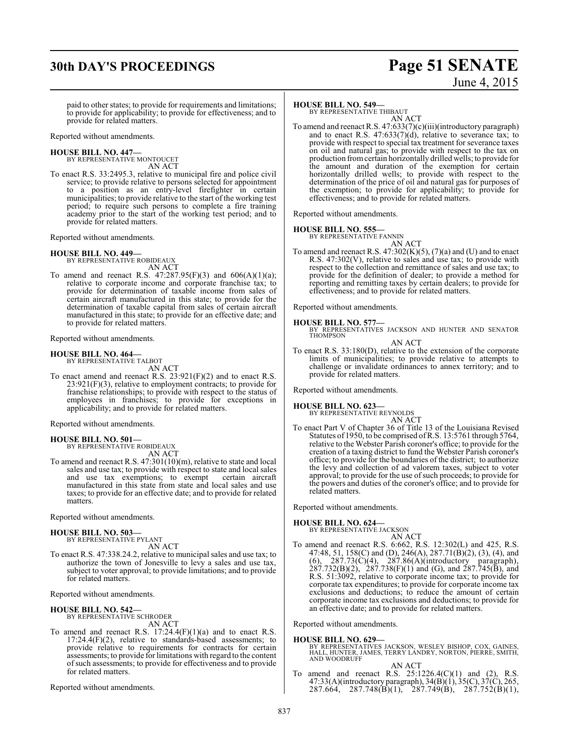# **30th DAY'S PROCEEDINGS Page 51 SENATE**

# June 4, 2015

paid to other states; to provide for requirements and limitations; to provide for applicability; to provide for effectiveness; and to provide for related matters.

Reported without amendments.

# **HOUSE BILL NO. 447—** BY REPRESENTATIVE MONTOUCET

AN ACT

To enact R.S. 33:2495.3, relative to municipal fire and police civil service; to provide relative to persons selected for appointment to a position as an entry-level firefighter in certain municipalities; to provide relative to the start of the working test period; to require such persons to complete a fire training academy prior to the start of the working test period; and to provide for related matters.

Reported without amendments.

# **HOUSE BILL NO. 449—** BY REPRESENTATIVE ROBIDEAUX

AN ACT

To amend and reenact R.S.  $47:287.95(F)(3)$  and  $606(A)(1)(a);$ relative to corporate income and corporate franchise tax; to provide for determination of taxable income from sales of certain aircraft manufactured in this state; to provide for the determination of taxable capital from sales of certain aircraft manufactured in this state; to provide for an effective date; and to provide for related matters.

Reported without amendments.

#### **HOUSE BILL NO. 464—**

BY REPRESENTATIVE TALBOT AN ACT

To enact amend and reenact R.S. 23:921(F)(2) and to enact R.S.  $23:921(F)(3)$ , relative to employment contracts; to provide for franchise relationships; to provide with respect to the status of employees in franchises; to provide for exceptions in applicability; and to provide for related matters.

Reported without amendments.

# **HOUSE BILL NO. 501—** BY REPRESENTATIVE ROBIDEAUX

AN ACT

To amend and reenact R.S. 47:301(10)(m), relative to state and local sales and use tax; to provide with respect to state and local sales and use tax exemptions; to exempt certain aircraft and use tax exemptions; to exempt manufactured in this state from state and local sales and use taxes; to provide for an effective date; and to provide for related matters.

Reported without amendments.

#### **HOUSE BILL NO. 503—** BY REPRESENTATIVE PYLANT

AN ACT

To enact R.S. 47:338.24.2, relative to municipal sales and use tax; to authorize the town of Jonesville to levy a sales and use tax, subject to voter approval; to provide limitations; and to provide for related matters.

Reported without amendments.

# **HOUSE BILL NO. 542—** BY REPRESENTATIVE SCHRODER

AN ACT

To amend and reenact R.S.  $17:24.4(F)(1)(a)$  and to enact R.S. 17:24.4(F)(2), relative to standards-based assessments; to provide relative to requirements for contracts for certain assessments; to provide for limitations with regard to the content ofsuch assessments; to provide for effectiveness and to provide for related matters.

Reported without amendments.

#### **HOUSE BILL NO. 549—**

BY REPRESENTATIVE THIBAUT AN ACT

To amend and reenact R.S. 47:633(7)(c)(iii)(introductory paragraph) and to enact R.S. 47:633(7)(d), relative to severance tax; to provide with respect to special tax treatment for severance taxes on oil and natural gas; to provide with respect to the tax on production fromcertain horizontally drilled wells; to provide for the amount and duration of the exemption for certain horizontally drilled wells; to provide with respect to the determination of the price of oil and natural gas for purposes of the exemption; to provide for applicability; to provide for effectiveness; and to provide for related matters.

Reported without amendments.

#### **HOUSE BILL NO. 555—**

BY REPRESENTATIVE FANNIN AN ACT

To amend and reenact R.S.  $47:302(K)(5)$ ,  $(7)(a)$  and (U) and to enact R.S. 47:302(V), relative to sales and use tax; to provide with respect to the collection and remittance of sales and use tax; to provide for the definition of dealer; to provide a method for reporting and remitting taxes by certain dealers; to provide for effectiveness; and to provide for related matters.

Reported without amendments.

#### **HOUSE BILL NO. 577—**

BY REPRESENTATIVES JACKSON AND HUNTER AND SENATOR THOMPSON

AN ACT To enact R.S. 33:180(D), relative to the extension of the corporate limits of municipalities; to provide relative to attempts to challenge or invalidate ordinances to annex territory; and to provide for related matters.

Reported without amendments.

# **HOUSE BILL NO. 623—** BY REPRESENTATIVE REYNOLDS

AN ACT

To enact Part V of Chapter 36 of Title 13 of the Louisiana Revised Statutes of 1950, to be comprised ofR.S. 13:5761 through 5764, relative to the Webster Parish coroner's office; to provide for the creation of a taxing district to fund the Webster Parish coroner's office; to provide for the boundaries of the district; to authorize the levy and collection of ad valorem taxes, subject to voter approval; to provide for the use of such proceeds; to provide for the powers and duties of the coroner's office; and to provide for related matters.

Reported without amendments.

#### **HOUSE BILL NO. 624—**

BY REPRESENTATIVE JACKSON

- AN ACT
- To amend and reenact R.S. 6:662, R.S. 12:302(L) and 425, R.S. 47:48, 51, 158(C) and (D), 246(A), 287.71(B)(2), (3), (4), and  $(6)$ , 287.73 $(\dot{C})(4)$ , 287.86 $(\dot{A})(introductory)$  paragraph),  $287.732(B)(2)$ ,  $287.738(F)(1)$  and (G), and  $287.745(B)$ , and R.S. 51:3092, relative to corporate income tax; to provide for corporate tax expenditures; to provide for corporate income tax exclusions and deductions; to reduce the amount of certain corporate income tax exclusions and deductions; to provide for an effective date; and to provide for related matters.

Reported without amendments.

#### **HOUSE BILL NO. 629—**

BY REPRESENTATIVES JACKSON, WESLEY BISHOP, COX, GAINES, HALL, HUNTER, JAMES, TERRY LANDRY, NORTON, PIERRE, SMITH, AND WOODRUFF

AN ACT

To amend and reenact R.S.  $25:1226.4(C)(1)$  and  $(2)$ , R.S. 47:33(A)(introductory paragraph), 34(B)(1), 35(C), 37(C), 265, 287.664, 287.748(B)(1), 287.749(B), 287.752(B)(1),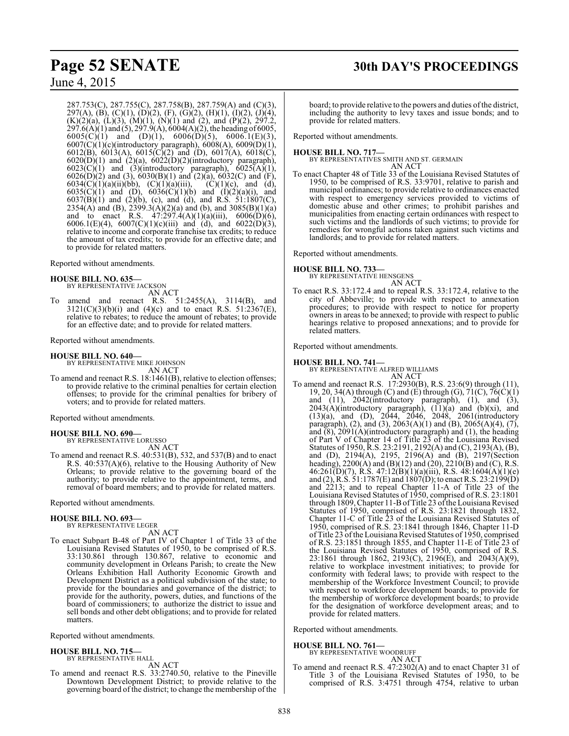287.753(C), 287.755(C), 287.758(B), 287.759(A) and (C)(3), 297(A), (B), (C)(1), (D)(2), (F), (G)(2), (H)(1), (I)(2), (J)(4),  $(K)(2)(a)$ ,  $(L)(3)$ ,  $(M)(1)$ ,  $(N)(1)$  and  $(2)$ , and  $(P)(2)$ , 297.2,  $297.6(A)(1)$  and  $(5)$ ,  $297.9(A)$ ,  $6004(A)(2)$ , the heading of 6005, 6005(C)(1) and (D)(1), 6006(D)(5), 6006.1(E)(3), 6007(C)(1)(c)(introductory paragraph), 6008(A), 6009(D)(1), 6012(B), 6013(A), 6015(C)(2) and (D), 6017(A), 6018(C),  $6020(D)(1)$  and  $(2)(a)$ ,  $6022(D)(2)(introductiony paragraph)$ ,  $6023(C)(1)$  and  $(3)(introductory paragraph)$ ,  $6025(A)(1)$ ,  $6026(D)(2)$  and (3),  $6030(B)(1)$  and  $(2)(a)$ ,  $6032(C)$  and  $(F)$ , 6034(C)(1)(a)(ii)(bb), (C)(1)(a)(iii), (C)(1)(c), and (d), 6035(C)(1) and (D), 6036(C)(1)(b) and (I)(2)(a)(i), and  $6037(B)(1)$  and  $(2)(b)$ , (c), and (d), and R.S. 51:1807(C), 2354(A) and (B), 2399.3(A)(2)(a) and (b), and 3085(B)(1)(a) and to enact R.S.  $47:297.4(A)(1)(a)(iii)$ ,  $6006(D)(6)$ , 6006.1(E)(4), 6007(C)(1)(c)(iii) and (d), and 6022(D)(3), relative to income and corporate franchise tax credits; to reduce the amount of tax credits; to provide for an effective date; and to provide for related matters.

#### Reported without amendments.

#### **HOUSE BILL NO. 635—**

BY REPRESENTATIVE JACKSON AN ACT

To amend and reenact R.S. 51:2455(A), 3114(B), and  $3121(C)(3)(b)(i)$  and  $(4)(c)$  and to enact R.S.  $51:2367(E)$ , relative to rebates; to reduce the amount of rebates; to provide for an effective date; and to provide for related matters.

Reported without amendments.

#### **HOUSE BILL NO. 640—**

BY REPRESENTATIVE MIKE JOHNSON AN ACT

To amend and reenact R.S. 18:1461(B), relative to election offenses; to provide relative to the criminal penalties for certain election offenses; to provide for the criminal penalties for bribery of voters; and to provide for related matters.

Reported without amendments.

#### **HOUSE BILL NO. 690—**

BY REPRESENTATIVE LORUSSO AN ACT

To amend and reenact R.S. 40:531(B), 532, and 537(B) and to enact R.S. 40:537(A)(6), relative to the Housing Authority of New Orleans; to provide relative to the governing board of the authority; to provide relative to the appointment, terms, and removal of board members; and to provide for related matters.

Reported without amendments.

# **HOUSE BILL NO. 693—** BY REPRESENTATIVE LEGER

AN ACT

To enact Subpart B-48 of Part IV of Chapter 1 of Title 33 of the Louisiana Revised Statutes of 1950, to be comprised of R.S. 33:130.861 through 130.867, relative to economic and community development in Orleans Parish; to create the New Orleans Exhibition Hall Authority Economic Growth and Development District as a political subdivision of the state; to provide for the boundaries and governance of the district; to provide for the authority, powers, duties, and functions of the board of commissioners; to authorize the district to issue and sell bonds and other debt obligations; and to provide for related matters.

#### Reported without amendments.

#### **HOUSE BILL NO. 715—** BY REPRESENTATIVE HALL

AN ACT

To amend and reenact R.S. 33:2740.50, relative to the Pineville Downtown Development District; to provide relative to the governing board of the district; to change the membership ofthe

# **Page 52 SENATE 30th DAY'S PROCEEDINGS**

board; to provide relative to the powers and duties of the district, including the authority to levy taxes and issue bonds; and to provide for related matters.

Reported without amendments.

**HOUSE BILL NO. 717—** BY REPRESENTATIVES SMITH AND ST. GERMAIN AN ACT

To enact Chapter 48 of Title 33 of the Louisiana Revised Statutes of 1950, to be comprised of R.S. 33:9701, relative to parish and municipal ordinances; to provide relative to ordinances enacted with respect to emergency services provided to victims of domestic abuse and other crimes; to prohibit parishes and municipalities from enacting certain ordinances with respect to such victims and the landlords of such victims; to provide for remedies for wrongful actions taken against such victims and landlords; and to provide for related matters.

Reported without amendments.

# **HOUSE BILL NO. 733—** BY REPRESENTATIVE HENSGENS

AN ACT

To enact R.S. 33:172.4 and to repeal R.S. 33:172.4, relative to the city of Abbeville; to provide with respect to annexation procedures; to provide with respect to notice for property owners in areas to be annexed; to provide with respect to public hearings relative to proposed annexations; and to provide for related matters.

Reported without amendments.

#### **HOUSE BILL NO. 741—**

BY REPRESENTATIVE ALFRED WILLIAMS AN ACT

To amend and reenact R.S. 17:2930(B), R.S. 23:6(9) through (11), 19, 20, 34(A) through (C) and (E) through (G),  $71(C)$ ,  $76(\hat{C})(1)$ and (11), 2042(introductory paragraph), (1), and (3),  $2043(A)$ (introductory paragraph),  $(11)(a)$  and  $(b)(xi)$ , and (13)(a), and (D), 2044, 2046, 2048, 2061(introductory paragraph), (2), and (3),  $2063(A)(1)$  and (B),  $2065(A)(4)$ , (7), and  $(8)$ , 2091(A)(introductory paragraph) and (1), the heading of Part V of Chapter 14 of Title 23 of the Louisiana Revised Statutes of 1950, R.S. 23:2191, 2192(A) and (C), 2193(A), (B), and (D), 2194(A), 2195, 2196(A) and (B), 2197(Section heading), 2200(A) and (B)(12) and (20), 2210(B) and (C), R.S. 46:261(D)(7), R.S. 47:12(B)(1)(a)(iii), R.S. 48:1604(A)(1)(e) and (2), R.S.  $51:1787(E)$  and  $1807(D)$ ; to enact R.S. 23:2199(D) and 2213; and to repeal Chapter 11-A of Title 23 of the Louisiana Revised Statutes of 1950, comprised of R.S. 23:1801 through 1809, Chapter 11-B of Title 23 of the Louisiana Revised Statutes of 1950, comprised of R.S. 23:1821 through 1832, Chapter 11-C of Title 23 of the Louisiana Revised Statutes of 1950, comprised of R.S. 23:1841 through 1846, Chapter 11-D of Title 23 oftheLouisiana Revised Statutes of 1950, comprised of R.S. 23:1851 through 1855, and Chapter 11-E of Title 23 of the Louisiana Revised Statutes of 1950, comprised of R.S. 23:1861 through 1862, 2193(C), 2196(E), and 2043(A)(9), relative to workplace investment initiatives; to provide for conformity with federal laws; to provide with respect to the membership of the Workforce Investment Council; to provide with respect to workforce development boards; to provide for the membership of workforce development boards; to provide for the designation of workforce development areas; and to provide for related matters.

Reported without amendments.

#### **HOUSE BILL NO. 761—**

BY REPRESENTATIVE WOODRUFF AN ACT

To amend and reenact R.S. 47:2302(A) and to enact Chapter 31 of Title 3 of the Louisiana Revised Statutes of 1950, to be comprised of R.S. 3:4751 through 4754, relative to urban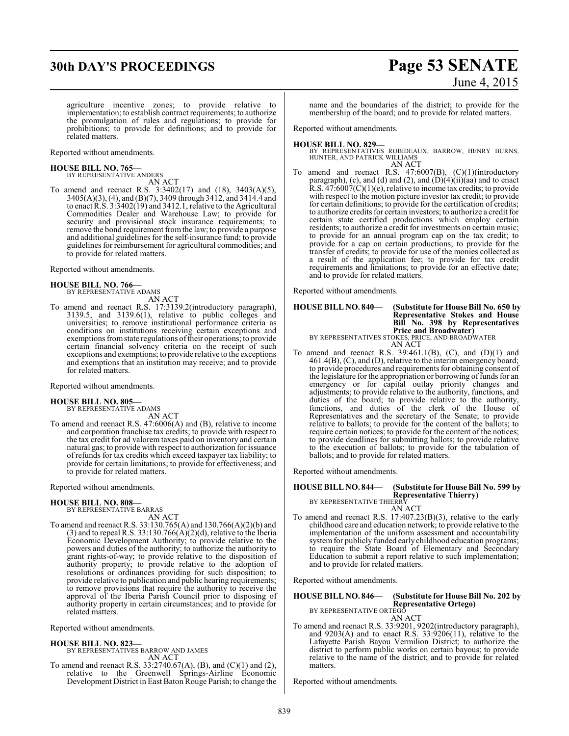# **30th DAY'S PROCEEDINGS Page 53 SENATE**

# June 4, 2015

agriculture incentive zones; to provide relative to implementation; to establish contract requirements; to authorize the promulgation of rules and regulations; to provide for prohibitions; to provide for definitions; and to provide for related matters.

Reported without amendments.

# **HOUSE BILL NO. 765—** BY REPRESENTATIVE ANDERS

AN ACT

To amend and reenact R.S. 3:3402(17) and (18), 3403(A)(5), 3405(A)(3), (4), and (B)(7), 3409 through 3412, and 3414.4 and to enact R.S. 3:3402(19) and 3412.1, relative to the Agricultural Commodities Dealer and Warehouse Law; to provide for security and provisional stock insurance requirements; to remove the bond requirement fromthe law; to provide a purpose and additional guidelines for the self-insurance fund; to provide guidelines for reimbursement for agricultural commodities; and to provide for related matters.

Reported without amendments.

#### **HOUSE BILL NO. 766—** BY REPRESENTATIVE ADAMS

AN ACT

To amend and reenact R.S. 17:3139.2(introductory paragraph), 3139.5, and 3139.6(1), relative to public colleges and universities; to remove institutional performance criteria as conditions on institutions receiving certain exceptions and exemptions from state regulations of their operations; to provide certain financial solvency criteria on the receipt of such exceptions and exemptions; to provide relative to the exceptions and exemptions that an institution may receive; and to provide for related matters.

Reported without amendments.

#### **HOUSE BILL NO. 805—** BY REPRESENTATIVE ADAMS

AN ACT

To amend and reenact R.S. 47:6006(A) and (B), relative to income and corporation franchise tax credits; to provide with respect to the tax credit for ad valorem taxes paid on inventory and certain natural gas; to provide with respect to authorization for issuance of refunds for tax credits which exceed taxpayer tax liability; to provide for certain limitations; to provide for effectiveness; and to provide for related matters.

Reported without amendments.

#### **HOUSE BILL NO. 808—**

BY REPRESENTATIVE BARRAS AN ACT

To amend and reenact R.S. 33:130.765(A) and 130.766(A)(2)(b) and  $(3)$  and to repeal R.S. 33:130.766 $(A)(2)(d)$ , relative to the Iberia Economic Development Authority; to provide relative to the powers and duties of the authority; to authorize the authority to grant rights-of-way; to provide relative to the disposition of authority property; to provide relative to the adoption of resolutions or ordinances providing for such disposition; to provide relative to publication and public hearing requirements; to remove provisions that require the authority to receive the approval of the Iberia Parish Council prior to disposing of authority property in certain circumstances; and to provide for related matters.

Reported without amendments.

- **HOUSE BILL NO. 823—** BY REPRESENTATIVES BARROW AND JAMES AN ACT
- To amend and reenact R.S. 33:2740.67(A), (B), and (C)(1) and (2), relative to the Greenwell Springs-Airline Economic Development District in East Baton Rouge Parish; to change the

name and the boundaries of the district; to provide for the membership of the board; and to provide for related matters.

Reported without amendments.

#### **HOUSE BILL NO. 829—**

BY REPRESENTATIVES ROBIDEAUX, BARROW, HENRY BURNS, HUNTER, AND PATRICK WILLIAMS AN ACT

To amend and reenact R.S. 47:6007(B), (C)(1)(introductory paragraph), (c), and (d) and (2), and  $(D)(4)(ii)(aa)$  and to enact R.S.  $47.6007(C)(1)(e)$ , relative to income tax credits; to provide with respect to the motion picture investor tax credit; to provide for certain definitions; to provide for the certification of credits; to authorize credits for certain investors; to authorize a credit for certain state certified productions which employ certain residents; to authorize a credit for investments on certain music; to provide for an annual program cap on the tax credit; to provide for a cap on certain productions; to provide for the transfer of credits; to provide for use of the monies collected as a result of the application fee; to provide for tax credit requirements and limitations; to provide for an effective date; and to provide for related matters.

Reported without amendments.

#### **HOUSE BILL NO. 840— (Substitute for House Bill No. 650 by Representative Stokes and House Bill No. 398 by Representatives Price and Broadwater)** BY REPRESENTATIVES STOKES, PRICE, AND BROADWATER AN ACT

- To amend and reenact R.S.  $39:461.1(B)$ , (C), and (D)(1) and
- 461.4(B), (C), and (D), relative to the interim emergency board; to provide procedures and requirements for obtaining consent of the legislature for the appropriation or borrowing of funds for an emergency or for capital outlay priority changes and adjustments; to provide relative to the authority, functions, and duties of the board; to provide relative to the authority, functions, and duties of the clerk of the House of Representatives and the secretary of the Senate; to provide relative to ballots; to provide for the content of the ballots; to require certain notices; to provide for the content of the notices; to provide deadlines for submitting ballots; to provide relative to the execution of ballots; to provide for the tabulation of ballots; and to provide for related matters.

Reported without amendments.

#### **HOUSE BILL NO. 844— (Substitute for House Bill No. 599 by Representative Thierry)** BY REPRESENTATIVE THIERRY

AN ACT

To amend and reenact R.S. 17:407.23(B)(3), relative to the early childhood care and education network; to provide relative to the implementation of the uniform assessment and accountability system for publicly funded early childhood education programs; to require the State Board of Elementary and Secondary Education to submit a report relative to such implementation; and to provide for related matters.

Reported without amendments.

**HOUSE BILL NO. 846— (Substitute for House Bill No. 202 by Representative Ortego)** BY REPRESENTATIVE ORTEGO

AN ACT

To amend and reenact R.S. 33:9201, 9202(introductory paragraph), and 9203(A) and to enact R.S. 33:9206(11), relative to the Lafayette Parish Bayou Vermilion District; to authorize the district to perform public works on certain bayous; to provide relative to the name of the district; and to provide for related matters.

Reported without amendments.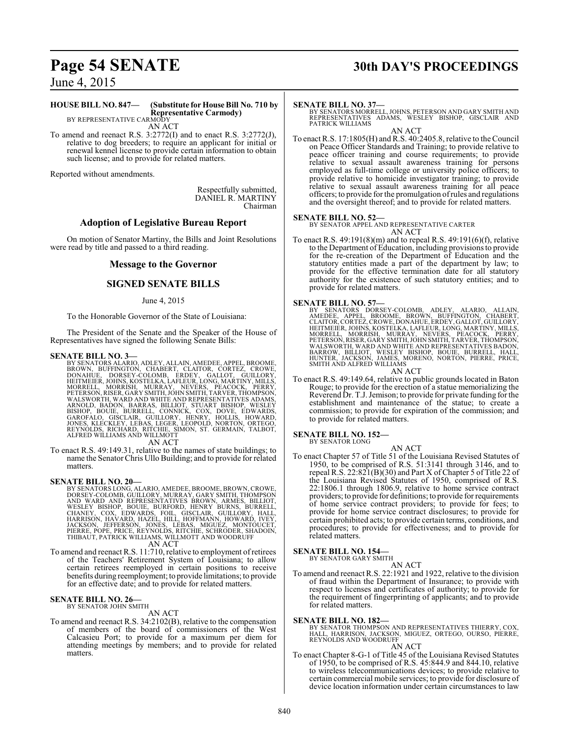# **Page 54 SENATE 30th DAY'S PROCEEDINGS**

June 4, 2015

#### **HOUSE BILL NO. 847— (Substitute for House Bill No. 710 by Representative Carmody)** BY REPRESENTATIVE CARMODY

AN ACT

To amend and reenact R.S. 3:2772(I) and to enact R.S. 3:2772(J), relative to dog breeders; to require an applicant for initial or renewal kennel license to provide certain information to obtain such license; and to provide for related matters.

Reported without amendments.

Respectfully submitted, DANIEL R. MARTINY Chairman

#### **Adoption of Legislative Bureau Report**

On motion of Senator Martiny, the Bills and Joint Resolutions were read by title and passed to a third reading.

#### **Message to the Governor**

### **SIGNED SENATE BILLS**

#### June 4, 2015

To the Honorable Governor of the State of Louisiana:

The President of the Senate and the Speaker of the House of Representatives have signed the following Senate Bills:

**SENATE BILL NO. 3—** BY SENATORS ALARIO, ADLEY, ALLAIN, AMEDEE, APPEL, BROOME, BROWN, BUFFINGTON, CHABERT, CLAITOR, CORTEZ, CROWE,<br>DONAHUE, DORSEY-COLOMB, ERDEY, GALLOT, GUILLORY<br>HEITMEIER,JOHNS,KOSTELKA,LAFLEUR,LONG,MARTINY,MILLS,<br>MORRELL, MORRISH, MURRAY, NEVERS, PEACOCK, PERRY,<br>PETERSON,RISER,GARY WALSWORTH, WARD AND WHITE AND REPRESENTATIVES ADAMS,<br>ARNOLD, BADON, BARRAS, BILLIOT, STUART BISHOP, WESLEY<br>BISHOP, BOUIE, BURRELL, CONNICK, COX, DOVE, EDWARDS,<br>GAROFALO, GISCLAIR, GUILLORY, HENRY, HOLLIS, HOWARD,<br>JONES, KL ALFRED WILLIAMS AND WILLMOTT

AN ACT

To enact R.S. 49:149.31, relative to the names of state buildings; to name the SenatorChris Ullo Building; and to provide for related matters.

**SENATE BILL NO. 20—**<br>BY SENATORS LONG, ALARIO, AMEDEE, BROOME, BROWN, CROWE, DORSEY-COLOMB, GUILLORY, MURRAY, GARY SMITH, THOMPSON<br>AND WARD AND REPRESENTATIVES BROWN, ARMÉS, BILLIOT,<br>WESLEY BISHOP, BOUIE, BURFORD, HENRY B

AN ACT

To amend and reenact R.S. 11:710, relative to employment ofretirees of the Teachers' Retirement System of Louisiana; to allow certain retirees reemployed in certain positions to receive benefits during reemployment; to provide limitations; to provide for an effective date; and to provide for related matters.

# **SENATE BILL NO. 26—**<br>BY SENATOR JOHN SMITH

## AN ACT

To amend and reenact R.S. 34:2102(B), relative to the compensation of members of the board of commissioners of the West Calcasieu Port; to provide for a maximum per diem for attending meetings by members; and to provide for related matters.

#### **SENATE BILL NO. 37—**

BY SENATORS MORRELL, JOHNS, PETERSON AND GARY SMITH AND REPRESENTATIVES ADAMS, WESLEY BISHOP, GISCLAIR AND PATRICK WILLIAMS

AN ACT To enact R.S. 17:1805(H) and R.S. 40:2405.8, relative to the Council on Peace Officer Standards and Training; to provide relative to peace officer training and course requirements; to provide relative to sexual assault awareness training for persons employed as full-time college or university police officers; to provide relative to homicide investigator training; to provide relative to sexual assault awareness training for all peace officers; to provide for the promulgation ofrules and regulations and the oversight thereof; and to provide for related matters.

#### **SENATE BILL NO. 52—**

BY SENATOR APPEL AND REPRESENTATIVE CARTER AN ACT

To enact R.S. 49:191(8)(m) and to repeal R.S. 49:191(6)(f), relative to the Department of Education, including provisions to provide for the re-creation of the Department of Education and the statutory entities made a part of the department by law; to provide for the effective termination date for all statutory authority for the existence of such statutory entities; and to provide for related matters.

#### **SENATE BILL NO. 57—**

- BY SENATORS DORSEY-COLOMB, ADLEY, ALARIO, ALLAIN,<br>AMEDEE, APPEL, BROOME, BROWN, BUFFINGTON, CHABERT,<br>CLAITOR,CORTEZ,CROWE,DONAHUE,ERDEY,GALLOT,GUILLORY, HEITMEIER, JOHNS, KOSTELKA, LAFLEUR, LONG, MARTINY, MILLS,<br>MORRELL, MORRISH, MURRAY, NEVERS, PEACOCK, PERRY,<br>PETERSON, RISER, GARY SMITH, JOHN SMITH, TARVER, THOMPSON,<br>WALSWORTH, WARD AND WHITE AND REPRESENTATIVES BADON,<br>B AN ACT
- To enact R.S. 49:149.64, relative to public grounds located in Baton Rouge; to provide for the erection of a statue memorializing the Reverend Dr. T.J. Jemison; to provide for private funding for the establishment and maintenance of the statue; to create a commission; to provide for expiration of the commission; and to provide for related matters.

#### **SENATE BILL NO. 152—** BY SENATOR LONG

AN ACT

To enact Chapter 57 of Title 51 of the Louisiana Revised Statutes of 1950, to be comprised of R.S. 51:3141 through 3146, and to repeal R.S. 22:821(B)(30) and Part X of Chapter 5 of Title 22 of the Louisiana Revised Statutes of 1950, comprised of R.S. 22:1806.1 through 1806.9, relative to home service contract providers; to provide for definitions; to provide for requirements of home service contract providers; to provide for fees; to provide for home service contract disclosures; to provide for certain prohibited acts; to provide certain terms, conditions, and procedures; to provide for effectiveness; and to provide for related matters.

#### **SENATE BILL NO. 154—**

BY SENATOR GARY SMITH AN ACT

To amend and reenact R.S. 22:1921 and 1922, relative to the division of fraud within the Department of Insurance; to provide with respect to licenses and certificates of authority; to provide for the requirement of fingerprinting of applicants; and to provide for related matters.

**SENATE BILL NO. 182—**<br>BY SENATOR THOMPSON AND REPRESENTATIVES THIERRY, COX,<br>HALL, HARRISON, JACKSON, MIGUEZ, ORTEGO, OURSO, PIERRE,<br>REYNOLDS AND WOODRUFF

#### AN ACT

To enact Chapter 8-G-1 of Title 45 of the Louisiana Revised Statutes of 1950, to be comprised of R.S. 45:844.9 and 844.10, relative to wireless telecommunications devices; to provide relative to certain commercial mobile services; to provide for disclosure of device location information under certain circumstances to law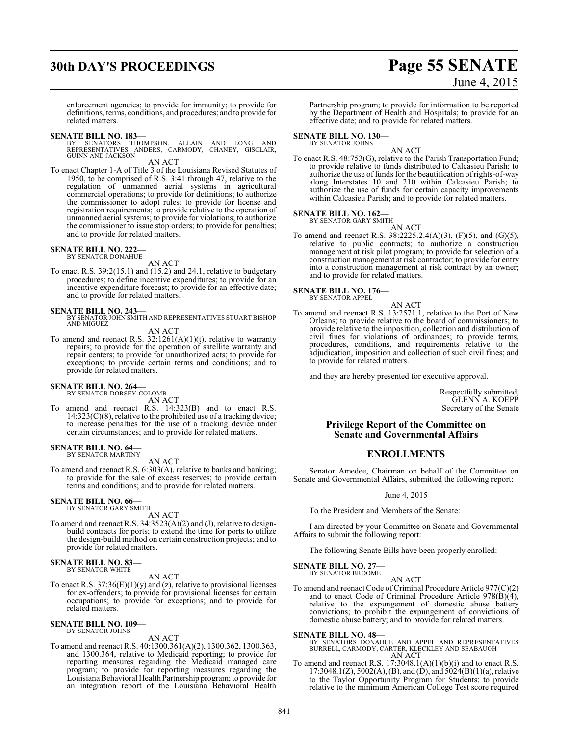# **30th DAY'S PROCEEDINGS Page 55 SENATE**

# June 4, 2015

enforcement agencies; to provide for immunity; to provide for definitions, terms, conditions, and procedures; and to provide for related matters.

#### **SENATE BILL NO. 183—**

BY SENATORS THOMPSON, ALLAIN AND LONG AND<br>REPRESENTATIVES ANDERS, CARMODY, CHANEY, GISCLAIR,<br>GUINNANDJACKSON

AN ACT

To enact Chapter 1-A of Title 3 of the Louisiana Revised Statutes of 1950, to be comprised of R.S. 3:41 through 47, relative to the regulation of unmanned aerial systems in agricultural commercial operations; to provide for definitions; to authorize the commissioner to adopt rules; to provide for license and registration requirements; to provide relative to the operation of unmanned aerial systems; to provide for violations; to authorize the commissioner to issue stop orders; to provide for penalties; and to provide for related matters.

#### **SENATE BILL NO. 222—** BY SENATOR DONAHUE

AN ACT

To enact R.S. 39:2(15.1) and (15.2) and 24.1, relative to budgetary procedures; to define incentive expenditures; to provide for an incentive expenditure forecast; to provide for an effective date; and to provide for related matters.

#### **SENATE BILL NO. 243—**

- BY SENATOR JOHN SMITH AND REPRESENTATIVES STUART BISHOP AND MIGUEZ AN ACT
- To amend and reenact R.S.  $32:1261(A)(1)(t)$ , relative to warranty repairs; to provide for the operation of satellite warranty and repair centers; to provide for unauthorized acts; to provide for exceptions; to provide certain terms and conditions; and to provide for related matters.

#### **SENATE BILL NO. 264—**

BY SENATOR DORSEY-COLOMB AN ACT

To amend and reenact R.S. 14:323(B) and to enact R.S.  $14:323(C)(8)$ , relative to the prohibited use of a tracking device; to increase penalties for the use of a tracking device under certain circumstances; and to provide for related matters.

#### **SENATE BILL NO. 64—** BY SENATOR MARTINY

AN ACT

To amend and reenact R.S. 6:303(A), relative to banks and banking; to provide for the sale of excess reserves; to provide certain terms and conditions; and to provide for related matters.

# **SENATE BILL NO. 66—** BY SENATOR GARY SMITH

AN ACT

To amend and reenact R.S. 34:3523(A)(2) and (J), relative to designbuild contracts for ports; to extend the time for ports to utilize the design-build method on certain construction projects; and to provide for related matters.

#### **SENATE BILL NO. 83—** BY SENATOR WHITE

AN ACT

To enact R.S.  $37:36(E)(1)(y)$  and (z), relative to provisional licenses for ex-offenders; to provide for provisional licenses for certain occupations; to provide for exceptions; and to provide for related matters.

#### **SENATE BILL NO. 109—** BY SENATOR JOHNS

AN ACT

To amend and reenact R.S. 40:1300.361(A)(2), 1300.362, 1300.363, and 1300.364, relative to Medicaid reporting; to provide for reporting measures regarding the Medicaid managed care program; to provide for reporting measures regarding the LouisianaBehavioral Health Partnership program; to provide for an integration report of the Louisiana Behavioral Health

Partnership program; to provide for information to be reported by the Department of Health and Hospitals; to provide for an effective date; and to provide for related matters.

### **SENATE BILL NO. 130—**

#### BY SENATOR JOHNS AN ACT

To enact R.S. 48:753(G), relative to the Parish Transportation Fund; to provide relative to funds distributed to Calcasieu Parish; to authorize the use of funds for the beautification ofrights-of-way along Interstates 10 and 210 within Calcasieu Parish; to authorize the use of funds for certain capacity improvements within Calcasieu Parish; and to provide for related matters.

#### **SENATE BILL NO. 162—**

BY SENATOR GARY SMITH AN ACT

To amend and reenact R.S. 38:2225.2.4(A)(3), (F)(5), and (G)(5), relative to public contracts; to authorize a construction management at risk pilot program; to provide for selection of a construction management at risk contractor; to provide for entry into a construction management at risk contract by an owner; and to provide for related matters.

#### **SENATE BILL NO. 176—**

BY SENATOR APPEL

AN ACT To amend and reenact R.S. 13:2571.1, relative to the Port of New Orleans; to provide relative to the board of commissioners; to provide relative to the imposition, collection and distribution of civil fines for violations of ordinances; to provide terms, procedures, conditions, and requirements relative to the adjudication, imposition and collection of such civil fines; and to provide for related matters.

and they are hereby presented for executive approval.

Respectfully submitted, GLENN A. KOEPP Secretary of the Senate

### **Privilege Report of the Committee on Senate and Governmental Affairs**

### **ENROLLMENTS**

Senator Amedee, Chairman on behalf of the Committee on Senate and Governmental Affairs, submitted the following report:

#### June 4, 2015

To the President and Members of the Senate:

I am directed by your Committee on Senate and Governmental Affairs to submit the following report:

The following Senate Bills have been properly enrolled:

**SENATE BILL NO. 27—** BY SENATOR BROOME

#### AN ACT

To amend and reenact Code of Criminal Procedure Article 977(C)(2) and to enact Code of Criminal Procedure Article  $978(B)(4)$ , relative to the expungement of domestic abuse battery convictions; to prohibit the expungement of convictions of domestic abuse battery; and to provide for related matters.

## **SENATE BILL NO. 48—**

- BY SENATORS DONAHUE AND APPEL AND REPRESENTATIVES BURRELL, CARMODY, CARTER, KLECKLEY AND SEABAUGH AN ACT
- To amend and reenact R.S. 17:3048.1(A)(1)(b)(i) and to enact R.S. 17:3048.1(Z), 5002(A), (B), and (D), and 5024(B)(1)(a),relative to the Taylor Opportunity Program for Students; to provide relative to the minimum American College Test score required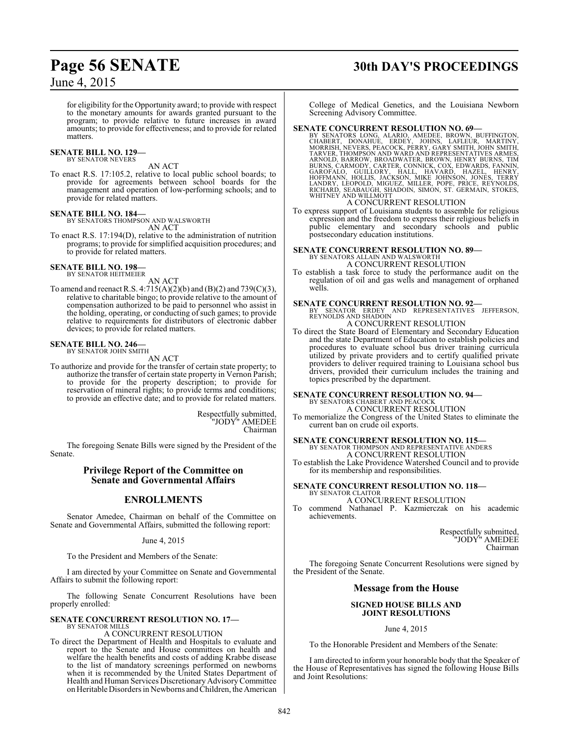# **Page 56 SENATE 30th DAY'S PROCEEDINGS**

## June 4, 2015

for eligibility for the Opportunity award; to provide with respect to the monetary amounts for awards granted pursuant to the program; to provide relative to future increases in award amounts; to provide for effectiveness; and to provide for related matters.

# **SENATE BILL NO. 129—** BY SENATOR NEVERS

AN ACT

To enact R.S. 17:105.2, relative to local public school boards; to provide for agreements between school boards for the management and operation of low-performing schools; and to provide for related matters.

#### **SENATE BILL NO. 184—**

BY SENATORS THOMPSON AND WALSWORTH AN ACT

To enact R.S. 17:194(D), relative to the administration of nutrition programs; to provide for simplified acquisition procedures; and to provide for related matters.

#### **SENATE BILL NO. 198—** BY SENATOR HEITMEIER

AN ACT

To amend and reenact R.S. 4:715(A)(2)(b) and (B)(2) and 739(C)(3), relative to charitable bingo; to provide relative to the amount of compensation authorized to be paid to personnel who assist in the holding, operating, or conducting of such games; to provide relative to requirements for distributors of electronic dabber devices; to provide for related matters.

#### **SENATE BILL NO. 246—** BY SENATOR JOHN SMITH

AN ACT

To authorize and provide for the transfer of certain state property; to authorize the transfer of certain state property in Vernon Parish; to provide for the property description; to provide for reservation of mineral rights; to provide terms and conditions; to provide an effective date; and to provide for related matters.

> Respectfully submitted, "JODY" AMEDEE Chairman

The foregoing Senate Bills were signed by the President of the Senate.

#### **Privilege Report of the Committee on Senate and Governmental Affairs**

### **ENROLLMENTS**

Senator Amedee, Chairman on behalf of the Committee on Senate and Governmental Affairs, submitted the following report:

June 4, 2015

To the President and Members of the Senate:

I am directed by your Committee on Senate and Governmental Affairs to submit the following report:

The following Senate Concurrent Resolutions have been properly enrolled:

#### **SENATE CONCURRENT RESOLUTION NO. 17—** BY SENATOR MILLS

## A CONCURRENT RESOLUTION

To direct the Department of Health and Hospitals to evaluate and report to the Senate and House committees on health and welfare the health benefits and costs of adding Krabbe disease to the list of mandatory screenings performed on newborns when it is recommended by the United States Department of Health and Human Services Discretionary Advisory Committee on Heritable Disorders in Newborns and Children, the American

College of Medical Genetics, and the Louisiana Newborn Screening Advisory Committee.

**SENATE CONCURRENT RESOLUTION NO. 69**<br>BY SENATORS LONG, ALARIO, AMEDEE, BROWN, BUFFINGTON,<br>CHABERT, DONAHUE, ERDEY, JOHNS, LAFLEUR, MARTINY,<br>MORRISH, NEVERS, PEACOCK, PERRY, GARY SMITH, JOHN SMITH,<br>TARVER, THOMPSON AND WAR

#### A CONCURRENT RESOLUTION

To express support of Louisiana students to assemble for religious expression and the freedom to express their religious beliefs in public elementary and secondary schools and public postsecondary education institutions.

# **SENATE CONCURRENT RESOLUTION NO. 89—** BY SENATORS ALLAIN AND WALSWORTH

A CONCURRENT RESOLUTION

To establish a task force to study the performance audit on the regulation of oil and gas wells and management of orphaned wells.

#### **SENATE CONCURRENT RESOLUTION NO. 92—**

BY SENATOR ERDEY AND REPRESENTATIVES JEFFERSON, REYNOLDS AND SHADOIN A CONCURRENT RESOLUTION

To direct the State Board of Elementary and Secondary Education and the state Department of Education to establish policies and procedures to evaluate school bus driver training curricula utilized by private providers and to certify qualified private providers to deliver required training to Louisiana school bus drivers, provided their curriculum includes the training and topics prescribed by the department.

#### **SENATE CONCURRENT RESOLUTION NO. 94—** BY SENATORS CHABERT AND PEACOCK

A CONCURRENT RESOLUTION To memorialize the Congress of the United States to eliminate the current ban on crude oil exports.

#### **SENATE CONCURRENT RESOLUTION NO. 115—** BY SENATOR THOMPSON AND REPRESENTATIVE ANDERS A CONCURRENT RESOLUTION

To establish the Lake Providence Watershed Council and to provide for its membership and responsibilities.

#### **SENATE CONCURRENT RESOLUTION NO. 118—** BY SENATOR CLAITOR

A CONCURRENT RESOLUTION

To commend Nathanael P. Kazmierczak on his academic achievements.

> Respectfully submitted, "JODY" AMEDEE Chairman

The foregoing Senate Concurrent Resolutions were signed by the President of the Senate.

#### **Message from the House**

#### **SIGNED HOUSE BILLS AND JOINT RESOLUTIONS**

June 4, 2015

To the Honorable President and Members of the Senate:

I am directed to inform your honorable body that the Speaker of the House of Representatives has signed the following House Bills and Joint Resolutions: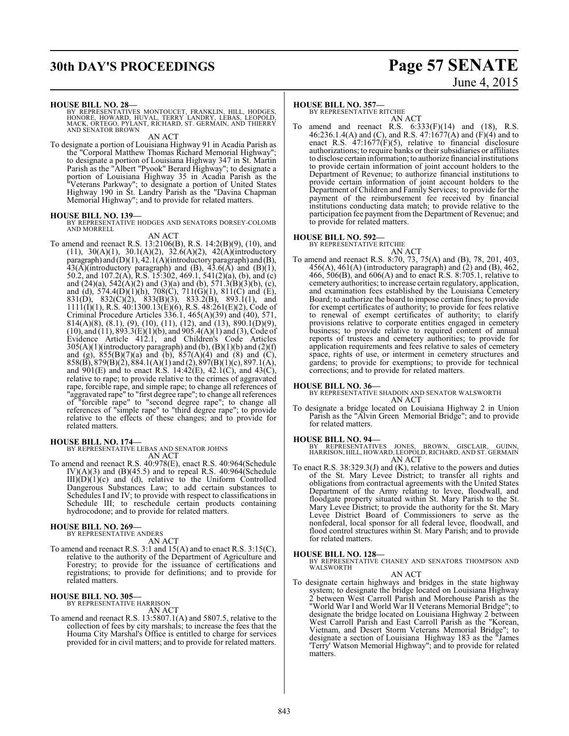# **30th DAY'S PROCEEDINGS Page 57 SENATE**

# June 4, 2015

#### **HOUSE BILL NO. 28—**

BY REPRESENTATIVES MONTOUCET, FRANKLIN, HILL, HODGES,<br>HONORE, HOWARD, HUVAL, TERRY LANDRY, LEBAS, LEOPOLD,<br>MACK, ORTEGO, PYLANT, RICHARD, ST. GERMAIN, AND THIERRY<br>AND SENATOR BROWN

AN ACT To designate a portion of Louisiana Highway 91 in Acadia Parish as the "Corporal Matthew Thomas Richard Memorial Highway"; to designate a portion of Louisiana Highway 347 in St. Martin Parish as the "Albert "Pyook" Berard Highway"; to designate a

portion of Louisiana Highway 35 in Acadia Parish as the "Veterans Parkway"; to designate a portion of United States Highway 190 in St. Landry Parish as the "Davina Chapman Memorial Highway"; and to provide for related matters.

#### **HOUSE BILL NO. 139—**

BY REPRESENTATIVE HODGES AND SENATORS DORSEY-COLOMB AND MORRELL

AN ACT To amend and reenact R.S. 13:2106(B), R.S. 14:2(B)(9), (10), and (11), 30(A)(1), 30.1(A)(2), 32.6(A)(2), 42(A)(introductory paragraph) and (D)(1), 42.1(A)(introductory paragraph) and (B),  $43(A)$ (introductory paragraph) and (B),  $43.6(A)$  and (B)(1), 50.2, and 107.2(A), R.S. 15:302, 469.1, 541(2)(a), (b), and (c) and  $(24)(a)$ , 542 $(A)(2)$  and  $(3)(a)$  and  $(b)$ , 571.3 $(B)(3)(b)$ ,  $(c)$ , and (d), 574.4(D)(1)(h), 708(C), 711(G)(1), 811(C) and (E), 831(D), 832(C)(2), 833(B)(3), 833.2(B), 893.1(1), and  $1111(1)(1)$ , R.S.  $40:1300.13(E)(6)$ , R.S.  $48:261(E)(2)$ , Code of Criminal Procedure Articles  $336.1$ ,  $465(A)(39)$  and  $(40)$ ,  $571$ , 814(A)(8), (8.1), (9), (10), (11), (12), and (13), 890.1(D)(9),  $(10)$ , and  $(11)$ , 893.3 $(E)(1)(b)$ , and 905.4 $(A)(1)$  and  $(B)$ , Code of Evidence Article 412.1, and Children's Code Articles  $305(A)(1)$ (introductory paragraph) and (b),  $(B)(1)(b)$  and  $(2)(f)$ and (g),  $855(B)(7)(a)$  and (b),  $857(A)(4)$  and (8) and (C),  $858(B)$ ,  $879(B)(2)$ ,  $884.1(A)(1)$  and  $(2)$ ,  $897(B)(1)(c)$ ,  $897.1(A)$ , and  $901(E)$  and to enact R.S. 14:42(E), 42.1(C), and 43(C), relative to rape; to provide relative to the crimes of aggravated rape, forcible rape, and simple rape; to change all references of "aggravated rape" to "first degree rape"; to change all references of "forcible rape" to "second degree rape"; to change all references of "simple rape" to "third degree rape"; to provide relative to the effects of these changes; and to provide for related matters.

#### **HOUSE BILL NO. 174—**

BY REPRESENTATIVE LEBAS AND SENATOR JOHNS AN ACT

To amend and reenact R.S. 40:978(E), enact R.S. 40:964(Schedule IV)(A)(3) and (B)(45.5) and to repeal R.S. 40:964(Schedule  $III)(D)(1)(c)$  and (d), relative to the Uniform Controlled Dangerous Substances Law; to add certain substances to Schedules I and IV; to provide with respect to classifications in Schedule III; to reschedule certain products containing hydrocodone; and to provide for related matters.

#### **HOUSE BILL NO. 269—**

BY REPRESENTATIVE ANDERS AN ACT

To amend and reenact R.S. 3:1 and 15(A) and to enact R.S. 3:15(C), relative to the authority of the Department of Agriculture and Forestry; to provide for the issuance of certifications and registrations; to provide for definitions; and to provide for related matters.

#### **HOUSE BILL NO. 305—**

BY REPRESENTATIVE HARRISON AN ACT

To amend and reenact R.S. 13:5807.1(A) and 5807.5, relative to the collection of fees by city marshals; to increase the fees that the Houma City Marshal's Office is entitled to charge for services provided for in civil matters; and to provide for related matters.

#### **HOUSE BILL NO. 357—**

BY REPRESENTATIVE RITCHIE AN ACT

To amend and reenact R.S.  $6:333(F)(14)$  and  $(18)$ , R.S. 46:236.1.4(A) and (C), and R.S. 47:1677(A) and (F)(4) and to enact R.S. 47:1677(F)(5), relative to financial disclosure authorizations; to require banks or their subsidiaries or affiliates to disclose certain information; to authorize financial institutions to provide certain information of joint account holders to the Department of Revenue; to authorize financial institutions to provide certain information of joint account holders to the Department of Children and Family Services; to provide for the payment of the reimbursement fee received by financial institutions conducting data match; to provide relative to the participation fee payment from the Department of Revenue; and to provide for related matters.

#### **HOUSE BILL NO. 592—**

BY REPRESENTATIVE RITCHIE AN ACT

To amend and reenact R.S. 8:70, 73, 75(A) and (B), 78, 201, 403,  $456(A)$ ,  $461(A)$  (introductory paragraph) and  $(2)$  and  $(B)$ ,  $462$ , 466, 506(B), and 606(A) and to enact R.S. 8:705.1, relative to cemetery authorities; to increase certain regulatory, application, and examination fees established by the Louisiana Cemetery Board; to authorize the board to impose certain fines; to provide for exempt certificates of authority; to provide for fees relative to renewal of exempt certificates of authority; to clarify provisions relative to corporate entities engaged in cemetery business; to provide relative to required content of annual reports of trustees and cemetery authorities; to provide for application requirements and fees relative to sales of cemetery space, rights of use, or interment in cemetery structures and gardens; to provide for exemptions; to provide for technical corrections; and to provide for related matters.

**HOUSE BILL NO. 36—** BY REPRESENTATIVE SHADOIN AND SENATOR WALSWORTH AN ACT

To designate a bridge located on Louisiana Highway 2 in Union Parish as the "Alvin Green Memorial Bridge"; and to provide for related matters.

#### **HOUSE BILL NO. 94—**

BY REPRESENTATIVES JONES, BROWN, GISCLAIR, GUINN, HARRISON, HILL, HOWARD, LEOPOLD, RICHARD, AND ST. GERMAIN AN ACT

To enact R.S. 38:329.3(J) and (K), relative to the powers and duties of the St. Mary Levee District; to transfer all rights and obligations from contractual agreements with the United States Department of the Army relating to levee, floodwall, and floodgate property situated within St. Mary Parish to the St. Mary Levee District; to provide the authority for the St. Mary Levee District Board of Commissioners to serve as the nonfederal, local sponsor for all federal levee, floodwall, and flood control structures within St. Mary Parish; and to provide for related matters.

**HOUSE BILL NO. 128—** BY REPRESENTATIVE CHANEY AND SENATORS THOMPSON AND WALSWORTH

#### AN ACT

To designate certain highways and bridges in the state highway system; to designate the bridge located on Louisiana Highway 2 between West Carroll Parish and Morehouse Parish as the "World War I and World War II Veterans Memorial Bridge"; to designate the bridge located on Louisiana Highway 2 between West Carroll Parish and East Carroll Parish as the "Korean, Vietnam, and Desert Storm Veterans Memorial Bridge"; to designate a section of Louisiana Highway 183 as the "James 'Terry' Watson Memorial Highway"; and to provide for related matters.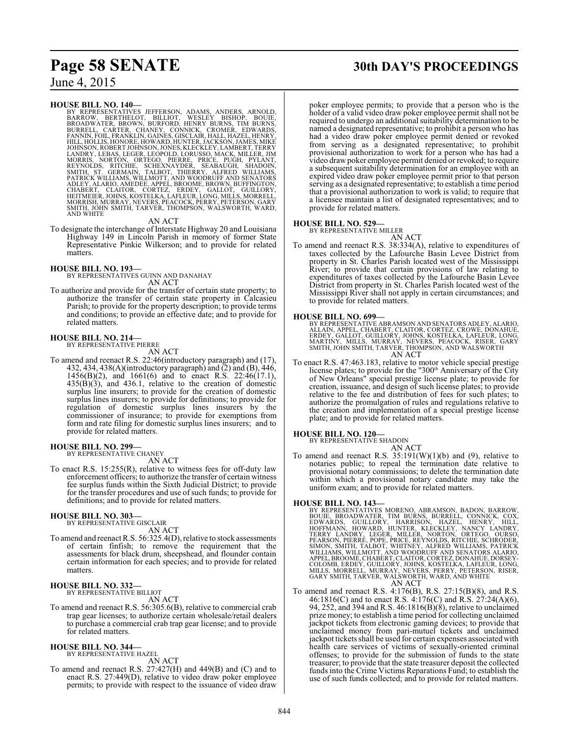#### **HOUSE BILL NO. 140—**

BY REPRESENTATIVES JEFFERSON, ADAMS, ANDERS, ARNOLD,<br>BARROW, BERTHELOT, BILLIOT, WESLEY BISHOP, BOUIE,<br>BROADWATER, BROWN, BURFORD, HENRY BURNS, TIM BURNS,<br>BURRELL, CARTER, CHANEY, CONNICK, CROMER, EDWARDS,<br>FANNIN, FOIL, FR LANDRY, LEBAS, LEGER, LEOPOLD, LORUSSO, MACK, MILLER, JIM<br>MORRIS, NORTON, ORTEGO, PIERRE, PRIČE, PUĞH, PYLÀNT,<br>REYNOLDS, RITCHIE, SCHEXNAYDER, SEABAJGH, SHADOIN,<br>SMITH, ST. GERMAIN, TALBOT, THIERRY, ALFRED WILLIAMS,<br>PATRIČ SMITH, JOHN SMITH, TARVER, THOMPSON, WALSWORTH, WARD, AND WHITE

#### AN ACT

To designate the interchange of Interstate Highway 20 and Louisiana Highway 149 in Lincoln Parish in memory of former State Representative Pinkie Wilkerson; and to provide for related matters.

#### **HOUSE BILL NO. 193—**

BY REPRESENTATIVES GUINN AND DANAHAY AN ACT

To authorize and provide for the transfer of certain state property; to authorize the transfer of certain state property in Calcasieu Parish; to provide for the property description; to provide terms and conditions; to provide an effective date; and to provide for related matters.

#### **HOUSE BILL NO. 214—** BY REPRESENTATIVE PIERRE

AN ACT

To amend and reenact R.S. 22:46(introductory paragraph) and (17), 432, 434, 438(A)(introductory paragraph) and (2) and (B), 446, 1456(B)(2), and 1661(6) and to enact R.S. 22:46(17.1),  $435(\overrightarrow{B})(3)$ , and  $436.1$ , relative to the creation of domestic surplus line insurers; to provide for the creation of domestic surplus lines insurers; to provide for definitions; to provide for regulation of domestic surplus lines insurers by the commissioner of insurance; to provide for exemptions from form and rate filing for domestic surplus lines insurers; and to provide for related matters.

#### **HOUSE BILL NO. 299—**

BY REPRESENTATIVE CHANEY

- AN ACT
- To enact R.S. 15:255(R), relative to witness fees for off-duty law enforcement officers; to authorize the transfer of certain witness fee surplus funds within the Sixth Judicial District; to provide for the transfer procedures and use of such funds; to provide for definitions; and to provide for related matters.

# **HOUSE BILL NO. 303—** BY REPRESENTATIVE GISCLAIR

AN ACT

To amend and reenact R.S. 56:325.4(D), relative to stock assessments of certain finfish; to remove the requirement that the assessments for black drum, sheepshead, and flounder contain certain information for each species; and to provide for related matters.

# **HOUSE BILL NO. 332—** BY REPRESENTATIVE BILLIOT

AN ACT

To amend and reenact R.S. 56:305.6(B), relative to commercial crab trap gear licenses; to authorize certain wholesale/retail dealers to purchase a commercial crab trap gear license; and to provide for related matters.

# **HOUSE BILL NO. 344—** BY REPRESENTATIVE HAZEL AN ACT

To amend and reenact R.S. 27:427(H) and 449(B) and (C) and to enact R.S. 27:449(D), relative to video draw poker employee permits; to provide with respect to the issuance of video draw

# **Page 58 SENATE 30th DAY'S PROCEEDINGS**

poker employee permits; to provide that a person who is the holder of a valid video draw poker employee permit shall not be required to undergo an additional suitability determination to be named a designated representative; to prohibit a person who has had a video draw poker employee permit denied or revoked from serving as a designated representative; to prohibit provisional authorization to work for a person who has had a video drawpoker employee permit denied or revoked; to require a subsequent suitability determination for an employee with an expired video draw poker employee permit prior to that person serving as a designated representative; to establish a time period that a provisional authorization to work is valid; to require that a licensee maintain a list of designated representatives; and to provide for related matters.

#### **HOUSE BILL NO. 529—**

BY REPRESENTATIVE MILLER

- AN ACT
- To amend and reenact R.S. 38:334(A), relative to expenditures of taxes collected by the Lafourche Basin Levee District from property in St. Charles Parish located west of the Mississippi River; to provide that certain provisions of law relating to expenditures of taxes collected by the Lafourche Basin Levee District from property in St. Charles Parish located west of the Mississippi River shall not apply in certain circumstances; and to provide for related matters.

#### **HOUSE BILL NO. 699—**

BY REPRESENTATIVE ABRAMSON AND SENATORS ADLEY, ALARIO,<br>ALLAIN, APPEL, CHABERT, CLAITOR, CORTEZ, CROWE, DONAHUE,<br>ERDEY, GALLOT, GUILLORY, JOHNS, KOSTELKA, LAFLEUR, LONG,<br>MARTINY, MILLS, MURRAY, NEVERS, PEACOCK, RISER, GARY<br> AN ACT

To enact R.S. 47:463.183, relative to motor vehicle special prestige license plates; to provide for the "300<sup>th</sup> Anniversary of the City of New Orleans" special prestige license plate; to provide for creation, issuance, and design of such license plates; to provide relative to the fee and distribution of fees for such plates; to authorize the promulgation of rules and regulations relative to the creation and implementation of a special prestige license plate; and to provide for related matters.

#### **HOUSE BILL NO. 120—**

BY REPRESENTATIVE SHADOIN

AN ACT To amend and reenact R.S.  $35:191(W)(1)(b)$  and (9), relative to notaries public; to repeal the termination date relative to provisional notary commissions; to delete the termination date within which a provisional notary candidate may take the uniform exam; and to provide for related matters.

**HOUSE BILL NO. 143—**<br>BY REPRESENTATIVES MORENO, ABRAMSON, BADON, BARROW, BOUJE, BROADWATER, TIM BURNS, BURRELL, CONNICK, COX, EDWARDS, GUILLORY, HARRISON, HAZEL, HENRY, HILL, HOFFMANN, HOWARD, HUNTER, KLÉCKLEY, NANCY LAND

To amend and reenact R.S. 4:176(B), R.S. 27:15(B)(8), and R.S. 46:1816(C) and to enact R.S. 4:176(C) and R.S. 27:24(A)(6), 94, 252, and 394 and R.S. 46:1816(B)(8), relative to unclaimed prize money; to establish a time period for collecting unclaimed jackpot tickets from electronic gaming devices; to provide that unclaimed money from pari-mutuel tickets and unclaimed jackpot tickets shall be used for certain expenses associated with health care services of victims of sexually-oriented criminal offenses; to provide for the submission of funds to the state treasurer; to provide that the state treasurer deposit the collected funds into the Crime Victims Reparations Fund; to establish the use of such funds collected; and to provide for related matters.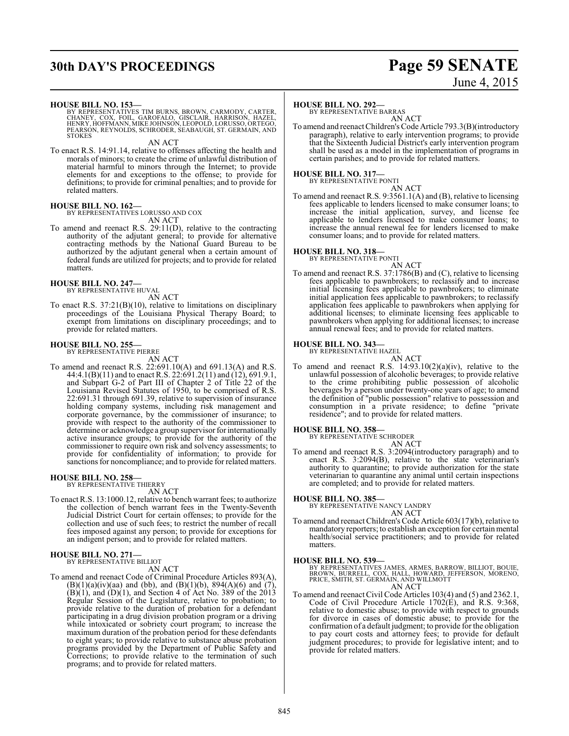# **30th DAY'S PROCEEDINGS Page 59 SENATE**

# June 4, 2015

**HOUSE BILL NO. 153—**

BY REPRESENTATIVES TIM BURNS, BROWN, CARMODY, CARTER,<br>CHANEY, COX, FOIL, GAROFALO, GISCLAIR, HARRISON, HAZEL,<br>HENRY, HOFFMANN, MIKE JOHNSON, LEOPOLD, LORUSSO, ORTEGO,<br>PEARSON, REYNOLDS, SCHRODER, SEABAUGH, ST. GERMAIN, AND **STOKES** 

AN ACT

To enact R.S. 14:91.14, relative to offenses affecting the health and morals of minors; to create the crime of unlawful distribution of material harmful to minors through the Internet; to provide elements for and exceptions to the offense; to provide for definitions; to provide for criminal penalties; and to provide for related matters.

#### **HOUSE BILL NO. 162—**

BY REPRESENTATIVES LORUSSO AND COX

AN ACT

To amend and reenact R.S. 29:11(D), relative to the contracting authority of the adjutant general; to provide for alternative contracting methods by the National Guard Bureau to be authorized by the adjutant general when a certain amount of federal funds are utilized for projects; and to provide for related matters.

# **HOUSE BILL NO. 247—** BY REPRESENTATIVE HUVAL

AN ACT

To enact R.S. 37:21(B)(10), relative to limitations on disciplinary proceedings of the Louisiana Physical Therapy Board; to exempt from limitations on disciplinary proceedings; and to provide for related matters.

# **HOUSE BILL NO. 255—** BY REPRESENTATIVE PIERRE

AN ACT

To amend and reenact R.S. 22:691.10(A) and 691.13(A) and R.S. 44:4.1(B)(11) and to enact R.S. 22:691.2(11) and (12), 691.9.1, and Subpart G-2 of Part III of Chapter 2 of Title 22 of the Louisiana Revised Statutes of 1950, to be comprised of R.S. 22:691.31 through 691.39, relative to supervision of insurance holding company systems, including risk management and corporate governance, by the commissioner of insurance; to provide with respect to the authority of the commissioner to determine or acknowledge a group supervisor for internationally active insurance groups; to provide for the authority of the commissioner to require own risk and solvency assessments; to provide for confidentiality of information; to provide for sanctions for noncompliance; and to provide for related matters.

# **HOUSE BILL NO. 258—** BY REPRESENTATIVE THIERRY

AN ACT To enact R.S. 13:1000.12, relative to bench warrant fees; to authorize the collection of bench warrant fees in the Twenty-Seventh Judicial District Court for certain offenses; to provide for the collection and use of such fees; to restrict the number of recall fees imposed against any person; to provide for exceptions for

an indigent person; and to provide for related matters.

# **HOUSE BILL NO. 271—** BY REPRESENTATIVE BILLIOT

AN ACT

To amend and reenact Code of Criminal Procedure Articles 893(A),  $(B)(1)(a)(iv)(aa)$  and (bb), and  $(B)(1)(b)$ , 894 $(A)(6)$  and  $(7)$ ,  $(B)(1)$ , and  $(D)(1)$ , and Section 4 of Act No. 389 of the 2013 Regular Session of the Legislature, relative to probation; to provide relative to the duration of probation for a defendant participating in a drug division probation program or a driving while intoxicated or sobriety court program; to increase the maximum duration of the probation period for these defendants to eight years; to provide relative to substance abuse probation programs provided by the Department of Public Safety and Corrections; to provide relative to the termination of such programs; and to provide for related matters.

#### **HOUSE BILL NO. 292—**

BY REPRESENTATIVE BARRAS AN ACT

To amend and reenact Children's Code Article 793.3(B)(introductory paragraph), relative to early intervention programs; to provide that the Sixteenth Judicial District's early intervention program shall be used as a model in the implementation of programs in certain parishes; and to provide for related matters.

#### **HOUSE BILL NO. 317—** BY REPRESENTATIVE PONTI

AN ACT

To amend and reenact R.S. 9:3561.1(A) and (B), relative to licensing fees applicable to lenders licensed to make consumer loans; to increase the initial application, survey, and license fee applicable to lenders licensed to make consumer loans; to increase the annual renewal fee for lenders licensed to make consumer loans; and to provide for related matters.

#### **HOUSE BILL NO. 318—**

BY REPRESENTATIVE PONTI

AN ACT To amend and reenact R.S. 37:1786(B) and (C), relative to licensing fees applicable to pawnbrokers; to reclassify and to increase initial licensing fees applicable to pawnbrokers; to eliminate initial application fees applicable to pawnbrokers; to reclassify application fees applicable to pawnbrokers when applying for additional licenses; to eliminate licensing fees applicable to pawnbrokers when applying for additional licenses; to increase annual renewal fees; and to provide for related matters.

#### **HOUSE BILL NO. 343—**

BY REPRESENTATIVE HAZEL

AN ACT To amend and reenact R.S.  $14:93.10(2)(a)(iv)$ , relative to the unlawful possession of alcoholic beverages; to provide relative to the crime prohibiting public possession of alcoholic beverages by a person under twenty-one years of age; to amend the definition of "public possession" relative to possession and consumption in a private residence; to define "private residence"; and to provide for related matters.

#### **HOUSE BILL NO. 358—**

BY REPRESENTATIVE SCHRODER

- AN ACT
- To amend and reenact R.S. 3:2094(introductory paragraph) and to enact R.S. 3:2094(B), relative to the state veterinarian's authority to quarantine; to provide authorization for the state veterinarian to quarantine any animal until certain inspections are completed; and to provide for related matters.

**HOUSE BILL NO. 385—** BY REPRESENTATIVE NANCY LANDRY AN ACT

To amend and reenact Children's Code Article 603(17)(b), relative to mandatory reporters; to establish an exception for certain mental health/social service practitioners; and to provide for related matters.

**HOUSE BILL NO. 539—** BY REPRESENTATIVES JAMES, ARMES, BARROW, BILLIOT, BOUIE, BROWN, BURRELL, COX, HALL, HOWARD, JEFFERSON, MORENO, PRICE, SMITH, ST. GERMAIN, AND WILLMOTT AN ACT

To amend and reenact Civil Code Articles 103(4) and (5) and 2362.1, To amend and reenact Civil Code Articles 103(4) and (5) and 2362.1,<br>Code of Civil Procedure Article 1702(E), and R.S. 9:368, relative to domestic abuse; to provide with respect to grounds for divorce in cases of domestic abuse; to provide for the confirmation of a default judgment; to provide for the obligation to pay court costs and attorney fees; to provide for default judgment procedures; to provide for legislative intent; and to provide for related matters.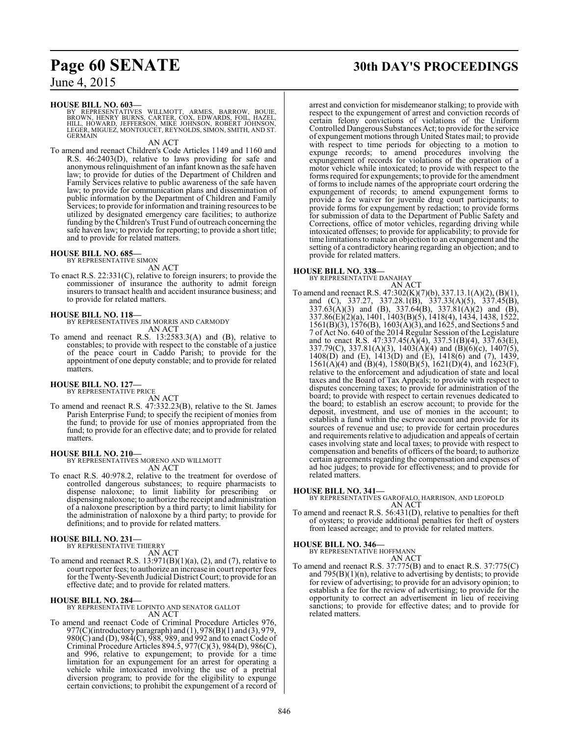#### **HOUSE BILL NO. 603—**

BY REPRESENTATIVES WILLMOTT, ARMES, BARROW, BOUIE,<br>BROWN, HENRY BURNS, CARTER, COX, EDWARDS, FOIL, HAZEL,<br>HILL, HOWARD, JEFFERSON, MIKE JOHNSON, ROBERT JOHNSON,<br>LEGER, MIGUEZ, MONTOUCET, REYNOLDS, SIMON, SMITH, AND ST. **GERMAIN** 

#### AN ACT

To amend and reenact Children's Code Articles 1149 and 1160 and R.S. 46:2403(D), relative to laws providing for safe and anonymous relinquishment of an infant known as the safe haven law; to provide for duties of the Department of Children and Family Services relative to public awareness of the safe haven law; to provide for communication plans and dissemination of public information by the Department of Children and Family Services; to provide for information and training resources to be utilized by designated emergency care facilities; to authorize funding by the Children's Trust Fund of outreach concerning the safe haven law; to provide for reporting; to provide a short title; and to provide for related matters.

#### **HOUSE BILL NO. 685—** BY REPRESENTATIVE SIMON

AN ACT

To enact R.S. 22:331(C), relative to foreign insurers; to provide the commissioner of insurance the authority to admit foreign insurers to transact health and accident insurance business; and to provide for related matters.

**HOUSE BILL NO. 118—** BY REPRESENTATIVES JIM MORRIS AND CARMODY AN ACT

To amend and reenact R.S. 13:2583.3(A) and (B), relative to constables; to provide with respect to the constable of a justice of the peace court in Caddo Parish; to provide for the appointment of one deputy constable; and to provide for related matters.

#### **HOUSE BILL NO. 127—**

BY REPRESENTATIVE PRICE

AN ACT

To amend and reenact R.S. 47:332.23(B), relative to the St. James Parish Enterprise Fund; to specify the recipient of monies from the fund; to provide for use of monies appropriated from the fund; to provide for an effective date; and to provide for related matters.

#### **HOUSE BILL NO. 210—**

BY REPRESENTATIVES MORENO AND WILLMOTT AN ACT

To enact R.S. 40:978.2, relative to the treatment for overdose of controlled dangerous substances; to require pharmacists to dispense naloxone; to limit liability for prescribing or dispensing naloxone; to authorize the receipt and administration of a naloxone prescription by a third party; to limit liability for the administration of naloxone by a third party; to provide for definitions; and to provide for related matters.

#### **HOUSE BILL NO. 231—**

BY REPRESENTATIVE THIERRY AN ACT

To amend and reenact R.S.  $13:971(B)(1)(a)$ ,  $(2)$ , and  $(7)$ , relative to court reporter fees; to authorize an increase in court reporter fees for the Twenty-Seventh Judicial District Court; to provide for an effective date; and to provide for related matters.

#### **HOUSE BILL NO. 284—**

BY REPRESENTATIVE LOPINTO AND SENATOR GALLOT AN ACT

To amend and reenact Code of Criminal Procedure Articles 976, 977(C)(introductory paragraph) and (1), 978(B)(1) and (3), 979, 980(C) and (D), 984(C), 988, 989, and 992 and to enact Code of Criminal Procedure Articles 894.5, 977(C)(3), 984(D), 986(C), and 996, relative to expungement; to provide for a time limitation for an expungement for an arrest for operating a vehicle while intoxicated involving the use of a pretrial diversion program; to provide for the eligibility to expunge certain convictions; to prohibit the expungement of a record of

# **Page 60 SENATE 30th DAY'S PROCEEDINGS**

arrest and conviction for misdemeanor stalking; to provide with respect to the expungement of arrest and conviction records of certain felony convictions of violations of the Uniform Controlled Dangerous Substances Act; to provide for the service of expungement motions through United States mail; to provide with respect to time periods for objecting to a motion to expunge records; to amend procedures involving the expungement of records for violations of the operation of a motor vehicle while intoxicated; to provide with respect to the forms required for expungements; to provide for the amendment of forms to include names of the appropriate court ordering the expungement of records; to amend expungement forms to provide a fee waiver for juvenile drug court participants; to provide forms for expungement by redaction; to provide forms for submission of data to the Department of Public Safety and Corrections, office of motor vehicles, regarding driving while intoxicated offenses; to provide for applicability; to provide for time limitations to make an objection to an expungement and the setting of a contradictory hearing regarding an objection; and to provide for related matters.

#### **HOUSE BILL NO. 338—**

BY REPRESENTATIVE DANAHAY

AN ACT To amend and reenact R.S. 47:302(K)(7)(b), 337.13.1(A)(2), (B)(1), and (C), 337.27, 337.28.1(B), 337.33(A)(5), 337.45(B),  $337.63(A)(3)$  and (B),  $337.64(B)$ ,  $337.81(A)(2)$  and (B), 337.86(E)(2)(a), 1401, 1403(B)(5), 1418(4), 1434, 1438, 1522, 1561(B)(3), 1576(B), 1603(A)(3), and 1625, and Sections 5 and 7 of Act No. 640 of the 2014 Regular Session of the Legislature and to enact R.S.  $47:337.45(A)(4)$ ,  $337.51(B)(4)$ ,  $337.63(E)$ , 337.79(C), 337.81(A)(3), 1403(A)(4) and (B)(6)(c), 1407(5), 1408(D) and (E), 1413(D) and (E), 1418(6) and (7), 1439, 1561(A)(4) and (B)(4), 1580(B)(5), 1621(D)(4), and 1623(F), relative to the enforcement and adjudication of state and local taxes and the Board of Tax Appeals; to provide with respect to disputes concerning taxes; to provide for administration of the board; to provide with respect to certain revenues dedicated to the board; to establish an escrow account; to provide for the deposit, investment, and use of monies in the account; to establish a fund within the escrow account and provide for its sources of revenue and use; to provide for certain procedures and requirements relative to adjudication and appeals of certain cases involving state and local taxes; to provide with respect to compensation and benefits of officers of the board; to authorize certain agreements regarding the compensation and expenses of ad hoc judges; to provide for effectiveness; and to provide for related matters.

#### **HOUSE BILL NO. 341—**

BY REPRESENTATIVES GAROFALO, HARRISON, AND LEOPOLD AN ACT

To amend and reenact R.S. 56:431(D), relative to penalties for theft of oysters; to provide additional penalties for theft of oysters from leased acreage; and to provide for related matters.

# **HOUSE BILL NO. 346—** BY REPRESENTATIVE HOFFMANN

AN ACT

To amend and reenact R.S. 37:775(B) and to enact R.S. 37:775(C) and  $795(B)(1)(n)$ , relative to advertising by dentists; to provide for review of advertising; to provide for an advisory opinion; to establish a fee for the review of advertising; to provide for the opportunity to correct an advertisement in lieu of receiving sanctions; to provide for effective dates; and to provide for related matters.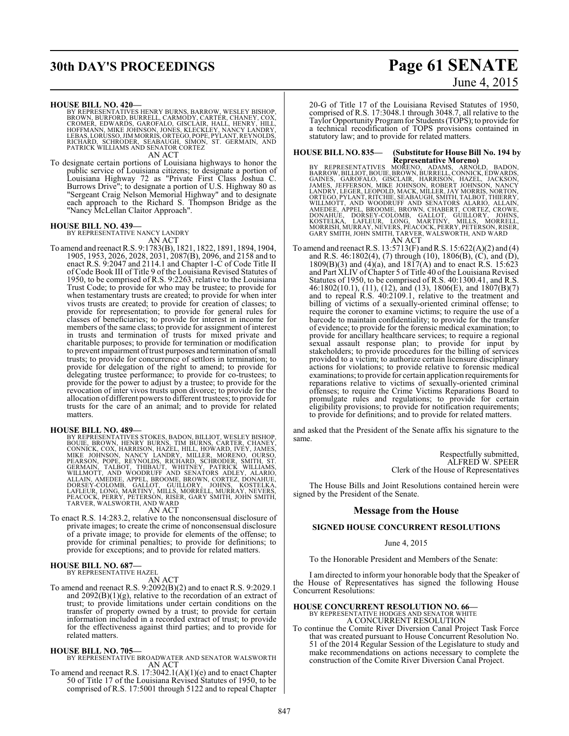# **30th DAY'S PROCEEDINGS Page 61 SENATE**

**HOUSE BILL NO. 420—**

BY REPRESENTATIVES HENRY BURNS, BARROW, WESLEY BISHOP,<br>BROWN, BURFORD, BURRELL, CARMODY, CARTER, CHANEY, COX,<br>CROMER, EDWARDS, GAROFALO, GISCLAIR, HALL, HENRY, HILL,<br>HOFFMANN, MIKE JOHNSON, JONES, KLECKLEY, NANCY LANDRY,<br>L

AN ACT

To designate certain portions of Louisiana highways to honor the public service of Louisiana citizens; to designate a portion of Louisiana Highway 72 as "Private First Class Joshua C. Burrows Drive"; to designate a portion of U.S. Highway 80 as "Sergeant Craig Nelson Memorial Highway" and to designate each approach to the Richard S. Thompson Bridge as the "Nancy McLellan Claitor Approach".

#### **HOUSE BILL NO. 439—**

BY REPRESENTATIVE NANCY LANDRY AN ACT

To amend and reenact R.S. 9:1783(B), 1821, 1822, 1891, 1894, 1904, 1905, 1953, 2026, 2028, 2031, 2087(B), 2096, and 2158 and to enact R.S. 9:2047 and 2114.1 and Chapter 1-C of Code Title II of Code Book III of Title 9 of the Louisiana Revised Statutes of 1950, to be comprised of R.S. 9:2263, relative to the Louisiana Trust Code; to provide for who may be trustee; to provide for when testamentary trusts are created; to provide for when inter vivos trusts are created; to provide for creation of classes; to provide for representation; to provide for general rules for classes of beneficiaries; to provide for interest in income for members of the same class; to provide for assignment of interest in trusts and termination of trusts for mixed private and charitable purposes; to provide for termination or modification to prevent impairment of trust purposes and termination of small trusts; to provide for concurrence of settlors in termination; to provide for delegation of the right to amend; to provide for delegating trustee performance; to provide for co-trustees; to provide for the power to adjust by a trustee; to provide for the revocation of inter vivos trusts upon divorce; to provide for the allocation of different powers to different trustees; to provide for trusts for the care of an animal; and to provide for related matters.

HOUSE BILL NO. 489-<br>BY REPRESENTATIVES STOKES, BADON, BILLIOT, WESLEY BISHOP, BOUIE, BROWN, HENRY BURNS, TIM BURNS, CARTER, CHANEY,<br>CONNICK, COX, HARRISON, HAZEL, HILL, HOWARD, IVEY, JAMES,<br>MIKE JOHNSON, NANCY LANDRY, MILL

#### AN ACT

To enact R.S. 14:283.2, relative to the nonconsensual disclosure of private images; to create the crime of nonconsensual disclosure of a private image; to provide for elements of the offense; to provide for criminal penalties; to provide for definitions; to provide for exceptions; and to provide for related matters.

# **HOUSE BILL NO. 687—** BY REPRESENTATIVE HAZEL

AN ACT

To amend and reenact R.S. 9:2092(B)(2) and to enact R.S. 9:2029.1 and  $2092(B)(1)(g)$ , relative to the recordation of an extract of trust; to provide limitations under certain conditions on the transfer of property owned by a trust; to provide for certain information included in a recorded extract of trust; to provide for the effectiveness against third parties; and to provide for related matters.

**HOUSE BILL NO. 705—** BY REPRESENTATIVE BROADWATER AND SENATOR WALSWORTH AN ACT

To amend and reenact R.S. 17:3042.1(A)(1)(e) and to enact Chapter 50 of Title 17 of the Louisiana Revised Statutes of 1950, to be comprised of R.S. 17:5001 through 5122 and to repeal Chapter

# June 4, 2015

20-G of Title 17 of the Louisiana Revised Statutes of 1950, comprised of R.S. 17:3048.1 through 3048.7, all relative to the Taylor Opportunity Program for Students (TOPS); to provide for a technical recodification of TOPS provisions contained in statutory law; and to provide for related matters.

#### **HOUSE BILL NO. 835— (Substitute for House Bill No. 194 by**

Representative Moreno)<br>BARROW, BILLIOT, BOUIE, BROWN, BURMELL, CONNICE, BADON,<br>BARROW, BILLIOT, BOUIE, BROWN, BURRELL, CONNICK, EDWARDS,<br>GAINES, GAROFALO, GISCLAIR, HARRISON, HAZEL, JACKSON,<br>JAMES, JEFFERSON, MIKE JOHNSON,

To amend and reenact R.S. 13:5713(F) andR.S. 15:622(A)(2) and (4) and R.S. 46:1802(4), (7) through (10), 1806(B), (C), and (D),  $1809(B)(3)$  and  $(4)(a)$ , and  $1817(A)$  and to enact R.S. 15:623 and Part XLIV of Chapter 5 of Title 40 of the Louisiana Revised Statutes of 1950, to be comprised of R.S. 40:1300.41, and R.S. 46:1802(10.1), (11), (12), and (13), 1806(E), and 1807(B)(7) and to repeal R.S. 40:2109.1, relative to the treatment and billing of victims of a sexually-oriented criminal offense; to require the coroner to examine victims; to require the use of a barcode to maintain confidentiality; to provide for the transfer of evidence; to provide for the forensic medical examination; to provide for ancillary healthcare services; to require a regional sexual assault response plan; to provide for input by stakeholders; to provide procedures for the billing of services provided to a victim; to authorize certain licensure disciplinary actions for violations; to provide relative to forensic medical examinations; to provide for certain application requirements for reparations relative to victims of sexually-oriented criminal offenses; to require the Crime Victims Reparations Board to promulgate rules and regulations; to provide for certain eligibility provisions; to provide for notification requirements; to provide for definitions; and to provide for related matters.

and asked that the President of the Senate affix his signature to the same.

> Respectfully submitted, ALFRED W. SPEER Clerk of the House of Representatives

The House Bills and Joint Resolutions contained herein were signed by the President of the Senate.

#### **Message from the House**

#### **SIGNED HOUSE CONCURRENT RESOLUTIONS**

#### June 4, 2015

To the Honorable President and Members of the Senate:

I am directed to inform your honorable body that the Speaker of the House of Representatives has signed the following House Concurrent Resolutions:

# **HOUSE CONCURRENT RESOLUTION NO. 66—**<br>BY REPRESENTATIVE HODGES AND SENATOR WHITE<br>A CONCURRENT RESOLUTION

To continue the Comite River Diversion Canal Project Task Force that was created pursuant to House Concurrent Resolution No. 51 of the 2014 Regular Session of the Legislature to study and make recommendations on actions necessary to complete the construction of the Comite River Diversion Canal Project.